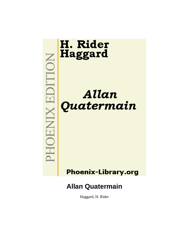

Haggard, H. Rider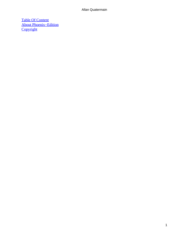[Table Of Content](#page-202-0) [About Phoenix−Edition](#page-204-0) **[Copyright](#page-207-0)**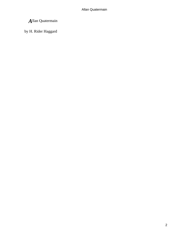by H. Rider Haggard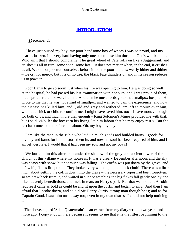### **[INTRODUCTION](#page-202-0)**

*D*ecember 23

 'I have just buried my boy, my poor handsome boy of whom I was so proud, and my heart is broken. It is very hard having only one son to lose him thus, but God's will be done. Who am I that I should complain? The great wheel of Fate rolls on like a Juggernaut, and crushes us all in turn, some soon, some late  $-$  it does not matter when, in the end, it crushes us all. We do not prostrate ourselves before it like the poor Indians; we fly hither and thither – we cry for mercy; but it is of no use, the black Fate thunders on and in its season reduces us to powder.

 'Poor Harry to go so soon! just when his life was opening to him. He was doing so well at the hospital, he had passed his last examination with honours, and I was proud of them, much prouder than he was, I think. And then he must needs go to that smallpox hospital. He wrote to me that he was not afraid of smallpox and wanted to gain the experience; and now the disease has killed him, and I, old and grey and withered, am left to mourn over him, without a chick or child to comfort me. I might have saved him, too – I have money enough for both of us, and much more than enough – King Solomon's Mines provided me with that; but I said, «No, let the boy earn his living, let him labour that he may enjoy rest.» But the rest has come to him before the labour. Oh, my boy, my boy!

 'I am like the man in the Bible who laid up much goods and builded barns – goods for my boy and barns for him to store them in; and now his soul has been required of him, and I am left desolate. I would that it had been my soul and not my boy's!

 'We buried him this afternoon under the shadow of the grey and ancient tower of the church of this village where my house is. It was a dreary December afternoon, and the sky was heavy with snow, but not much was falling. The coffin was put down by the grave, and a few big flakes lit upon it. They looked very white upon the black cloth! There was a little hitch about getting the coffin down into the grave – the necessary ropes had been forgotten: so we drew back from it, and waited in silence watching the big flakes fall gently one by one like heavenly benedictions, and melt in tears on Harry's pall. But that was not all. A robin redbreast came as bold as could be and lit upon the coffin and began to sing. And then I am afraid that I broke down, and so did Sir Henry Curtis, strong man though he is; and as for Captain Good, I saw him turn away too; even in my own distress I could not help noticing it.'

 The above, signed 'Allan Quatermain', is an extract from my diary written two years and more ago. I copy it down here because it seems to me that it is the fittest beginning to the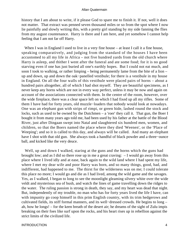history that I am about to write, if it please God to spare me to finish it. If not, well it does not matter. That extract was penned seven thousand miles or so from the spot where I now lie painfully and slowly writing this, with a pretty girl standing by my side fanning the flies from my august countenance. Harry is there and I am here, and yet somehow I cannot help feeling that I am not far off Harry.

When I was in England I used to live in a very fine house – at least I call it a fine house, speaking comparatively, and judging from the standard of the houses I have been accustomed to all my life in Africa – not five hundred yards from the old church where Harry is asleep, and thither I went after the funeral and ate some food; for it is no good starving even if one has just buried all one's earthly hopes. But I could not eat much, and soon I took to walking, or rather limping – being permanently lame from the bite of a lion – up and down, up and down the oak−panelled vestibule; for there is a vestibule in my house in England. On all the four walls of this vestibule were placed pairs of horns – about a hundred pairs altogether, all of which I had shot myself. They are beautiful specimens, as I never keep any horns which are not in every way perfect, unless it may be now and again on account of the associations connected with them. In the centre of the room, however, over the wide fireplace, there was a clear space left on which I had fixed up all my rifles. Some of them I have had for forty years, old muzzle−loaders that nobody would look at nowadays. One was an elephant gun with strips of rimpi, or green hide, lashed round the stock and locks, such as used to be owned by the Dutchmen – a 'roer' they call it. That gun, the Boer I bought it from many years ago told me, had been used by his father at the battle of the Blood River, just after Dingaan swept into Natal and slaughtered six hundred men, women, and children, so that the Boers named the place where they died 'Weenen', or the 'Place of Weeping'; and so it is called to this day, and always will be called. And many an elephant have I shot with that old gun. She always took a handful of black powder and a three−ounce ball, and kicked like the very deuce.

 Well, up and down I walked, staring at the guns and the horns which the guns had brought low; and as I did so there rose up in me a great craving: – I would go away from this place where I lived idly and at ease, back again to the wild land where I had spent my life, where I met my dear wife and poor Harry was born, and so many things, good, bad, and indifferent, had happened to me. The thirst for the wilderness was on me; I could tolerate this place no more; I would go and die as I had lived, among the wild game and the savages. Yes, as I walked, I began to long to see the moonlight gleaming silvery white over the wide veldt and mysterious sea of bush, and watch the lines of game travelling down the ridges to the water. The ruling passion is strong in death, they say, and my heart was dead that night. But, independently of my trouble, no man who has for forty years lived the life I have, can with impunity go coop himself in this prim English country, with its trim hedgerows and cultivated fields, its stiff formal manners, and its well−dressed crowds. He begins to long – ah, how he longs! – for the keen breath of the desert air; he dreams of the sight of Zulu impis breaking on their foes like surf upon the rocks, and his heart rises up in rebellion against the strict limits of the civilized life.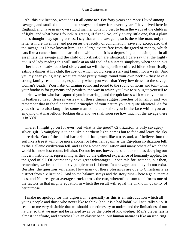Ah! this civilization, what does it all come to? For forty years and more I lived among savages, and studied them and their ways; and now for several years I have lived here in England, and have in my own stupid manner done my best to learn the ways of the children of light; and what have I found? A great gulf fixed? No, only a very little one, that a plain man's thought may spring across. I say that as the savage is, so is the white man, only the latter is more inventive, and possesses the faculty of combination; save and except also that the savage, as I have known him, is to a large extent free from the greed of money, which eats like a cancer into the heart of the white man. It is a depressing conclusion, but in all essentials the savage and the child of civilization are identical. I dare say that the highly civilized lady reading this will smile at an old fool of a hunter's simplicity when she thinks of her black bead−bedecked sister; and so will the superfine cultured idler scientifically eating a dinner at his club, the cost of which would keep a starving family for a week. And yet, my dear young lady, what are those pretty things round your own neck? – they have a strong family resemblance, especially when you wear that **Very** low dress, to the savage woman's beads. Your habit of turning round and round to the sound of horns and tom−toms, your fondness for pigments and powders, the way in which you love to subjugate yourself to the rich warrior who has captured you in marriage, and the quickness with which your taste in feathered head−dresses varies – all these things suggest touches of kinship; and you remember that in the fundamental principles of your nature you are quite identical. As for you, sir, who also laugh, let some man come and strike you in the face whilst you are enjoying that marvellous−looking dish, and we shall soon see how much of the savage there is in YOU.

 There, I might go on for ever, but what is the good? Civilization is only savagery silver−gilt. A vainglory is it, and like a northern light, comes but to fade and leave the sky more dark. Out of the soil of barbarism it has grown like a tree, and, as I believe, into the soil like a tree it will once more, sooner or later, fall again, as the Egyptian civilization fell, as the Hellenic civilization fell, and as the Roman civilization and many others of which the world has now lost count, fell also. Do not let me, however, be understood as decrying our modern institutions, representing as they do the gathered experience of humanity applied for the good of all. Of course they have great advantages – hospitals for instance; but then, remember, we breed the sickly people who fill them. In a savage land they do not exist. Besides, the question will arise: How many of these blessings are due to Christianity as distinct from civilization? And so the balance sways and the story runs – here a gain, there a loss, and Nature's great average struck across the two, whereof the sum total forms one of the factors in that mighty equation in which the result will equal the unknown quantity of her purpose.

 I make no apology for this digression, especially as this is an introduction which all young people and those who never like to think (and it is a bad habit) will naturally skip. It seems to me very desirable that we should sometimes try to understand the limitations of our nature, so that we may not be carried away by the pride of knowledge. Man's cleverness is almost indefinite, and stretches like an elastic band, but human nature is like an iron ring.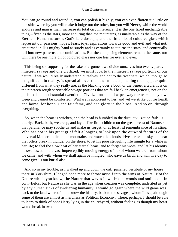You can go round and round it, you can polish it highly, you can even flatten it a little on one side, whereby you will make it bulge out the other, but you will **Never,** while the world endures and man is man, increase its total circumference. It is the one fixed unchangeable thing – fixed as the stars, more enduring than the mountains, as unalterable as the way of the Eternal. Human nature is God's kaleidoscope, and the little bits of coloured glass which represent our passions, hopes, fears, joys, aspirations towards good and evil and what not, are turned in His mighty hand as surely and as certainly as it turns the stars, and continually fall into new patterns and combinations. But the composing elements remain the same, nor will there be one more bit of coloured glass nor one less for ever and ever.

 This being so, supposing for the sake of argument we divide ourselves into twenty parts, nineteen savage and one civilized, we must look to the nineteen savage portions of our nature, if we would really understand ourselves, and not to the twentieth, which, though so insignificant in reality, is spread all over the other nineteen, making them appear quite different from what they really are, as the blacking does a boot, or the veneer a table. It is on the nineteen rough serviceable savage portions that we fall back on emergencies, not on the polished but unsubstantial twentieth. Civilization should wipe away our tears, and yet we weep and cannot be comforted. Warfare is abhorrent to her, and yet we strike out for hearth and home, for honour and fair fame, and can glory in the blow. And so on, through everything.

 So, when the heart is stricken, and the head is humbled in the dust, civilization fails us utterly. Back, back, we creep, and lay us like little children on the great breast of Nature, she that perchance may soothe us and make us forget, or at least rid remembrance of its sting. Who has not in his great grief felt a longing to look upon the outward features of the universal Mother; to lie on the mountains and watch the clouds drive across the sky and hear the rollers break in thunder on the shore, to let his poor struggling life mingle for a while in her life; to feel the slow beat of her eternal heart, and to forget his woes, and let his identity be swallowed in the vast imperceptibly moving energy of her of whom we are, from whom we came, and with whom we shall again be mingled, who gave us birth, and will in a day to come give us our burial also.

 And so in my trouble, as I walked up and down the oak−panelled vestibule of my house there in Yorkshire, I longed once more to throw myself into the arms of Nature. Not the Nature which you know, the Nature that waves in well−kept woods and smiles out in corn−fields, but Nature as she was in the age when creation was complete, undefiled as yet by any human sinks of sweltering humanity. I would go again where the wild game was, back to the land whereof none know the history, back to the savages, whom I love, although some of them are almost as merciless as Political Economy. There, perhaps, I should be able to learn to think of poor Harry lying in the churchyard, without feeling as though my heart would break in two.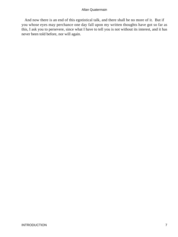And now there is an end of this egotistical talk, and there shall be no more of it. But if you whose eyes may perchance one day fall upon my written thoughts have got so far as this, I ask you to persevere, since what I have to tell you is not without its interest, and it has never been told before, nor will again.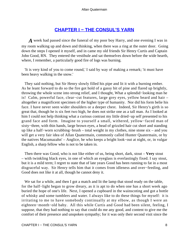### **[CHAPTER I − THE CONSUL'S YARN](#page-202-0)**

*A* week had passed since the funeral of my poor boy Harry, and one evening I was in my room walking up and down and thinking, when there was a ring at the outer door. Going down the steps I opened it myself, and in came my old friends Sir Henry Curtis and Captain John Good, RN. They entered the vestibule and sat themselves down before the wide hearth, where, I remember, a particularly good fire of logs was burning.

 'It is very kind of you to come round,' I said by way of making a remark; 'it must have been heavy walking in the snow.'

 They said nothing, but Sir Henry slowly filled his pipe and lit it with a burning ember. As he leant forward to do so the fire got hold of a gassy bit of pine and flared up brightly, throwing the whole scene into strong relief, and I thought, What a splendid−looking man he is! Calm, powerful face, clear−cut features, large grey eyes, yellow beard and hair – altogether a magnificent specimen of the higher type of humanity. Nor did his form belie his face. I have never seen wider shoulders or a deeper chest. Indeed, Sir Henry's girth is so great that, though he is six feet two high, he does not strike one as a tall man. As I looked at him I could not help thinking what a curious contrast my little dried−up self presented to his grand face and form. Imagine to yourself a small, withered, yellow−faced man of sixty−three, with thin hands, large brown eyes, a head of grizzled hair cut short and standing up like a half−worn scrubbing−brush – total weight in my clothes, nine stone six – and you will get a very fair idea of Allan Quatermain, commonly called Hunter Quatermain, or by the natives Macumazahn' – Anglice, he who keeps a bright look−out at night, or, in vulgar English, a sharp fellow who is not to be taken in.

 Then there was Good, who is not like either of us, being short, dark, stout – **Very** stout – with twinkling black eyes, in one of which an eyeglass is everlastingly fixed. I say stout, but it is a mild term; I regret to state that of late years Good has been running to fat in a most disgraceful way. Sir Henry tells him that it comes from idleness and over−feeding, and Good does not like it at all, though he cannot deny it.

We sat for a while, and then I got a match and lit the lamp that stood ready on the table, for the half−light began to grow dreary, as it is apt to do when one has a short week ago buried the hope of one's life. Next, I opened a cupboard in the wainscoting and got a bottle of whisky and some tumblers and water. I always like to do these things for myself: it is irritating to me to have somebody continually at my elbow, as though I were an eighteen−month−old baby. All this while Curtis and Good had been silent, feeling, I suppose, that they had nothing to say that could do me any good, and content to give me the comfort of their presence and unspoken sympathy; for it was only their second visit since the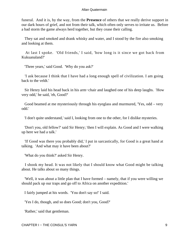funeral. And it is, by the way, from the **Presence** of others that we really derive support in our dark hours of grief, and not from their talk, which often only serves to irritate us. Before a bad storm the game always herd together, but they cease their calling.

 They sat and smoked and drank whisky and water, and I stood by the fire also smoking and looking at them.

 At last I spoke. 'Old friends,' I said, 'how long is it since we got back from Kukuanaland?'

'Three years,' said Good. 'Why do you ask?'

 'I ask because I think that I have had a long enough spell of civilization. I am going back to the veldt.'

 Sir Henry laid his head back in his arm−chair and laughed one of his deep laughs. 'How very odd,' he said, 'eh, Good?'

 Good beamed at me mysteriously through his eyeglass and murmured, 'Yes, odd – very odd.'

'I don't quite understand,' said I, looking from one to the other, for I dislike mysteries.

 'Don't you, old fellow?' said Sir Henry; 'then I will explain. As Good and I were walking up here we had a talk.'

 'If Good was there you probably did,' I put in sarcastically, for Good is a great hand at talking. 'And what may it have been about?'

'What do you think?' asked Sir Henry.

 I shook my head. It was not likely that I should know what Good might be talking about. He talks about so many things.

 'Well, it was about a little plan that I have formed – namely, that if you were willing we should pack up our traps and go off to Africa on another expedition.'

I fairly jumped at his words. 'You don't say so!' I said.

'Yes I do, though, and so does Good; don't you, Good?'

'Rather,' said that gentleman.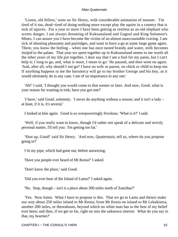'Listen, old fellow,' went on Sir Henry, with considerable animation of manner. 'I'm tired of it too, dead−tired of doing nothing more except play the squire in a country that is sick of squires. For a year or more I have been getting as restless as an old elephant who scents danger. I am always dreaming of Kukuanaland and Gagool and King Solomon's Mines. I can assure you I have become the victim of an almost unaccountable craving. I am sick of shooting pheasants and partridges, and want to have a go at some large game again. There, you know the feeling – when one has once tasted brandy and water, milk becomes insipid to the palate. That year we spent together up in Kukuanaland seems to me worth all the other years of my life put together. I dare say that I am a fool for my pains, but I can't help it; I long to go, and, what is more, I mean to go.' He paused, and then went on again. 'And, after all, why should I not go? I have no wife or parent, no chick or child to keep me. If anything happens to me the baronetcy will go to my brother George and his boy, as it would ultimately do in any case. I am of no importance to any one.'

 'Ah!' I said, 'I thought you would come to that sooner or later. And now, Good, what is your reason for wanting to trek; have you got one?'

 'I have,' said Good, solemnly. 'I never do anything without a reason; and it isn't a lady – at least, if it is, it's several.'

I looked at him again. Good is so overpoweringly frivolous. 'What is it?' I said.

 'Well, if you really want to know, though I'd rather not speak of a delicate and strictly personal matter, I'll tell you: I'm getting too fat.'

 'Shut up, Good!' said Sir Henry. 'And now, Quatermain, tell us, where do you propose going to?'

I lit my pipe, which had gone out, before answering.

'Have you people ever heard of Mt Kenia?' I asked.

'Don't know the place,' said Good.

'Did you ever hear of the Island of Lamu?' I asked again.

'No. Stop, though – isn't it a place about 300 miles north of Zanzibar?'

 'Yes. Now listen. What I have to propose is this. That we go to Lamu and thence make our way about 250 miles inland to Mt Kenia; from Mt Kenia on inland to Mt Lekakisera, another 200 miles, or thereabouts, beyond which no white man has to the best of my belief ever been; and then, if we get so far, right on into the unknown interior. What do you say to that, my hearties?'

CHAPTER I − THE CONSUL'S YARN 10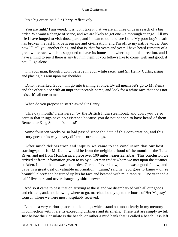'It's a big order,' said Sir Henry, reflectively.

 'You are right,' I answered, 'it is; but I take it that we are all three of us in search of a big order. We want a change of scene, and we are likely to get one – a thorough change. All my life I have longed to visit those parts, and I mean to do it before I die. My poor boy's death has broken the last link between me and civilization, and I'm off to my native wilds. And now I'll tell you another thing, and that is, that for years and years I have heard rumours of a great white race which is supposed to have its home somewhere up in this direction, and I have a mind to see if there is any truth in them. If you fellows like to come, well and good; if not, I'll go alone.'

 'I'm your man, though I don't believe in your white race,' said Sir Henry Curtis, rising and placing his arm upon my shoulder.

 'Ditto,' remarked Good. 'I'll go into training at once. By all means let's go to Mt Kenia and the other place with an unpronounceable name, and look for a white race that does not exist. It's all one to me.'

'When do you propose to start?' asked Sir Henry.

 'This day month,' I answered, 'by the British India steamboat; and don't you be so certain that things have no existence because you do not happen to have heard of them. Remember King Solomon's mines!'

 Some fourteen weeks or so had passed since the date of this conversation, and this history goes on its way in very different surroundings.

 After much deliberation and inquiry we came to the conclusion that our best starting−point for Mt Kenia would be from the neighbourhood of the mouth of the Tana River, and not from Mombassa, a place over 100 miles nearer Zanzibar. This conclusion we arrived at from information given to us by a German trader whom we met upon the steamer at Aden. I think that he was the dirtiest German I ever knew; but he was a good fellow, and gave us a great deal of valuable information. 'Lamu,' said he, 'you goes to Lamu – oh ze beautiful place!' and he turned up his fat face and beamed with mild rapture. 'One year and a half I live there and never change my shirt – never at all.'

 And so it came to pass that on arriving at the island we disembarked with all our goods and chattels, and, not knowing where to go, marched boldly up to the house of Her Majesty's Consul, where we were most hospitably received.

 Lamu is a very curious place, but the things which stand out most clearly in my memory in connection with it are its exceeding dirtiness and its smells. These last are simply awful. Just below the Consulate is the beach, or rather a mud bank that is called a beach. It is left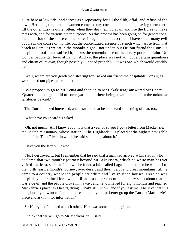quite bare at low tide, and serves as a repository for all the filth, offal, and refuse of the town. Here it is, too, that the women come to bury coconuts in the mud, leaving them there till the outer husk is quite rotten, when they dig them up again and use the fibres to make mats with, and for various other purposes. As this process has been going on for generations, the condition of the shore can be better imagined than described. I have smelt many evil odours in the course of my life, but the concentrated essence of stench which arose from that beach at Lamu as we sat in the moonlit night – not under, but ON our friend the Consul's hospitable roof – and sniffed it, makes the remembrance of them very poor and faint. No wonder people get fever at Lamu. And yet the place was not without a certain quaintness and charm of its own, though possibly – indeed probably – it was one which would quickly pall.

 'Well, where are you gentlemen steering for?' asked our friend the hospitable Consul, as we smoked our pipes after dinner.

 'We propose to go to Mt Kenia and then on to Mt Lekakisera,' answered Sir Henry. 'Quatermain has got hold of some yarn about there being a white race up in the unknown territories beyond.'

The Consul looked interested, and answered that he had heard something of that, too.

'What have you heard?' I asked.

 'Oh, not much. All I know about it is that a year or so ago I got a letter from Mackenzie, the Scotch missionary, whose station, «The Highlands», is placed at the highest navigable point of the Tana River, in which he said something about it.'

'Have you the letter?' I asked.

 'No, I destroyed it; but I remember that he said that a man had arrived at his station who declared that two months' journey beyond Mt Lekakisera, which no white man has yet visited – at least, so far as I know – he found a lake called Laga, and that then he went off to the north−east, a month's journey, over desert and thorn veldt and great mountains, till he came to a country where the people are white and live in stone houses. Here he was hospitably entertained for a while, till at last the priests of the country set it about that he was a devil, and the people drove him away, and he journeyed for eight months and reached Mackenzie's place, as I heard, dying. That's all I know; and if you ask me, I believe that it is a lie; but if you want to find out more about it, you had better go up the Tana to Mackenzie's place and ask him for information.'

Sir Henry and I looked at each other. Here was something tangible.

'I think that we will go to Mr Mackenzie's,' I said.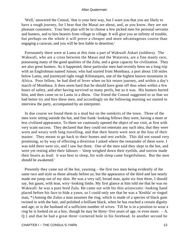'Well,' answered the Consul, 'that is your best way, but I warn you that you are likely to have a rough journey, for I hear that the Masai are about, and, as you know, they are not pleasant customers. Your best plan will be to choose a few picked men for personal servants and hunters, and to hire bearers from village to village. It will give you an infinity of trouble, but perhaps on the whole it will prove a cheaper and more advantageous course than engaging a caravan, and you will be less liable to desertion.'

 Fortunately there were at Lamu at this time a part of Wakwafi Askari (soldiers). The Wakwafi, who are a cross between the Masai and the Wataveta, are a fine manly race, possessing many of the good qualities of the Zulu, and a great capacity for civilization. They are also great hunters. As it happened, these particular men had recently been on a long trip with an Englishman named Jutson, who had started from Mombasa, a port about 150 miles below Lamu, and journeyed right rough Kilimanjaro, one of the highest known mountains in Africa. Poor fellow, he had died of fever when on his return journey, and within a day's march of Mombasa. It does seem hard that he should have gone off thus when within a few hours of safety, and after having survived so many perils, but so it was. His hunters buried him, and then came on to Lamu in a dhow. Our friend the Consul suggested to us that we had better try and hire these men, and accordingly on the following morning we started to interview the party, accompanied by an interpreter.

 In due course we found them in a mud hut on the outskirts of the town. Three of the men were sitting outside the hut, and fine frank−looking fellows they were, having a more or less civilized appearance. To them we cautiously opened the object of our visit, at first with very scant success. They declared that they could not entertain any such idea, that they were worn and weary with long travelling, and that their hearts were sore at the loss of their master. They meant to go back to their homes and rest awhile. This did not sound very promising, so by way of effecting a diversion I asked where the remainder of them were. I was told there were six, and I saw but three. One of the men said they slept in the hut, and were yet resting after their labours – 'sleep weighed down their eyelids, and sorrow made their hearts as lead: it was best to sleep, for with sleep came forgetfulness. But the men should be awakened.'

 Presently they came out of the hut, yawning – the first two men being evidently of the same race and style as those already before us; but the appearance of the third and last nearly made me jump out of my skin. He was a very tall, broad man, quite six foot three, I should say, but gaunt, with lean, wiry−looking limbs. My first glance at him told me that he was no Wakwafi: he was a pure bred Zulu. He came out with his thin aristocratic−looking hand placed before his face to hide a yawn, so I could only see that he was a 'Keshla' or ringed man, \*{Among the Zulus a man assumes the ring, which is made of a species of black gum twisted in with the hair, and polished a brilliant black, when he has reached a certain dignity and age, or is the husband of a sufficient number of wives. Till he is in a position to wear a ring he is looked on as a boy, though he may be thirty−five years of age, or even more. – A. Q.} and that he had a great three−cornered hole in his forehead. In another second he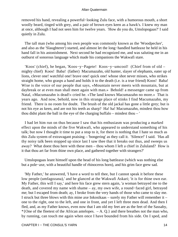removed his hand, revealing a powerful−looking Zulu face, with a humorous mouth, a short woolly beard, tinged with grey, and a pair of brown eyes keen as a hawk's. I knew my man at once, although I had not seen him for twelve years. 'How do you do, Umslopogaas?' I said quietly in Zulu.

 The tall man (who among his own people was commonly known as the 'Woodpecker', and also as the 'Slaughterer') started, and almost let the long−handled battleaxe he held in his hand fall in his astonishment. Next second he had recognized me, and was saluting me in an outburst of sonorous language which made his companions the Wakwafi stare.

 'Koos' (chief), he began, 'Koos−y−Pagete! Koos−y−umcool! (Chief from of old – mighty chief) Koos! Baba! (father) Macumazahn, old hunter, slayer of elephants, eater up of lions, clever one! watchful one! brave one! quick one! whose shot never misses, who strikes straight home, who grasps a hand and holds it to the death (i.e. is a true friend) Koos! Baba! Wise is the voice of our people that says, «Mountain never meets with mountain, but at daybreak or at even man shall meet again with man.» Behold! a messenger came up from Natal, «Macumazahn is dead!» cried he. «The land knows Macumazahn no more.» That is years ago. And now, behold, now in this strange place of stinks I find Macumazahn, my friend. There is no room for doubt. The brush of the old jackal has gone a little grey; but is not his eye as keen, and are not his teeth as sharp? Ha! ha! Macumazahn, mindest thou how thou didst plant the ball in the eye of the charging buffalo – mindest thou – '

 I had let him run on thus because I saw that his enthusiasm was producing a marked effect upon the minds of the five Wakwafi, who appeared to understand something of his talk; but now I thought it time to put a stop to it, for there is nothing that I hate so much as this Zulu system of extravagant praising – 'bongering' as they call it. 'Silence!' I said. 'Has all thy noisy talk been stopped up since last I saw thee that it breaks out thus, and sweeps us away? What doest thou here with these men – thou whom I left a chief in Zululand? How is it that thou art far from thine own place, and gathered together with strangers?'

 Umslopogaas leant himself upon the head of his long battleaxe (which was nothing else but a pole−axe, with a beautiful handle of rhinoceros horn), and his grim face grew sad.

 'My Father,' he answered, 'I have a word to tell thee, but I cannot speak it before these low people (umfagozana),' and he glanced at the Wakwafi Askari; 'it is for thine own ear. My Father, this will I say,' and here his face grew stern again, 'a woman betrayed me to the death, and covered my name with shame – ay, my own wife, a round−faced girl, betrayed me; but I escaped from death; ay, I broke from the very hands of those who came to slay me. I struck but three blows with this mine axe Inkosikaas – surely my Father will remember it – one to the right, one to the left, and one in front, and yet I left three men dead. And then I fled, and, as my Father knows, even now that I am old my feet are as the feet of the Sassaby, \*{One of the fleetest of the African antelopes.  $-A$ . Q.} and there breathes not the man who, by running, can touch me again when once I have bounded from his side. On I sped, and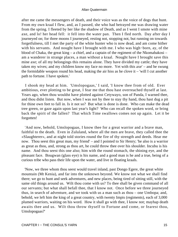after me came the messengers of death, and their voice was as the voice of dogs that hunt. From my own kraal I flew, and, as I passed, she who had betrayed me was drawing water from the spring. I fleeted by her like the shadow of Death, and as I went I smote with mine axe, and lo! her head fell: it fell into the water pan. Then I fled north. Day after day I journeyed on; for three moons I journeyed, resting not, stopping not, but running on towards forgetfulness, till I met the party of the white hunter who is now dead, and am come hither with his servants. And nought have I brought with me. I who was high−born, ay, of the blood of Chaka, the great king – a chief, and a captain of the regiment of the Nkomabakosi – am a wanderer in strange places, a man without a kraal. Nought have I brought save this mine axe; of all my belongings this remains alone. They have divided my cattle; they have taken my wives; and my children know my face no more. Yet with this axe' – and he swung the formidable weapon round his head, making the air hiss as he clove it – 'will I cut another path to fortune. I have spoken.'

 I shook my head at him. 'Umslopogaas,' I said, 'I know thee from of old. Ever ambitious, ever plotting to be great, I fear me that thou hast overreached thyself at last. Years ago, when thou wouldst have plotted against Cetywayo, son of Panda, I warned thee, and thou didst listen. But now, when I was not by thee to stay thy hand, thou hast dug a pit for thine own feet to fall in. Is it not so? But what is done is done. Who can make the dead tree green, or gaze again upon last year's light? Who can recall the spoken word, or bring back the spirit of the fallen? That which Time swallows comes not up again. Let it be forgotten!

 'And now, behold, Umslopogaas, I know thee for a great warrior and a brave man, faithful to the death. Even in Zululand, where all the men are brave, they called thee the «Slaughterer», and at night told stories round the fire of thy strength and deeds. Hear me now. Thou seest this great man, my friend' – and I pointed to Sir Henry; 'he also is a warrior as great as thou, and, strong as thou art, he could throw thee over his shoulder. Incubu is his name. And thou seest this one also; him with the round stomach, the shining eye, and the pleasant face. Bougwan (glass eye) is his name, and a good man is he and a true, being of a curious tribe who pass their life upon the water, and live in floating kraals.

 'Now, we three whom thou seest would travel inland, past Dongo Egere, the great white mountain (Mt Kenia), and far into the unknown beyond. We know not what we shall find there; we go to hunt and seek adventures, and new places, being tired of sitting still, with the same old things around us. Wilt thou come with us? To thee shall be given command of all our servants; but what shall befall thee, that I know not. Once before we three journeyed thus, in search of adventure, and we took with us a man such as thou – one Umbopa; and, behold, we left him the king of a great country, with twenty Impis (regiments), each of 3,000 plumed warriors, waiting on his word. How it shall go with thee, I know not; mayhap death awaits thee and us. Wilt thou throw thyself to Fortune and come, or fearest thou, Umslopogaas?'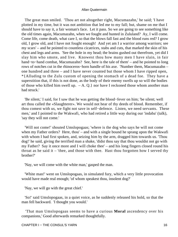The great man smiled. 'Thou art not altogether right, Macumazahn,' he said; 'I have plotted in my time, but it was not ambition that led me to my fall; but, shame on me that I should have to say it, a fair woman's face. Let it pass. So we are going to see something like the old times again, Macumazahn, when we fought and hunted in Zululand? Ay, I will come. Come life, come death, what care I, so that the blows fall fast and the blood runs red? I grow old, I grow old, and I have not fought enough! And yet am I a warrior among warriors; see my scars' – and he pointed to countless cicatrices, stabs and cuts, that marked the skin of his chest and legs and arms. 'See the hole in my head; the brains gushed out therefrom, yet did I slay him who smote, and live. Knowest thou how many men I have slain, in fair hand−to−hand combat, Macumazahn? See, here is the tale of them' – and he pointed to long rows of notches cut in the rhinoceros−horn handle of his axe. 'Number them, Macumazahn – one hundred and three – and I have never counted but those whom I have ripped open, \*{Alluding to the Zulu custom of opening the stomach of a dead foe. They have a superstition that, if this is not done, as the body of their enemy swells up so will the bodies of those who killed him swell up.  $-A$ . Q.} nor have I reckoned those whom another man had struck.'

 'Be silent,' I said, for I saw that he was getting the blood−fever on him; 'be silent; well art thou called the «Slaughterer». We would not hear of thy deeds of blood. Remember, if thou comest with us, we fight not save in self−defence. Listen, we need servants. These men,' and I pointed to the Wakwafi, who had retired a little way during our 'indaba' (talk), 'say they will not come.'

 'Will not come!' shouted Umslopogaas; 'where is the dog who says he will not come when my Father orders? Here, thou' – and with a single bound he sprang upon the Wakwafi with whom I had first spoken, and, seizing him by the arm, dragged him towards us. Thou dog!' he said, giving the terrified man a shake, 'didst thou say that thou wouldst not go with my Father? Say it once more and I will choke thee' – and his long fingers closed round his throat as he said it – 'thee, and those with thee. Hast thou forgotten how I served thy brother?'

'Nay, we will come with the white man,' gasped the man.

 'White man!' went on Umslopogaas, in simulated fury, which a very little provocation would have made real enough; 'of whom speakest thou, insolent dog?'

'Nay, we will go with the great chief.'

 'So!' said Umslopogaas, in a quiet voice, as he suddenly released his hold, so that the man fell backward. 'I thought you would.'

 'That man Umslopogaas seems to have a curious **Moral** ascendency over his companions,' Good afterwards remarked thoughtfully.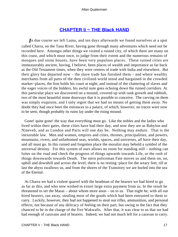### **[CHAPTER Ii − THE Black HAND](#page-202-0)**

*I*n due course we left Lamu, and ten days afterwards we found ourselves at a spot called Charra, on the Tana River, having gone through many adventures which need not be recorded here. Amongst other things we visited a ruined city, of which there are many on this coast, and which must once, to judge from their extent and the numerous remains of mosques and stone houses, have been very populous places. These ruined cities are immeasurably ancient, having, I believe, been places of wealth and importance as far back as the Old Testament times, when they were centres of trade with India and elsewhere. But their glory has departed now – the slave trade has finished them – and where wealthy merchants from all parts of the then civilized world stood and bargained in the crowded market−places, the lion holds his court at night, and instead of the chattering of slaves and the eager voices of the bidders, his awful note goes echoing down the ruined corridors. At this particular place we discovered on a mound, covered up with rank growth and rubbish, two of the most beautiful stone doorways that it is possible to conceive. The carving on them was simply exquisite, and I only regret that we had no means of getting them away. No doubt they had once been the entrances to a palace, of which, however, no traces were now to be seen, though probably its ruins lay under the rising mound.

 Gone! quite gone! the way that everything must go. Like the nobles and the ladies who lived within their gates, these cities have had their day, and now they are as Babylon and Nineveh, and as London and Paris will one day be. Nothing may endure. That is the inexorable law. Men and women, empires and cities, thrones, principalities, and powers, mountains, rivers, and unfathomed seas, worlds, spaces, and universes, all have their day, and all must go. In this ruined and forgotten place the moralist may behold a symbol of the universal destiny. For this system of ours allows no room for standing still – nothing can loiter on the road and check the progress of things upwards towards Life, or the rush of things downwards towards Death. The stern policeman Fate moves us and them on, on, uphill and downhill and across the level; there is no resting−place for the weary feet, till at last the abyss swallows us, and from the shores of the Transitory we are hurled into the sea of the Eternal.

 At Charra we had a violent quarrel with the headman of the bearers we had hired to go as far as this, and who now wished to extort large extra payment from us. In the result he threatened to set the Masai – about whom more anon – on to us. That night he, with all our hired bearers, ran away, stealing most of the goods which had been entrusted to them to carry. Luckily, however, they had not happened to steal our rifles, ammunition, and personal effects; not because of any delicacy of feeling on their part, but owing to the fact that they chanced to be in the charge of the five Wakwafis. After that, it was clear to us that we had had enough of caravans and of bearers. Indeed, we had not much left for a caravan to carry.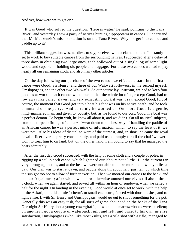And yet, how were we to get on?

 It was Good who solved the question. 'Here is water,' he said, pointing to the Tana River; 'and yesterday I saw a party of natives hunting hippopotami in canoes. I understand that Mr Mackenzie's mission station is on the Tana River. Why not get into canoes and paddle up to it?'

 This brilliant suggestion was, needless to say, received with acclamation; and I instantly set to work to buy suitable canoes from the surrounding natives. I succeeded after a delay of three days in obtaining two large ones, each hollowed out of a single log of some light wood, and capable of holding six people and baggage. For these two canoes we had to pay nearly all our remaining cloth, and also many other articles.

 On the day following our purchase of the two canoes we effected a start. In the first canoe were Good, Sir Henry, and three of our Wakwafi followers; in the second myself, Umslopogaas, and the other two Wakwafis. As our course lay upstream, we had to keep four paddles at work in each canoe, which meant that the whole lot of us, except Good, had to row away like galley−slaves; and very exhausting work it was. I say, except Good, for, of course, the moment that Good got into a boat his foot was on his native heath, and he took command of the party. And certainly he worked us. On shore Good is a gentle, mild−mannered man, and given to jocosity; but, as we found to our cost, Good in a boat was a perfect demon. To begin with, he knew all about it, and we didn't. On all nautical subjects, from the torpedo fittings of a man−of−war down to the best way of handling the paddle of an African canoe, he was a perfect mine of information, which, to say the least of it, we were not. Also his ideas of discipline were of the sternest, and, in short, he came the royal naval officer over us pretty considerably, and paid us out amply for all the chaff we were wont to treat him to on land; but, on the other hand, I am bound to say that he managed the boats admirably.

 After the first day Good succeeded, with the help of some cloth and a couple of poles, in rigging up a sail in each canoe, which lightened our labours not a little. But the current ran very strong against us, and at the best we were not able to make more than twenty miles a day. Our plan was to start at dawn, and paddle along till about half−past ten, by which time the sun got too hot to allow of further exertion. Then we moored our canoes to the bank, and ate our frugal meal; after which we ate or otherwise amused ourselves till about three o'clock, when we again started, and rowed till within an hour of sundown, when we called a halt for the night. On landing in the evening, Good would at once set to work, with the help of the Askari, to build a little 'scherm', or small enclosure, fenced with thorn bushes, and to light a fire. I, with Sir Henry and Umslopogaas, would go out to shoot something for the pot. Generally this was an easy task, for all sorts of game abounded on the banks of the Tana. One night Sir Henry shot a young cow−giraffe, of which the marrow−bones were excellent; on another I got a couple of waterbuck right and left; and once, to his own intense satisfaction, Umslopogaas (who, like most Zulus, was a vile shot with a rifle) managed to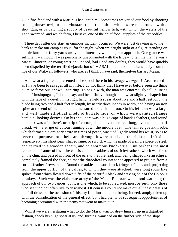kill a fine fat eland with a Martini I had lent him. Sometimes we varied our food by shooting some guinea−fowl, or bush−bustard (paau) – both of which were numerous – with a shot−gun, or by catching a supply of beautiful yellow fish, with which the waters of the Tana swarmed, and which form, I believe, one of the chief food−supplies of the crocodiles.

 Three days after our start an ominous incident occurred. We were just drawing in to the bank to make our camp as usual for the night, when we caught sight of a figure standing on a little knoll not forty yards away, and intensely watching our approach. One glance was sufficient – although I was personally unacquainted with the tribe – to tell me that he was a Masai Elmoran, or young warrior. Indeed, had I had any doubts, they would have quickly been dispelled by the terrified ejaculation of 'MASAI!' that burst simultaneously from the lips of our Wakwafi followers, who are, as I think I have said, themselves bastard Masai.

 And what a figure he presented as he stood there in his savage war−gear! Accustomed as I have been to savages all my life, I do not think that I have ever before seen anything quite so ferocious or awe−inspiring. To begin with, the man was enormously tall, quite as tall as Umslopogaas, I should say, and beautifully, though somewhat slightly, shaped; but with the face of a devil. In his right hand he held a spear about five and a half feet long, the blade being two and a half feet in length, by nearly three inches in width, and having an iron spike at the end of the handle that measured more than a foot. On his left arm was a large and well−made elliptical shield of buffalo hide, on which were painted strange heraldic−looking devices. On his shoulders was a huge cape of hawk's feathers, and round his neck was a 'naibere', or strip of cotton, about seventeen feet long, by one and a half broad, with a stripe of colour running down the middle of it. The tanned goatskin robe, which formed his ordinary attire in times of peace, was tied lightly round his waist, so as to serve the purposes of a belt, and through it were stuck, on the right and left sides respectively, his short pear−shaped sime, or sword, which is made of a single piece of steel, and carried in a wooden sheath, and an enormous knobkerrie. But perhaps the most remarkable feature of his attire consisted of a headdress of ostrich−feathers, which was fixed on the chin, and passed in front of the ears to the forehead, and, being shaped like an ellipse, completely framed the face, so that the diabolical countenance appeared to project from a sort of feather fire−screen. Round the ankles he wore black fringes of hair, and, projecting from the upper portion of the calves, to which they were attached, were long spurs like spikes, from which flowed down tufts of the beautiful black and waving hair of the Colobus monkey. Such was the elaborate array of the Masai Elmoran who stood watching the approach of our two canoes, but it is one which, to be appreciated, must be seen; only those who see it do not often live to describe it. Of course I could not make out all these details of his full dress on the occasion of this my first introduction, being, indeed, amply taken up with the consideration of the general effect, but I had plenty of subsequent opportunities of becoming acquainted with the items that went to make it up.

 Whilst we were hesitating what to do, the Masai warrior drew himself up in a dignified fashion, shook his huge spear at us, and, turning, vanished on the further side of the slope.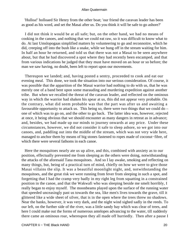'Hulloa!' holloaed Sir Henry from the other boat; 'our friend the caravan leader has been as good as his word, and set the Masai after us. Do you think it will be safe to go ashore?'

 I did not think it would be at all safe; but, on the other hand, we had no means of cooking in the canoes, and nothing that we could eat raw, so it was difficult to know what to do. At last Umslopogaas simplified matters by volunteering to go and reconnoitre, which he did, creeping off into the bush like a snake, while we hung off in the stream waiting for him. In half an hour he returned, and told us that there was not a Masai to be seen anywhere about, but that he had discovered a spot where they had recently been encamped, and that from various indications he judged that they must have moved on an hour or so before; the man we saw having, no doubt, been left to report upon our movements.

 Thereupon we landed; and, having posted a sentry, proceeded to cook and eat our evening meal. This done, we took the situation into our serious consideration. Of course, it was possible that the apparition of the Masai warrior had nothing to do with us, that he was merely one of a band bent upon some marauding and murdering expedition against another tribe. But when we recalled the threat of the caravan leader, and reflected on the ominous way in which the warrior had shaken his spear at us, this did not appear very probable. On the contrary, what did seem probable was that the part was after us and awaiting a favourable opportunity to attack us. This being so, there were two things that we could do  $$ one of which was to go on, and the other to go back. The latter idea was, however, rejected at once, it being obvious that we should encounter as many dangers in retreat as in advance; and, besides, we had made up our minds to journey onwards at any price. Under these circumstances, however, we did not consider it safe to sleep ashore, so we got into our canoes, and, paddling out into the middle of the stream, which was not very wide here, managed to anchor them by means of big stones fastened to ropes made of coconut−fibre, of which there were several fathoms in each canoe.

 Here the mosquitoes nearly ate us up alive, and this, combined with anxiety as to our position, effectually prevented me from sleeping as the others were doing, notwithstanding the attacks of the aforesaid Tana mosquitoes. And so I lay awake, smoking and reflecting on many things, but, being of a practical turn of mind, chiefly on how we were to give those Masai villains the slip. It was a beautiful moonlight night, and, notwithstanding the mosquitoes, and the great risk we were running from fever from sleeping in such a spot, and forgetting that I had the cramp very badly in my right leg from squatting in a constrained position in the canoe, and that the Wakwafi who was sleeping beside me smelt horribly, I really began to enjoy myself. The moonbeams played upon the surface of the running water that speeded unceasingly past us towards the sea, like men's lives towards the grave, till it glittered like a wide sheet of silver, that is in the open where the trees threw no shadows. Near the banks, however, it was very dark, and the night wind sighed sadly in the reeds. To our left, on the further side of the river, was a little sandy bay which was clear of trees, and here I could make out the forms of numerous antelopes advancing to the water, till suddenly there came an ominous roar, whereupon they all made off hurriedly. Then after a pause I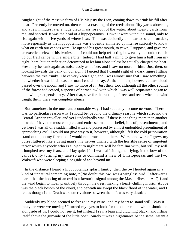caught sight of the massive form of His Majesty the Lion, coming down to drink his fill after meat. Presently he moved on, then came a crashing of the reeds about fifty yards above us, and a few minutes later a huge black mass rose out of the water, about twenty yards from me, and snorted. It was the head of a hippopotamus. Down it went without a sound, only to rise again within five yards of where I sat. This was decidedly too near to be comfortable, more especially as the hippopotamus was evidently animated by intense curiosity to know what on earth our canoes were. He opened his great mouth, to yawn, I suppose, and gave me an excellent view of his ivories; and I could not help reflecting how easily he could crunch up our frail canoe with a single bite. Indeed, I had half a mind to give him a ball from my eight−bore, but on reflection determined to let him alone unless he actually charged the boat. Presently he sank again as noiselessly as before, and I saw no more of him. Just then, on looking towards the bank on our right, I fancied that I caught sight of a dark figure flitting between the tree trunks. I have very keen sight, and I was almost sure that I saw something, but whether it was bird, beast, or man I could not say. At the moment, however, a dark cloud passed over the moon, and I saw no more of it. Just then, too, although all the other sounds of the forest had ceased, a species of horned owl with which I was well acquainted began to hoot with great persistency. After that, save for the rustling of trees and reeds when the wind caught them, there was complete silence.

 But somehow, in the most unaccountable way, I had suddenly become nervous. There was no particular reason why I should be, beyond the ordinary reasons which surround the Central African traveller, and yet I undoubtedly was. If there is one thing more than another of which I have the most complete and entire scorn and disbelief, it is of presentiments, and yet here I was all of a sudden filled with and possessed by a most undoubted presentiment of approaching evil. I would not give way to it, however, although I felt the cold perspiration stand out upon my forehead. I would not arouse the others. Worse and worse I grew, my pulse fluttered like a dying man's, my nerves thrilled with the horrible sense of impotent terror which anybody who is subject to nightmare will be familiar with, but still my will triumphed over my fears, and I lay quiet (for I was half sitting, half lying, in the bow of the canoe), only turning my face so as to command a view of Umslopogaas and the two Wakwafi who were sleeping alongside of and beyond me.

 In the distance I heard a hippopotamus splash faintly, then the owl hooted again in a kind of unnatural screaming note, \*{No doubt this owl was a wingless bird. I afterwards learnt that the hooting of an owl is a favourite signal among the Masai tribes. – A. Q.} and the wind began to moan plaintively through the trees, making a heart−chilling music. Above was the black bosom of the cloud, and beneath me swept the black flood of the water, and I felt as though I and Death were utterly alone between them. It was very desolate.

 Suddenly my blood seemed to freeze in my veins, and my heart to stand still. Was it fancy, or were we moving? I turned my eyes to look for the other canoe which should be alongside of us. I could not see it, but instead I saw a lean and clutching black hand lifting itself above the gunwale of the little boat. Surely it was a nightmare! At the same instant a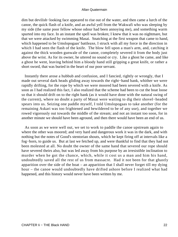dim but devilish−looking face appeared to rise out of the water, and then came a lurch of the canoe, the quick flash of a knife, and an awful yell from the Wakwafi who was sleeping by my side (the same poor fellow whose odour had been annoying me), and something warm spurted into my face. In an instant the spell was broken; I knew that it was no nightmare, but that we were attacked by swimming Masai. Snatching at the first weapon that came to hand, which happened to be Umslopogaas' battleaxe, I struck with all my force in the direction in which I had seen the flash of the knife. The blow fell upon a man's arm, and, catching it against the thick wooden gunwale of the canoe, completely severed it from the body just above the wrist. As for its owner, he uttered no sound or cry. Like a ghost he came, and like a ghost he went, leaving behind him a bloody hand still gripping a great knife, or rather a short sword, that was buried in the heart of our poor servant.

 Instantly there arose a hubbub and confusion, and I fancied, rightly or wrongly, that I made out several dark heads gliding away towards the right−hand bank, whither we were rapidly drifting, for the rope by which we were moored had been severed with a knife. As soon as I had realized this fact, I also realized that the scheme had been to cut the boat loose so that it should drift on to the right bank (as it would have done with the natural swing of the current), where no doubt a party of Masai were waiting to dig their shovel−headed spears into us. Seizing one paddle myself, I told Umslopogaas to take another (for the remaining Askari was too frightened and bewildered to be of any use), and together we rowed vigorously out towards the middle of the stream; and not an instant too soon, for in another minute we should have been aground, and then there would have been an end of us.

 As soon as we were well out, we set to work to paddle the canoe upstream again to where the other was moored; and very hard and dangerous work it was in the dark, and with nothing but the notes of Good's stentorian shouts, which he kept firing off at intervals like a fog−horn, to guide us. But at last we fetched up, and were thankful to find that they had not been molested at all. No doubt the owner of the same hand that severed our rope should have severed theirs also, but was led away from his purpose by an irresistible inclination to murder when he got the chance, which, while it cost us a man and him his hand, undoubtedly saved all the rest of us from massacre. Had it not been for that ghastly apparition over the side of the boat – an apparition that I shall never forget till my dying hour – the canoe would undoubtedly have drifted ashore before I realized what had happened, and this history would never have been written by me.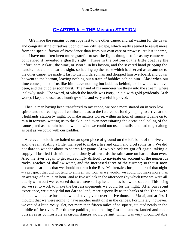### **[CHAPTER Iii − THE Mission STATION](#page-202-0)**

We made the remains of our rope fast to the other canoe, and sat waiting for the dawn and congratulating ourselves upon our merciful escape, which really seemed to result more from the special favour of Providence than from our own care or prowess. At last it came, and I have not often been more grateful to see the light, though so far as my canoe was concerned it revealed a ghastly sight. There in the bottom of the little boat lay the unfortunate Askari, the sime, or sword, in his bosom, and the severed hand gripping the handle. I could not bear the sight, so hauling up the stone which had served as an anchor to the other canoe, we made it fast to the murdered man and dropped him overboard, and down he went to the bottom, leaving nothing but a train of bubbles behind him. Alas! when our time comes, most of us like him leave nothing but bubbles behind, to show that we have been, and the bubbles soon burst. The hand of his murderer we threw into the stream, where it slowly sank. The sword, of which the handle was ivory, inlaid with gold (evidently Arab work), I kept and used as a hunting−knife, and very useful it proved.

 Then, a man having been transferred to my canoe, we once more started on in very low spirits and not feeling at all comfortable as to the future, but fondly hoping to arrive at the 'Highlands' station by night. To make matters worse, within an hour of sunrise it came on to rain in torrents, wetting us to the skin, and even necessitating the occasional baling of the canoes, and as the rain beat down the wind we could not use the sails, and had to get along as best as we could with our paddles.

 At eleven o'clock we halted on an open piece of ground on the left bank of the river, and, the rain abating a little, managed to make a fire and catch and broil some fish. We did not dare to wander about to search for game. At two o'clock we got off again, taking a supply of broiled fish with us, and shortly afterwards the rain came on harder than ever. Also the river began to get exceedingly difficult to navigate on account of the numerous rocks, reaches of shallow water, and the increased force of the current; so that it soon became clear to us that we should not reach the Rev. Mackenzie's hospitable roof that night – a prospect that did not tend to enliven us. Toil as we would, we could not make more than an average of a mile an hour, and at five o'clock in the afternoon (by which time we were all utterly worn out) we reckoned that we were still quite ten miles below the station. This being so, we set to work to make the best arrangements we could for the night. After our recent experience, we simply did not dare to land, more especially as the banks of the Tana were clothed with dense bush that would have given cover to five thousand Masai, and at first I thought that we were going to have another night of it in the canoes. Fortunately, however, we espied a little rocky islet, not more than fifteen miles of so square, situated nearly in the middle of the river. For this we paddled, and, making fast the canoes, landed and made ourselves as comfortable as circumstances would permit, which was very uncomfortable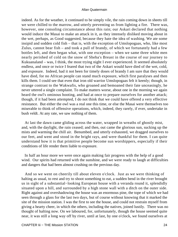indeed. As for the weather, it continued to be simply vile, the rain coming down in sheets till we were chilled to the marrow, and utterly preventing us from lighting a fire. There was, however, one consoling circumstance about this rain; our Askari declared that nothing would induce the Masai to make an attack in it, as they intensely disliked moving about in the wet, perhaps, as Good suggested, because they hate the idea of washing. We ate some insipid and sodden cold fish – that is, with the exception of Umslopogaas, who, like most Zulus, cannot bear fish – and took a pull of brandy, of which we fortunately had a few bottles left, and then began what, with one exception – when we same three white men nearly perished of cold on the snow of Sheba's Breast in the course of our journey to Kukuanaland – was, I think, the most trying night I ever experienced. It seemed absolutely endless, and once or twice I feared that two of the Askari would have died of the wet, cold, and exposure. Indeed, had it not been for timely doses of brandy I am sure that they would have died, for no African people can stand much exposure, which first paralyses and then kills them. I could see that even that iron old warrior Umslopogaas felt it keenly; though, in strange contrast to the Wakwafis, who groaned and bemoaned their fate unceasingly, he never uttered a single complaint. To make matters worse, about one in the morning we again heard the owl's ominous hooting, and had at once to prepare ourselves for another attack; though, if it had been attempted, I do not think that we could have offered a very effective resistance. But either the owl was a real one this time, or else the Masai were themselves too miserable to think of offensive operations, which, indeed, they rarely, if ever, undertake in bush veldt. At any rate, we saw nothing of them.

 At last the dawn came gliding across the water, wrapped in wreaths of ghostly mist, and, with the daylight, the rain ceased; and then, out came the glorious sun, sucking up the mists and warming the chill air. Benumbed, and utterly exhausted, we dragged ourselves to our feet, and went and stood in the bright rays, and were thankful for them. I can quite understand how it is that primitive people become sun worshippers, especially if their conditions of life render them liable to exposure.

 In half an hour more we were once again making fair progress with the help of a good wind. Our spirits had returned with the sunshine, and we were ready to laugh at difficulties and dangers that had been almost crushing on the previous day.

 And so we went on cheerily till about eleven o'clock. Just as we were thinking of halting as usual, to rest and try to shoot something to eat, a sudden bend in the river brought us in sight of a substantial−looking European house with a veranda round it, splendidly situated upon a hill, and surrounded by a high stone wall with a ditch on the outer side. Right against and overshadowing the house was an enormous pine, the tope of which we had seen through a glass for the last two days, but of course without knowing that it marked the site of the mission station. I was the first to see the house, and could not restrain myself from giving a hearty cheer, in which the others, including the natives, joined lustily. There was no thought of halting now. On we laboured, for, unfortunately, though the house seemed quite near, it was still a long way off by river, until at last, by one o'clock, we found ourselves at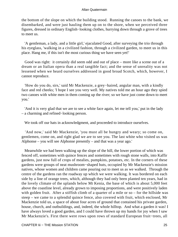the bottom of the slope on which the building stood. Running the canoes to the bank, we disembarked, and were just hauling them up on to the shore, when we perceived three figures, dressed in ordinary English−looking clothes, hurrying down through a grove of trees to meet us.

 'A gentleman, a lady, and a little girl,' ejaculated Good, after surveying the trio through his eyeglass, 'walking in a civilized fashion, through a civilized garden, to meet us in this place. Hang me, if this isn't the most curious thing we have seen yet!'

 Good was right: it certainly did seem odd and out of place – more like a scene out of a dream or an Italian opera than a real tangible fact; and the sense of unreality was not lessened when we heard ourselves addressed in good broad Scotch, which, however, I cannot reproduce.

 'How do you do, sirs,' said Mr Mackenzie, a grey−haired, angular man, with a kindly face and red cheeks; 'I hope I see you very well. My natives told me an hour ago they spied two canoes with white men in them coming up the river; so we have just come down to meet you.'

 'And it is very glad that we are to see a white face again, let me tell you,' put in the lady – a charming and refined−looking person.

We took off our hats in acknowledgment, and proceeded to introduce ourselves.

 'And now,' said Mr Mackenzie, 'you must all be hungry and weary; so come on, gentlemen, come on, and right glad we are to see you. The last white who visited us was Alphonse – you will see Alphonse presently – and that was a year ago.'

 Meanwhile we had been walking up the slope of the hill, the lower portion of which was fenced off, sometimes with quince fences and sometimes with rough stone walls, into Kaffir gardens, just now full of crops of mealies, pumpkins, potatoes, etc. In the corners of these gardens were groups of neat mushroom−shaped huts, occupied by Mr Mackenzie's mission natives, whose women and children came pouring out to meet us as we walked. Through the centre of the gardens ran the roadway up which we were walking. It was bordered on each side by a line of orange trees, which, although they had only been planted ten years, had in the lovely climate of the uplands below Mt Kenia, the base of which is about 5,000 feet above the coastline level, already grown to imposing proportions, and were positively laden with golden fruit. After a stiffish climb of a quarter of a mile or so – for the hillside was steep – we came to a splendid quince fence, also covered with fruit, which enclosed, Mr Mackenzie told us, a space of about four acres of ground that contained his private garden, house, church, and outbuildings, and, indeed, the whole hilltop. And what a garden it was! I have always loved a good garden, and I could have thrown up my hands for joy when I saw Mr Mackenzie's. First there were rows upon rows of standard European fruit−trees, all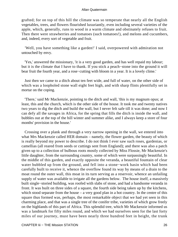grafted; for on top of this hill the climate was so temperate that nearly all the English vegetables, trees, and flowers flourished luxuriantly, even including several varieties of the apple, which, generally, runs to wood in a warm climate and obstinately refuses to fruit. Then there were strawberries and tomatoes (such tomatoes!), and melons and cucumbers, and, indeed, every sort of vegetable and fruit.

 'Well, you have something like a garden!' I said, overpowered with admiration not untouched by envy.

 'Yes,' answered the missionary, 'it is a very good garden, and has well repaid my labour; but it is the climate that I have to thank. If you stick a peach−stone into the ground it will bear fruit the fourth year, and a rose−cutting with bloom in a year. It is a lovely clime.'

 Just then we came to a ditch about ten feet wide, and full of water, on the other side of which was a loopholed stone wall eight feet high, and with sharp flints plentifully set in mortar on the coping.

 'There,' said Mr Mackenzie, pointing to the ditch and wall, 'this is my magnum opus; at least, this and the church, which is the other side of the house. It took me and twenty natives two years to dig the ditch and build the wall, but I never felt safe till it was done; and now I can defy all the savages in Africa, for the spring that fills the ditch is inside the wall, and bubbles out at the top of the hill winter and summer alike, and I always keep a store of four months' provision in the house.'

 Crossing over a plank and through a very narrow opening in the wall, we entered into what Mrs Mackenzie called HER domain – namely, the flower garden, the beauty of which is really beyond my power to describe. I do not think I ever saw such roses, gardenias, or camellias (all reared from seeds or cuttings sent from England); and there was also a patch given up to a collection of bulbous roots mostly collected by Miss Flossie, Mr Mackenzie's little daughter, from the surrounding country, some of which were surpassingly beautiful. In the middle of this garden, and exactly opposite the veranda, a beautiful fountain of clear water bubbled up from the ground, and fell into a stone−work basin which had been carefully built to receive it, whence the overflow found its way by means of a drain to the moat round the outer wall, this moat in its turn serving as a reservoir, whence an unfailing supply of water was available to irrigate all the gardens below. The house itself, a massively built single−storied building, was roofed with slabs of stone, and had a handsome veranda in front. It was built on three sides of a square, the fourth side being taken up by the kitchens, which stood separate from the house – a very good plan in a hot country. In the centre of this square thus formed was, perhaps, the most remarkable object that we had yet seen in this charming place, and that was a single tree of the conifer tribe, varieties of which grow freely on the highlands of this part of Africa. This splendid tree, which Mr Mackenzie informed us was a landmark for fifty miles round, and which we had ourselves seen for the last forty miles of our journey, must have been nearly three hundred feet in height, the trunk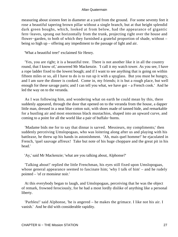measuring about sixteen feet in diameter at a yard from the ground. For some seventy feet it rose a beautiful tapering brown pillar without a single branch, but at that height splendid dark green boughs, which, looked at from below, had the appearance of gigantic fern−leaves, sprang out horizontally from the trunk, projecting right over the house and flower−garden, to both of which they furnished a grateful proportion of shade, without – being so high up – offering any impediment to the passage of light and air.

'What a beautiful tree!' exclaimed Sir Henry.

 'Yes, you are right; it is a beautiful tree. There is not another like it in all the country round, that I know of,' answered Mr Mackenzie. 'I call it my watch tower. As you see, I have a rope ladder fixed to the lowest bough; and if I want to see anything that is going on within fifteen miles or so, all I have to do is to run up it with a spyglass. But you must be hungry, and I am sure the dinner is cooked. Come in, my friends; it is but a rough place, but well enough for these savage parts; and I can tell you what, we have got – a French cook.' And he led the way on to the veranda.

 As I was following him, and wondering what on earth he could mean by this, there suddenly appeared, through the door that opened on to the veranda from the house, a dapper little man, dressed in a neat blue cotton suit, with shoes made of tanned hide, and remarkable for a bustling air and most enormous black mustachios, shaped into an upward curve, and coming to a point for all the world like a pair of buffalo−horns.

 'Madame bids me for to say that dinnar is sarved. Messieurs, my compliments;' then suddenly perceiving Umslopogaas, who was loitering along after us and playing with his battleaxe, he threw up his hands in astonishment. 'Ah, mais quel homme!' he ejaculated in French, 'quel sauvage affreux! Take but note of his huge choppare and the great pit in his head.'

'Ay,' said Mr Mackenzie; 'what are you talking about, Alphonse?'

 'Talking about!' replied the little Frenchman, his eyes still fixed upon Umslopogaas, whose general appearance seemed to fascinate him; 'why I talk of him' – and he rudely pointed – 'of ce monsieur noir.'

 At this everybody began to laugh, and Umslopogaas, perceiving that he was the object of remark, frowned ferociously, for he had a most lordly dislike of anything like a personal liberty.

 'Parbleu!' said Alphonse, 'he is angered – he makes the grimace. I like not his air. I vanish.' And he did with considerable rapidity.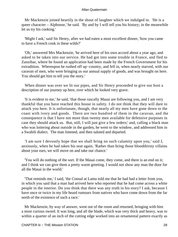Mr Mackenzie joined heartily in the shout of laughter which we indulged in. 'He is a queer character – Alphonse,' he said. 'By and by I will tell you his history; in the meanwhile let us try his cooking.'

 'Might I ask,' said Sir Henry, after we had eaten a most excellent dinner, 'how you came to have a French cook in these wilds?'

 'Oh,' answered Mrs Mackenzie, 'he arrived here of his own accord about a year ago, and asked to be taken into our service. He had got into some trouble in France, and fled to Zanzibar, where he found an application had been made by the French Government for his extradition. Whereupon he rushed off up−country, and fell in, when nearly starved, with our caravan of men, who were bringing us our annual supply of goods, and was brought on here. You should get him to tell you the story.'

 When dinner was over we lit our pipes, and Sir Henry proceeded to give our host a description of our journey up here, over which he looked very grave.

 'It is evident to me,' he said, 'that those rascally Masai are following you, and I am very thankful that you have reached this house in safety. I do not think that they will dare to attack you here. It is unfortunate, though, that nearly all my men have gone down to the coast with ivory and goods. There are two hundred of them in the caravan, and the consequence is that I have not more than twenty men available for defensive purposes in case they should attack us. But, still, I will just give a few orders;' and, calling a black man who was loitering about outside in the garden, he went to the window, and addressed him in a Swahili dialect. The man listened, and then saluted and departed.

 'I am sure I devoutly hope that we shall bring no such calamity upon you,' said I, anxiously, when he had taken his seat again. 'Rather than bring those bloodthirsty villains about your ears, we will move on and take our chance.'

 'You will do nothing of the sort. If the Masai come, they come, and there is an end on it; and I think we can give them a pretty warm greeting. I would not show any man the door for all the Masai in the world.'

 'That reminds me,' I said, 'the Consul at Lamu told me that he had had a letter from you, in which you said that a man had arrived here who reported that he had come across a white people in the interior. Do you think that there was any truth in his story? I ask, because I have once or twice in my life heard rumours from natives who have come down from the far north of the existence of such a race.'

 Mr Mackenzie, by way of answer, went out of the room and returned, bringing with him a most curious sword. It was long, and all the blade, which was very thick and heavy, was to within a quarter of an inch of the cutting edge worked into an ornamental pattern exactly as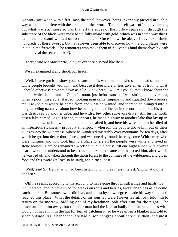we work soft wood with a fret−saw, the steel, however, being invariably pierced in such a way as not to interfere with the strength of the sword. This in itself was sufficiently curious, but what was still more so was that all the edges of the hollow spaces cut through the substance of the blade were most beautifully inlaid with gold, which was in some way that I cannot understand welded on to the steel. \*{Since I saw the above I have examined hundreds of these swords, but have never been able to discover how the gold plates were inlaid in the fretwork. The armourers who make them in Zu−vendis bind themselves by oath not to reveal the secret.  $-A$ . Q.}

'There,' said Mr Mackenzie, 'did you ever see a sword like that?'

We all examined it and shook our heads.

 'Well, I have got it to show you, because this is what the man who said he had seen the white people brought with him, and because it does more or less give an air of truth to what I should otherwise have set down as a lie. Look here; I will tell you all that I know about the matter, which is not much. One afternoon, just before sunset, I was sitting on the veranda, when a poor, miserable, starved−looking man came limping up and squatted down before me. I asked him where he came from and what he wanted, and thereon he plunged into a long rambling narrative about how he belonged to a tribe far in the north, and how his tribe was destroyed by another tribe, and he with a few other survivors driven still further north past a lake named Laga. Thence, it appears, he made his way to another lake that lay up in the mountains, «a lake without a bottom» he called it, and here his wife and brother died of an infectious sickness – probably smallpox – whereon the people drove him out of their villages into the wilderness, where he wandered miserably over mountains for ten days, after which he got into dense thorn forest, and was one day found there by some **White men** who were hunting, and who took him to a place where all the people were white and lived in stone houses. Here he remained a week shut up in a house, till one night a man with a white beard, whom he understood to be a «medicine−man», came and inspected him, after which he was led off and taken through the thorn forest to the confines of the wilderness, and given food and this sword (at least so he said), and turned loose.'

 'Well,' said Sir Henry, who had been listening with breathless interest, 'and what did he do then?'

 'Oh! he seems, according to his account, to have gone through sufferings and hardships innumerable, and to have lived for weeks on roots and berries, and such things as he could catch and kill. But somehow he did live, and at last by slow degrees made his way south and reached this place. What the details of his journey were I never learnt, for I told him to return on the morrow, bidding one of my headmen look after him for the night. The headman took him away, but the poor man had the itch so badly that the headman's wife would not have him in the hut for fear of catching it, so he was given a blanket and told to sleep outside. As it happened, we had a lion hanging about here just then, and most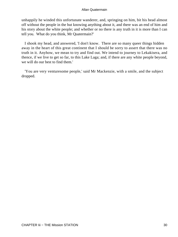unhappily he winded this unfortunate wanderer, and, springing on him, bit his head almost off without the people in the hut knowing anything about it, and there was an end of him and his story about the white people; and whether or no there is any truth in it is more than I can tell you. What do you think, Mr Quatermain?'

 I shook my head, and answered, 'I don't know. There are so many queer things hidden away in the heart of this great continent that I should be sorry to assert that there was no truth in it. Anyhow, we mean to try and find out. We intend to journey to Lekakisera, and thence, if we live to get so far, to this Lake Laga; and, if there are any white people beyond, we will do our best to find them.'

 'You are very venturesome people,' said Mr Mackenzie, with a smile, and the subject dropped.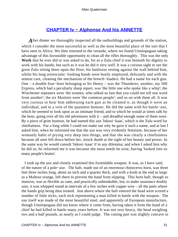## **[CHAPTER Iv − Alphonse And his ANNETTE](#page-202-0)**

After dinner we thoroughly inspected all the outbuildings and grounds of the station, which I consider the most successful as well as the most beautiful place of the sort that I have seen in Africa. We then returned to the veranda, where we found Umslopogaas taking advantage of this favourable opportunity to clean all the rifles thoroughly. This was the only **Work** that he ever did or was asked to do, for as a Zulu chief it was beneath his dignity to work with his hands; but such as it was he did it very well. It was a curious sight to see the great Zulu sitting there upon the floor, his battleaxe resting against the wall behind him, whilst his long aristocratic−looking hands were busily employed, delicately and with the utmost care, cleaning the mechanism of the breech−loaders. He had a name for each gun. One – a double four−bore belonging to Sir Henry – was the Thunderer; another, my 500 Express, which had a peculiarly sharp report, was 'the little one who spoke like a whip'; the Winchester repeaters were 'the women, who talked so fast that you could not tell one word from another'; the six Martinis were 'the common people'; and so on with them all. It was very curious to hear him addressing each gun as he cleaned it, as though it were an individual, and in a vein of the quaintest humour. He did the same with his battle−axe, which he seemed to look upon as an intimate friend, and to which he would at times talk by the hour, going over all his old adventures with it – and dreadful enough some of them were. By a piece of grim humour, he had named this axe 'Inkosi−kaas', which is the Zulu word for chieftainess. For a long while I could not make out why he gave it such a name, and at last I asked him, when he informed me that the axe was very evidently feminine, because of her womanly habit of prying very deep into things, and that she was clearly a chieftainess because all men fell down before her, struck dumb at the sight of her beauty and power. In the same way he would consult 'Inkosi−kaas' if in any dilemma; and when I asked him why he did so, he informed me it was because she must needs be wise, having 'looked into so many people's brains'.

 I took up the axe and closely examined this formidable weapon. It was, as I have said, of the nature of a pole−axe. The haft, made out of an enormous rhinoceros horn, was three feet three inches long, about an inch and a quarter thick, and with a knob at the end as large as a Maltese orange, left there to prevent the hand from slipping. This horn haft, though so massive, was as flexible as cane, and practically unbreakable; but, to make assurance doubly sure, it was whipped round at intervals of a few inches with copper wire – all the parts where the hands grip being thus treated. Just above where the haft entered the head were scored a number of little nicks, each nick representing a man killed in battle with the weapon. The axe itself was made of the most beautiful steel, and apparently of European manufacture, though Umslopogaas did not know where it came from, having taken it from the hand of a chief he had killed in battle many years before. It was not very heavy, the head weighing two and a half pounds, as nearly as I could judge. The cutting part was slightly concave in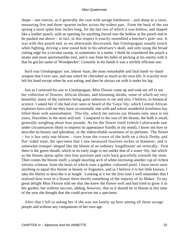shape – not convex, as it generally the case with savage battleaxes – and sharp as a razor, measuring five and three−quarter inches across the widest part. From the back of the axe sprang a stout spike four inches long, for the last two of which it was hollow, and shaped like a leather punch, with an opening for anything forced into the hollow at the punch end to be pushed out above – in fact, in this respect it exactly resembled a butcher's pole−axe. It was with this punch end, as we afterwards discovered, that Umslopogaas usually struck when fighting, driving a neat round hole in his adversary's skull, and only using the broad cutting edge for a circular sweep, or sometimes in a melee. I think he considered the punch a neater and more sportsmanlike tool, and it was from his habit of pecking at his enemy with it that he got his name of 'Woodpecker'. Certainly in his hands it was a terribly efficient one.

 Such was Umslopogaas' axe, Inkosi−kaas, the most remarkable and fatal hand−to−hand weapon that I ever saw, and one which he cherished as much as his own life. It scarcely ever left his hand except when he was eating, and then he always sat with it under his leg.

 Just as I returned his axe to Umslopogaas, Miss Flossie came up and took me off to see her collection of flowers, African liliums, and blooming shrubs, some of which are very beautiful, many of the varieties being quite unknown to me and also, I believe, to botanical science. I asked her if she had ever seen or heard of the 'Goya' lily, which Central African explorers have told me they have occasionally met with and whose wonderful loveliness has filled them with astonishment. This lily, which the natives say blooms only once in ten years, flourishes in the most arid soil. Compared to the size of the bloom, the bulb is small, generally weighing about four pounds. As for the flower itself (which I afterwards saw under circumstances likely to impress its appearance fixedly in my mind), I know not how to describe its beauty and splendour, or the indescribable sweetness of its perfume. The flower – for it has only one bloom – rises from the crown of the bulb on a thick fleshy and flat−sided stem, the specimen that I saw measured fourteen inches in diameter, and is somewhat trumpet−shaped like the bloom of an ordinary 'longiflorum' set vertically. First there is the green sheath, which in its early stage is not unlike that of a water−lily, but which as the bloom opens splits into four portions and curls back gracefully towards the stem. Then comes the bloom itself, a single dazzling arch of white enclosing another cup of richest velvety crimson, from the heart of which rises a golden−coloured pistil. I have never seen anything to equal this bloom in beauty or fragrance, and as I believe it is but little known, I take the liberty to describe it at length. Looking at it for the first time I well remember that I realized how even in a flower there dwells something of the majesty of its Maker. To my great delight Miss Flossie told me that she knew the flower well and had tried to grow it in her garden, but without success, adding, however, that as it should be in bloom at this time of the year she thought that she could procure me a specimen.

 After that I fell to asking her if she was not lonely up here among all these savage people and without any companions of her own age.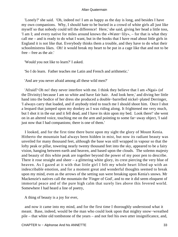'Lonely?' she said. 'Oh, indeed no! I am as happy as the day is long, and besides I have my own companions. Why, I should hate to be buried in a crowd of white girls all just like myself so that nobody could tell the difference! Here,' she said, giving her head a little toss, 'I am I; and every native for miles around knows the «Water−lily», – for that is what they call me – and is ready to do what I want, but in the books that I have read about little girls in England it is not like that. Everybody thinks them a trouble, and they have to do what their schoolmistress likes. Oh! it would break my heart to be put in a cage like that and not to be free – free as the air.'

'Would you not like to learn?' I asked.

'So I do learn. Father teaches me Latin and French and arithmetic.'

'And are you never afraid among all these wild men?'

 'Afraid? Oh no! they never interfere with me. I think they believe that I am «Ngai» (of the Divinity) because I am so white and have fair hair. And look here,' and diving her little hand into the bodice of her dress she produced a double−barrelled nickel−plated Derringer, 'I always carry that loaded, and if anybody tried to touch me I should shoot him. Once I shot a leopard that jumped upon my donkey as I was riding along. It frightened me very much, but I shot it in the ear and it fell dead, and I have its skin upon my bed. Look there!' she went on in an altered voice, touching me on the arm and pointing to some far−away object, 'I said just now that I had companions; there is one of them.'

 I looked, and for the first time there burst upon my sight the glory of Mount Kenia. Hitherto the mountain had always been hidden in mist, but now its radiant beauty was unveiled for many thousand feet, although the base was still wrapped in vapour so that the lofty peak or pillar, towering nearly twenty thousand feet into the sky, appeared to be a fairy vision, hanging between earth and heaven, and based upon the clouds. The solemn majesty and beauty of this white peak are together beyond the power of my poor pen to describe. There it rose straight and sheer – a glittering white glory, its crest piercing the very blue of heaven. As I gazed at it with that little girl I felt my whole heart lifted up with an indescribable emotion, and for a moment great and wonderful thoughts seemed to break upon my mind, even as the arrows of the setting sun were breaking upon Kenia's snows. Mr Mackenzie's natives call the mountain the 'Finger of God', and to me it did seem eloquent of immortal peace and of the pure high calm that surely lies above this fevered world. Somewhere I had heard a line of poetry,

A thing of beauty is a joy for ever,

 and now it came into my mind, and for the first time I thoroughly understood what it meant. Base, indeed, would be the man who could look upon that mighty snow−wreathed pile – that white old tombstone of the years – and not feel his own utter insignificance, and,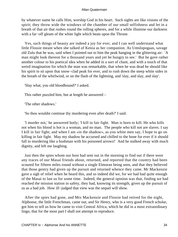by whatever name he calls Him, worship God in his heart. Such sights are like visions of the spirit; they throw wide the windows of the chamber of our small selfishness and let in a breath of that air that rushes round the rolling spheres, and for a while illumine our darkness with a far−off gleam of the white light which beats upon the Throne.

 Yes, such things of beauty are indeed a joy for ever, and I can well understand what little Flossie meant when she talked of Kenia as her companion. As Umslopogaas, savage old Zulu that he was, said when I pointed out to him the peak hanging in the glittering air: 'A man might look thereon for a thousand years and yet be hungry to see.' But he gave rather another colour to his poetical idea when he added in a sort of chant, and with a touch of that weird imagination for which the man was remarkable, that when he was dead he should like his spirit to sit upon that snow−clad peak for ever, and to rush down the steep white sides in the breath of the whirlwind, or on the flash of the lightning, and 'slay, and slay, and slay'.

'Slay what, you old bloodhound?' I asked.

This rather puzzled him, but at length he answered –

'The other shadows.'

'So thou wouldst continue thy murdering even after death?' I said.

 'I murder not,' he answered hotly; 'I kill in fair fight. Man is born to kill. He who kills not when his blood is hot is a woman, and no man. The people who kill not are slaves. I say I kill in fair fight; and when I am «in the shadow», as you white men say, I hope to go on killing in fair fight. May my shadow be accursed and chilled to the bone for ever if it should fall to murdering like a bushman with his poisoned arrows!' And he stalked away with much dignity, and left me laughing.

 Just then the spies whom our host had sent out in the morning to find out if there were any traces of our Masai friends about, returned, and reported that the country had been scoured for fifteen miles round without a single Elmoran being seen, and that they believed that those gentry had given up the pursuit and returned whence they came. Mr Mackenzie gave a sigh of relief when he heard this, and so indeed did we, for we had had quite enough of the Masai to last us for some time. Indeed, the general opinion was that, finding we had reached the mission station in safety, they had, knowing its strength, given up the pursuit of us as a bad job. How ill−judged that view was the sequel will show.

 After the spies had gone, and Mrs Mackenzie and Flossie had retired for the night, Alphonse, the little Frenchman, came out, and Sir Henry, who is a very good French scholar, got him to tell us how he came to visit Central Africa, which he did in a most extraordinary lingo, that for the most part I shall not attempt to reproduce.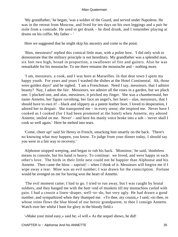'My grandfather,' he began, 'was a soldier of the Guard, and served under Napoleon. He was in the retreat from Moscow, and lived for ten days on his own leggings and a pair he stole from a comrade. He used to get drunk – he died drunk, and I remember playing at drums on his coffin. My father – '

Here we suggested that he might skip his ancestry and come to the point.

 'Bien, messieurs!' replied this comical little man, with a polite bow. 'I did only wish to demonstrate that the military principle is not hereditary. My grandfather was a splendid man, six feet two high, broad in proportion, a swallower of fire and gaiters. Also he was remarkable for his moustache. To me there remains the moustache and – nothing more.

 'I am, messieurs, a cook, and I was born at Marseilles. In that dear town I spent my happy youth. For years and years I washed the dishes at the Hotel Continental. Ah, those were golden days!' and he sighed. 'I am a Frenchman. Need I say, messieurs, that I admire beauty? Nay, I adore the fair. Messieurs, we admire all the roses in a garden, but we pluck one. I plucked one, and alas, messieurs, it pricked my finger. She was a chambermaid, her name Annette, her figure ravishing, her face an angel's, her heart – alas, messieurs, that I should have to own it! – black and slippery as a patent leather boot. I loved to desperation, I adored her to despair. She transported me – in every sense; she inspired me. Never have I cooked as I cooked (for I had been promoted at the hotel) when Annette, my adored Annette, smiled on me. Never' – and here his manly voice broke into a sob – 'never shall I cook so well again.' Here he melted into tears.

 'Come, cheer up!' said Sir Henry in French, smacking him smartly on the back. 'There's no knowing what may happen, you know. To judge from your dinner today, I should say you were in a fair way to recovery.'

 Alphonse stopped weeping, and began to rub his back. 'Monsieur,' he said, 'doubtless means to console, but his hand is heavy. To continue: we loved, and were happy in each other's love. The birds in their little nest could not be happier than Alphonse and his Annette. Then came the blow – sapristi! – when I think of it. Messieurs will forgive me if I wipe away a tear. Mine was an evil number; I was drawn for the conscription. Fortune would be avenged on me for having won the heart of Annette.

 'The evil moment came; I had to go. I tried to run away, but I was caught by brutal soldiers, and they banged me with the butt−end of muskets till my mustachios curled with pain. I had a cousin a linen−draper, well−to−do, but very ugly. He had drawn a good number, and sympathized when they thumped me. «To thee, my cousin,» I said, «to thee, in whose veins flows the blue blood of our heroic grandparent, to thee I consign Annette. Watch over her whilst I hunt for glory in the bloody field.»

'«Make your mind easy,» said he; «I will.» As the sequel shows, he did!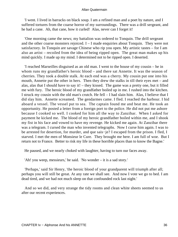'I went. I lived in barracks on black soup. I am a refined man and a poet by nature, and I suffered tortures from the coarse horror of my surroundings. There was a drill sergeant, and he had a cane. Ah, that cane, how it curled! Alas, never can I forget it!

 'One morning came the news; my battalion was ordered to Tonquin. The drill sergeant and the other coarse monsters rejoiced. I – I made enquiries about Tonquin. They were not satisfactory. In Tonquin are savage Chinese who rip you open. My artistic tastes – for I am also an artist – recoiled from the idea of being ripped open. The great man makes up his mind quickly. I made up my mind. I determined not to be ripped open. I deserted.

 'I reached Marseilles disguised as an old man. I went to the house of my cousin – he in whom runs my grandfather's heroic blood – and there sat Annette. It was the season of cherries. They took a double stalk. At each end was a cherry. My cousin put one into his mouth, Annette put the other in hers. Then they drew the stalks in till their eyes met – and alas, alas that I should have to say it! – they kissed. The game was a pretty one, but it filled me with fury. The heroic blood of my grandfather boiled up in me. I rushed into the kitchen. I struck my cousin with the old man's crutch. He fell – I had slain him. Alas, I believe that I did slay him. Annette screamed. The gendarmes came. I fled. I reached the harbour. I hid aboard a vessel. The vessel put to sea. The captain found me and beat me. He took an opportunity. He posted a letter from a foreign port to the police. He did not put me ashore because I cooked so well. I cooked for him all the way to Zanzibar. When I asked for payment he kicked me. The blood of my heroic grandfather boiled within me, and I shook my fist in his face and vowed to have my revenge. He kicked me again. At Zanzibar there was a telegram. I cursed the man who invented telegraphs. Now I curse him again. I was to be arrested for desertion, for murder, and que sais−je? I escaped from the prison. I fled, I starved. I met the men of Monsieur le Cure. They brought me here. I am full of woe. But I return not to France. Better to risk my life in these horrible places than to know the Bagne.'

He paused, and we nearly choked with laughter, having to turn our faces away.

'Ah! you weep, messieurs,' he said. 'No wonder – it is a sad story.'

 'Perhaps,' said Sir Henry, 'the heroic blood of your grandparent will triumph after all; perhaps you will still be great. At any rate we shall see. And now I vote we go to bed. I am dead tired, and we had not much sleep on that confounded rock last night.'

 And so we did, and very strange the tidy rooms and clean white sheets seemed to us after our recent experiences.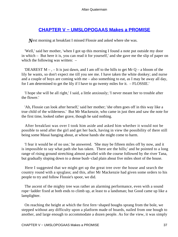## **[CHAPTER V − UMSLOPOGAAS Makes a PROMISE](#page-202-0)**

*N*ext morning at breakfast I missed Flossie and asked where she was.

 'Well,' said her mother, 'when I got up this morning I found a note put outside my door in which – But here it is, you can read it for yourself,' and she gave me the slip of paper on which the following was written:  $-$ 

'DEAREST  $M -$ ,  $-$  It is just dawn, and I am off to the hills to get Mr Q – a bloom of the lily he wants, so don't expect me till you see me. I have taken the white donkey; and nurse and a couple of boys are coming with me – also something to eat, as I may be away all day, for I am determined to get the lily if I have to go twenty miles for it. – FLOSSIE.'

 'I hope she will be all right,' I said, a little anxiously; 'I never meant her to trouble after the flower.'

 'Ah, Flossie can look after herself,' said her mother; 'she often goes off in this way like a true child of the wilderness.' But Mr Mackenzie, who came in just then and saw the note for the first time, looked rather grave, though he said nothing.

 After breakfast was over I took him aside and asked him whether it would not be possible to send after the girl and get her back, having in view the possibility of there still being some Masai hanging about, at whose hands she might come to harm.

 'I fear it would be of no use,' he answered. 'She may be fifteen miles off by now, and it is impossible to say what path she has taken. There are the hills;' and he pointed to a long range of rising ground stretching almost parallel with the course followed by the river Tana, but gradually sloping down to a dense bush−clad plain about five miles short of the house.

 Here I suggested that we might get up the great tree over the house and search the country round with a spyglass; and this, after Mr Mackenzie had given some orders to his people to try and follow Flossie's spoor, we did.

 The ascent of the mighty tree was rather an alarming performance, even with a sound rope−ladder fixed at both ends to climb up, at least to a landsman; but Good came up like a lamplighter.

 On reaching the height at which the first fern−shaped boughs sprang from the bole, we stepped without any difficulty upon a platform made of boards, nailed from one bough to another, and large enough to accommodate a dozen people. As for the view, it was simply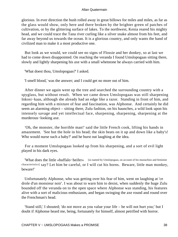glorious. In ever direction the bush rolled away in great billows for miles and miles, as far as the glass would show, only here and there broken by the brighter green of patches of cultivation, or by the glittering surface of lakes. To the northwest, Kenia reared his mighty head, and we could trace the Tana river curling like a silver snake almost from his feet, and far away beyond us towards the ocean. It is a glorious country, and only wants the hand of civilized man to make it a most productive one.

 But look as we would, we could see no signs of Flossie and her donkey, so at last we had to come down disappointed. On reaching the veranda I found Umslopogaas sitting there, slowly and lightly sharpening his axe with a small whetstone he always carried with him.

'What doest thou, Umslopogaas?' I asked.

'I smell blood,' was the answer; and I could get no more out of him.

 After dinner we again went up the tree and searched the surrounding country with a spyglass, but without result. When we came down Umslopogaas was still sharpening Inkosi−kaas, although she already had an edge like a razor. Standing in front of him, and regarding him with a mixture of fear and fascination, was Alphonse. And certainly he did seem an alarming object – sitting there, Zulu fashion, on his haunches, a wild look upon his intensely savage and yet intellectual face, sharpening, sharpening, sharpening at the murderous−looking axe.

 'Oh, the monster, the horrible man!' said the little French cook, lifting his hands in amazement. 'See but the hole in his head; the skin beats on it up and down like a baby's! Who would nurse such a baby?' and he burst out laughing at the idea.

 For a moment Umslopogaas looked up from his sharpening, and a sort of evil light played in his dark eyes.

 'What does the little «buffalo−heifer» [so named by Umslopogaas, on account of his mustachios and feminine characteristics] say? Let him be careful, or I will cut his horns. Beware, little man monkey, beware!'

 Unfortunately Alphonse, who was getting over his fear of him, went on laughing at 'ce drole d'un monsieur noir'. I was about to warn him to desist, when suddenly the huge Zulu bounded off the veranda on to the open space where Alphonse was standing, his features alive with a sort of malicious enthusiasm, and began swinging the axe round and round over the Frenchman's head.

 'Stand still,' I shouted; 'do not move as you value your life – he will not hurt you;' but I doubt if Alphonse heard me, being, fortunately for himself, almost petrified with horror.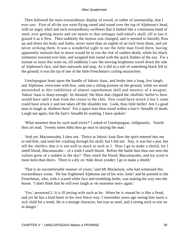Then followed the most extraordinary display of sword, or rather of axemanship, that I ever saw. First of all the axe went flying round and round over the top of Alphonse's head, with an angry whirl and such extraordinary swiftness that it looked like a continuous band of steel, ever getting nearer and yet nearer to that unhappy individual's skull, till at last it grazed it as it flew. Then suddenly the motion was changed, and it seemed to literally flow up and down his body and limbs, never more than an eighth of an inch from them, and yet never striking them. It was a wonderful sight to see the little man fixed there, having apparently realized that to move would be to run the risk of sudden death, while his black tormentor towered over him, and wrapped him round with the quick flashes of the axe. For a minute or more this went on, till suddenly I saw the moving brightness travel down the side of Alphonse's face, and then outwards and stop. As it did so a tuft of something black fell to the ground; it was the tip of one of the little Frenchman's curling mustachios.

 Umslopogaas leant upon the handle of Inkosi−kaas, and broke into a long, low laugh; and Alphonse, overcome with fear, sank into a sitting posture on the ground, while we stood astonished at this exhibition of almost superhuman skill and mastery of a weapon. 'Inkosi−kaas is sharp enough,' he shouted; 'the blow that clipped the «buffalo−heifer's» horn would have split a man from the crown to the chin. Few could have struck it but I; none could have struck it and not taken off the shoulder too. Look, thou little heifer! Am I a good man to laugh at, thinkest thou? For a space hast thou stood within a hair's−breadth of death. Laugh not again, lest the hair's−breadth be wanting. I have spoken.'

 'What meanest thou by such mad tricks?' I asked of Umslopogaas, indignantly. 'Surely thou art mad. Twenty times didst thou go near to slaying the man.'

 'And yet, Macumazahn, I slew not. Thrice as Inkosi−kaas flew the spirit entered into me to end him, and send her crashing through his skull; but I did not. Nay, it was but a jest; but tell the «heifer» that it is not well to mock at such as I. Now I go to make a shield, for I smell blood, Macumazahn – of a truth I smell blood. Before the battle hast thou not seen the vulture grow of a sudden in the sky? They smell the blood, Macumazahn, and my scent is more keen than theirs. There is a dry ox−hide down yonder; I go to make a shield.'

 'That is an uncomfortable retainer of yours,' said Mr Mackenzie, who had witnessed this extraordinary scene. 'He has frightened Alphonse out of his wits; look!' and he pointed to the Frenchman, who, with a scared white face and trembling limbs, was making his way into the house. 'I don't think that he will ever laugh at «le monsieur noir» again.'

 'Yes,' answered I, 'it is ill jesting with such as he. When he is roused he is like a fiend, and yet he has a kind heart in his own fierce way. I remember years ago seeing him nurse a sick child for a week. He is a strange character, but true as steel, and a strong stick to rest on in danger.'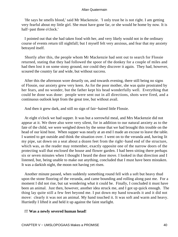'He says he smells blood,' said Mr Mackenzie. 'I only trust he is not right. I am getting very fearful about my little girl. She must have gone far, or she would be home by now. It is half−past three o'clock.'

 I pointed out that she had taken food with her, and very likely would not in the ordinary course of events return till nightfall; but I myself felt very anxious, and fear that my anxiety betrayed itself.

 Shortly after this, the people whom Mr Mackenzie had sent out to search for Flossie returned, stating that they had followed the spoor of the donkey for a couple of miles and had then lost it on some stony ground, nor could they discover it again. They had, however, scoured the country far and wide, but without success.

 After this the afternoon wore drearily on, and towards evening, there still being no signs of Flossie, our anxiety grew very keen. As for the poor mother, she was quite prostrated by her fears, and no wonder, but the father kept his head wonderfully well. Everything that could be done was done: people were sent out in all directions, shots were fired, and a continuous outlook kept from the great tree, but without avail.

And then it grew dark, and still no sign of fair−haired little Flossie.

 At eight o'clock we had supper. It was but a sorrowful meal, and Mrs Mackenzie did not appear at it. We three also were very silent, for in addition to our natural anxiety as to the fate of the child, we were weighed down by the sense that we had brought this trouble on the head of our kind host. When supper was nearly at an end I made an excuse to leave the table. I wanted to get outside and think the situation over. I went on to the veranda and, having lit my pipe, sat down on a seat about a dozen feet from the right−hand end of the structure, which was, as the reader may remember, exactly opposite one of the narrow doors of the protecting wall that enclosed the house and flower garden. I had been sitting there perhaps six or seven minutes when I thought I heard the door move. I looked in that direction and I listened, but, being unable to make out anything, concluded that I must have been mistaken. It was a darkish night, the moon not having yet risen.

 Another minute passed, when suddenly something round fell with a soft but heavy thud upon the stone flooring of the veranda, and came bounding and rolling along past me. For a moment I did not rise, but sat wondering what it could be. Finally, I concluded it must have been an animal. Just then, however, another idea struck me, and I got up quick enough. The thing lay quite still a few feet beyond me. I put down my hand towards it and it did not move: clearly it was not an animal. My hand touched it. It was soft and warm and heavy. Hurriedly I lifted it and held it up against the faint starlight.

## IT **Was a newly severed human head!**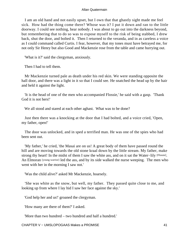I am an old hand and not easily upset, but I own that that ghastly sight made me feel sick. How had the thing come there? Whose was it? I put it down and ran to the little doorway. I could see nothing, hear nobody. I was about to go out into the darkness beyond, but remembering that to do so was to expose myself to the risk of being stabbed, I drew back, shut the door, and bolted it. Then I returned to the veranda, and in as careless a voice as I could command called Curtis. I fear, however, that my tones must have betrayed me, for not only Sir Henry but also Good and Mackenzie rose from the table and came hurrying out.

'What is it?' said the clergyman, anxiously.

Then I had to tell them.

 Mr Mackenzie turned pale as death under his red skin. We were standing opposite the hall door, and there was a light in it so that I could see. He snatched the head up by the hair and held it against the light.

 'It is the head of one of the men who accompanied Flossie,' he said with a gasp. 'Thank God it is not hers!'

We all stood and stared at each other aghast. What was to be done?

 Just then there was a knocking at the door that I had bolted, and a voice cried, 'Open, my father, open!'

 The door was unlocked, and in sped a terrified man. He was one of the spies who had been sent out.

 'My father,' he cried, 'the Masai are on us! A great body of them have passed round the hill and are moving towards the old stone kraal down by the little stream. My father, make strong thy heart! In the midst of them I saw the white ass, and on it sat the Water–lily [Flossie]. An Elmoran [young warrior] led the ass, and by its side walked the nurse weeping. The men who went with her in the morning I saw not.'

'Was the child alive?' asked Mr Mackenzie, hoarsely.

 'She was white as the snow, but well, my father. They passed quite close to me, and looking up from where I lay hid I saw her face against the sky.'

'God help her and us!' groaned the clergyman.

'How many are there of them?' I asked.

'More than two hundred – two hundred and half a hundred.'

CHAPTER V − UMSLOPOGAAS Makes a PROMISE 41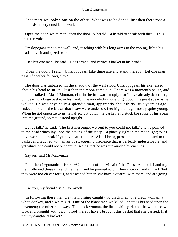Once more we looked one on the other. What was to be done? Just then there rose a loud insistent cry outside the wall.

 'Open the door, white man; open the door! A herald – a herald to speak with thee.' Thus cried the voice.

 Umslopogaas ran to the wall, and, reaching with his long arms to the coping, lifted his head above it and gazed over.

'I see but one man,' he said. 'He is armed, and carries a basket in his hand.'

 'Open the door,' I said. 'Umslopogaas, take thine axe and stand thereby. Let one man pass. If another follows, slay.'

 The door was unbarred. In the shadow of the wall stood Umslopogaas, his axe raised above his head to strike. Just then the moon came out. There was a moment's pause, and then in stalked a Masai Elmoran, clad in the full war panoply that I have already described, but bearing a large basket in his hand. The moonlight shone bright upon his great spear as he walked. He was physically a splendid man, apparently about thirty−five years of age. Indeed, none of the Masai that I saw were under six feet high, though mostly quite young. When he got opposite to us he halted, put down the basket, and stuck the spike of his spear into the ground, so that it stood upright.

 'Let us talk,' he said. 'The first messenger we sent to you could not talk;' and he pointed to the head which lay upon the paving of the stoep – a ghastly sight in the moonlight; 'but I have words to speak if ye have ears to hear. Also I bring presents;' and he pointed to the basket and laughed with an air of swaggering insolence that is perfectly indescribable, and yet which one could not but admire, seeing that he was surrounded by enemies.

'Say on,' said Mr Mackenzie.

 'I am the «Lygonani» [war captain] of a part of the Masai of the Guasa Amboni. I and my men followed these three white men,' and he pointed to Sir Henry, Good, and myself, 'but they were too clever for us, and escaped hither. We have a quarrel with them, and are going to kill them.'

'Are you, my friend?' said I to myself.

 'In following these men we this morning caught two black men, one black woman, a white donkey, and a white girl. One of the black men we killed – there is his head upon the pavement; the other ran away. The black woman, the little white girl, and the white ass we took and brought with us. In proof thereof have I brought this basket that she carried. Is it not thy daughter's basket?'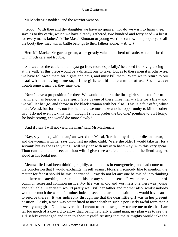Mr Mackenzie nodded, and the warrior went on.

 'Good! With thee and thy daughter we have no quarrel, nor do we wish to harm thee, save as to thy cattle, which we have already gathered, two hundred and forty head – a beast for every man's father.' \*{The Masai Elmoran or young warriors can own no property, so all the booty they may win in battle belongs to their fathers alone.  $-A$ . Q.}

 Here Mr Mackenzie gave a groan, as he greatly valued this herd of cattle, which he bred with much care and trouble.

 'So, save for the cattle, thou mayst go free; more especially,' he added frankly, glancing at the wall, 'as this place would be a difficult one to take. But as to these men it is otherwise; we have followed them for nights and days, and must kill them. Were we to return to our kraal without having done so, all the girls would make a mock of us. So, however troublesome it may be, they must die.

 'Now I have a proposition for thee. We would not harm the little girl; she is too fair to harm, and has besides a brave spirit. Give us one of these three men – a life for a life – and we will let her go, and throw in the black woman with her also. This is a fair offer, white man. We ask but for one, not for the three; we must take another opportunity to kill the other two. I do not even pick my man, though I should prefer the big one,' pointing to Sir Henry; 'he looks strong, and would die more slowly.'

'And if I say I will not yield the man?' said Mr Mackenzie.

 'Nay, say not so, white man,' answered the Masai, 'for then thy daughter dies at dawn, and the woman with her says thou hast no other child. Were she older I would take her for a servant; but as she is so young I will slay her with my own hand – ay, with this very spear. Thou canst come and see, an' thou wilt. I give thee a safe conduct;' and the fiend laughed aloud as his brutal jest.

 Meanwhile I had been thinking rapidly, as one does in emergencies, and had come to the conclusion that I would exchange myself against Flossie. I scarcely like to mention the matter for fear it should be misunderstood. Pray do not let any one be misled into thinking that there was anything heroic about this, or any such nonsense. It was merely a matter of common sense and common justice. My life was an old and worthless one, hers was young and valuable. Her death would pretty well kill her father and mother also, whilst nobody would be much the worse for mine; indeed, several charitable institutions would have cause to rejoice thereat. It was indirectly through me that the dear little girl was in her present position. Lastly, a man was better fitted to meet death in such a peculiarly awful form than a sweet young girl. Not, however, that I meant to let these gentry torture me to death – I am far too much of a coward to allow that, being naturally a timid man; my plan was to see the girl safely exchanged and then to shoot myself, trusting that the Almighty would take the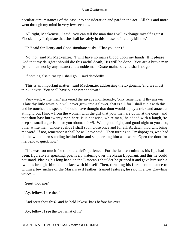peculiar circumstances of the case into consideration and pardon the act. All this and more went through my mind in very few seconds.

 'All right, Mackenzie,' I said, 'you can tell the man that I will exchange myself against Flossie, only I stipulate that she shall be safely in this house before they kill me.'

'Eh?' said Sir Henry and Good simultaneously. 'That you don't.'

 'No, no,' said Mr Mackenzie. 'I will have no man's blood upon my hands. If it please God that my daughter should die this awful death, His will be done. You are a brave man (which I am not by any means) and a noble man, Quatermain, but you shall not go.'

'If nothing else turns up I shall go,' I said decidedly.

 'This is an important matter,' said Mackenzie, addressing the Lygonani, 'and we must think it over. You shall have our answer at dawn.'

 'Very well, white man,' answered the savage indifferently; 'only remember if thy answer is late thy little white bud will never grow into a flower, that is all, for I shall cut it with this,' and he touched the spear. 'I should have thought that thou wouldst play a trick and attack us at night, but I know from the woman with the girl that your men are down at the coast, and that thou hast but twenty men here. It is not wise, white man,' he added with a laugh, 'to keep so small a garrison for you «boma» [kraal]. Well, good night, and good night to you also, other white men, whose eyelids I shall soon close once and for all. At dawn thou wilt bring me word. If not, remember it shall be as I have said.' Then turning to Umslopogaas, who had all the while been standing behind him and shepherding him as it were, 'Open the door for me, fellow, quick now.'

 This was too much for the old chief's patience. For the last ten minutes his lips had been, figuratively speaking, positively watering over the Masai Lygonani, and this he could not stand. Placing his long hand on the Elmoran's shoulder he gripped it and gave him such a twist as brought him face to face with himself. Then, thrusting his fierce countenance to within a few inches of the Masai's evil feather−framed features, he said in a low growling voice: –

'Seest thou me?'

'Ay, fellow, I see thee.'

'And seest thou this?' and he held Inkosi−kaas before his eyes.

'Ay, fellow, I see the toy; what of it?'

CHAPTER V − UMSLOPOGAAS Makes a PROMISE 44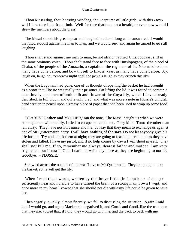'Thou Masai dog, thou boasting windbag, thou capturer of little girls, with this «toy» will I hew thee limb from limb. Well for thee that thou art a herald, or even now would I strew thy members about the grass.'

 The Masai shook his great spear and laughed loud and long as he answered, 'I would that thou stoodst against me man to man, and we would see,' and again he turned to go still laughing.

 'Thou shalt stand against me man to man, be not afraid,' replied Umslopogaas, still in the same ominous voice. 'Thou shalt stand face to face with Umslopogaas, of the blood of Chaka, of the people of the Amazulu, a captain in the regiment of the Nkomabakosi, as many have done before, and bow thyself to Inkosi−kaas, as many have done before. Ay, laugh on, laugh on! tomorrow night shall the jackals laugh as they crunch thy ribs.'

 When the Lygonani had gone, one of us thought of opening the basket he had brought as a proof that Flossie was really their prisoner. On lifting the lid it was found to contain a most lovely specimen of both bulb and flower of the Goya lily, which I have already described, in full bloom and quite uninjured, and what was more a note in Flossie's childish hand written in pencil upon a greasy piece of paper that had been used to wrap up some food  $in: -$ 

 'DEAREST **Father and** MOTHER,' ran the note, 'The Masai caught us when we were coming home with the lily. I tried to escape but could not. They killed Tom: the other man ran away. They have not hurt nurse and me, but say that they mean to exchange us against one of Mr Quatermain's party. **I will have nothing of the sort.** Do not let anybody give his life for me. Try and attack them at night; they are going to feast on three bullocks they have stolen and killed. I have my pistol, and if no help comes by dawn I will shoot myself. They shall not kill me. If so, remember me always, dearest father and mother. I am very frightened, but I trust in God. I dare not write any more as they are beginning to notice. Goodbye. – FLOSSIE.'

 Scrawled across the outside of this was 'Love to Mr Quatermain. They are going to take the basket, so he will get the lily.'

 When I read those words, written by that brave little girl in an hour of danger sufficiently near and horrible to have turned the brain of a strong man, I own I wept, and once more in my heart I vowed that she should not die while my life could be given to save her.

 Then eagerly, quickly, almost fiercely, we fell to discussing the situation. Again I said that I would go, and again Mackenzie negatived it, and Curtis and Good, like the true men that they are, vowed that, if I did, they would go with me, and die back to back with me.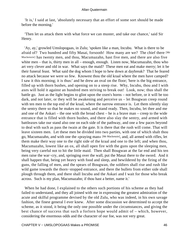'It is,' I said at last, 'absolutely necessary that an effort of some sort should be made before the morning.'

 'Then let us attack them with what force we can muster, and take our chance,' said Sir Henry.

 'Ay, ay,' growled Umslopogaas, in Zulu; 'spoken like a man, Incubu. What is there to be afraid of? Two hundred and fifty Masai, forsooth! How many are we? The chief there [Mr Mackenzie] has twenty men, and thou, Macumazahn, hast five men, and there are also five white men – that is, thirty men in all – enough, enough. Listen now, Macumazahn, thou who art very clever and old in war. What says the maid? These men eat and make merry; let it be their funeral feast. What said the dog whom I hope to hew down at daybreak? That he feared no attack because we were so few. Knowest thou the old kraal where the men have camped? I saw it this morning; it is thus:' and he drew an oval on the floor; 'here is the big entrance, filled up with thorn bushes, and opening on to a steep rise. Why, Incubu, thou and I with axes will hold it against an hundred men striving to break out! Look, now; thus shall the battle go. Just as the light begins to glint upon the oxen's horns – not before, or it will be too dark, and not later, or they will be awakening and perceive us – let Bougwan creep round with ten men to the top end of the kraal, where the narrow entrance is. Let them silently slay the sentry there so that he makes no sound, and stand ready. Then, Incubu, let thee and me and one of the Askari – the one with the broad chest – he is a brave man – creep to the wide entrance that is filled with thorn bushes, and there also slay the sentry, and armed with battleaxes take our stand also one on each side of the pathway, and one a few paces beyond to deal with such as pass the twain at the gate. It is there that the rush will come. That will leave sixteen men. Let these men be divided into two parties, with one of which shalt thou go, Macumazahn, and with one the «praying man» [Mr Mackenzie], and, all armed with rifles, let them make their way one to the right side of the kraal and one to the left; and when thou, Macumazahn, lowest like an ox, all shall open fire with the guns upon the sleeping men, being very careful not to hit the little maid. Then shall Bougwan at the far end and his ten men raise the war−cry, and, springing over the wall, put the Masai there to the sword. And it shall happen that, being yet heavy with food and sleep, and bewildered by the firing of the guns, the falling of men, and the spears of Bougwan, the soldiers shall rise and rush like wild game towards the thorn−stopped entrance, and there the bullets from either side shall plough through them, and there shall Incubu and the Askari and I wait for those who break across. Such is my plan, Macumazahn; if thou hast a better, name it.'

 When he had done, I explained to the others such portions of his scheme as they had failed to understand, and they all joined with me in expressing the greatest admiration of the acute and skilful programme devised by the old Zulu, who was indeed, in his own savage fashion, the finest general I ever knew. After some discussion we determined to accept the scheme, as it stood, it being the only one possible under the circumstances, and giving the best chance of success that such a forlorn hope would admit of – which, however, considering the enormous odds and the character of our foe, was not very great.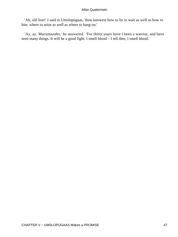'Ah, old lion!' I said to Umslopogaas, 'thou knowest how to lie in wait as well as how to bite, where to seize as well as where to hang on.'

 'Ay, ay, Macumazahn,' he answered. 'For thirty years have I been a warrior, and have seen many things. It will be a good fight. I smell blood – I tell thee, I smell blood.'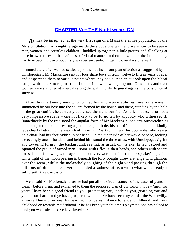## **[CHAPTER Vi − THE Night wears ON](#page-202-0)**

*A*s may be imagined, at the very first sign of a Masai the entire population of the Mission Station had sought refuge inside the stout stone wall, and were now to be seen – men, women, and countless children – huddled up together in little groups, and all talking at once in awed tones of the awfulness of Masai manners and customs, and of the fate that they had to expect if those bloodthirsty savages succeeded in getting over the stone wall.

 Immediately after we had settled upon the outline of our plan of action as suggested by Umslopogaas, Mr Mackenzie sent for four sharp boys of from twelve to fifteen years of age, and despatched them to various points where they could keep an outlook upon the Masai camp, with others to report from time to time what was going on. Other lads and even women were stationed at intervals along the wall in order to guard against the possibility of surprise.

 After this the twenty men who formed his whole available fighting force were summoned by our host into the square formed by the house, and there, standing by the bole of the great conifer, he earnestly addressed them and our four Askari. Indeed, it formed a very impressive scene – one not likely to be forgotten by anybody who witnessed it. Immediately by the tree stood the angular form of Mr Mackenzie, one arm outstretched as he talked, and the other resting against the giant bole, his hat off, and his plain but kindly face clearly betraying the anguish of his mind. Next to him was his poor wife, who, seated on a chair, had her face hidden in her hand. On the other side of her was Alphonse, looking exceedingly uncomfortable, and behind him stood the three of us, with Umslopogaas' grim and towering form in the background, resting, as usual, on his axe. In front stood and squatted the group of armed men – some with rifles in their hands, and others with spears and shields – following with eager attention every word that fell from the speaker's lips. The white light of the moon peering in beneath the lofty boughs threw a strange wild glamour over the scene, whilst the melancholy soughing of the night wind passing through the millions of pine needles overhead added a sadness of its own to what was already a sufficiently tragic occasion.

 'Men,' said Mr Mackenzie, after he had put all the circumstances of the case fully and clearly before them, and explained to them the proposed plan of our forlorn hope – 'men, for years I have been a good friend to you, protecting you, teaching you, guarding you and yours from harm, and ye have prospered with me. Ye have seen my child – the Water−lily, as ye call her – grow year by year, from tenderest infancy to tender childhood, and from childhood on towards maidenhood. She has been your children's playmate, she has helped to tend you when sick, and ye have loved her.'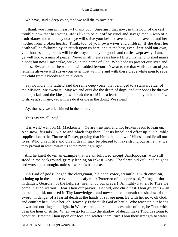'We have,' said a deep voice, 'and we will die to save her.'

 'I thank you from my heart – I thank you. Sure am I that now, in this hour of darkest trouble; now that her young life is like to be cut off by cruel and savage men – who of a truth «know not what they do» – ye will strive your best to save her, and to save me and her mother from broken hearts. Think, too, of your own wives and children. If she dies, her death will be followed by an attack upon us here, and at the best, even if we hold our own, your houses and gardens will be destroyed, and your goods and cattle swept away. I am, as ye well know, a man of peace. Never in all these years have I lifted my hand to shed man's blood; but now I say strike, strike, in the name of God, Who bade us protect our lives and homes. Swear to me,' he went on with added fervour – 'swear to me that whilst a man of you remains alive ye will strive your uttermost with me and with these brave white men to save the child from a bloody and cruel death.'

 'Say no more, my father,' said the same deep voice, that belonged to a stalwart elder of the Mission; 'we swear it. May we and ours die the death of dogs, and our bones be thrown to the jackals and the kites, if we break the oath! It is a fearful thing to do, my father, so few to strike at so many, yet will we do it or die in the doing. We swear!'

'Ay, thus say we all,' chimed in the others.

'Thus say we all,' said I.

 'It is well,' went on Mr Mackenzie. 'Ye are true men and not broken reeds to lean on. And now, friends – white and black together – let us kneel and offer up our humble supplication to the Throne of Power, praying that He in the hollow of Whose hand lie all our lives, Who giveth life and giveth death, may be pleased to make strong our arms that we may prevail in what awaits us at the morning's light.'

 And he knelt down, an example that we all followed except Umslopogaas, who still stood in the background, grimly leaning on Inkosi−kaas. The fierce old Zulu had no gods and worshipped nought, unless it were his battleaxe.

 'Oh God of gods!' began the clergyman, his deep voice, tremulous with emotion, echoing up in the silence even to the leafy roof; 'Protector of the oppressed, Refuge of those in danger, Guardian of the helpless, hear Thou our prayer! Almighty Father, to Thee we come in supplication. Hear Thou our prayer! Behold, one child hast Thou given us – an innocent child, nurtured in Thy knowledge – and now she lies beneath the shadow of the sword, in danger of a fearful death at the hands of savage men. Be with her now, oh God, and comfort her! Save her, oh Heavenly Father! Oh God of battle, Who teacheth our hands to war and our fingers to fight, in Whose strength are hid the destinies of men, be Thou with us in the hour of strife. When we go forth into the shadow of death, make Thou us strong to conquer. Breathe Thou upon our foes and scatter them; turn Thou their strength to water,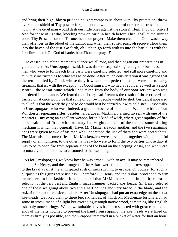and bring their high−blown pride to nought; compass us about with Thy protection; throw over us the shield of Thy power; forget us not now in the hour of our sore distress; help us now that the cruel man would dash our little ones against the stones! Hear Thou our prayer! And for those of us who, kneeling now on earth in health before Thee, shall at the sunrise adore Thy Presence on the Throne, hear our prayer! Make them clean, oh God; wash away their offences in the blood of the Lamb; and when their spirits pass, oh receive Thou them into the haven of the just. Go forth, oh Father, go forth with us into the battle, as with the Israelites of old. Oh God of battle, hear Thou our prayer!'

 He ceased, and after a moment's silence we all rose, and then began our preparations in good earnest. As Umslopogaas said, it was time to stop 'talking' and get to business. The men who were to form each little party were carefully selected, and still more carefully and minutely instructed as to what was to be done. After much consideration it was agreed that the ten men led by Good, whose duty it was to stampede the camp, were not to carry firearms; that is, with the exception of Good himself, who had a revolver as well as a short sword – the Masai 'sime' which I had taken from the body of our poor servant who was murdered in the canoe. We feared that if they had firearms the result of three cross−fires carried on at once would be that some of our own people would be shot; besides, it appeared to all of us that the work they had to do would best be carried out with cold steel – especially to Umslopogaas, who was, indeed, a great advocate of cold steel. We had with us four Winchester repeating rifles, besides half a dozen Martinis. I armed myself with one of the repeaters – my own; an excellent weapon for this kind of work, where great rapidity of fire is desirable, and fitted with ordinary flap−sights instead of the cumbersome sliding mechanism which they generally have. Mr Mackenzie took another, and the two remaining ones were given to two of his men who understood the use of them and were noted shots. The Martinis and some rifles of Mr Mackenzie's were served out, together with a plentiful supply of ammunition, to the other natives who were to form the two parties whose duty it was to be to open fire from separate sides of the kraal on the sleeping Masai, and who were fortunately all more or less accustomed to the use of a gun.

 As for Umslopogaas, we know how he was armed – with an axe. It may be remembered that he, Sir Henry, and the strongest of the Askari were to hold the thorn−stopped entrance to the kraal against the anticipated rush of men striving to escape. Of course, for such a purpose as this guns were useless. Therefore Sir Henry and the Askari proceeded to arm themselves in like fashion. It so happened that Mr Mackenzie had in his little store a selection of the very best and English−made hammer−backed axe−heads. Sir Henry selected one of these weighing about two and a half pounds and very broad in the blade, and the Askari took another a size smaller. After Umslopogaas had put an extra edge on these two axe−heads, we fixed them to three feet six helves, of which Mr Mackenzie fortunately had some in stock, made of a light but exceedingly tough native wood, something like English ash, only more springy. When two suitable helves had been selected with great care and the ends of the hafts notched to prevent the hand from slipping, the axe−heads were fixed on them as firmly as possible, and the weapons immersed in a bucket of water for half an hour.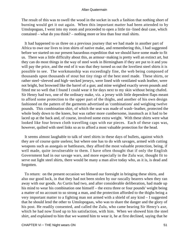The result of this was to swell the wood in the socket in such a fashion that nothing short of burning would get it out again. When this important matter had been attended to by Umslopogaas, I went into my room and proceeded to open a little tin−lined deal case, which contained – what do you think? – nothing more or less than four mail shirts.

 It had happened to us three on a previous journey that we had made in another part of Africa to owe our lives to iron shirts of native make, and remembering this, I had suggested before we started on our present hazardous expedition that we should have some made to fit us. There was a little difficulty about this, as armour−making is pretty well an extinct art, but they can do most things in the way of steel work in Birmingham if they are put to it and you will pay the price, and the end of it was that they turned us out the loveliest steel shirts it is possible to see. The workmanship was exceedingly fine, the web being composed of thousands upon thousands of stout but tiny rings of the best steel made. These shirts, or rather steel−sleeved and high−necked jerseys, were lined with ventilated wash leather, were not bright, but browned like the barrel of a gun; and mine weighed exactly seven pounds and fitted me so well that I found I could wear it for days next to my skin without being chafed. Sir Henry had two, one of the ordinary make, viz. a jersey with little dependent flaps meant to afford some protection to the upper part of the thighs, and another of his own design fashioned on the pattern of the garments advertised as 'combinations' and weighing twelve pounds. This combination shirt, of which the seat was made of wash−leather, protected the whole body down to the knees, but was rather more cumbersome, inasmuch as it had to be laced up at the back and, of course, involved some extra weight. With these shirts were what looked like four brown cloth travelling caps with ear pieces. Each of these caps was, however, quilted with steel links so as to afford a most valuable protection for the head.

 It seems almost laughable to talk of steel shirts in these days of bullets, against which they are of course quite useless; but where one has to do with savages, armed with cutting weapons such as assegais or battleaxes, they afford the most valuable protection, being, if well made, quite invulnerable to them. I have often thought that if only the English Government had in our savage wars, and more especially in the Zulu war, thought fit to serve out light steel shirts, there would be many a man alive today who, as it is, is dead and forgotten.

 To return: on the present occasion we blessed our foresight in bringing these shirts, and also our good luck, in that they had not been stolen by our rascally bearers when they ran away with our goods. As Curtis had two, and after considerable deliberation, had made up his mind to wear his combination one himself – the extra three or four pounds' weight being a matter of no account to so strong a man, and the protection afforded to the thighs being a very important matter to a fighting man not armed with a shield of any kind – I suggested that he should lend the other to Umslopogaas, who was to share the danger and the glory of his post. He readily consented, and called the Zulu, who came bearing Sir Henry's axe, which he had now fixed up to his satisfaction, with him. When we showed him the steel shirt, and explained to him that we wanted him to wear it, he at first declined, saying that he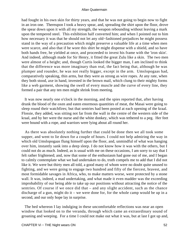had fought in his own skin for thirty years, and that he was not going to begin now to fight in an iron one. Thereupon I took a heavy spear, and, spreading the shirt upon the floor, drove the spear down upon it with all my strength, the weapon rebounding without leaving a mark upon the tempered steel. This exhibition half converted him; and when I pointed out to him how necessary it was that he should not let any old−fashioned prejudices he might possess stand in the way of a precaution which might preserve a valuable life at a time when men were scarce, and also that if he wore this shirt he might dispense with a shield, and so have both hands free, he yielded at once, and proceeded to invest his frame with the 'iron skin'. And indeed, although made for Sir Henry, it fitted the great Zulu like a skin. The two men were almost of a height; and, though Curtis looked the bigger man, I am inclined to think that the difference was more imaginary than real, the fact being that, although he was plumper and rounder, he was not really bigger, except in the arm. Umslopogaas had, comparatively speaking, thin arms, but they were as strong as wire ropes. At any rate, when they both stood, axe in hand, invested in the brown mail, which clung to their mighty forms like a web garment, showing the swell of every muscle and the curve of every line, they formed a pair that any ten men might shrink from meeting.

 It was now nearly one o'clock in the morning, and the spies reported that, after having drunk the blood of the oxen and eaten enormous quantities of meat, the Masai were going to sleep round their watchfires; but that sentries had been posted at each opening of the kraal. Flossie, they added, was sitting not far from the wall in the centre of the western side of the kraal, and by her were the nurse and the white donkey, which was tethered to a peg. Her feet were bound with a rope, and warriors were lying about all round her.

 As there was absolutely nothing further that could be done then we all took some supper, and went to lie down for a couple of hours. I could not help admiring the way in which old Umslopogaas flung himself upon the floor, and, unmindful of what was hanging over him, instantly sank into a deep sleep. I do not know how it was with the others, but I could not do as much. Indeed, as is usual with me on these occasions, I am sorry to say that I felt rather frightened; and, now that some of the enthusiasm had gone out of me, and I began to calmly contemplate what we had undertaken to do, truth compels me to add that I did not like it. We were but thirty men all told, a good many of whom were no doubt quite unused to fighting, and we were going to engage two hundred and fifty of the fiercest, bravest, and most formidable savages in Africa, who, to make matters worse, were protected by a stone wall. It was, indeed, a mad undertaking, and what made it even madder was the exceeding improbability of our being able to take up our positions without attracting the notice of the sentries. Of course if we once did that – and any slight accident, such as the chance discharge of a gun, might do it – we were done for, for the whole camp would be up in a second, and our only hope lay in surprise.

 The bed whereon I lay indulging in these uncomfortable reflections was near an open window that looked on to the veranda, through which came an extraordinary sound of groaning and weeping. For a time I could not make out what it was, but at last I got up and,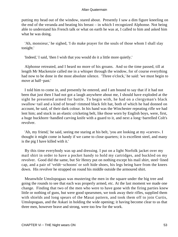putting my head out of the window, stared about. Presently I saw a dim figure kneeling on the end of the veranda and beating his breast – in which I recognized Alphonse. Not being able to understand his French talk or what on earth he was at, I called to him and asked him what he was doing.

 'Ah, monsieur,' he sighed, 'I do make prayer for the souls of those whom I shall slay tonight.'

'Indeed,' I said, 'then I wish that you would do it a little more quietly.'

 Alphonse retreated, and I heard no more of his groans. And so the time passed, till at length Mr Mackenzie called me in a whisper through the window, for of course everything had now to be done in the most absolute silence. 'Three o'clock,' he said: 'we must begin to move at half−past.'

 I told him to come in, and presently he entered, and I am bound to say that if it had not been that just then I had not got a laugh anywhere about me, I should have exploded at the sight he presented armed for battle. To begin with, he had on a clergyman's black swallow−tail and a kind of broad−rimmed black felt hat, both of which he had donned on account, he said, of their dark colour. In his hand was the Winchester repeating rifle we had lent him; and stuck in an elastic cricketing belt, like those worn by English boys, were, first, a huge buckhorn−handled carving knife with a guard to it, and next a long−barrelled Colt's revolver.

 'Ah, my friend,' he said, seeing me staring at his belt, 'you are looking at my «carver». I thought it might come in handy if we came to close quarters; it is excellent steel, and many is the pig I have killed with it.'

 By this time everybody was up and dressing. I put on a light Norfolk jacket over my mail shirt in order to have a pocket handy to hold my cartridges, and buckled on my revolver. Good did the same, but Sir Henry put on nothing except his mail shirt, steel−lined cap, and a pair of 'veldt−schoons' or soft hide shoes, his legs being bare from the knees down. His revolver he strapped on round his middle outside the armoured shirt.

 Meanwhile Umslopogaas was mustering the men in the square under the big tree and going the rounds to see that each was properly armed, etc. At the last moment we made one change. Finding that two of the men who were to have gone with the firing parties knew little or nothing of guns, but were good spearsmen, we took away their rifles, supplied them with shields and long spears of the Masai pattern, and took them off to join Curtis, Umslopogaas, and the Askari in holding the wide opening; it having become clear to us that three men, however brave and strong, were too few for the work.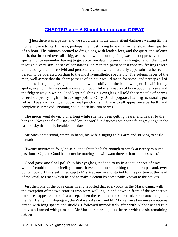## **[CHAPTER Vii − A Slaughter grim and GREAT](#page-202-0)**

**Then there was a pause, and we stood there in the chilly silent darkness waiting till the** moment came to start. It was, perhaps, the most trying time of all – that slow, slow quarter of an hour. The minutes seemed to drag along with leaden feet, and the quiet, the solemn hush, that brooded over all – big, as it were, with a coming fate, was most oppressive to the spirits. I once remember having to get up before dawn to see a man hanged, and I then went through a very similar set of sensations, only in the present instance my feelings were animated by that more vivid and personal element which naturally appertains rather to the person to be operated on than to the most sympathetic spectator. The solemn faces of the men, well aware that the short passage of an hour would mean for some, and perhaps all of them, the last great passage to the unknown or oblivion; the bated whispers in which they spoke; even Sir Henry's continuous and thoughtful examination of his woodcutter's axe and the fidgety way in which Good kept polishing his eyeglass, all told the same tale of nerves stretched pretty nigh to breaking−point. Only Umslopogaas, leaning as usual upon Inkosi−kaas and taking an occasional pinch of snuff, was to all appearance perfectly and completely unmoved. Nothing could touch his iron nerves.

 The moon went down. For a long while she had been getting nearer and nearer to the horizon. Now she finally sank and left the world in darkness save for a faint grey tinge in the eastern sky that palely heralded the dawn.

 Mr Mackenzie stood, watch in hand, his wife clinging to his arm and striving to stifle her sobs.

 'Twenty minutes to four,' he said, 'it ought to be light enough to attack at twenty minutes past four. Captain Good had better be moving, he will want three or four minutes' start.'

 Good gave one final polish to his eyeglass, nodded to us in a jocular sort of way – which I could not help feeling it must have cost him something to muster  $up$  – and, ever polite, took off his steel−lined cap to Mrs Mackenzie and started for his position at the head of the kraal, to reach which he had to make a detour by some paths known to the natives.

 Just then one of the boys came in and reported that everybody in the Masai camp, with the exception of the two sentries who were walking up and down in front of the respective entrances, appeared to be fast asleep. Then the rest of us took the road. First came the guide, then Sir Henry, Umslopogaas, the Wakwafi Askari, and Mr Mackenzie's two mission natives armed with long spears and shields. I followed immediately after with Alphonse and five natives all armed with guns, and Mr Mackenzie brought up the rear with the six remaining natives.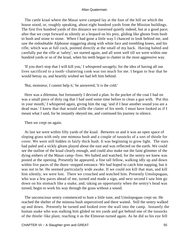The cattle kraal where the Masai were camped lay at the foot of the hill on which the house stood, or, roughly speaking, about eight hundred yards from the Mission buildings. The first five hundred yards of this distance we traversed quietly indeed, but at a good pace; after that we crept forward as silently as a leopard on his prey, gliding like ghosts from bush to bush and stone to stone. When I had gone a little way I chanced to look behind me, and saw the redoubtable Alphonse staggering along with white face and trembling knees, and his rifle, which was at full cock, pointed directly at the small of my back. Having halted and carefully put the rifle at 'safety', we started again, and all went well till we were within one hundred yards or so of the kraal, when his teeth began to chatter in the most aggressive way.

 'If you don't stop that I will kill you,' I whispered savagely; for the idea of having all our lives sacrificed to a tooth−chattering cook was too much for me. I began to fear that he would betray us, and heartily wished we had left him behind.

'But, monsieur, I cannot help it,' he answered, 'it is the cold.'

 Here was a dilemma, but fortunately I devised a plan. In the pocket of the coat I had on was a small piece of dirty rag that I had used some time before to clean a gun with. 'Put this in your mouth,' I whispered again, giving him the rag; 'and if I hear another sound you are a dead man.' I knew that that would stifle the clatter of his teeth. I must have looked as if I meant what I said, for he instantly obeyed me, and continued his journey in silence.

Then we crept on again.

 At last we were within fifty yards of the kraal. Between us and it was an open space of sloping grass with only one mimosa bush and a couple of tussocks of a sort of thistle for cover. We were still hidden in fairly thick bush. It was beginning to grow light. The stars had paled and a sickly gleam played about the east and was reflected on the earth. We could see the outline of the kraal clearly enough, and could also make out the faint glimmer of the dying embers of the Masai camp−fires. We halted and watched, for the sentry we knew was posted at the opening. Presently he appeared, a fine tall fellow, walking idly up and down within five paces of the thorn−stopped entrance. We had hoped to catch him napping, but it was not to be. He seemed particularly wide awake. If we could not kill that man, and kill him silently, we were lost. There we crouched and watched him. Presently Umslopogaas, who was a few paces ahead of me, turned and made a sign, and next second I saw him go down on his stomach like a snake, and, taking an opportunity when the sentry's head was turned, begin to work his way through the grass without a sound.

 The unconscious sentry commenced to hum a little tune, and Umslopogaas crept on. He reached the shelter of the mimosa bush unperceived and there waited. Still the sentry walked up and down. Presently he turned and looked over the wall into the camp. Instantly the human snake who was stalking him glided on ten yards and got behind one of the tussocks of the thistle−like plant, reaching it as the Elmoran turned again. As he did so his eye fell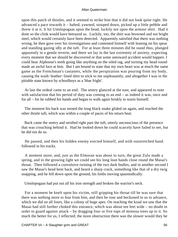upon this patch of thistles, and it seemed to strike him that it did not look quite right. He advanced a pace towards it – halted, yawned, stooped down, picked up a little pebble and threw it at it. It hit Umslopogaas upon the head, luckily not upon the armour shirt. Had it done so the clink would have betrayed us. Luckily, too, the shirt was browned and not bright steel, which would certainly have been detected. Apparently satisfied that there was nothing wrong, he then gave over his investigations and contented himself with leaning on his spear and standing gazing idly at the tuft. For at least three minutes did he stand thus, plunged apparently in a gentle reverie, and there we lay in the last extremity of anxiety, expecting every moment that we should be discovered or that some untoward accident would happen. I could hear Alphonse's teeth going like anything on the oiled rag, and turning my head round made an awful face at him. But I am bound to state that my own heart was at much the same game as the Frenchman's castanets, while the perspiration was pouring from my body, causing the wash−leather−lined shirt to stick to me unpleasantly, and altogether I was in the pitiable state known by schoolboys as a 'blue fright'.

 At last the ordeal came to an end. The sentry glanced at the east, and appeared to note with satisfaction that his period of duty was coming to an end – as indeed it was, once and for all – for he rubbed his hands and began to walk again briskly to warm himself.

 The moment his back was turned the long black snake glided on again, and reached the other thistle tuft, which was within a couple of paces of his return beat.

 Back came the sentry and strolled right past the tuft, utterly unconscious of the presence that was crouching behind it. Had he looked down he could scarcely have failed to see, but he did not do so.

 He passed, and then his hidden enemy erected himself, and with outstretched hand followed in his tracks.

 A moment more, and, just as the Elmoran was about to turn, the great Zulu made a spring, and in the growing light we could see his long lean hands close round the Masai's throat. Then followed a convulsive twining of the two dark bodies, and in another second I saw the Masai's head bent back, and heard a sharp crack, something like that of a dry twig snapping, and he fell down upon the ground, his limbs moving spasmodically.

Umslopogaas had put out all his iron strength and broken the warrior's neck.

 For a moment he knelt upon his victim, still gripping his throat till he was sure that there was nothing more to fear from him, and then he rose and beckoned to us to advance, which we did on all fours, like a colony of huge apes. On reaching the kraal we saw that the Masai had still further choked this entrance, which was about ten feet wide – no doubt in order to guard against attack – by dragging four or five tops of mimosa trees up to it. So much the better for us, I reflected; the more obstruction there was the slower would they be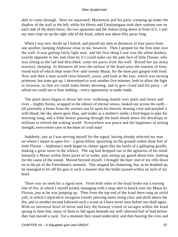able to come through. Here we separated; Mackenzie and his party creeping up under the shadow of the wall to the left, while Sir Henry and Umslopogaas took their stations one on each side of the thorn fence, the two spearmen and the Askari lying down in front of it. I and my men crept on up the right side of the kraal, which was about fifty paces long.

 When I was two−thirds up I halted, and placed my men at distances of four paces from one another, keeping Alphonse close to me, however. Then I peeped for the first time over the wall. It was getting fairly light now, and the first thing I saw was the white donkey, exactly opposite to me, and close by it I could make out the pale face of little Flossie, who was sitting as the lad had described, some ten paces from the wall. Round her lay many warriors, sleeping. At distances all over the surface of the kraal were the remains of fires, round each of which slept some five−and−twenty Masai, for the most part gorged with food. Now and then a man would raise himself, yawn, and look at the east, which was turning primrose; but none got up. I determined to wait another five minutes, both to allow the light to increase, so that we could make better shooting, and to give Good and his party – of whom we could see or hear nothing – every opportunity to make ready.

 The quiet dawn began to throw her ever−widening mantle over plain and forest and river – mighty Kenia, wrapped in the silence of eternal snows, looked out across the earth – till presently a beam from the unrisen sun lit upon his heaven−kissing crest and purpled it with blood; the sky above grew blue, and tender as a mother's smile; a bird began to pipe his morning song, and a little breeze passing through the bush shook down the dewdrops in millions to refresh the waking world. Everywhere was peace and the happiness of arising strength, everywhere save in the heart of cruel man!

 Suddenly, just as I was nerving myself for the signal, having already selected my man on whom I meant to open fire – a great fellow sprawling on the ground within three feet of little Flossie – Alphonse's teeth began to chatter again like the hoofs of a galloping giraffe, making a great noise in the silence. The rag had dropped out in the agitation of his mind. Instantly a Masai within three paces of us woke, and, sitting up, gazed about him, looking for the cause of the sound. Moved beyond myself, I brought the butt−end of my rifle down on to the pit of the Frenchman's stomach. This stopped his chattering; but, as he doubled up, he managed to let off his gun in such a manner that the bullet passed within an inch of my head.

 There was no need for a signal now. From both sides of the kraal broke out a waving line of fire, in which I myself joined, managing with a snap shot to knock over my Masai by Flossie, just as he was jumping up. Then from the top end of the kraal there rang an awful yell, in which I rejoiced to recognize Good's piercing notes rising clear and shrill above the din, and in another second followed such a scene as I have never seen before nor shall again. With an universal howl of terror and fury the brawny crowd of savages within the kraal sprang to their feet, many of them to fall again beneath our well−directed hail of lead before they had moved a yard. For a moment they stood undecided, and then hearing the cries and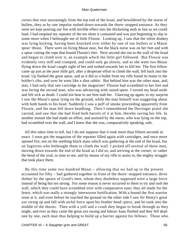curses that rose unceasingly from the top end of the kraal, and bewildered by the storm of bullets, they as by one impulse rushed down towards the thorn−stopped entrance. As they went we kept pouring our fire with terrible effect into the thickening mob as fast as we could load. I had emptied my repeater of the ten shots it contained and was just beginning to slip in some more when I bethought me of little Flossie. Looking up, I saw that the white donkey was lying kicking, having been knocked over either by one of our bullets or a Masai spear−thrust. There were no living Masai near, but the black nurse was on her feet and with a spear cutting the rope that bound Flossie's feet. Next second she ran to the wall of the kraal and began to climb over it, an example which the little girl followed. But Flossie was evidently very stiff and cramped, and could only go slowly, and as she went two Masai flying down the kraal caught sight of her and rushed towards her to kill her. The first fellow came up just as the poor little girl, after a desperate effort to climb the wall, fell back into the kraal. Up flashed the great spear, and as it did so a bullet from my rifle found its home in the holder's ribs, and over he went like a shot rabbit. But behind him was the other man, and, alas, I had only that one cartridge in the magazine! Flossie had scrambled to her feet and was facing the second man, who was advancing with raised spear. I turned my head aside and felt sick as death. I could not bear to see him stab her. Glancing up again, to my surprise I saw the Masai's spear lying on the ground, while the man himself was staggering about with both hands to his head. Suddenly I saw a puff of smoke proceeding apparently from Flossie, and the man fell down headlong. Then I remembered the Derringer pistol she carried, and saw that she had fired both barrels of it at him, thereby saving her life. In another instant she had made an effort, and assisted by the nurse, who was lying on the top, had scrambled over the wall, and I knew that she was, comparatively speaking, safe.

 All this takes time to tell, but I do not suppose that it took more than fifteen seconds to enact. I soon got the magazine of the repeater filled again with cartridges, and once more opened fire, not on the seething black mass which was gathering at the end of the kraal, but on fugitives who bethought them to climb the wall. I picked off several of these men, moving down towards the end of the kraal as I did so, and arriving at the corner, or rather the bend of the oval, in time to see, and by means of my rifle to assist in, the mighty struggle that took place there.

 By this time some two hundred Masai – allowing that we had up to the present accounted for fifty – had gathered together in front of the thorn−stopped entrance, drive thither by the spears of Good's men, whom they doubtless supposed were a large force instead of being but ten strong. For some reason it never occurred to them to try and rush the wall, which they could have scrambled over with comparative ease; they all made for the fence, which was really a strongly interwoven fortification. With a bound the first warrior went at it, and even before he touched the ground on the other side I saw Sir Henry's great axe swing up and fall with awful force upon his feather head−piece, and he sank into the middle of the thorns. Then with a yell and a crash they began to break through as they might, and ever as they came the great axe swung and Inkosi−kaas flashed and they fell dead one by one, each man thus helping to build up a barrier against his fellows. Those who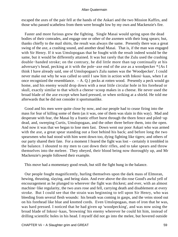escaped the axes of the pair fell at the hands of the Askari and the two Mission Kaffirs, and those who passed scatheless from them were brought low by my own and Mackenzie's fire.

 Faster and more furious grew the fighting. Single Masai would spring upon the dead bodies of their comrades, and engage one or other of the axemen with their long spears; but, thanks chiefly to the mail shirts, the result was always the same. Presently there was a great swing of the axe, a crashing sound, and another dead Masai. That is, if the man was engaged with Sir Henry. If it was Umslopogaas that he fought with the result indeed would be the same, but it would be differently attained. It was but rarely that the Zulu used the crashing double−handed stroke; on the contrary, he did little more than tap continually at his adversary's head, pecking at it with the pole−axe end of the axe as a woodpecker \*{As I think I have already said, one of Umslopogaas's Zulu names was the 'Woodpecker'. I could never make out why he was called so until I saw him in action with Inkosi−kaas, when I at once recognized the resemblance.  $-A$ . Q.} pecks at rotten wood. Presently a peck would go home, and his enemy would drop down with a neat little circular hole in his forehead or skull, exactly similar to that which a cheese−scoop makes in a cheese. He never used the broad blade of the axe except when hard pressed, or when striking at a shield. He told me afterwards that he did not consider it sportsmanlike.

 Good and his men were quite close by now, and our people had to cease firing into the mass for fear of killing some of them (as it was, one of them was slain in this way). Mad and desperate with fear, the Masai by a frantic effort burst through the thorn fence and piled−up dead, and, sweeping Curtis, Umslopogaas, and the other three before them, into the open. And now it was that we began to lose men fast. Down went our poor Askari who was armed with the axe, a great spear standing out a foot behind his back; and before long the two spearsmen who had stood with him went down too, dying fighting like tigers; and others of our party shared their fate. For a moment I feared the fight was lost – certainly it trembled in the balance. I shouted to my men to cast down their rifles, and to take spears and throw themselves into the meleee. They obeyed, their blood being now thoroughly up, and Mr Mackenzie's people followed their example.

This move had a momentary good result, but still the fight hung in the balance.

 Our people fought magnificently, hurling themselves upon the dark mass of Elmoran, hewing, thrusting, slaying, and being slain. And ever above the din rose Good's awful yell of encouragement as he plunged to wherever the fight was thickest; and ever, with an almost machine−like regularity, the two axes rose and fell, carrying death and disablement at every stroke. But I could see that the strain was beginning to tell upon Sir Henry, who was bleeding from several flesh wounds: his breath was coming in gasps, and the veins stood out on his forehead like blue and knotted cords. Even Umslopogaas, man of iron that he was, was hard pressed. I noticed that he had given up 'woodpecking', and was now using the broad blade of Inkosi−kaas, 'browning' his enemy wherever he could hit him, instead of drilling scientific holes in his head. I myself did not go into the melee, but hovered outside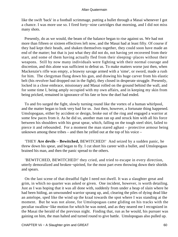like the swift 'back' in a football scrimmage, putting a bullet through a Masai whenever I got a chance. I was more use so. I fired forty−nine cartridges that morning, and I did not miss many shots.

 Presently, do as we would, the beam of the balance began to rise against us. We had not more than fifteen or sixteen effectives left now, and the Masai had at least fifty. Of course if they had kept their heads, and shaken themselves together, they could soon have made an end of the matter; but that is just what they did not do, not having yet recovered from their start, and some of them having actually fled from their sleeping−places without their weapons. Still by now many individuals were fighting with their normal courage and discretion, and this alone was sufficient to defeat us. To make matters worse just then, when Mackenzie's rifle was empty, a brawny savage armed with a 'sime', or sword, made a rush for him. The clergyman flung down his gun, and drawing his huge carver from his elastic belt (his revolver had dropped out in the fight), they closed in desperate struggle. Presently, locked in a close embrace, missionary and Masai rolled on the ground behind the wall, and for some time I, being amply occupied with my own affairs, and in keeping my skin from being pricked, remained in ignorance of his fate or how the duel had ended.

 To and fro surged the fight, slowly turning round like the vortex of a human whirlpool, and the matter began to look very bad for us. Just then, however, a fortunate thing happened. Umslopogaas, either by accident or design, broke out of the ring and engaged a warrior at some few paces from it. As he did so, another man ran up and struck him with all his force between his shoulders with his great spear, which, falling on the tough steel shirt, failed to pierce it and rebounded. For a moment the man stared aghast – protective armour being unknown among these tribes – and then he yelled out at the top of his voice –

 'THEY **Are devils** – **Bewitched,** BEWITCHED!' And seized by a sudden panic, he threw down his spear, and began to fly. I cut short his career with a bullet, and Umslopogaas brained his man, and then the panic spread to the others.

 'BEWITCHED, BEWITCHED!' they cried, and tried to escape in every direction, utterly demoralized and broken−spirited, for the most part even throwing down their shields and spears.

 On the last scene of that dreadful fight I need not dwell. It was a slaughter great and grim, in which no quarter was asked or given. One incident, however, is worth detailing. Just as I was hoping that it was all done with, suddenly from under a heap of slain where he had been hiding, an unwounded warrior sprang up, and, clearing the piles of dying dead like an antelope, sped like the wind up the kraal towards the spot where I was standing at the moment. But he was not alone, for Umslopogaas came gliding on his tracks with the peculiar swallow−like motion for which he was noted, and as they neared me I recognized in the Masai the herald of the previous night. Finding that, run as he would, his pursuer was gaining on him, the man halted and turned round to give battle. Umslopogaas also pulled up.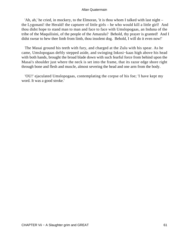'Ah, ah,' he cried, in mockery, to the Elmoran, 'it is thou whom I talked with last night – the Lygonani! the Herald! the capturer of little girls – he who would kill a little girl! And thou didst hope to stand man to man and face to face with Umslopogaas, an Induna of the tribe of the Maquilisini, of the people of the Amazulu? Behold, thy prayer is granted! And I didst swear to hew thee limb from limb, thou insolent dog. Behold, I will do it even now!'

 The Masai ground his teeth with fury, and charged at the Zulu with his spear. As he came, Umslopogaas deftly stepped aside, and swinging Inkosi−kaas high above his head with both hands, brought the broad blade down with such fearful force from behind upon the Masai's shoulder just where the neck is set into the frame, that its razor edge shore right through bone and flesh and muscle, almost severing the head and one arm from the body.

 'OU!' ejaculated Umslopogaas, contemplating the corpse of his foe; 'I have kept my word. It was a good stroke.'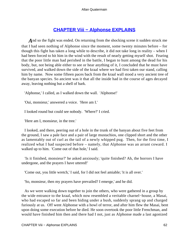# **[CHAPTER Viii − Alphonse EXPLAINS](#page-202-0)**

*A* nd so the fight was ended. On returning from the shocking scene it sudden struck me that I had seen nothing of Alphonse since the moment, some twenty minutes before – for though this fight has taken a long while to describe, it did not take long in reality – when I had been forced to hit him in the wind with the result of nearly getting myself shot. Fearing that the poor little man had perished in the battle, I began to hunt among the dead for his body, but, not being able either to see or hear anything of it, I concluded that he must have survived, and walked down the side of the kraal where we had first taken our stand, calling him by name. Now some fifteen paces back from the kraal wall stood a very ancient tree of the banyan species. So ancient was it that all the inside had in the course of ages decayed away, leaving nothing but a shell of bark.

'Alphonse,' I called, as I walked down the wall. 'Alphonse!'

'Oui, monsieur,' answered a voice. 'Here am I.'

I looked round but could see nobody. 'Where?' I cried.

'Here am I, monsieur, in the tree.'

 I looked, and there, peering out of a hole in the trunk of the banyan about five feet from the ground, I saw a pale face and a pair of large mustachios, one clipped short and the other as lamentably out of curl as the tail of a newly whipped pug. Then, for the first time, I realized what I had suspected before – namely, that Alphonse was an arrant coward. I walked up to him. 'Come out of that hole,' I said.

 'Is it finished, monsieur?' he asked anxiously; 'quite finished? Ah, the horrors I have undergone, and the prayers I have uttered!'

'Come out, you little wretch,' I said, for I did not feel amiable; 'it is all over.'

'So, monsieur, then my prayers have prevailed? I emerge,' and he did.

 As we were walking down together to join the others, who were gathered in a group by the wide entrance to the kraal, which now resembled a veritable charnel−house, a Masai, who had escaped so far and been hiding under a bush, suddenly sprang up and charged furiously at us. Off went Alphonse with a howl of terror, and after him flew the Masai, bent upon doing some execution before he died. He soon overtook the poor little Frenchman, and would have finished him then and there had I not, just as Alphonse made a last agonized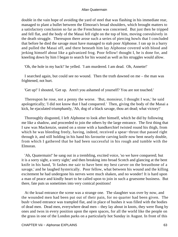double in the vain hope of avoiding the yard of steel that was flashing in his immediate rear, managed to plant a bullet between the Elmoran's broad shoulders, which brought matters to a satisfactory conclusion so far as the Frenchman was concerned. But just then he tripped and fell flat, and the body of the Masai fell right on the top of him, moving convulsively in the death struggle. Thereupon there arose such a series of piercing howls that I concluded that before he died the savage must have managed to stab poor Alphonse. I ran up in a hurry and pulled the Masai off, and there beneath him lay Alphonse covered with blood and jerking himself about like a galvanized frog. Poor fellow! thought I, he is done for, and kneeling down by him I began to search for his wound as well as his struggles would allow.

'Oh, the hole in my back!' he yelled. 'I am murdered. I am dead. Oh, Annette!'

 I searched again, but could see no wound. Then the truth dawned on me – the man was frightened, not hurt.

'Get up!' I shouted, 'Get up. Aren't you ashamed of yourself? You are not touched.'

 Thereupon he rose, not a penny the worse. 'But, monsieur, I thought I was,' he said apologetically; 'I did not know that I had conquered.' Then, giving the body of the Masai a kick, he ejaculated triumphantly, 'Ah, dog of a black savage, thou art dead; what victory!'

 Thoroughly disgusted, I left Alphonse to look after himself, which he did by following me like a shadow, and proceeded to join the others by the large entrance. The first thing that I saw was Mackenzie, seated on a stone with a handkerchief twisted round his thigh, from which he was bleeding freely, having, indeed, received a spear−thrust that passed right through it, and still holding in his hand his favourite carving knife now bent nearly double, from which I gathered that he had been successful in his rough and tumble with the Elmoran.

 'Ah, Quatermain!' he sang out in a trembling, excited voice, 'so we have conquered; but it is a sorry sight, a sorry sight;' and then breaking into broad Scotch and glancing at the bent knife in his hand, 'It fashes me sair to have bent my best carver on the breastbone of a savage,' and he laughed hysterically. Poor fellow, what between his wound and the killing excitement he had undergone his nerves were much shaken, and no wonder! It is hard upon a man of peace and kindly heart to be called upon to join in such a gruesome business. But there, fate puts us sometimes into very comical positions!

 At the kraal entrance the scene was a strange one. The slaughter was over by now, and the wounded men had been put out of their pain, for no quarter had been given. The bush−closed entrance was trampled flat, and in place of bushes it was filled with the bodies of dead men. Dead men, everywhere dead men – they lay about in knots, they were flung by ones and twos in every position upon the open spaces, for all the world like the people on the grass in one of the London parks on a particularly hot Sunday in August. In front of this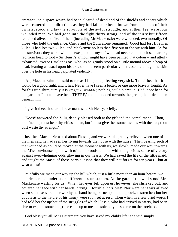entrance, on a space which had been cleared of dead and of the shields and spears which were scattered in all directions as they had fallen or been thrown from the hands of their owners, stood and lay the survivors of the awful struggle, and at their feet were four wounded men. We had gone into the fight thirty strong, and of the thirty but fifteen remained alive, and five of them (including Mr Mackenzie) were wounded, two mortally. Of those who held the entrance, Curtis and the Zulu alone remained. Good had lost five men killed, I had lost two killed, and Mackenzie no less than five out of the six with him. As for the survivors they were, with the exception of myself who had never come to close quarters, red from head to foot – Sir Henry's armour might have been painted that colour – and utterly exhausted, except Umslopogaas, who, as he grimly stood on a little mound above a heap of dead, leaning as usual upon his axe, did not seem particularly distressed, although the skin over the hole in his head palpitated violently.

 'Ah, Macumazahn!' he said to me as I limped up, feeling very sick, 'I told thee that it would be a good fight, and it has. Never have I seen a better, or one more bravely fought. As for this iron shirt, surely it is «tagati» [bewitched]; nothing could pierce it. Had it not been for the garment I should have been THERE,' and he nodded towards the great pile of dead men beneath him.

'I give it thee; thou art a brave man,' said Sir Henry, briefly.

 'Koos!' answered the Zulu, deeply pleased both at the gift and the compliment. 'Thou, too, Incubu, didst bear thyself as a man, but I must give thee some lessons with the axe; thou dost waste thy strength.'

 Just then Mackenzie asked about Flossie, and we were all greatly relieved when one of the men said he had seen her flying towards the house with the nurse. Then bearing such of the wounded as could be moved at the moment with us, we slowly made our way towards the Mission−house, spent with toil and bloodshed, but with the glorious sense of victory against overwhelming odds glowing in our hearts. We had saved the life of the little maid, and taught the Masai of those parts a lesson that they will not forget for ten years – but at what a cost!

 Painfully we made our way up the hill which, just a little more than an hour before, we had descended under such different circumstances. At the gate of the wall stood Mrs Mackenzie waiting for us. When her eyes fell upon us, however, she shrieked out, and covered her face with her hands, crying, 'Horrible, horrible!' Nor were her fears allayed when she discovered her worthy husband being borne upon an improvized stretcher; but her doubts as to the nature of his injury were soon set at rest. Then when in a few brief words I had told her the upshot of the struggle (of which Flossie, who had arrived in safety, had been able to explain something) she came up to me and solemnly kissed me on the forehead.

'God bless you all, Mr Quatermain; you have saved my child's life,' she said simply.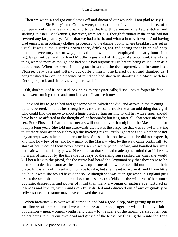Then we went in and got our clothes off and doctored our wounds; I am glad to say I had none, and Sir Henry's and Good's were, thanks to those invaluable chain shirts, of a comparatively harmless nature, and to be dealt with by means of a few stitches and sticking−plaster. Mackenzie's, however, were serious, though fortunately the spear had not severed any large artery. After that we had a bath, and what a luxury it was! And having clad ourselves in ordinary clothes, proceeded to the dining−room, where breakfast was set as usual. It was curious sitting down there, drinking tea and eating toast in an ordinary nineteenth−century sort of way just as though we had not employed the early hours in a regular primitive hand−to−hand Middle−Ages kind of struggle. As Good said, the whole thing seemed more as though one had had a bad nightmare just before being called, than as a deed done. When we were finishing our breakfast the door opened, and in came little Flossie, very pale and tottery, but quite unhurt. She kissed us all and thanked us. I congratulated her on the presence of mind she had shown in shooting the Masai with her Derringer pistol, and thereby saving her own life.

 'Oh, don't talk of it!' she said, beginning to cry hysterically; 'I shall never forget his face as he went turning round and round, never – I can see it now.'

 I advised her to go to bed and get some sleep, which she did, and awoke in the evening quite recovered, so far as her strength was concerned. It struck me as an odd thing that a girl who could find the nerve to shoot a huge black ruffian rushing to kill her with a spear should have been so affected at the thought of it afterwards; but it is, after all, characteristic of the sex. Poor Flossie! I fear that her nerves will not get over that night in the Masai camp for many a long year. She told me afterwards that it was the suspense that was so awful, having to sit there hour after hour through the livelong night utterly ignorant as to whether or not any attempt was to be made to rescue her. She said that on the whole she did not expect it, knowing how few of us, and how many of the Masai – who, by the way, came continually to stare at her, most of them never having seen a white person before, and handled her arms and hair with their filthy paws. She said also that she had made up her mind that if she saw no signs of succour by the time the first rays of the rising sun reached the kraal she would kill herself with the pistol, for the nurse had heard the Lygonani say that they were to be tortured to death as soon as the sun was up if one of the white men did not come in their place. It was an awful resolution to have to take, but she meant to act on it, and I have little doubt but what she would have done so. Although she was at an age when in England girls are in the schoolroom and come down to dessert, this 'child of the wilderness' had more courage, discretion, and power of mind than many a woman of mature age nurtured in idleness and luxury, with minds carefully drilled and educated out of any originality or self−resource that nature may have endowed them with.

When breakfast was over we all turned in and had a good sleep, only getting up in time for dinner; after which meal we once more adjourned, together with all the available population – men, women, youths, and girls – to the scene of the morning's slaughter, our object being to bury our own dead and get rid of the Masai by flinging them into the Tana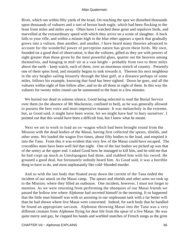River, which ran within fifty yards of the kraal. On reaching the spot we disturbed thousands upon thousands of vultures and a sort of brown bush eagle, which had been flocking to the feast from miles and miles away. Often have I watched these great and repulsive birds, and marvelled at the extraordinary speed with which they arrive on a scene of slaughter. A buck falls to your rifle, and within a minute high in the blue ether appears a speck that gradually grows into a vulture, then another, and another. I have heard many theories advanced to account for the wonderful power of perception nature has given these birds. My own, founded on a good deal of observation, is that the vultures, gifted as they are with powers of sight greater than those given by the most powerful glass, quarter out the heavens among themselves, and hanging in mid−air at a vast height – probably from two to three miles above the earth – keep watch, each of them, over an enormous stretch of country. Presently one of them spies food, and instantly begins to sink towards it. Thereon his next neighbour in the airy heights sailing leisurely through the blue gulf, at a distance perhaps of some miles, follows his example, knowing that food has been sighted. Down he goes, and all the vultures within sight of him follow after, and so do all those in sight of them. In this way the vultures for twenty miles round can be summoned to the feast in a few minutes.

 We buried our dead in solemn silence, Good being selected to read the Burial Service over them (in the absence of Mr Mackenzie, confined to bed), as he was generally allowed to possess the best voice and most impressive manner. It was melancholy in the extreme, but, as Good said, it might have been worse, for we might have had 'to bury ourselves'. I pointed out that this would have been a difficult feat, but I knew what he meant.

 Next we set to work to load an ox−wagon which had been brought round from the Mission with the dead bodies of the Masai, having first collected the spears, shields, and other arms. We loaded the wagon five times, about fifty bodies to the load, and emptied it into the Tana. From this it was evident that very few of the Masai could have escaped. The crocodiles must have been well fed that night. One of the last bodies we picked up was that of the sentry at the upper end. I asked Good how he managed to kill him, and he told me that he had crept up much as Umslopogaas had done, and stabbed him with his sword. He groaned a good deal, but fortunately nobody heard him. As Good said, it was a horrible thing to have to do, and most unpleasantly like cold−blooded murder.

 And so with the last body that floated away down the current of the Tana ended the incident of our attack on the Masai camp. The spears and shields and other arms we took up to the Mission, where they filled an outhouse. One incident, however, I must not forget to mention. As we were returning from performing the obsequies of our Masai friends we passed the hollow tree where Alphonse had secreted himself in the morning. It so happened that the little man himself was with us assisting in our unpleasant task with a far better will than he had shown where live Masai were concerned. Indeed, for each body that he handled he found an appropriate sarcasm. Alphonse throwing Masai into the Tana was a very different creature from Alphonse flying for dear life from the spear of a live Masai. He was quite merry and gay, he clapped his hands and warbled snatches of French songs as the grim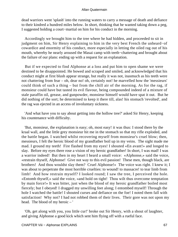dead warriors went 'splash' into the running waters to carry a message of death and defiance to their kindred a hundred miles below. In short, thinking that he wanted taking down a peg, I suggested holding a court−martial on him for his conduct in the morning.

 Accordingly we brought him to the tree where he had hidden, and proceeded to sit in judgment on him, Sir Henry explaining to him in the very best French the unheard−of cowardice and enormity of his conduct, more especially in letting the oiled rag out of his mouth, whereby he nearly aroused the Masai camp with teeth−chattering and brought about the failure of our plans: ending up with a request for an explanation.

 But if we expected to find Alphonse at a loss and put him to open shame we were destined to be disappointed. He bowed and scraped and smiled, and acknowledged that his conduct might at first blush appear strange, but really it was not, inasmuch as his teeth were not chattering from fear – oh, dear no! oh, certainly not! he marvelled how the 'messieurs' could think of such a thing – but from the chill air of the morning. As for the rag, if monsieur could have but tasted its evil flavour, being compounded indeed of a mixture of stale paraffin oil, grease, and gunpowder, monsieur himself would have spat it out. But he did nothing of the sort; he determined to keep it there till, alas! his stomach 'revolted', and the rag was ejected in an access of involuntary sickness.

 'And what have you to say about getting into the hollow tree?' asked Sir Henry, keeping his countenance with difficulty.

 'But, monsieur, the explanation is easy; oh, most easy! it was thus: I stood there by the kraal wall, and the little grey monsieur hit me in the stomach so that my rifle exploded, and the battle began. I watched whilst recovering myself from monsieur's cruel blow; then, messieurs, I felt the heroic blood of my grandfather boil up in my veins. The sight made me mad. I ground my teeth! Fire flashed from my eyes! I shouted «En avant!» and longed to slay. Before my eyes there rose a vision of my heroic grandfather! In short, I was mad! I was a warrior indeed! But then in my heart I heard a small voice: «Alphonse,» said the voice, «restrain thyself, Alphonse! Give not way to this evil passion! These men, though black, are brothers! And thou wouldst slay them? Cruel Alphonse!» The voice was right. I knew it; I was about to perpetrate the most horrible cruelties: to wound! to massacre! to tear limb from limb! And how restrain myself? I looked round; I saw the tree, I perceived the hole. «Entomb thyself,» said the voice, «and hold on tight! Thou wilt thus overcome temptation by main force!» It was bitter, just when the blood of my heroic grandfather boiled most fiercely; but I obeyed! I dragged my unwilling feet along; I entombed myself! Through the hole I watched the battle! I shouted curses and defiance on the foe! I noted them fall with satisfaction! Why not? I had not robbed them of their lives. Their gore was not upon my head. The blood of my heroic – '

 'Oh, get along with you, you little cur!' broke out Sir Henry, with a shout of laughter, and giving Alphonse a good kick which sent him flying off with a rueful face.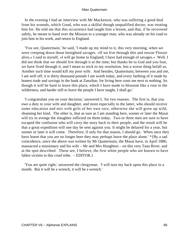In the evening I had an interview with Mr Mackenzie, who was suffering a good deal from his wounds, which Good, who was a skilful though unqualified doctor, was treating him for. He told me that this occurrence had taught him a lesson, and that, if he recovered safely, he meant to hand over the Mission to a younger man, who was already on his road to join him in his work, and return to England.

 'You see, Quatermain,' he said, 'I made up my mind to it, this very morning, when we were creeping down those benighted savages. «If we live through this and rescue Flossie alive,» I said to myself, «I will go home to England; I have had enough of savages.» Well, I did not think that we should live through it at the time; but thanks be to God and you four, we have lived through it, and I mean to stick to my resolution, lest a worse thing befall us. Another such time would kill my poor wife. And besides, Quatermain, between you and me, I am well off; it is thirty thousand pounds I am worth today, and every farthing of it made by honest trade and savings in the bank at Zanzibar, for living here costs me next to nothing. So though it will be hard to leave this place, which I have made to blossom like a rose in the wilderness, and harder still to leave the people I have taught, I shall go.'

 'I congratulate you on your decision,' answered I, 'for two reasons. The first is, that you owe a duty to your wife and daughter, and more especially to the latter, who should receive some education and mix with girls of her own race, otherwise she will grow up wild, shunning her kind. The other is, that as sure as I am standing here, sooner or later the Masai will try to avenge the slaughter inflicted on them today. Two or three men are sure to have escaped the confusion who will carry the story back to their people, and the result will be that a great expedition will one day be sent against you. It might be delayed for a year, but sooner or later it will come. Therefore, if only for that reason, I should go. When once they have learnt that you are no longer here they may perhaps leave the place alone.' \*{By a sad coincidence, since the above was written by Mr Quatermain, the Masai have, in April 1886, massacred a missionary and his wife – Mr and Mrs Houghton – on this very Tana River, and at the spot described. These are, I believe, the first white people who are known to have fallen victims to this cruel tribe. – EDITOR.}

 'You are quite right,' answered the clergyman. 'I will turn my back upon this place in a month. But it will be a wrench, it will be a wrench.'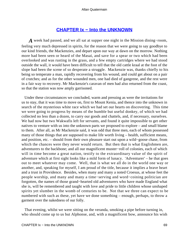## **[CHAPTER Ix − Into the UNKNOWN](#page-202-0)**

*A* week had passed, and we all sat at supper one night in the Mission dining−room, feeling very much depressed in spirits, for the reason that we were going to say goodbye to our kind friends, the Mackenzies, and depart upon our way at dawn on the morrow. Nothing more had been seen or heard of the Masai, and save for a spear or two which had been overlooked and was rusting in the grass, and a few empty cartridges where we had stood outside the wall, it would have been difficult to tell that the old cattle kraal at the foot of the slope had been the scene of so desperate a struggle. Mackenzie was, thanks chiefly to his being so temperate a man, rapidly recovering from his wound, and could get about on a pair of crutches; and as for the other wounded men, one had died of gangrene, and the rest were in a fair way to recovery. Mr Mackenzie's caravan of men had also returned from the coast, so that the station was now amply garrisoned.

 Under these circumstances we concluded, warm and pressing as were the invitations for us to stay, that it was time to move on, first to Mount Kenia, and thence into the unknown in search of the mysterious white race which we had set our hearts on discovering. This time we were going to progress by means of the humble but useful donkey, of which we had collected no less than a dozen, to carry our goods and chattels, and, if necessary, ourselves. We had now but two Wakwafis left for servants, and found it quite impossible to get other natives to venture with us into the unknown parts we proposed to explore – and small blame to them. After all, as Mr Mackenzie said, it was odd that three men, each of whom possessed many of those things that are supposed to make life worth living – health, sufficient means, and position, etc. – should from their own pleasure start out upon a wild−goose chase, from which the chances were they never would return. But then that is what Englishmen are, adventurers to the backbone; and all our magnificent muster−roll of colonies, each of which will in time become a great nation, testify to the extraordinary value of the spirit of adventure which at first sight looks like a mild form of lunacy. 'Adventurer' – he that goes out to meet whatever may come. Well, that is what we all do in the world one way or another, and, speaking for myself, I am proud of the title, because it implies a brave heart and a trust in Providence. Besides, when many and many a noted Croesus, at whose feet the people worship, and many and many a time−serving and word−coining politician are forgotten, the names of those grand−hearted old adventurers who have made England what she is, will be remembered and taught with love and pride to little children whose unshaped spirits yet slumber in the womb of centuries to be. Not that we three can expect to be numbered with such as these, yet have we done something – enough, perhaps, to throw a garment over the nakedness of our folly.

 That evening, whilst we were sitting on the veranda, smoking a pipe before turning in, who should come up to us but Alphonse, and, with a magnificent bow, announce his wish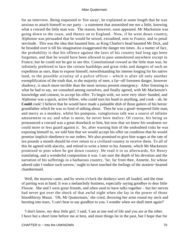for an interview. Being requested to 'fire away', he explained at some length that he was anxious to attach himself to our party – a statement that astonished me not a little, knowing what a coward the little man was. The reason, however, soon appeared. Mr Mackenzie was going down to the coast, and thence on to England. Now, if he went down country, Alphonse was persuaded that he would be seized, extradited, sent to France, and to penal servitude. This was the idea that haunted him, as King Charles's head haunted Mr Dick, and he brooded over it till his imagination exaggerated the danger ten times. As a matter of fact, the probability is that his offence against the laws of his country had long ago been forgotten, and that he would have been allowed to pass unmolested anywhere except in France; but he could not be got to see this. Constitutional coward as the little man was, he infinitely preferred to face the certain hardships and great risks and dangers of such an expedition as ours, than to expose himself, notwithstanding his intense longing for his native land, to the possible scrutiny of a police officer – which is after all only another exemplification of the truth that, to the majority of men, a far−off foreseen danger, however shadowy, is much more terrible than the most serious present emergency. After listening to what he had to say, we consulted among ourselves, and finally agreed, with Mr Mackenzie's knowledge and consent, to accept his offer. To begin with, we were very short−handed, and Alphonse was a quick, active fellow, who could turn his hand to anything, and cook – ah, he **Could** cook! I believe that he would have made a palatable dish of those gaiters of his heroic grandfather which he was so fond of talking about. Then he was a good−tempered little man, and merry as a monkey, whilst his pompous, vainglorious talk was a source of infinite amusement to us; and what is more, he never bore malice. Of course, his being so pronounced a coward was a great drawback to him, but now that we knew his weakness we could more or less guard against it. So, after warning him of the undoubted risks he was exposing himself to, we told him that we would accept his offer on condition that he would promise implicit obedience to our orders. We also promised to give him wages at the rate of ten pounds a month should he ever return to a civilized country to receive them. To all of this he agreed with alacrity, and retired to write a letter to his Annette, which Mr Mackenzie promised to post when he got down country. He read it to us afterwards, Sir Henry translating, and a wonderful composition it was. I am sure the depth of his devotion and the narration of his sufferings in a barbarous country, 'far, far from thee, Annette, for whose adored sake I endure such sorrow,' ought to have touched the feelings of the stoniest−hearted chambermaid.

 Well, the morrow came, and by seven o'clock the donkeys were all loaded, and the time of parting was at hand. It was a melancholy business, especially saying goodbye to dear little Flossie. She and I were great friends, and often used to have talks together – but her nerves had never got over the shock of that awful night when she lay in the power of those bloodthirsty Masai. 'Oh, Mr Quatermain,' she cried, throwing her arms round my neck and bursting into tears, 'I can't bear to say goodbye to you. I wonder when we shall meet again?'

 'I don't know, my dear little girl,' I said, 'I am at one end of life and you are at the other. I have but a short time before me at best, and most things lie in the past, but I hope that for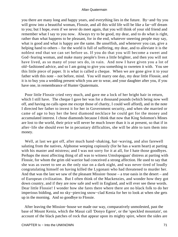you there are many long and happy years, and everything lies in the future. By−and−by you will grow into a beautiful woman, Flossie, and all this wild life will be like a far−off dream to you; but I hope, even if we never do meet again, that you will think of your old friend and remember what I say to you now. Always try to be good, my dear, and to do what is right, rather than what happens to be pleasant, for in the end, whatever sneering people may say, what is good and what is happy are the same. Be unselfish, and whenever you can, give a helping hand to others – for the world is full of suffering, my dear, and to alleviate it is the noblest end that we can set before us. If you do that you will become a sweet and God−fearing woman, and make many people's lives a little brighter, and then you will not have lived, as so many of your sex do, in vain. And now I have given you a lot of old−fashioned advice, and so I am going to give you something to sweeten it with. You see this little piece of paper. It is what is called a cheque. When we are gone give it to your father with this note – not before, mind. You will marry one day, my dear little Flossie, and it is to buy you a wedding present which you are to wear, and your daughter after you, if you have one, in remembrance of Hunter Quatermain.

 Poor little Flossie cried very much, and gave me a lock of her bright hair in return, which I still have. The cheque I gave her was for a thousand pounds (which being now well off, and having no calls upon me except those of charity, I could well afford), and in the note I directed her father to invest it for her in Government security, and when she married or came of age to buy her the best diamond necklace he could get for the money and accumulated interest. I chose diamonds because I think that now that King Solomon's Mines are lost to the world, their price will never be much lower than it is at present, so that if in after−life she should ever be in pecuniary difficulties, she will be able to turn them into money.

 Well, at last we got off, after much hand−shaking, hat−waving, and also farewell saluting from the natives, Alphonse weeping copiously (for he has a warm heart) at parting with his master and mistress; and I was not sorry for it at all, for I hate those goodbyes. Perhaps the most affecting thing of all was to witness Umslopogaas' distress at parting with Flossie, for whom the grim old warrior had conceived a strong affection. He used to say that she was as sweet to see as the only star on a dark night, and was never tired of loudly congratulating himself on having killed the Lygonani who had threatened to murder her. And that was the last we saw of the pleasant Mission−house – a true oasis in the desert – and of European civilization. But I often think of the Mackenzies, and wonder how they got down country, and if they are now safe and well in England, and will ever see these words. Dear little Flossie! I wonder how she fares there where there are no black folk to do her imperious bidding, and no sky−piercing snow−clad Kenia for her to look at when she gets up in the morning. And so goodbye to Flossie.

 After leaving the Mission−house we made our way, comparatively unmolested, past the base of Mount Kenia, which the Masai call 'Donyo Egere', or the 'speckled mountain', on account of the black patches of rock that appear upon its mighty spire, where the sides are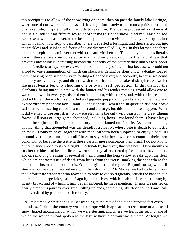too precipitous to allow of the snow lying on them; then on past the lonely lake Baringo, where one of our two remaining Askari, having unfortunately trodden on a puff−adder, died of snake−bite, in spite of all our efforts to save him. Thence we proceeded a distance of about a hundred and fifty miles to another magnificent snow−clad mountain called Lekakisera, which has never, to the best of my belief, been visited before by a European, but which I cannot now stop to describe. There we rested a fortnight, and then started out into the trackless and uninhabited forest of a vast district called Elgumi. In this forest alone there are more elephants than I ever met with or heard with before. The mighty mammals literally swarm there entirely unmolested by man, and only kept down by the natural law that prevents any animals increasing beyond the capacity of the country they inhabit to support them. Needless to say, however, we did not shoot many of them, first because we could not afford to waste ammunition, of which our stock was getting perilously low, a donkey loaded with it having been swept away in fording a flooded river; and secondly, because we could not carry away the ivory, and did not wish to kill for the mere sake of slaughter. So we let the great beasts be, only shooting one or two in self−protection. In this district, the elephants, being unacquainted with the hunter and his tender mercies, would allow one to walk up to within twenty yards of them in the open, while they stood, with their great ears cocked for all the world like puzzled and gigantic puppy−dogs, and stared at that new and extraordinary phenomenon – man. Occasionally, when the inspection did not prove satisfactory, the staring ended in a trumpet and a charge, but this did not often happen. When it did we had to use our rifles. Nor were elephants the only wild beasts in the great Elgumi forest. All sorts of large game abounded, including lions – confound them! I have always hated the sight of a lion since one bit my leg and lamed me for life. As a consequence, another thing that abounded was the dreadful tsetse fly, whose bite is death to domestic animals. Donkeys have, together with men, hitherto been supposed to enjoy a peculiar immunity from its attacks; but all I have to say, whether it was on account of their poor condition, or because the tsetse in those parts is more poisonous than usual, I do not know, but ours succumbed to its onslaught. Fortunately, however, that was not till two months or so after the bites had been inflicted, when suddenly, after a two days' cold rain, they all died, and on removing the skins of several of them I found the long yellow streaks upon the flesh which are characteristic of death from bites from the tsetse, marking the spot where the insect had inserted his proboscis. On emerging from the great Elgumi forest, we, still steering northwards, in accordance with the information Mr Mackenzie had collected from the unfortunate wanderer who reached him only to die so tragically, struck the base in due course of the large lake, called Laga by the natives, which is about fifty miles long by twenty broad, and of which, it may be remembered, he made mention. Thence we pushed on nearly a month's journey over great rolling uplands, something like those in the Transvaal, but diversified by patches of bush country.

 All this time we were continually ascending at the rate of about one hundred feet every ten miles. Indeed the country was on a slope which appeared to terminate at a mass of snow−tipped mountains, for which we were steering, and where we learnt the second lake of which the wanderer had spoken as the lake without a bottom was situated. At length we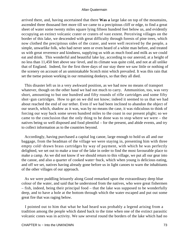arrived there, and, having ascertained that there **Was a** large lake on top of the mountains, ascended three thousand feet more till we came to a precipitous cliff or edge, to find a great sheet of water some twenty miles square lying fifteen hundred feet below us, and evidently occupying an extinct volcanic crater or craters of vast extent. Perceiving villages on the border of this lake, we descended with great difficulty through forests of pine trees, which now clothed the precipitous sides of the crater, and were well received by the people, a simple, unwarlike folk, who had never seen or even heard of a white man before, and treated us with great reverence and kindness, supplying us with as much food and milk as we could eat and drink. This wonderful and beautiful lake lay, according to our aneroid, at a height of no less than 11,450 feet above sea−level, and its climate was quite cold, and not at all unlike that of England. Indeed, for the first three days of our stay there we saw little or nothing of the scenery on account of an unmistakable Scotch mist which prevailed. It was this rain that set the tsetse poison working in our remaining donkeys, so that they all died.

 This disaster left us in a very awkward position, as we had now no means of transport whatever, though on the other hand we had not much to carry. Ammunition, too, was very short, amounting to but one hundred and fifty rounds of rifle cartridges and some fifty shot−gun cartridges. How to get on we did not know; indeed it seemed to us that we had about reached the end of our tether. Even if we had been inclined to abandon the object of our search, which, shadow as it was, was by no means the case, it was ridiculous to think of forcing our way back some seven hundred miles to the coast in our present plight; so we came to the conclusion that the only thing to be done was to stop where we were – the natives being so well disposed and food plentiful – for the present, and abide events, and try to collect information as to the countries beyond.

 Accordingly, having purchased a capital log canoe, large enough to hold us all and our baggage, from the headman of the village we were staying in, presenting him with three empty cold−drawn brass cartridges by way of payment, with which he was perfectly delighted, we set out to make a tour of the lake in order to find the most favourable place to make a camp. As we did not know if we should return to this village, we put all our gear into the canoe, and also a quarter of cooked water−buck, which when young is delicious eating, and off we set, natives having already gone before us in light canoes to warn the inhabitants of the other villages of our approach.

 As we were puddling leisurely along Good remarked upon the extraordinary deep blue colour of the water, and said that he understood from the natives, who were great fishermen – fish, indeed, being their principal food – that the lake was supposed to be wonderfully deep, and to have a hole at the bottom through which the water escaped and put out some great fire that was raging below.

 I pointed out to him that what he had heard was probably a legend arising from a tradition among the people which dated back to the time when one of the extinct parasitic volcanic cones was in activity. We saw several round the borders of the lake which had no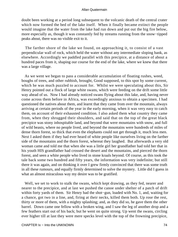doubt been working at a period long subsequent to the volcanic death of the central crater which now formed the bed of the lake itself. When it finally became extinct the people would imagine that the water from the lake had run down and put out the big fire below, more especially as, though it was constantly fed by streams running from the snow−tipped peaks about, there was no visible exit to it.

 The farther shore of the lake we found, on approaching it, to consist of a vast perpendicular wall of rock, which held the water without any intermediate sloping bank, as elsewhere. Accordingly we paddled parallel with this precipice, at a distance of about a hundred paces from it, shaping our course for the end of the lake, where we knew that there was a large village.

 As we went we began to pass a considerable accumulation of floating rushes, weed, boughs of trees, and other rubbish, brought, Good supposed, to this spot by some current, which he was much puzzled to account for. Whilst we were speculating about this, Sir Henry pointed out a flock of large white swans, which were feeding on the drift some little way ahead of us. Now I had already noticed swans flying about this lake, and, having never come across them before in Africa, was exceedingly anxious to obtain a specimen. I had questioned the natives about them, and learnt that they came from over the mountain, always arriving at certain periods of the year in the early morning, when it was very easy to catch them, on account of their exhausted condition. I also asked them what country they came from, when they shrugged their shoulders, and said that on the top of the great black precipice was stony inhospitable land, and beyond that were mountains with snow, and full of wild beasts, where no people lived, and beyond the mountains were hundreds of miles of dense thorn forest, so thick that even the elephants could not get through it, much less men. Next I asked them if they had ever heard of white people like ourselves living on the farther side of the mountains and the thorn forest, whereat they laughed. But afterwards a very old woman came and told me that when she was a little girl her grandfather had told her that in his youth HIS grandfather had crossed the desert and the mountains, and pierced the thorn forest, and seen a white people who lived in stone kraals beyond. Of course, as this took the tale back some two hundred and fifty years, the information was very indefinite; but still there it was again, and on thinking it over I grew firmly convinced that there was some truth in all these rumours, and equally firmly determined to solve the mystery. Little did I guess in what an almost miraculous way my desire was to be gratified.

 Well, we set to work to stalk the swans, which kept drawing, as they fed, nearer and nearer to the precipice, and at last we pushed the canoe under shelter of a patch of drift within forty yards of them. Sir Henry had the shot−gun, loaded with No. 1, and, waiting for a chance, got two in a line, and, firing at their necks, killed them both. Up rose the rest, thirty or more of them, with a mighty splashing; and, as they did so, he gave them the other barrel. Down came one fellow with a broken wing, and I saw the leg of another drop and a few feathers start out of his back; but he went on quite strong. Up went the swans, circling ever higher till at last they were mere specks level with the top of the frowning precipice,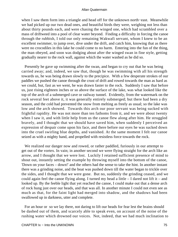when I saw them form into a triangle and head off for the unknown north−east. Meanwhile we had picked up our two dead ones, and beautiful birds they were, weighing not less than about thirty pounds each, and were chasing the winged one, which had scrambled over a mass of driftweed into a pool of clear water beyond. Finding a difficulty in forcing the canoe through the rubbish, I told our only remaining Wakwafi servant, whom I knew to be an excellent swimmer, to jump over, dive under the drift, and catch him, knowing that as there were no crocodiles in this lake he could come to no harm. Entering into the fun of the thing, the man obeyed, and soon was dodging about after the winged swan in fine style, getting gradually nearer to the rock wall, against which the water washed as he did so.

 Presently he gave up swimming after the swan, and began to cry out that he was being carried away; and, indeed, we saw that, though he was swimming with all his strength towards us, he was being drawn slowly to the precipice. With a few desperate strokes of our paddles we pushed the canoe through the crust of drift and rowed towards the man as hard as we could, but, fast as we went, he was drawn faster to the rock. Suddenly I saw that before us, just rising eighteen inches or so above the surface of the lake, was what looked like the top of the arch of a submerged cave or railway tunnel. Evidently, from the watermark on the rock several feet above it, it was generally entirely submerged; but there had been a dry season, and the cold had prevented the snow from melting as freely as usual; so the lake was low and the arch showed. Towards this arch our poor servant was being sucked with frightful rapidity. He was not more than ten fathoms from it, and we were about twenty when I saw it, and with little help from us the canoe flew along after him. He struggled bravely, and I thought that we should have saved him, when suddenly I perceived an expression of despair come upon his face, and there before our eyes he was sucked down into the cruel swirling blue depths, and vanished. At the same moment I felt our canoe seized as with a mighty hand, and propelled with resistless force towards the rock.

 We realized our danger now and rowed, or rather paddled, furiously in our attempt to get out of the vortex. In vain; in another second we were flying straight for the arch like an arrow, and I thought that we were lost. Luckily I retained sufficient presence of mind to shout out, instantly setting the example by throwing myself into the bottom of the canoe, 'Down on your faces – down!' and the others had the sense to take the hint. In another instant there was a grinding noise, and the boat was pushed down till the water began to trickle over the sides, and I thought that we were gone. But no, suddenly the grinding ceased, and we could again feel the canoe flying along. I turned my head a little – I dared not lift it – and looked up. By the feeble light that yet reached the canoe, I could make out that a dense arch of rock hung just over our heads, and that was all. In another minute I could not even see as much as that, for the faint light had merged into shadow, and the shadows had been swallowed up in darkness, utter and complete.

 For an hour or so we lay there, not daring to lift our heads for fear lest the brains should be dashed out of them, and scarcely able to speak even, on account of the noise of the rushing water which drowned our voices. Not, indeed, that we had much inclination to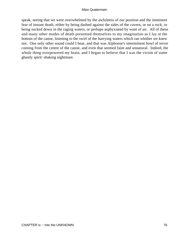speak, seeing that we were overwhelmed by the awfulness of our position and the imminent fear of instant death, either by being dashed against the sides of the cavern, or on a rock, or being sucked down in the raging waters, or perhaps asphyxiated by want of air. All of these and many other modes of death presented themselves to my imagination as I lay at the bottom of the canoe, listening to the swirl of the hurrying waters which ran whither we knew not. One only other sound could I hear, and that was Alphonse's intermittent howl of terror coming from the centre of the canoe, and even that seemed faint and unnatural. Indeed, the whole thing overpowered my brain, and I began to believe that I was the victim of some ghastly spirit−shaking nightmare.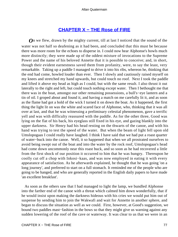# **[CHAPTER X − THE Rose of FIRE](#page-202-0)**

*O*n we flew, drawn by the mighty current, till at last I noticed that the sound of the water was not half so deafening as it had been, and concluded that this must be because there was more room for the echoes to disperse in. I could now hear Alphonse's howls much more distinctly; they were made up of the oddest mixture of invocations to the Supreme Power and the name of his beloved Annette that it is possible to conceive; and, in short, though their evident earnestness saved them from profanity, were, to say the least, very remarkable. Taking up a paddle I managed to drive it into his ribs, whereon he, thinking that the end had come, howled louder than ever. Then I slowly and cautiously raised myself on my knees and stretched my hand upwards, but could touch no roof. Next I took the paddle and lifted it above my head as high as I could, but with the same result. I also thrust it out laterally to the right and left, but could touch nothing except water. Then I bethought me that there was in the boat, amongst our other remaining possessions, a bull's−eye lantern and a tin of oil. I groped about and found it, and having a match on me carefully lit it, and as soon as the flame had got a hold of the wick I turned it on down the boat. As it happened, the first thing the light lit on was the white and scared face of Alphonse, who, thinking that it was all over at last, and that he was witnessing a preliminary celestial phenomenon, gave a terrific yell and was with difficulty reassured with the paddle. As for the other three, Good was lying on the flat of his back, his eyeglass still fixed in his eye, and gazing blankly into the upper darkness. Sir Henry had his head resting on the thwarts of the canoe, and with his hand was trying to test the speed of the water. But when the beam of light fell upon old Umslopogaas I could really have laughed. I think I have said that we had put a roast quarter of water−buck into the canoe. Well, it so happened that when we all prostrated ourselves to avoid being swept out of the boat and into the water by the rock roof, Umslopogaas's head had come down uncommonly near this roast buck, and so soon as he had recovered a little from the first shock of our position it occurred to him that he was hungry. Thereupon he coolly cut off a chop with Inkosi−kaas, and was now employed in eating it with every appearance of satisfaction. As he afterwards explained, he thought that he was going 'on a long journey', and preferred to start on a full stomach. It reminded me of the people who are going to be hanged, and who are generally reported in the English daily papers to have made 'an excellent breakfast'.

 As soon as the others saw that I had managed to light the lamp, we bundled Alphonse into the farther end of the canoe with a threat which calmed him down wonderfully, that if he would insist upon making the darkness hideous with his cries we would put him out of suspense by sending him to join the Wakwafi and wait for Annette in another sphere, and began to discuss the situation as well as we could. First, however, at Good's suggestion, we bound two paddles mast−fashion in the bows so that they might give us warning against any sudden lowering of the roof of the cave or waterway. It was clear to us that we were in an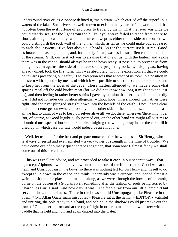underground river or, as Alphonse defined it, 'main drain', which carried off the superfluous waters of the lake. Such rivers are well known to exist in many parts of the world, but it has not often been the evil fortune of explorers to travel by them. That the river was wide we could clearly see, for the light from the bull's−eye lantern failed to reach from shore to shore, although occasionally, when the current swept us either to one side or the other, we could distinguish the rock wall of the tunnel, which, as far as we could make out, appeared to arch about twenty−five feet above our heads. As for the current itself, it ran, Good estimated, at least eight knots, and, fortunately for us, was, as is usual, fiercest in the middle of the stream. Still, our first act was to arrange that one of us, with the lantern and a pole there was in the canoe, should always be in the bows ready, if possible, to prevent us from being stove in against the side of the cave or any projecting rock. Umslopogaas, having already dined, took the first turn. This was absolutely, with one exception, all that we could do towards preserving our safety. The exception was that another of us took up a position in the stern with a paddle by means of which it was possible to steer the canoe more or less and to keep her from the sides of the cave. These matters attended to, we made a somewhat sparing meal off the cold buck's meat (for we did not know how long it might have to last us), and then feeling in rather better spirits I gave my opinion that, serious as it undoubtedly was, I did not consider our position altogether without hope, unless, indeed, the natives were right, and the river plunged straight down into the bowels of the earth. If not, it was clear that it must emerge somewhere, probably on the other side of the mountains, and in that case all we had to think of was to keep ourselves alive till we got there, wherever 'there' might be. But, of course, as Good lugubriously pointed out, on the other hand we might fall victims to a hundred unsuspected horrors – or the river might go on winding away inside the earth till it dried up, in which case our fate would indeed be an awful one.

 'Well, let us hope for the best and prepare ourselves for the worst,' said Sir Henry, who is always cheerful and even spirited – a very tower of strength in the time of trouble. 'We have come out of so many queer scrapes together, that somehow I almost fancy we shall come out of this,' he added.

 This was excellent advice, and we proceeded to take it each in our separate way – that is, except Alphonse, who had by now sunk into a sort of terrified stupor. Good was at the helm and Umslopogaas in the bows, so there was nothing left for Sir Henry and myself to do except to lie down in the canoe and think. It certainly was a curious, and indeed almost a weird, position to be placed in – rushing along, as we were, through the bowels of the earth, borne on the bosom of a Stygian river, something after the fashion of souls being ferried by Charon, as Curtis said. And how dark it was! The feeble ray from our little lamp did but serve to show the darkness. There in the bows sat old Umslopogaas, like Pleasure in the poem, \*{Mr Allan Quatermain misquotes – Pleasure sat at the helm. – EDITOR.} watchful and untiring, the pole ready to his hand, and behind in the shadow I could just make out the form of Good peering forward at the ray of light in order to make out how to steer with the paddle that he held and now and again dipped into the water.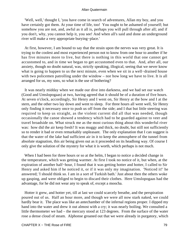'Well, well,' thought I, 'you have come in search of adventures, Allan my boy, and you have certainly got them. At your time of life, too! You ought to be ashamed of yourself; but somehow you are not, and, awful as it all is, perhaps you will pull through after all; and if you don't, why, you cannot help it, you see! And when all's said and done an underground river will make a very appropriate burying−place.'

 At first, however, I am bound to say that the strain upon the nerves was very great. It is trying to the coolest and most experienced person not to know from one hour to another if he has five minutes more to live, but there is nothing in this world that one cannot get accustomed to, and in time we began to get accustomed even to that. And, after all, our anxiety, though no doubt natural, was, strictly speaking, illogical, seeing that we never know what is going to happen to us the next minute, even when we sit in a well−drained house with two policemen patrolling under the window – nor how long we have to live. It is all arranged for us, my sons, so what is the use of bothering?

 It was nearly midday when we made our dive into darkness, and we had set our watch (Good and Umslopogaas) at two, having agreed that it should be of a duration of five hours. At seven o'clock, accordingly, Sir Henry and I went on, Sir Henry at the bow and I at the stern, and the other two lay down and went to sleep. For three hours all went well, Sir Henry only finding it necessary once to push us off from the side; and I that but little steering was required to keep us straight, as the violent current did all that was needed, though occasionally the canoe showed a tendency which had to be guarded against to veer and travel broadside on. What struck me as the most curious thing about this wonderful river was: how did the air keep fresh? It was muggy and thick, no doubt, but still not sufficiently so to render it bad or even remarkably unpleasant. The only explanation that I can suggest is that the water of the lake had sufficient air in it to keep the atmosphere of the tunnel from absolute stagnation, this air being given out as it proceeded on its headlong way. Of course I only give the solution of the mystery for what it is worth, which perhaps is not much.

 When I had been for three hours or so at the helm, I began to notice a decided change in the temperature, which was getting warmer. At first I took no notice of it, but when, at the expiration of another half−hour, I found that it was getting hotter and hotter, I called to Sir Henry and asked him if he noticed it, or if it was only my imagination. 'Noticed it!' he answered; 'I should think so. I am in a sort of Turkish bath.' Just about then the others woke up gasping, and were obliged to begin to discard their clothes. Here Umslopogaas had the advantage, for he did not wear any to speak of, except a moocha.

 Hotter it grew, and hotter yet, till at last we could scarcely breathe, and the perspiration poured out of us. Half an hour more, and though we were all now stark naked, we could hardly bear it. The place was like an antechamber of the infernal regions proper. I dipped my hand into the water and drew it out almost with a cry; it was nearly boiling. We consulted a little thermometer we had – the mercury stood at 123 degrees. From the surface of the water rose a dense cloud of steam. Alphonse groaned out that we were already in purgatory, which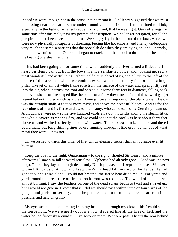indeed we were, though not in the sense that he meant it. Sir Henry suggested that we must be passing near the seat of some underground volcanic fire, and I am inclined to think, especially in the light of what subsequently occurred, that he was right. Our sufferings for some time after this really pass my powers of description. We no longer perspired, for all the perspiration had been sweated out of us. We simply lay in the bottom of the boat, which we were now physically incapable of directing, feeling like hot embers, and I fancy undergoing very much the same sensations that the poor fish do when they are dying on land – namely, that of slow suffocation. Our skins began to crack, and the blood to throb in our heads like the beating of a steam−engine.

 This had been going on for some time, when suddenly the river turned a little, and I heard Sir Henry call out from the bows in a hoarse, startled voice, and, looking up, saw a most wonderful and awful thing. About half a mile ahead of us, and a little to the left of the centre of the stream – which we could now see was about ninety feet broad – a huge pillar−like jet of almost white flame rose from the surface of the water and sprang fifty feet into the air, when it struck the roof and spread out some forty feet in diameter, falling back in curved sheets of fire shaped like the petals of a full−blown rose. Indeed this awful gas jet resembled nothing so much as a great flaming flower rising out of the black water. Below was the straight stalk, a foot or more thick, and above the dreadful bloom. And as for the fearfulness of it and its fierce and awesome beauty, who can describe it? Certainly I cannot. Although we were now some five hundred yards away, it, notwithstanding the steam, lit up the whole cavern as clear as day, and we could see that the roof was here about forty feet above us, and washed perfectly smooth with water. The rock was black, and here and there I could make out long shining lines of ore running through it like great veins, but of what metal they were I know not.

 On we rushed towards this pillar of fire, which gleamed fiercer than any furnace ever lit by man.

 'Keep the boat to the right, Quatermain – to the right,' shouted Sir Henry, and a minute afterwards I saw him fall forward senseless. Alphonse had already gone. Good was the next to go. There they lay as though dead; only Umslopogaas and I kept our senses. We were within fifty yards of it now, and I saw the Zulu's head fall forward on his hands. He had gone too, and I was alone. I could not breathe; the fierce heat dried me up. For yards and yards round the great rose of fire the rock−roof was red−hot. The wood of the boat was almost burning. I saw the feathers on one of the dead swans begin to twist and shrivel up; but I would not give in. I knew that if I did we should pass within three or four yards of the gas jet and perish miserably. I set the paddle so as to turn the canoe as far from it as possible, and held on grimly.

 My eyes seemed to be bursting from my head, and through my closed lids I could see the fierce light. We were nearly opposite now; it roared like all the fires of hell, and the water boiled furiously around it. Five seconds more. We were past; I heard the roar behind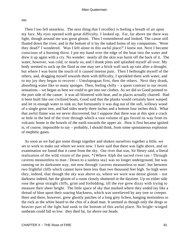me.

 Then I too fell senseless. The next thing that I recollect is feeling a breath of air upon my face. My eyes opened with great difficulty. I looked up. Far, far above me there was light, though around me was great gloom. Then I remembered and looked. The canoe still floated down the river, and in the bottom of it lay the naked forms of my companions. 'Were they dead?' I wondered. 'Was I left alone in this awful place?' I knew not. Next I became conscious of a burning thirst. I put my hand over the edge of the boat into the water and drew it up again with a cry. No wonder: nearly all the skin was burnt off the back of it. The water, however, was cold, or nearly so, and I drank pints and splashed myself all over. My body seemed to suck up the fluid as one may see a brick wall suck up rain after a drought; but where I was burnt the touch of it caused intense pain. Then I bethought myself of the others, and, dragging myself towards them with difficulty, I sprinkled them with water, and to my joy they began to recover – Umslopogaas first, then the others. Next they drank, absorbing water like so many sponges. Then, feeling chilly – a queer contrast to our recent sensations – we began as best we could to get into our clothes. As we did so Good pointed to the port side of the canoe: it was all blistered with heat, and in places actually charred. Had it been built like our civilized boats, Good said that the planks would certainly have warped and let in enough water to sink us; but fortunately it was dug out of the soft, willowy wood of a single great tree, and had sides nearly three inches and a bottom four inches thick. What that awful flame was we never discovered, but I suppose that there was at this spot a crack or hole in the bed of the river through which a vast volume of gas forced its way from its volcanic home in the bowels of the earth towards the upper air. How it first became ignited is, of course, impossible to say – probably, I should think, from some spontaneous explosion of mephitic gases.

 As soon as we had got some things together and shaken ourselves together a little, we set to work to make out where we were now. I have said that there was light above, and on examination we found that it came from the sky. Our river that was, Sir Henry said, a literal realization of the wild vision of the poet, \*{Where Alph the sacred river ran / Through caverns measureless to man / Down to a sunless sea} was no longer underground, but was running on its darksome way, not now through 'caverns measureless to man', but between two frightful cliffs which cannot have been less than two thousand feet high. So high were they, indeed, that though the sky was above us, where we were was dense gloom – not darkness indeed, but the gloom of a room closely shuttered in the daytime. Up on either side rose the great straight cliffs, grim and forbidding, till the eye grew dizzy with trying to measure their sheer height. The little space of sky that marked where they ended lay like a thread of blue upon their soaring blackness, which was unrelieved by any tree or creeper. Here and there, however, grew ghostly patches of a long grey lichen, hanging motionless to the rock as the white beard to the chin of a dead man. It seemed as though only the dregs or heavier part of the light had sunk to the bottom of this awful place. No bright−winged sunbeam could fall so low: they died far, far above our heads.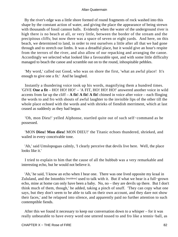By the river's edge was a little shore formed of round fragments of rock washed into this shape by the constant action of water, and giving the place the appearance of being strewn with thousands of fossil cannon balls. Evidently when the water of the underground river is high there is no beach at all, or very little, between the border of the stream and the precipitous cliffs; but now there was a space of seven or eight yards. And here, on this beach, we determined to land, in order to rest ourselves a little after all that we had gone through and to stretch our limbs. It was a dreadful place, but it would give an hour's respite from the terrors of the river, and also allow of our repacking and arranging the canoe. Accordingly we selected what looked like a favourable spot, and with some little difficulty managed to beach the canoe and scramble out on to the round, inhospitable pebbles.

 'My word,' called out Good, who was on shore the first, 'what an awful place! It's enough to give one a fit.' And he laughed.

 Instantly a thundering voice took up his words, magnifying them a hundred times. 'GIVE **One a fit** – HO! HO! HO!' – 'A FIT, HO! HO! HO!' answered another voice in wild accents from far up the cliff  $- A$  fit! A fit! A fit! chimed in voice after voice  $-$  each flinging the words to and fro with shouts of awful laughter to the invisible lips of the other till the whole place echoed with the words and with shrieks of fiendish merriment, which at last ceased as suddenly as they had begun.

 'Oh, mon Dieu!' yelled Alphonse, startled quite out of such self−command as he possessed.

 'MON **Dieu! Mon dieu!** MON DIEU!' the Titanic echoes thundered, shrieked, and wailed in every conceivable tone.

 'Ah,' said Umslopogaas calmly, 'I clearly perceive that devils live here. Well, the place looks like it.'

 I tried to explain to him that the cause of all the hubbub was a very remarkable and interesting echo, but he would not believe it.

 'Ah,' he said, 'I know an echo when I hear one. There was one lived opposite my kraal in Zululand, and the Intombis [maidens] used to talk with it. But if what we hear is a full−grown echo, mine at home can only have been a baby. No, no – they are devils up there. But I don't think much of them, though,' he added, taking a pinch of snuff. 'They can copy what one says, but they don't seem to be able to talk on their own account, and they dare not show their faces,' and he relapsed into silence, and apparently paid no further attention to such contemptible fiends.

 After this we found it necessary to keep our conversation down to a whisper – for it was really unbearable to have every word one uttered tossed to and fro like a tennis−ball, as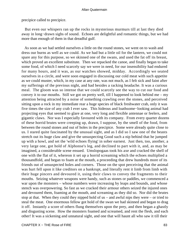precipice called to precipice.

 But even our whispers ran up the rocks in mysterious murmurs till at last they died away in long−drawn sighs of sound. Echoes are delightful and romantic things, but we had more than enough of them in that dreadful gulf.

 As soon as we had settled ourselves a little on the round stones, we went on to wash and dress our burns as well as we could. As we had but a little oil for the lantern, we could not spare any for this purpose, so we skinned one of the swans, and used the fat off its breast, which proved an excellent substitute. Then we repacked the canoe, and finally began to take some food, of which I need scarcely say we were in need, for our insensibility had endured for many hours, and it was, as our watches showed, midday. Accordingly we seated ourselves in a circle, and were soon engaged in discussing our cold meat with such appetite as we could muster, which, in my case at any rate, was not much, as I felt sick and faint after my sufferings of the previous night, and had besides a racking headache. It was a curious meal. The gloom was so intense that we could scarcely see the way to cut our food and convey it to our mouths. Still we got on pretty well, till I happened to look behind me – my attention being attracted by a noise of something crawling over the stones, and perceived sitting upon a rock in my immediate rear a huge species of black freshwater crab, only it was five times the size of any crab I ever saw. This hideous and loathsome−looking animal had projecting eyes that seemed to glare at one, very long and flexible antennae or feelers, and gigantic claws. Nor was I especially favoured with its company. From every quarter dozens of these horrid brutes were creeping up, drawn, I suppose, by the smell of the food, from between the round stones and out of holes in the precipice. Some were already quite close to us. I stared quite fascinated by the unusual sight, and as I did so I saw one of the beasts stretch out its huge claw and give the unsuspecting Good such a nip behind that he jumped up with a howl, and set the 'wild echoes flying' in sober earnest. Just then, too, another, a very large one, got hold of Alphonse's leg, and declined to part with it, and, as may be imagined, a considerable scene ensued. Umslopogaas took his axe and cracked the shell of one with the flat of it, whereon it set up a horrid screaming which the echoes multiplied a thousandfold, and began to foam at the mouth, a proceeding that drew hundreds more of its friends out of unsuspected holes and corners. Those on the spot perceiving that the animal was hurt fell upon it like creditors on a bankrupt, and literally rent it limb from limb with their huge pincers and devoured it, using their claws to convey the fragments to their mouths. Seizing whatever weapons were handy, such as stones or paddles, we commenced a war upon the monsters – whose numbers were increasing by leaps and bounds, and whose stench was overpowering. So fast as we cracked their armour others seized the injured ones and devoured them, foaming at the mouth, and screaming as they did so. Nor did the brutes stop at that. When they could they nipped hold of us – and awful nips they were – or tried to steal the meat. One enormous fellow got hold of the swan we had skinned and began to drag it off. Instantly a score of others flung themselves upon the prey, and then began a ghastly and disgusting scene. How the monsters foamed and screamed, and rent the flesh, and each other! It was a sickening and unnatural sight, and one that will haunt all who saw it till their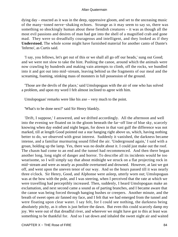dying day – enacted as it was in the deep, oppressive gloom, and set to the unceasing music of the many−toned nerve−shaking echoes. Strange as it may seem to say so, there was something so shockingly human about these fiendish creatures – it was as though all the most evil passions and desires of man had got into the shell of a magnified crab and gone mad. They were so dreadfully courageous and intelligent, and they looked as if they **Understood.** The whole scene might have furnished material for another canto of Dante's 'Inferno', as Curtis said.

 'I say, you fellows, let's get out of this or we shall all go off our heads,' sung out Good; and we were not slow to take the hint. Pushing the canoe, around which the animals were now crawling by hundreds and making vain attempts to climb, off the rocks, we bundled into it and got out into mid−stream, leaving behind us the fragments of our meal and the screaming, foaming, stinking mass of monsters in full possession of the ground.

 'Those are the devils of the place,' said Umslopogaas with the air of one who has solved a problem, and upon my word I felt almost inclined to agree with him.

Umslopogaas' remarks were like his axe – very much to the point.

'What's to be done next?' said Sir Henry blankly.

 'Drift, I suppose,' I answered, and we drifted accordingly. All the afternoon and well into the evening we floated on in the gloom beneath the far−off line of blue sky, scarcely knowing when day ended and night began, for down in that vast gulf the difference was not marked, till at length Good pointed out a star hanging right above us, which, having nothing better to do, we observed with great interest. Suddenly it vanished, the darkness became intense, and a familiar murmuring sound filled the air. 'Underground again,' I said with a groan, holding up the lamp. Yes, there was no doubt about it. I could just make out the roof. The chasm had come to an end and the tunnel had recommenced. And then there began another long, long night of danger and horror. To describe all its incidents would be too wearisome, so I will simply say that about midnight we struck on a flat projecting rock in mid−stream and were as nearly as possible overturned and drowned. However, at last we got off, and went upon the uneven tenor of our way. And so the hours passed till it was nearly three o'clock. Sir Henry, Good, and Alphonse were asleep, utterly worn out; Umslopogaas was at the bow with the pole, and I was steering, when I perceived that the rate at which we were travelling had perceptibly increased. Then, suddenly, I heard Umslopogaas make an exclamation, and next second came a sound as of parting branches, and I became aware that the canoe was being forced through hanging bushes or creepers. Another minute, and the breath of sweet open air fanned my face, and I felt that we had emerged from the tunnel and were floating upon clear water. I say felt, for I could see nothing, the darkness being absolutely pitchy, as it often is just before the dawn. But even this could scarcely damp my joy. We were out of that dreadful river, and wherever we might have got to this at least was something to be thankful for. And so I sat down and inhaled the sweet night air and waited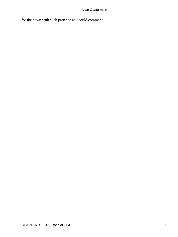for the dawn with such patience as I could command.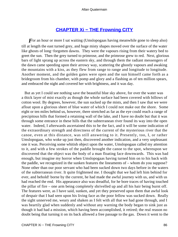# **[CHAPTER Xi − THE Frowning CITY](#page-202-0)**

*F* or an hour or more I sat waiting (Umslopogaas having meanwhile gone to sleep also) till at length the east turned grey, and huge misty shapes moved over the surface of the water like ghosts of long−forgotten dawns. They were the vapours rising from their watery bed to greet the sun. Then the grey turned to primrose, and the primrose grew to red. Next, glorious bars of light sprang up across the eastern sky, and through them the radiant messengers of the dawn came speeding upon their arrowy way, scattering the ghostly vapours and awaking the mountains with a kiss, as they flew from range to range and longitude to longitude. Another moment, and the golden gates were open and the sun himself came forth as a bridegroom from his chamber, with pomp and glory and a flashing as of ten million spears, and embraced the night and covered her with brightness, and it was day.

 But as yet I could see nothing save the beautiful blue sky above, for over the water was a thick layer of mist exactly as though the whole surface had been covered with billows of cotton wool. By degrees, however, the sun sucked up the mists, and then I saw that we were afloat upon a glorious sheet of blue water of which I could not make out the shore. Some eight or ten miles behind us, however, there stretched as far as the eye could reach a range of precipitous hills that formed a retaining wall of the lake, and I have no doubt but that it was through some entrance in these hills that the subterranean river found its way into the open water. Indeed, I afterwards ascertained this to be the fact, and it will be some indication of the extraordinary strength and directness of the current of the mysterious river that the canoe, even at this distance, was still answering to it. Presently, too, I, or rather Umslopogaas, who woke up just then, discovered another indication, and a very unpleasant one it was. Perceiving some whitish object upon the water, Umslopogaas called my attention to it, and with a few strokes of the paddle brought the canoe to the spot, whereupon we discovered that the object was the body of a man floating face downwards. This was bad enough, but imagine my horror when Umslopogaas having turned him on to his back with the paddle, we recognized in the sunken features the lineaments of – whom do you suppose? None other than our poor servant who had been sucked down two days before in the waters of the subterranean river. It quite frightened me. I thought that we had left him behind for ever, and behold! borne by the current, he had made the awful journey with us, and with us had reached the end. His appearance also was dreadful, for he bore traces of having touched the pillar of fire – one arm being completely shrivelled up and all his hair being burnt off. The features were, as I have said, sunken, and yet they preserved upon them that awful look of despair that I had seen upon his living face as the poor fellow was sucked down. Really the sight unnerved me, weary and shaken as I felt with all that we had gone through, and I was heartily glad when suddenly and without any warning the body began to sink just as though it had had a mission, which having been accomplished, it retired; the real reason no doubt being that turning it on its back allowed a free passage to the gas. Down it went to the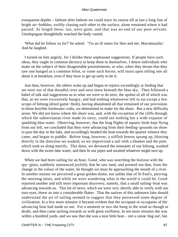transparent depths – fathom after fathom we could trace its course till at last a long line of bright air−bubbles, swiftly chasing each other to the surface, alone remained where it had passed. At length these, too, were gone, and that was an end of our poor servant. Umslopogaas thoughtfully watched the body vanish.

 'What did he follow us for?' he asked. ''Tis an ill omen for thee and me, Macumazahn.' And he laughed.

 I turned on him angrily, for I dislike these unpleasant suggestions. If people have such ideas, they ought in common decency to keep them to themselves. I detest individuals who make on the subject of their disagreeable presentiments, or who, when they dream that they saw one hanged as a common felon, or some such horror, will insist upon telling one all about it at breakfast, even if they have to get up early to do it.

 Just then, however, the others woke up and began to rejoice exceedingly at finding that we were out of that dreadful river and once more beneath the blue sky. Then followed a babel of talk and suggestions as to what we were to do next, the upshot of all of which was that, as we were excessively hungry, and had nothing whatsoever left to eat except a few scraps of biltong (dried game−flesh), having abandoned all that remained of our provisions to those horrible freshwater crabs, we determined to make for the shore. But a new difficulty arose. We did not know where the shore was, and, with the exception of the cliffs through which the subterranean river made its entry, could see nothing but a wide expanse of sparkling blue water. Observing, however, that the long flights of aquatic birds kept flying from our left, we concluded that they were advancing from their feeding−grounds on shore to pass the day in the lake, and accordingly headed the boat towards the quarter whence they came, and began to paddle. Before long, however, a stiffish breeze sprang up, blowing directly in the direction we wanted, so we improvized a sail with a blanket and the pole, which took us along merrily. This done, we devoured the remnants of our biltong, washed down with the sweet lake water, and then lit our pipes and awaited whatever might turn up.

 When we had been sailing for an hour, Good, who was searching the horizon with the spy−glass, suddenly announced joyfully that he saw land, and pointed out that, from the change in the colour of the water, he thought we must be approaching the mouth of a river. In another minute we perceived a great golden dome, not unlike that of St Paul's, piercing the morning mists, and while we were wondering what in the world it could be, Good reported another and still more important discovery, namely, that a small sailing−boat was advancing towards us. This bit of news, which we were very shortly able to verify with our own eyes, threw us into a considerable flutter. That the natives of this unknown lake should understand the art of sailing seemed to suggest that they possessed some degree of civilization. In a few more minutes it became evident that the occupant or occupants of the advancing boat had made us out. For a moment or two she hung in the wind as though in doubt, and then came tacking towards us with great swiftness. In ten more minutes she was within a hundred yards, and we saw that she was a neat little boat – not a canoe 'dug out', but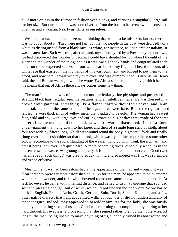built more or less in the European fashion with planks, and carrying a singularly large sail for her size. But our attention was soon diverted from the boat to her crew, which consisted of a man and a woman, **Nearly as white as ourselves.**

We stared at each other in amazement, thinking that we must be mistaken; but no, there was no doubt about it. They were not fair, but the two people in the boat were decidedly of a white as distinguished from a black race, as white, for instance, as Spaniards or Italians. It was a patent fact. So it was true, after all; and, mysteriously led by a Power beyond our own, we had discovered this wonderful people. I could have shouted for joy when I thought of the glory and the wonder of the thing; and as it was, we all shook hands and congratulated each other on the unexpected success of our wild search. All my life had I heard rumours of a white race that existed in the highlands of this vast continent, and longed to put them to the proof, and now here I saw it with my own eyes, and was dumbfounded. Truly, as Sir Henry said, the old Roman was right when he wrote 'Ex Africa semper aliquid novi', which he tells me means that out of Africa there always comes some new thing.

 The man in the boat was of a good but not particularly fine physique, and possessed straight black hair, regular aquiline features, and an intelligent face. He was dressed in a brown cloth garment, something like a flannel shirt without the sleeves, and in an unmistakable kilt of the same material. The legs and feet were bare. Round the right arm and left leg he wore thick rings of yellow metal that I judged to be gold. The woman had a sweet face, wild and shy, with large eyes and curling brown hair. Her dress was made of the same material as the man's, and consisted, as we afterwards discovered, first of a linen under−garment that hung down to her knee, and then of a single long strip of cloth, about four feet wide by fifteen long, which was wound round the body in graceful folds and finally flung over the left shoulder so that the end, which was dyed blue or purple or some other colour, according to the social standing of the wearer, hung down in front, the right arm and breast being, however, left quite bare. A more becoming dress, especially when, as in the present case, the wearer was young and pretty, it is quite impossible to conceive. Good (who has an eye for such things) was greatly struck with it, and so indeed was I. It was so simple and yet so effective.

 Meanwhile, if we had been astonished at the appearance of the man and woman, it was clear that they were far more astonished at us. As for the man, he appeared to be overcome with fear and wonder, and for a while hovered round our canoe, but would not approach. At last, however, he came within hailing distance, and called to us in a language that sounded soft and pleasing enough, but of which we could not understand one word. So we hailed back in English, French, Latin, Greek, German, Zulu, Dutch, Sisutu, Kukuana, and a few other native dialects that I am acquainted with, but our visitor did not understand any of these tongues; indeed, they appeared to bewilder him. As for the lady, she was busily employed in taking stock of us, and Good was returning the compliment by staring at her hard through his eyeglass, a proceeding that she seemed rather to enjoy than otherwise. At length, the man, being unable to make anything of us, suddenly turned his boat round and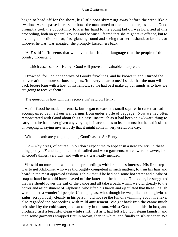began to head off for the shore, his little boat skimming away before the wind like a swallow. As she passed across our bows the man turned to attend to the large sail, and Good promptly took the opportunity to kiss his hand to the young lady. I was horrified at this proceeding, both on general grounds and because I feared that she might take offence, but to my delight she did not, for, first glancing round and seeing that her husband, or brother, or whoever he was, was engaged, she promptly kissed hers back.

 'Ah!' said I. 'It seems that we have at last found a language that the people of this country understand.'

'In which case,' said Sir Henry, 'Good will prove an invaluable interpreter.'

 I frowned, for I do not approve of Good's frivolities, and he knows it, and I turned the conversation to more serious subjects. 'It is very clear to me,' I said, 'that the man will be back before long with a host of his fellows, so we had best make up our minds as to how we are going to receive them.'

'The question is how will they receive us?' said Sir Henry.

 As for Good he made no remark, but began to extract a small square tin case that had accompanied us in all our wanderings from under a pile of baggage. Now we had often remonstrated with Good about this tin case, inasmuch as it had been an awkward thing to carry, and he had never given any very explicit account as to its contents; but he had insisted on keeping it, saying mysteriously that it might come in very useful one day.

'What on earth are you going to do, Good?' asked Sir Henry.

 'Do – why dress, of course! You don't expect me to appear in a new country in these things, do you?' and he pointed to his soiled and worn garments, which were however, like all Good's things, very tidy, and with every tear neatly mended.

 We said no more, but watched his proceedings with breathless interest. His first step was to get Alphonse, who was thoroughly competent in such matters, to trim his hair and beard in the most approved fashion. I think that if he had had some hot water and a cake of soap at hand he would have shaved off the latter; but he had not. This done, he suggested that we should lower the sail of the canoe and all take a bath, which we did, greatly to the horror and astonishment of Alphonse, who lifted his hands and ejaculated that these English were indeed a wonderful people. Umslopogaas, who, though he was, like most high−bred Zulus, scrupulously cleanly in his person, did not see the fun of swimming about in a lake, also regarded the proceeding with mild amusement. We got back into the canoe much refreshed by the cold water, and sat to dry in the sun, whilst Good undid his tin box, and produced first a beautiful clean white shirt, just as it had left a London steam laundry, and then some garments wrapped first in brown, then in white, and finally in silver paper. We

CHAPTER Xi – THE Frowning CITY 89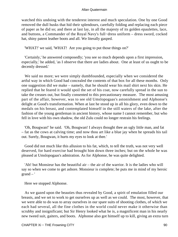watched this undoing with the tenderest interest and much speculation. One by one Good removed the dull husks that hid their splendours, carefully folding and replacing each piece of paper as he did so; and there at last lay, in all the majesty of its golden epaulettes, lace, and buttons, a Commander of the Royal Navy's full−dress uniform – dress sword, cocked hat, shiny patent leather boots and all. We literally gasped.

'WHAT!' we said, 'WHAT! Are you going to put those things on?'

 'Certainly,' he answered composedly; 'you see so much depends upon a first impression, especially,' he added, 'as I observe that there are ladies about. One at least of us ought to be decently dressed.'

 We said no more; we were simply dumbfounded, especially when we considered the artful way in which Good had concealed the contents of that box for all these months. Only one suggestion did we make – namely, that he should wear his mail shirt next his skin. He replied that he feared it would spoil the set of his coat, now carefully spread in the sun to take the creases out, but finally consented to this precautionary measure. The most amusing part of the affair, however, was to see old Umslopogaas's astonishment and Alphonse's delight at Good's transformation. When at last he stood up in all his glory, even down to the medals on his breast, and contemplated himself in the still waters of the lake, after the fashion of the young gentleman in ancient history, whose name I cannot remember, but who fell in love with his own shadow, the old Zulu could no longer restrain his feelings.

 'Oh, Bougwan!' he said. 'Oh, Bougwan! I always thought thee an ugly little man, and fat – fat as the cows at calving time; and now thou art like a blue jay when he spreads his tail out. Surely, Bougwan, it hurts my eyes to look at thee.'

 Good did not much like this allusion to his fat, which, to tell the truth, was not very well deserved, for hard exercise had brought him down three inches; but on the whole he was pleased at Umslopogaas's admiration. As for Alphonse, he was quite delighted.

 'Ah! but Monsieur has the beautiful air – the air of the warrior. It is the ladies who will say so when we come to get ashore. Monsieur is complete; he puts me in mind of my heroic  $grand - '$ 

Here we stopped Alphonse.

 As we gazed upon the beauties thus revealed by Good, a spirit of emulation filled our breasts, and we set to work to get ourselves up as well as we could. The most, however, that we were able to do was to array ourselves in our spare suits of shooting clothes, of which we each had several, all the fine clothes in the world could never make it otherwise than scrubby and insignificant; but Sir Henry looked what he is, a magnificent man in his nearly new tweed suit, gaiters, and boots. Alphonse also got himself up to kill, giving an extra turn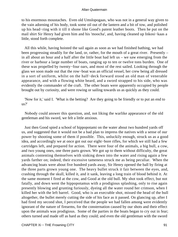to his enormous moustaches. Even old Umslopogaas, who was not in a general way given to the vain adorning of his body, took some oil out of the lantern and a bit of tow, and polished up his head−ring with it till it shone like Good's patent leather boots. Then he put on the mail shirt Sir Henry had given him and his 'moocha', and, having cleaned up Inkosi−kaas a little, stood forth complete.

 All this while, having hoisted the sail again as soon as we had finished bathing, we had been progressing steadily for the land, or, rather, for the mouth of a great river. Presently – in all about an hour and a half after the little boat had left us – we saw emerging from the river or harbour a large number of boats, ranging up to ten or twelve tons burden. One of these was propelled by twenty−four oars, and most of the rest sailed. Looking through the glass we soon made out that the row−boat was an official vessel, her crew being all dressed in a sort of uniform, whilst on the half−deck forward stood an old man of venerable appearance, and with a flowing white beard, and a sword strapped to his side, who was evidently the commander of the craft. The other boats were apparently occupied by people brought out by curiosity, and were rowing or sailing towards us as quickly as they could.

 'Now for it,' said I. 'What is the betting? Are they going to be friendly or to put an end to us?'

 Nobody could answer this question, and, not liking the warlike appearance of the old gentleman and his sword, we felt a little anxious.

 Just then Good spied a school of hippopotami on the water about two hundred yards off us, and suggested that it would not be a bad plan to impress the natives with a sense of our power by shooting some of them if possible. This, unluckily enough, struck us as a good idea, and accordingly we at once got out our eight−bore rifles, for which we still had a few cartridges left, and prepared for action. There were four of the animals, a big bull, a cow, and two young ones, one three parts grown. We got up to them without difficulty, the great animals contenting themselves with sinking down into the water and rising again a few yards farther on; indeed, their excessive tameness struck me as being peculiar. When the advancing boats were about five hundred yards away, Sir Henry opened the ball by firing at the three parts grown young one. The heavy bullet struck it fair between the eyes, and, crashing through the skull, killed it, and it sank, leaving a long train of blood behind it. At the same moment I fired at the cow, and Good at the old bull. My shot took effect, but not fatally, and down went the hippopotamus with a prodigious splashing, only to rise again presently blowing and grunting furiously, dyeing all the water round her crimson, when I killed her with the left barrel. Good, who is an execrable shot, missed the head of the bull altogether, the bullet merely cutting the side of his face as it passed. On glancing up, after I had fired my second shot, I perceived that the people we had fallen among were evidently ignorant of the nature of firearms, for the consternation caused by our shots and their effect upon the animals was prodigious. Some of the parties in the boats began to cry out in fear; others turned and made off as hard as they could; and even the old gentleman with the sword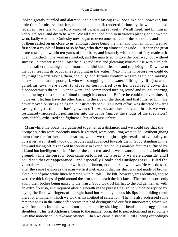looked greatly puzzled and alarmed, and halted his big row−boat. We had, however, but little time for observation, for just then the old bull, rendered furious by the wound he had received, rose fair within forty yards of us, glaring savagely. We all fired, and hit him in various places, and down he went. We all fired, and hit him in various places, and down he went, badly wounded. Curiosity now began to overcome the fear of the onlookers, and some of them sailed on up close to us, amongst these being the man and woman whom we had first seen a couple of hours or so before, who drew up almost alongside. Just then the great brute rose again within ten yards of their base, and instantly with a roar of fury made at it open−mouthed. The woman shrieked, and the man tried to give the boat way, but without success. In another second I saw the huge red jaws and gleaming ivories close with a crunch on the frail craft, taking an enormous mouthful out of its side and capsizing it. Down went the boat, leaving its occupants struggling in the water. Next moment, before we could do anything towards saving them, the huge and furious creature was up again and making open−mouthed at the poor girl, who was struggling in the water. Lifting my rifle just as the grinding jaws were about to close on her, I fired over her head right down the hippopotamus's throat. Over he went, and commenced turning round and round, snorting, and blowing red streams of blood through his nostrils. Before he could recover himself, however, I let him have the other barrel in the side of the throat, and that finished him. He never moved or struggled again, but instantly sank. Our next effort was directed towards saving the girl, the man having swum off towards another boat; and in this we were fortunately successful, pulling her into the canoe (amidst the shouts of the spectators) considerably exhausted and frightened, but otherwise unhurt.

 Meanwhile the boats had gathered together at a distance, and we could see that the occupants, who were evidently much frightened, were consulting what to do. Without giving them time for further consideration, which we thought might result unfavourably to ourselves, we instantly took our paddles and advanced towards them, Good standing in the bow and taking off his cocked hat politely in ever direction, his amiable features suffused by a bland but intelligent smile. Most of the craft retreated as we advanced, but a few held their ground, while the big row−boat came on to meet us. Presently we were alongside, and I could see that our appearance – and especially Good's and Umslopogaas's – filled the venerable−looking commander with astonishment, not unmixed with awe. He was dressed after the same fashion as the man we first met, except that his shirt was not made of brown cloth, but of pure white linen hemmed with purple. The kilt, however, was identical, and so were the thick rings of gold around the arm and beneath the left knee. The rowers wore only a kilt, their bodies being naked to the waist. Good took off his hat to the old gentleman with an extra flourish, and inquired after his health in the purest English, to which he replied by laying the first two fingers of his right hand horizontally across his lips and holding them there for a moment, which we took as his method of salutation. Then he also addressed some remarks to us in the same soft accents that had distinguished our first interviewer, which we were forced to indicate we did not understand by shaking our heads and shrugging our shoulders. This last Alphonse, being to the manner born, did to perfection, and in so polite a way that nobody could take any offence. Then we came a standstill, till I, being exceedingly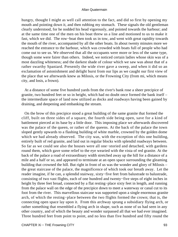hungry, thought I might as well call attention to the fact, and did so first by opening my mouth and pointing down it, and then rubbing my stomach. These signals the old gentleman clearly understood, for he nodded his head vigorously, and pointed towards the harbour; and at the same time one of the men on his boat threw us a line and motioned to us to make it fast, which we did. The row−boat then took us in tow, and went with great rapidity towards the mouth of the river, accompanied by all the other boats. In about twenty minutes more we reached the entrance to the harbour, which was crowded with boats full of people who had come out to see us. We observed that all the occupants were more or less of the same type, though some were fairer than others. Indeed, we noticed certain ladies whose skin was of a most dazzling whiteness; and the darkest shade of colour which we saw was about that of a rather swarthy Spaniard. Presently the wide river gave a sweep, and when it did so an exclamation of astonishment and delight burst from our lips as we caught our first view of the place that we afterwards knew as Milosis, or the Frowning City (from mi, which means city, and losis, a frown).

 At a distance of some five hundred yards from the river's bank rose a sheer precipice of granite, two hundred feet or so in height, which had no doubt once formed the bank itself – the intermediate space of land now utilized as docks and roadways having been gained by draining, and deepening and embanking the stream.

 On the brow of this precipice stood a great building of the same granite that formed the cliff, built on three sides of a square, the fourth side being open, save for a kind of battlement pierced at its base by a little door. This imposing place we afterwards discovered was the palace of the queen, or rather of the queens. At the back of the palace the town sloped gently upwards to a flashing building of white marble, crowned by the golden dome which we had already observed. The city was, with the exception of this one building, entirely built of red granite, and laid out in regular blocks with splendid roadways between. So far as we could see also the houses were all one−storied and detached, with gardens round them, which gave some relief to the eye wearied with the vista of red granite. At the back of the palace a road of extraordinary width stretched away up the hill for a distance of a mile and a half or so, and appeared to terminate at an open space surrounding the gleaming building that crowned the hill. But right in front of us was the wonder and glory of Milosis – the great staircase of the palace, the magnificence of which took our breath away. Let the reader imagine, if he can, a splendid stairway, sixty−five feet from balustrade to balustrade, consisting of two vast flights, each of one hundred and twenty−five steps of eight inches in height by three feet broad, connected by a flat resting−place sixty feet in length, and running from the palace wall on the edge of the precipice down to meet a waterway or canal cut to its foot from the river. This marvellous staircase was supported upon a single enormous granite arch, of which the resting−place between the two flights formed the crown; that is, the connecting open space lay upon it. From this archway sprang a subsidiary flying arch, or rather something that resembled a flying arch in shape, such as none of us had seen in any other country, and of which the beauty and wonder surpassed all that we had ever imagined. Three hundred feet from point to point, and no less than five hundred and fifty round the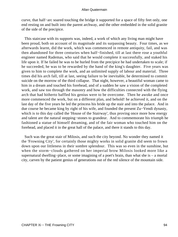curve, that half−arc soared touching the bridge it supported for a space of fifty feet only, one end resting on and built into the parent archway, and the other embedded in the solid granite of the side of the precipice.

 This staircase with its supports was, indeed, a work of which any living man might have been proud, both on account of its magnitude and its surpassing beauty. Four times, as we afterwards learnt, did the work, which was commenced in remote antiquity, fail, and was then abandoned for three centuries when half−finished, till at last there rose a youthful engineer named Rademas, who said that he would complete it successfully, and staked his life upon it. If he failed he was to be hurled from the precipice he had undertaken to scale; if he succeeded, he was to be rewarded by the hand of the king's daughter. Five years was given to him to complete the work, and an unlimited supply of labour and material. Three times did his arch fall, till at last, seeing failure to be inevitable, he determined to commit suicide on the morrow of the third collapse. That night, however, a beautiful woman came to him in a dream and touched his forehead, and of a sudden he saw a vision of the completed work, and saw too through the masonry and how the difficulties connected with the flying arch that had hitherto baffled his genius were to be overcome. Then he awoke and once more commenced the work, but on a different plan, and behold! he achieved it, and on the last day of the five years he led the princess his bride up the stair and into the palace. And in due course he became king by right of his wife, and founded the present Zu−Vendi dynasty, which is to this day called the 'House of the Stairway', thus proving once more how energy and talent are the natural stepping−stones to grandeur. And to commemorate his triumph he fashioned a statue of himself dreaming, and of the fair woman who touched him on the forehead, and placed it in the great hall of the palace, and there it stands to this day.

 Such was the great stair of Milosis, and such the city beyond. No wonder they named it the 'Frowning City', for certainly those mighty works in solid granite did seem to frown down upon our littleness in their sombre splendour. This was so even in the sunshine, but when the storm−clouds gathered on her imperial brow Milosis looked more like a supernatural dwelling−place, or some imagining of a poet's brain, than what she is – a mortal city, carven by the patient genius of generations out of the red silence of the mountain side.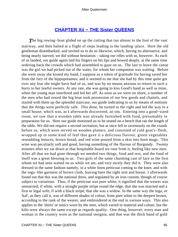## **[CHAPTER Xii − THE Sister QUEENS](#page-202-0)**

The big rowing–boat glided on up the cutting that ran almost to the foot of the vast stairway, and then halted at a flight of steps leading to the landing−place. Here the old gentleman disembarked, and invited us to do so likewise, which, having no alternative, and being nearly starved, we did without hesitation – taking our rifles with us, however. As each of us landed, our guide again laid his fingers on his lips and bowed deeply, at the same time ordering back the crowds which had assembled to gaze on us. The last to leave the canoe was the girl we had picked out of the water, for whom her companion was waiting. Before she went away she kissed my hand, I suppose as a token of gratitude for having saved her from the fury of the hippopotamus; and it seemed to me that she had by this time quite got over any fear she might have had of us, and was by no means anxious to return in such a hurry to her lawful owners. At any rate, she was going to kiss Good's hand as well as mine, when the young man interfered and led her off. As soon as we were on shore, a number of the men who had rowed the big boat took possession of our few goods and chattels, and started with them up the splendid staircase, our guide indicating to us by means of motions that the things were perfectly safe. This done, he turned to the right and led the way to a small house, which was, as I afterwards discovered, an inn. Entering into a good−sized room, we saw that a wooden table was already furnished with food, presumably in preparation for us. Here our guide motioned us to be seated on a bench that ran the length of the table. We did not require a second invitation, but at once fell to ravenously on the viands before us, which were served on wooden platters, and consisted of cold goat's−flesh, wrapped up in some kind of leaf that gave it a delicious flavour, green vegetables resembling lettuces, brown bread, and red wine poured from a skin into horn mugs. This wine was peculiarly soft and good, having something of the flavour of Burgundy. Twenty minutes after we sat down at that hospitable board we rose from it, feeling like new men. After all that we had gone through we needed two things, food and rest, and the food of itself was a great blessing to us. Two girls of the same charming cast of face as the first whom we had seen waited on us while we ate, and very nicely they did it. They were also dressed in the same fashion namely, in a white linen petticoat coming to the knee, and with the toga−like garment of brown cloth, leaving bare the right arm and breast. I afterwards found out that this was the national dress, and regulated by an iron custom, though of course subject to variations. Thus, if the petticoat was pure white, it signified that the wearer was unmarried; if white, with a straight purple stripe round the edge, that she was married and a first or legal wife; if with a black stripe, that she was a widow. In the same way the toga, or 'kaf', as they call it, was of different shades of colour, from pure white to the deepest brown, according to the rank of the wearer, and embroidered at the end in various ways. This also applies to the 'shirts' or tunics worn by the men, which varied in material and colour; but the kilts were always the same except as regards quality. One thing, however, every man and woman in the country wore as the national insignia, and that was the thick band of gold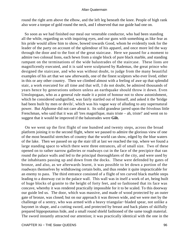round the right arm above the elbow, and the left leg beneath the knee. People of high rank also wore a torque of gold round the neck, and I observed that our guide had one on.

 So soon as we had finished our meal our venerable conductor, who had been standing all the while, regarding us with inquiring eyes, and our guns with something as like fear as his pride would allow him to show, bowed towards Good, whom he evidently took for the leader of the party on account of the splendour of his apparel, and once more led the way through the door and to the foot of the great staircase. Here we paused for a moment to admire two colossal lions, each hewn from a single block of pure black marble, and standing rampant on the terminations of the wide balustrades of the staircase. These lions are magnificently executed, and it is said were sculptured by Rademas, the great prince who designed the staircase, and who was without doubt, to judge from the many beautiful examples of his art that we saw afterwards, one of the finest sculptors who ever lived, either in this or any other country. Then we climbed almost with a feeling of awe up that splendid stair, a work executed for all time and that will, I do not doubt, be admired thousands of years hence by generations unborn unless an earthquake should throw it down. Even Umslopogaas, who as a general rule made it a point of honour not to show astonishment, which he considered undignified, was fairly startled out of himself, and asked it the 'bridge had been built by men or devils', which was his vague way of alluding to any supernatural power. But Alphonse did not care about it. Its solid grandeur jarred upon the frivolous little Frenchman, who said that it was all 'tres magnifique, mais triste – ah, triste!' and went on to suggest that it would be improved if the balustrades were **Gilt.**

 On we went up the first flight of one hundred and twenty steps, across the broad platform joining it to the second flight, where we paused to admire the glorious view of one of the most beautiful stretches of country that the world can show, edged by the blue waters of the lake. Then we passed on up the stair till at last we reached the top, where we found a large standing space to which there were three entrances, all of small size. Two of these opened on to rather narrow galleries or roadways cut in the face of the precipice that ran round the palace walls and led to the principal thoroughfares of the city, and were used by the inhabitants passing up and down from the docks. These were defended by gates of bronze, and also, as we afterwards learnt, it was possible to let down a portion of the roadways themselves by withdrawing certain bolts, and thus render it quite impracticable for an enemy to pass. The third entrance consisted of a flight of ten curved black marble steps leading to a doorway cut in the palace wall. This wall was in itself a work of art, being built of huge blocks of granite to the height of forty feet, and so fashioned that its face was concave, whereby it was rendered practically impossible for it to be scaled. To this doorway our guide led us. The door, which was massive, and made of wood protected by an outer gate of bronze, was closed; but on our approach it was thrown wide, and we were met by the challenge of a sentry, who was armed with a heavy triangular−bladed spear, not unlike a bayonet in shape, and a cutting sword, and protected by breast and back plates of skilfully prepared hippopotamus hide, and a small round shield fashioned of the same tough material. The sword instantly attracted our attention; it was practically identical with the one in the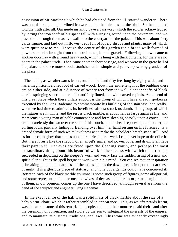possession of Mr Mackenzie which he had obtained from the ill−starred wanderer. There was no mistaking the gold−lined fretwork cut in the thickness of the blade. So the man had told the truth after all. Our guide instantly gave a password, which the soldier acknowledged by letting the iron shaft of his spear fall with a ringing sound upon the pavement, and we passed on through the massive wall into the courtyard of the palace. This was about forty yards square, and laid out in flower−beds full of lovely shrubs and plants, many of which were quite new to me. Through the centre of this garden ran a broad walk formed of powdered shells brought from the lake in the place of gravel. Following this we came to another doorway with a round heavy arch, which is hung with thick curtains, for there are no doors in the palace itself. Then came another short passage, and we were in the great hall of the palace, and once more stood astonished at the simple and yet overpowering grandeur of the place.

 The hall is, as we afterwards learnt, one hundred and fifty feet long by eighty wide, and has a magnificent arched roof of carved wood. Down the entire length of the building there are on either side, and at a distance of twenty feet from the wall, slender shafts of black marble springing sheer to the roof, beautifully fluted, and with carved capitals. At one end of this great place which these pillars support is the group of which I have already spoken as executed by the King Rademas to commemorate his building of the staircase; and really, when we had time to admire it, its loveliness almost struck us dumb. The group, of which the figures are in white, and the rest is black marble, is about half as large again as life, and represents a young man of noble countenance and form sleeping heavily upon a couch. One arm is carelessly thrown over the side of this couch, and his head reposes upon the other, its curling locks partially hiding it. Bending over him, her hand resting on his forehead, is a draped female form of such white loveliness as to make the beholder's breath stand still. And as for the calm glory that shines upon her perfect face – well, I can never hope to describe it. But there it rests like the shadow of an angel's smile; and power, love, and divinity all have their part in it. Her eyes are fixed upon the sleeping youth, and perhaps the most extraordinary thing about this beautiful work is the success with which the artist has succeeded in depicting on the sleeper's worn and weary face the sudden rising of a new and spiritual thought as the spell begins to work within his mind. You can see that an inspiration is breaking in upon the darkness of the man's soul as the dawn breaks in upon the darkness of night. It is a glorious piece of statuary, and none but a genius could have conceived it. Between each of the black marble columns is some such group of figures, some allegorical, and some representing the persons and wives of deceased monarchs or great men; but none of them, in our opinion, comes up the one I have described, although several are from the hand of the sculptor and engineer, King Rademas.

 In the exact centre of the hall was a solid mass of black marble about the size of a baby's arm−chair, which it rather resembled in appearance. This, as we afterwards learnt, was the sacred stone of this remarkable people, and on it their monarchs laid their hand after the ceremony of coronation, and swore by the sun to safeguard the interests of the empire, and to maintain its customs, traditions, and laws. This stone was evidently exceedingly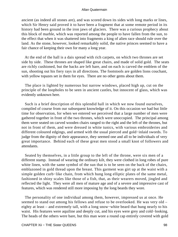ancient (as indeed all stones are), and was scored down its sides with long marks or lines, which Sir Henry said proved it to have been a fragment that at some remote period in its history had been ground in the iron jaws of glaciers. There was a curious prophecy about this block of marble, which was reported among the people to have fallen from the sun, to the effect that when it was shattered into fragments a king of alien race should rule over the land. As the stone, however, looked remarkably solid, the native princes seemed to have a fair chance of keeping their own for many a long year.

 At the end of the hall is a dais spread with rich carpets, on which two thrones are set side by side. These thrones are shaped like great chairs, and made of solid gold. The seats are richly cushioned, but the backs are left bare, and on each is carved the emblem of the sun, shooting out his fiery rays in all directions. The footstools are golden lions couchant, with yellow topazes set in them for eyes. There are no other gems about them.

 The place is lighted by numerous but narrow windows, placed high up, cut on the principle of the loopholes to be seen in ancient castles, but innocent of glass, which was evidently unknown here.

 Such is a brief description of this splendid hall in which we now found ourselves, compiled of course from our subsequent knowledge of it. On this occasion we had but little time for observation, for when we entered we perceived that a large number of men were gathered together in front of the two thrones, which were unoccupied. The principal among them were seated on carved wooden chairs ranged to the right and the left of the thrones, but not in front of them, and were dressed in white tunics, with various embroideries and different coloured edgings, and armed with the usual pierced and gold−inlaid swords. To judge from the dignity of their appearance, they seemed one and all to be individuals of very great importance. Behind each of these great men stood a small knot of followers and attendants.

 Seated by themselves, in a little group to the left of the throne, were six men of a different stamp. Instead of wearing the ordinary kilt, they were clothed in long robes of pure white linen, with the same symbol of the sun that is to be seen on the back of the chairs, emblazoned in gold thread upon the breast. This garment was girt up at the waist with a simple golden curb−like chain, from which hung long elliptic plates of the same metal, fashioned in shiny scales like those of a fish, that, as their wearers moved, jingled and reflected the light. They were all men of mature age and of a severe and impressive cast of features, which was rendered still more imposing by the long beards they wore.

 The personality of one individual among them, however, impressed us at once. He seemed to stand out among his fellows and refuse to be overlooked. He was very old – eighty at least – and extremely tall, with a long snow−white beard that hung nearly to his waist. His features were aquiline and deeply cut, and his eyes were grey and cold−looking. The heads of the others were bare, but this man wore a round cap entirely covered with gold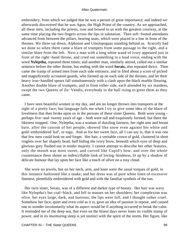embroidery, from which we judged that he was a person of great importance; and indeed we afterwards discovered that he was Agon, the High Priest of the country. As we approached, all these men, including the priests, rose and bowed to us with the greatest courtesy, at the same time placing the two fingers across the lips in salutation. Then soft−footed attendants advanced from between the pillars, bearing seats, which were placed in a line in front of the thrones. We three sat down, Alphonse and Umslopogaas standing behind us. Scarcely had we done so when there came a blare of trumpets from some passage to the right, and a similar blare from the left. Next a man with a long white wand of ivory appeared just in front of the right−hand throne, and cried out something in a loud voice, ending with the word **Nyleptha,** repeated three times; and another man, similarly attired, called out a similar sentence before the other throne, but ending with the word **Sorais,** also repeated thrice. Then came the tramp of armed men from each side entrance, and in filed about a score of picked and magnificently accoutred guards, who formed up on each side of the thrones, and let their heavy iron−handled spears fall simultaneously with a clash upon the black marble flooring. Another double blare of trumpets, and in from either side, each attended by six maidens, swept the two Queens of Zu−Vendis, everybody in the hall rising to greet them as they came.

 I have seen beautiful women in my day, and am no longer thrown into transports at the sight of a pretty face; but language fails me when I try to give some idea of the blaze of loveliness that then broke upon us in the persons of these sister Queens. Both were young – perhaps five−and−twenty years of age – both were tall and exquisitely formed; but there the likeness stopped. One, Nyleptha, was a woman of dazzling fairness; her right arm and breast bare, after the custom of her people, showed like snow even against her white and gold−embroidered 'kaf', or toga. And as for her sweet face, all I can say is, that it was one that few men could look on and forget. Her hair, a veritable crown of gold, clustered in short ringlets over her shapely head, half hiding the ivory brow, beneath which eyes of deep and glorious grey flashed out in tender majesty. I cannot attempt to describe her other features, only the mouth was most sweet, and curved like Cupid's bow, and over the whole countenance there shone an indescribable look of loving−kindness, lit up by a shadow of delicate humour that lay upon her face like a touch of silver on a rosy cloud.

 She wore no jewels, but on her neck, arm, and knee were the usual torques of gold, in this instance fashioned like a snake; and her dress was of pure white linen of excessive fineness, plentifully embroidered with gold and with the familiar symbols of the sun.

 Her twin sister, Sorais, was of a different and darker type of beauty. Her hair was wavy like Nyleptha's but coal−black, and fell in masses on her shoulders; her complexion was olive, her eyes large, dark, and lustrous; the lips were full, and I thought rather cruel. Somehow her face, quiet and even cold as it is, gave an idea of passion in repose, and caused one to wonder involuntarily what its aspect would be if anything occurred to break the calm. It reminded me of the deep sea, that even on the bluest days never loses its visible stamp of power, and in its murmuring sleep is yet instinct with the spirit of the storm. Her figure, like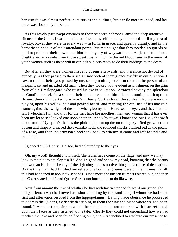her sister's, was almost perfect in its curves and outlines, but a trifle more rounded, and her dress was absolutely the same.

 As this lovely pair swept onwards to their respective thrones, amid the deep attentive silence of the Court, I was bound to confess to myself that they did indeed fulfil my idea of royalty. Royal they were in every way – in form, in grace, and queenly dignity, and in the barbaric splendour of their attendant pomp. But methought that they needed no guards or gold to proclaim their power and bind the loyalty of wayward men. A glance from those bright eyes or a smile from those sweet lips, and while the red blood runs in the veins of youth women such as these will never lack subjects ready to do their biddings to the death.

 But after all they were women first and queens afterwards, and therefore not devoid of curiosity. As they passed to their seats I saw both of them glance swiftly in our direction. I saw, too, that their eyes passed by me, seeing nothing to charm them in the person of an insignificant and grizzled old man. Then they looked with evident astonishment on the grim form of old Umslopogaas, who raised his axe in salutation. Attracted next by the splendour of Good's apparel, for a second their glance rested on him like a humming moth upon a flower, then off it darted to where Sir Henry Curtis stood, the sunlight from a window playing upon his yellow hair and peaked beard, and marking the outlines of his massive frame against the twilight of the somewhat gloomy hall. He raised his eyes, and they met the fair Nyleptha's full, and thus for the first time the goodliest man and woman that it has ever been my lot to see looked one upon another. And why it was I know not, but I saw the swift blood run up Nyleptha's skin as the pink lights run up the morning sky. Red grew her fair bosom and shapely arm, red the swanlike neck; the rounded cheeks blushed red as the petals of a rose, and then the crimson flood sank back to whence it came and left her pale and trembling.

I glanced at Sir Henry. He, too, had coloured up to the eyes.

 'Oh, my word!' thought I to myself, 'the ladies have come on the stage, and now we may look to the plot to develop itself.' And I sighed and shook my head, knowing that the beauty of a woman is like the beauty of the lightning – a destructive thing and a cause of desolation. By the time that I had finished my reflections both the Queens were on the thrones, for all this had happened in about six seconds. Once more the unseen trumpets blared out, and then the Court seated itself, and Queen Sorais motioned to us to do likewise.

 Next from among the crowd whither he had withdrawn stepped forward our guide, the old gentleman who had towed us ashore, holding by the hand the girl whom we had seen first and afterwards rescued from the hippopotamus. Having made obeisance he proceeded to address the Queens, evidently describing to them the way and place where we had been found. It was most amusing to watch the astonishment, not unmixed with fear, reflected upon their faces as they listened to his tale. Clearly they could not understand how we had reached the lake and been found floating on it, and were inclined to attribute our presence to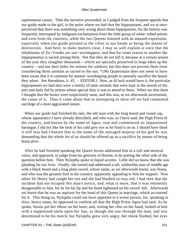supernatural causes. Then the narrative proceeded, as I judged from the frequent appeals that our guide made to the girl, to the point where we had shot the hippopotami, and we at once perceived that there was something very wrong about those hippopotami, for the history was frequently interrupted by indignant exclamations from the little group of white−robed priests and even from the courtiers, while the two Queens listened with an amazed expression, especially when our guide pointed to the rifles in our hands as being the means of destruction. And here, to make matters clear, I may as well explain at once that the inhabitants of Zu−Vendis are sun−worshippers, and that for some reason or another the hippopotamus is sacred among them. Not that they do not kill it, because at a certain season of the year they slaughter thousands – which are specially preserved in large lakes up the country – and use their hides for armour for soldiers; but this does not prevent them from considering these animals as sacred to the sun. \*{Mr Quatermain does not seem to have been aware that it is common for animal−worshipping people to annually sacrifice the beasts they adore. See Herodotus, ii. 45. – EDITOR.} Now, as ill luck would have it, the particular hippopotami we had shot were a family of tame animals that were kept in the mouth of the port and daily fed by priests whose special duty it was to attend to them. When we shot them I thought that the brutes were suspiciously tame, and this was, as we afterwards ascertained, the cause of it. Thus it came about that in attempting to show off we had committed sacrilege of a most aggravated nature.

 When our guide had finished his tale, the old man with the long beard and round cap, whose appearance I have already described, and who was, as I have said, the High Priest of the country, and known by the name of Agon, rose and commenced an impassioned harangue. I did not like the look of his cold grey eye as he fixed it on us. I should have liked it still less had I known that in the name of the outraged majesty of his god he was demanding that the whole lot of us should be offered up as a sacrifice by means of being burnt alive.

 After he had finished speaking the Queen Sorais addressed him in a soft and musical voice, and appeared, to judge from his gestures of dissent, to be putting the other side of the question before him. Then Nyleptha spoke in liquid accents. Little did we know that she was pleading for our lives. Finally, she turned and addressed a tall, soldierlike man of middle age with a black beard and a long plain sword, whose name, as we afterwards learnt, was Nasta, and who was the greatest lord in the country; apparently appealing to him for support. Now when Sir Henry had caught her eye and she had blushed so rosy red, I had seen that the incident had not escaped this man's notice, and, what is more, that it was eminently disagreeable to him, for he bit his lip and his hand tightened on his sword−hilt. Afterwards we learnt that he was an aspirant for the hand of this Queen in marriage, which accounted for it. This being so, Nyleptha could not have appealed to a worse person, for, speaking in slow, heavy tones, he appeared to confirm all that the High Priest Agon had said. As he spoke, Sorais put her elbow on her knee, and, resting her chin on her hand, looked at him with a suppressed smile upon her lips, as though she saw through the man, and was determined to be his match; but Nyleptha grew very angry, her cheek flushed, her eyes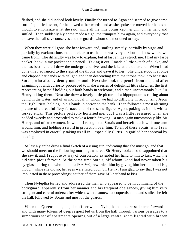flashed, and she did indeed look lovely. Finally she turned to Agon and seemed to give some sort of qualified assent, for he bowed at her words; and as she spoke she moved her hands as though to emphasize what she said; while all the time Sorais kept her chin on her hand and smiled. Then suddenly Nyleptha made a sign, the trumpets blew again, and everybody rose to leave the hall save ourselves and the guards, whom she motioned to stay.

 When they were all gone she bent forward and, smiling sweetly, partially by signs and partially by exclamations made it clear to us that she was very anxious to know where we came from. The difficulty was how to explain, but at last an idea struck me. I had my large pocket−book in my pocket and a pencil. Taking it out, I made a little sketch of a lake, and then as best I could I drew the underground river and the lake at the other end. When I had done this I advanced to the steps of the throne and gave it to her. She understood it at once and clapped her hands with delight, and then descending from the throne took it to her sister Sorais, who also evidently understood. Next she took the pencil from me, and after examining it with curiosity proceeded to make a series of delightful little sketches, the first representing herself holding out both hands in welcome, and a man uncommonly like Sir Henry taking them. Next she drew a lovely little picture of a hippopotamus rolling about dying in the water, and of an individual, in whom we had no difficulty in recognizing Agon the High Priest, holding up his hands in horror on the bank. Then followed a most alarming picture of a dreadful fiery furnace and of the same figure, Agon, poking us into it with a forked stick. This picture perfectly horrified me, but I was a little reassured when she nodded sweetly and proceeded to make a fourth drawing – a man again uncommonly like Sir Henry, and of two women, in whom I recognized Sorais and herself, each with one arm around him, and holding a sword in protection over him. To all of these Sorais, who I saw was employed in carefully taking us all in – especially Curtis – signified her approval by nodding.

 At last Nyleptha drew a final sketch of a rising sun, indicating that she must go, and that we should meet on the following morning; whereat Sir Henry looked so disappointed that she saw it, and, I suppose by way of consolation, extended her hand to him to kiss, which he did with pious fervour. At the same time Sorais, off whom Good had never taken his eyeglass during the whole indaba [interview], rewarded him by giving him her hand to kiss, though, while she did so, her eyes were fixed upon Sir Henry. I am glad to say that I was not implicated in these proceedings; neither of them gave ME her hand to kiss.

 Then Nyleptha turned and addressed the man who appeared to be in command of the bodyguard, apparently from her manner and his frequent obeisances, giving him very stringent and careful orders; after which, with a somewhat coquettish nod and smile, she left the hall, followed by Sorais and most of the guards.

 When the Queens had gone, the officer whom Nyleptha had addressed came forward and with many tokens of deep respect led us from the hall through various passages to a sumptuous set of apartments opening out of a large central room lighted with brazen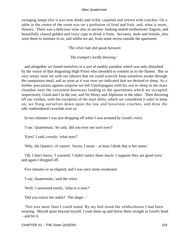swinging lamps (for it was now dusk) and richly carpeted and strewn with couches. On a table in the centre of the room was set a profusion of food and fruit, and, what is more, flowers. There was a delicious wine also in ancient−looking sealed earthenware flagons, and beautifully chased golden and ivory cups to drink it from. Servants, male and female, also were there to minister to us, and whilst we ate, from some recess outside the apartment

*'The silver lute did speak between*

*The trumpet's lordly blowing;'* 

 and altogether we found ourselves in a sort of earthly paradise which was only disturbed by the vision of that disgusting High Priest who intended to commit us to the flames. But so very weary were we with our labours that we could scarcely keep ourselves awake through the sumptuous meal, and as soon as it was over we indicated that we desired to sleep. As a further precaution against surprise we left Umslopogaas with his axe to sleep in the main chamber near the curtained doorways leading to the apartments which we occupied respectively, Good and I in the one, and Sir Henry and Alphonse in the other. Then throwing off our clothes, with the exception of the mail shirts, which we considered it safer to keep on, we flung ourselves down upon the low and luxurious couches, and drew the silk−embroidered coverlids over us.

In two minutes I was just dropping off when I was aroused by Good's voice.

'I say, Quatermain,' he said, 'did you ever see such eyes?'

'Eyes!' I said, crossly; 'what eyes?'

'Why, the Queen's, of course! Sorais, I mean – at least I think that is her name.'

 'Oh, I don't know,' I yawned; 'I didn't notice them much: I suppose they are good eyes,' and again I dropped off.

Five minutes or so elapsed, and I was once more awakened.

'I say, Quatermain,' said the voice.

'Well,' I answered testily, 'what is it now?'

'Did you notice her ankle? The shape – '

 This was more than I could stand. By my bed stood the veldtschoons I had been wearing. Moved quite beyond myself, I took them up and threw them straight at Good's head – and hit it.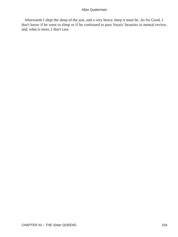Afterwards I slept the sleep of the just, and a very heavy sleep it must be. As for Good, I don't know if he went to sleep or if he continued to pass Sorais' beauties in mental review, and, what is more, I don't care.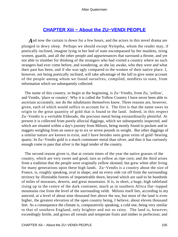# **[CHAPTER Xiii − About the ZU−VENDI PEOPLE](#page-202-0)**

And now the curtain is down for a few hours, and the actors in this novel drama are plunged in dewy sleep. Perhaps we should except Nyleptha, whom the reader may, if poetically inclined, imagine lying in her bed of state encompassed by her maidens, tiring women, guards, and all the other people and appurtenances that surround a throne, and yet not able to slumber for thinking of the strangers who had visited a country where no such strangers had ever come before, and wondering, as she lay awake, who they were and what their past has been, and if she was ugly compared to the women of their native place. I, however, not being poetically inclined, will take advantage of the lull to give some account of the people among whom we found ourselves, compiled, needless to state, from information which we subsequently collected.

 The name of this country, to begin at the beginning, is Zu−Vendis, from Zu, 'yellow', and Vendis, 'place or country'. Why it is called the Yellow Country I have never been able to ascertain accurately, nor do the inhabitants themselves know. Three reasons are, however, given, each of which would suffice to account for it. The first is that the name owes its origin to the great quantity of gold that is found in the land. Indeed, in this respect Zu−Vendis is a veritable Eldorado, the precious metal being extraordinarily plentiful. At present it is collected from purely alluvial diggings, which we subsequently inspected, and which are situated within a day's journey from Milosis, being mostly found in pockets and in nuggets weighing from an ounce up to six or seven pounds in weight. But other diggings of a similar nature are known to exist, and I have besides seen great veins of gold−bearing quartz. In Zu−Vendis gold is a much commoner metal than silver, and thus it has curiously enough come to pass that silver is the legal tender of the country.

 The second reason given is, that at certain times of the year the native grasses of the country, which are very sweet and good, turn as yellow as ripe corn; and the third arises from a tradition that the people were originally yellow skinned, but grew white after living for many generations upon these high lands. Zu−Vendis is a country about the size of France, is, roughly speaking, oval in shape; and on every side cut off from the surrounding territory by illimitable forests of impenetrable thorn, beyond which are said to be hundreds of miles of morasses, deserts, and great mountains. It is, in short, a huge, high tableland rising up in the centre of the dark continent, much as in southern Africa flat−topped mountains rise from the level of the surrounding veldt. Milosis itself lies, according to my aneroid, at a level of about nine thousand feet above the sea, but most of the land is even higher, the greatest elevation of the open country being, I believe, about eleven thousand feet. As a consequence the climate is, comparatively speaking, a cold one, being very similar to that of southern England, only brighter and not so rainy. The land is, however, exceedingly fertile, and grows all cereals and temperate fruits and timber to perfection; and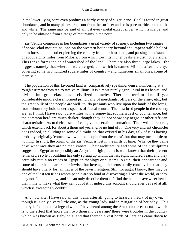in the lower−lying parts even produces a hardy variety of sugar−cane. Coal is found in great abundance, and in many places crops out from the surface; and so is pure marble, both black and white. The same may be said of almost every metal except silver, which is scarce, and only to be obtained from a range of mountains in the north.

 Zu−Vendis comprises in her boundaries a great variety of scenery, including two ranges of snow−clad mountains, one on the western boundary beyond the impenetrable belt of thorn forest, and the other piercing the country from north to south, and passing at a distance of about eighty miles from Milosis, from which town its higher peaks are distinctly visible. This range forms the chief watershed of the land. There are also three large lakes – the biggest, namely that whereon we emerged, and which is named Milosis after the city, covering some two hundred square miles of country – and numerous small ones, some of them salt.

 The population of this favoured land is, comparatively speaking, dense, numbering at a rough estimate from ten to twelve millions. It is almost purely agricultural in its habits, and divided into great classes as in civilized countries. There is a territorial nobility, a considerable middle class, formed principally of merchants, officers of the army, etc.; but the great bulk of the people are well−to−do peasants who live upon the lands of the lords, from whom they hold under a species of feudal tenure. The best bred people in the country are, as I think I have said, pure whites with a somewhat southern cast of countenance; but the common herd are much darker, though they do not show any negro or other African characteristics. As to their descent I can give no certain information. Their written records, which extend back for about a thousand years, give no hint of it. One very ancient chronicler does indeed, in alluding to some old tradition that existed in his day, talk of it as having probably originally 'come down with the people from the coast', but that may mean little or nothing. In short, the origin of the Zu−Vendi is lost in the mists of time. Whence they came or of what race they are no man knows. Their architecture and some of their sculptures suggest an Egyptian or possibly an Assyrian origin; but it is well known that their present remarkable style of building has only sprung up within the last eight hundred years, and they certainly retain no traces of Egyptian theology or customs. Again, their appearance and some of their habits are rather Jewish; but here again it seems hardly conceivable that they should have utterly lost all traces of the Jewish religion. Still, for aught I know, they may be one of the lost ten tribes whom people are so fond of discovering all over the world, or they may not. I do not know, and so can only describe them as I find them, and leave wiser heads than mine to make what they can out of it, if indeed this account should ever be read at all, which is exceedingly doubtful.

 And now after I have said all this, I am, after all, going to hazard a theory of my own, though it is only a very little one, as the young lady said in mitigation of her baby. This theory is founded on a legend which I have heard among the Arabs on the east coast, which is to the effect that 'more than two thousand years ago' there were troubles in the country which was known as Babylonia, and that thereon a vast horde of Persians came down to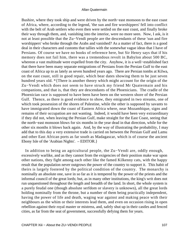Bushire, where they took ship and were driven by the north−east monsoon to the east coast of Africa, where, according to the legend, 'the sun and fire worshippers' fell into conflict with the belt of Arab settlers who even then were settled on the east coast, and finally broke their way through them, and, vanishing into the interior, were no more seen. Now, I ask, is it not at least possible that the Zu−Vendi people are the descendants of these 'sun and fire worshippers' who broke through the Arabs and vanished? As a matter of fact, there is a good deal in their characters and customs that tallies with the somewhat vague ideas that I have of Persians. Of course we have no books of reference here, but Sir Henry says that if his memory does not fail him, there was a tremendous revolt in Babylon about 500 BC, whereon a vast multitude were expelled from the city. Anyhow, it is a well−established fact that there have been many separate emigrations of Persians from the Persian Gulf to the east coast of Africa up to as lately as seven hundred years ago. There are Persian tombs at Kilwa, on the east coast, still in good repair, which bear dates showing them to be just seven hundred years old. \*{There is another theory which might account for the origin of the Zu−Vendi which does not seem to have struck my friend Mr Quatermain and his companions, and that is, that they are descendants of the Phoenicians. The cradle of the Phoenician race is supposed to have been have been on the western shore of the Persian Gulf. Thence, as there is good evidence to show, they emigrated in two streams, one of which took possession of the shores of Palestine, while the other is supposed by savants to have immigrated down the coast of Eastern Africa where, near Mozambique, signs and remains of their occupation are not wanting. Indeed, it would have been very extraordinary if they did not, when leaving the Persian Gulf, make straight for the East Coast, seeing that the north−east monsoon blows for six months in the year dead in that direction, while for the other six months it blows back again. And, by the way of illustrating the probability, I may add that to this day a very extensive trade is carried on between the Persian Gulf and Lamu and other East African ports as far south as Madagascar, which is of course the ancient Ebony Isle of the 'Arabian Nights'. – EDITOR.}

 In addition to being an agricultural people, the Zu−Vendi are, oddly enough, excessively warlike, and as they cannot from the exigencies of their position make war upon other nations, they fight among each other like the famed Kilkenny cats, with the happy result that the population never outgrows the power of the country to support it. This habit of theirs is largely fostered by the political condition of the country. The monarchy is nominally an absolute one, save in so far as it is tempered by the power of the priests and the informal council of the great lords; but, as in many other institutions, the king's writ does not run unquestioned throughout the length and breadth of the land. In short, the whole system is a purely feudal one (though absolute serfdom or slavery is unknown), all the great lords holding nominally from the throne, but a number of them being practically independent, having the power of life and death, waging war against and making peace with their neighbours as the whim or their interests lead them, and even on occasion rising in open rebellion against their royal master or mistress, and, safely shut up in their castles and fenced cities, as far from the seat of government, successfully defying them for years.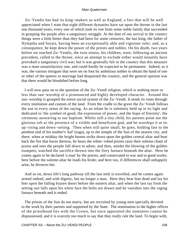Zu−Vendis has had its king−makers as well as England, a fact that will be well appreciated when I state that eight different dynasties have sat upon the throne in the last one thousand years, every one of which took its rise from some noble family that succeeded in grasping the purple after a sanguinary struggle. At the date of our arrival in the country things were a little better than they had been for some centuries, the last king, the father of Nyleptha and Sorais, having been an exceptionally able and vigorous ruler, and, as a consequence, he kept down the power of the priests and nobles. On his death, two years before we reached Zu−Vendis, the twin sisters, his children, were, following an ancient precedent, called to the throne, since an attempt to exclude either would instantly have provoked a sanguinary civil war; but it was generally felt in the country that this measure was a most unsatisfactory one, and could hardly be expected to be permanent. Indeed, as it was, the various intrigues that were set on foot by ambitious nobles to obtain the hand of one or other of the queens in marriage had disquieted the country, and the general opinion was that there would be bloodshed before long.

 I will now pass on to the question of the Zu−Vendi religion, which is nothing more or less than sun−worship of a pronounced and highly developed character. Around this sun−worship is grouped the entire social system of the Zu−Vendi. It sends its roots through every institution and custom of the land. From the cradle to the grave the Zu−Vendi follows the sun in every sense of the saying. As an infant he is solemnly held up in its light and dedicated to 'the symbol of good, the expression of power, and the hope of Eternity', the ceremony answering to our baptism. Whilst still a tiny child, his parents point out the glorious orb as the presence of a visible and beneficent god, and he worships it at its up−rising and down−setting. Then when still quite small, he goes, holding fast to the pendent end of his mother's 'kaf' (toga), up to the temple of the Sun of the nearest city, and there, when at midday the bright beams strike down upon the golden central altar and beat back the fire that burns thereon, he hears the white−robed priests raise their solemn chant of praise and sees the people fall down to adore, and then, amidst the blowing of the golden trumpets, watched the sacrifice thrown into the fiery furnace beneath the altar. Here he comes again to be declared 'a man' by the priests, and consecrated to war and to good works; here before the solemn altar he leads his bride; and here too, if differences shall unhappily arise, he divorces her.

 And so on, down life's long pathway till the last mile is travelled, and he comes again armed indeed, and with dignity, but no longer a man. Here they bear him dead and lay his bier upon the falling brazen doors before the eastern altar, and when the last ray from the setting sun falls upon his white face the bolts are drawn and he vanishes into the raging furnace beneath and is ended.

 The priests of the Sun do not marry, but are recruited by young men specially devoted to the work by their parents and supported by the State. The nomination to the higher offices of the priesthood lies with the Crown, but once appointed the nominees cannot be dispossessed, and it is scarcely too much to say that they really rule the land. To begin with,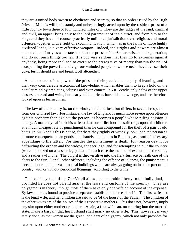they are a united body sworn to obedience and secrecy, so that an order issued by the High Priest at Milosis will be instantly and unhesitatingly acted upon by the resident priest of a little country town three or four hundred miles off. They are the judges of the land, criminal and civil, an appeal lying only to the lord paramount of the district, and from him to the king; and they have, of course, practically unlimited jurisdiction over religious and moral offences, together with a right of excommunication, which, as in the faiths of more highly civilized lands, is a very effective weapon. Indeed, their rights and powers are almost unlimited, but I may as well state here that the priests of the Sun are wise in their generation, and do not push things too far. It is but very seldom that they go to extremes against anybody, being more inclined to exercise the prerogative of mercy than run the risk of exasperating the powerful and vigorous−minded people on whose neck they have set their yoke, lest it should rise and break it off altogether.

 Another source of the power of the priests is their practical monopoly of learning, and their very considerable astronomical knowledge, which enables them to keep a hold on the popular mind by predicting eclipses and even comets. In Zu−Vendis only a few of the upper classes can read and write, but nearly all the priests have this knowledge, and are therefore looked upon as learned men.

 The law of the country is, on the whole, mild and just, but differs in several respects from our civilized law. For instance, the law of England is much more severe upon offences against property than against the person, as becomes a people whose ruling passion is money. A man may half kick his wife to death or inflict horrible sufferings upon his children at a much cheaper rate of punishment than he can compound for the theft of a pair of old boots. In Zu−Vendis this is not so, for there they rightly or wrongly look upon the person as of more consequence than goods and chattels, and not, as in England, as a sort of necessary appendage to the latter. For murder the punishment is death, for treason death, for defrauding the orphan and the widow, for sacrilege, and for attempting to quit the country (which is looked on as a sacrilege) death. In each case the method of execution is the same, and a rather awful one. The culprit is thrown alive into the fiery furnace beneath one of the altars to the Sun. For all other offences, including the offence of idleness, the punishment is forced labour upon the vast national buildings which are always going on in some part of the country, with or without periodical floggings, according to the crime.

 The social system of the Zu−Vendi allows considerable liberty to the individual, provided he does not offend against the laws and customs of the country. They are polygamous in theory, though most of them have only one wife on account of the expense. By law a man is bound to provide a separate establishment for each wife. The first wife also is the legal wife, and her children are said to be 'of the house of the Father'. The children of the other wives are of the houses of their respective mothers. This does not, however, imply any slur upon either mother or children. Again, a first wife can, on entering into the married state, make a bargain that her husband shall marry no other wife. This, however, is very rarely done, as the women are the great upholders of polygamy, which not only provides for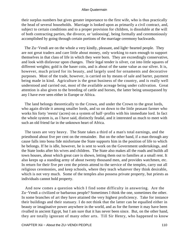their surplus numbers but gives greater importance to the first wife, who is thus practically the head of several households. Marriage is looked upon as primarily a civil contract, and, subject to certain conditions and to a proper provision for children, is dissoluble at the will of both contracting parties, the divorce, or 'unloosing', being formally and ceremoniously accomplished by going through certain portions of the marriage ceremony backwards.

 The Zu−Vendi are on the whole a very kindly, pleasant, and light−hearted people. They are not great traders and care little about money, only working to earn enough to support themselves in that class of life in which they were born. They are exceedingly conservative, and look with disfavour upon changes. Their legal tender is silver, cut into little squares of different weights; gold is the baser coin, and is about of the same value as our silver. It is, however, much prized for its beauty, and largely used for ornaments and decorative purposes. Most of the trade, however, is carried on by means of sale and barter, payment being made in kind. Agriculture is the great business of the country, and is really well understood and carried out, most of the available acreage being under cultivation. Great attention is also given to the breeding of cattle and horses, the latter being unsurpassed by any I have ever seen either in Europe or Africa.

 The land belongs theoretically to the Crown, and under the Crown to the great lords, who again divide it among smaller lords, and so on down to the little peasant farmer who works his forty 'reestu' (acres) on a system of half−profits with his immediate lord. In fact the whole system is, as I have said, distinctly feudal, and it interested us much to meet with such an old friend far in the unknown heart of Africa.

 The taxes are very heavy. The State takes a third of a man's total earnings, and the priesthood about five per cent on the remainder. But on the other hand, if a man through any cause falls into bona fide misfortune the State supports him in the position of life to which he belongs. If he is idle, however, he is sent to work on the Government undertakings, and the State looks after his wives and children. The State also makes all the roads and builds all town houses, about which great care is shown, letting them out to families at a small rent. It also keeps up a standing army of about twenty thousand men, and provides watchmen, etc. In return for their five per cent the priests attend to the service of the temples, carry out all religious ceremonies, and keep schools, where they teach whatever they think desirable, which is not very much. Some of the temples also possess private property, but priests as individuals cannot hold property.

 And now comes a question which I find some difficulty in answering. Are the Zu−Vendi a civilized or barbarous people? Sometimes I think the one, sometimes the other. In some branches of art they have attained the very highest proficiency. Take for instance their buildings and their statuary. I do not think that the latter can be equalled either in beauty or imaginative power anywhere in the world, and as for the former it may have been rivalled in ancient Egypt, but I am sure that it has never been since. But, on the other hand, they are totally ignorant of many other arts. Till Sir Henry, who happened to know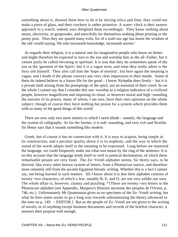something about it, showed them how to do it by mixing silica and lime, they could not make a piece of glass, and their crockery is rather primitive. A water−clock is their nearest approach to a watch; indeed, ours delighted them exceedingly. They know nothing about steam, electricity, or gunpowder, and mercifully for themselves nothing about printing or the penny post. Thus they are spared many evils, for of a truth our age has learnt the wisdom of the old−world saying, 'He who increaseth knowledge, increaseth sorrow.'

 As regards their religion, it is a natural one for imaginative people who know no better, and might therefore be expected to turn to the sun and worship him as the all−Father, but it cannot justly be called elevating or spiritual. It is true that they do sometimes speak of the sun as the 'garment of the Spirit', but it is a vague term, and what they really adore is the fiery orb himself. They also call him the 'hope of eternity', but here again the meaning is vague, and I doubt if the phrase conveys any very clear impression to their minds. Some of them do indeed believe in a future life for the good – I know Nyleptha does firmly – but it is a private faith arising from the promptings of the spirit, not an essential of their creed. So on the whole I cannot say that I consider this sun−worship as a religion indicative of a civilized people, however magnificent and imposing its ritual, or however moral and high−sounding the maxims of its priests, many of whom, I am sure, have their own opinions on the whole subject; though of course they have nothing but praise for a system which provides them with so many of the good things of this world.

 There are now only two more matters to which I need allude – namely, the language and the system of calligraphy. As for the former, it is soft−sounding, and very rich and flexible. Sir Henry says that it sounds something like modern

 Greek, but of course it has no connection with it. It is easy to acquire, being simple in its construction, and a peculiar quality about it is its euphony, and the way in which the sound of the words adapts itself to the meaning to be expressed. Long before we mastered the language, we could frequently make out what was meant by the ring of the sentence. It is on this account that the language lends itself so well to poetical declamation, of which these remarkable people are very fond. The Zu−Vendi alphabet seems, Sir henry says, to be derived, like every other known system of letters, from a Phoenician source, and therefore more remotely still from the ancient Egyptian hieratic writing. Whether this is a fact I cannot say, not being learned in such matters. All I know about it is that their alphabet consists of twenty−two characters, of which a few, notably B, E, and O, are not very unlike our own. The whole affair is, however, clumsy and puzzling. \*{There are twenty−two letters in the Phoenician alphabet (see Appendix, Maspero's Histoire ancienne des peuples de l'Orient, p. 746, etc.) Unfortunately Mr Quatermain gives us no specimen of the Zu−Vendi writing, but what he here states seems to go a long way towards substantiating the theory advanced in the note on p. 149. – EDITOR.} But as the people of Zu−Vendi are not given to the writing of novels, or of anything except business documents and records of the briefest character, it answers their purpose well enough.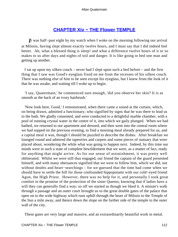# **[CHAPTER Xiv − THE Flower TEMPLE](#page-202-0)**

*I*t was half−past eight by my watch when I woke on the morning following our arrival at Milosis, having slept almost exactly twelve hours, and I must say that I did indeed feel better. Ah, what a blessed thing is sleep! and what a difference twelve hours of it or so makes to us after days and nights of toil and danger. It is like going to bed one man and getting up another.

 I sat up upon my silken couch – never had I slept upon such a bed before – and the first thing that I saw was Good's eyeglass fixed on me from the recesses of his silken couch. There was nothing else of him to be seen except his eyeglass, but I knew from the look of it that he was awake, and waiting till I woke up to begin.

 'I say, Quatermain,' he commenced sure enough, 'did you observe her skin? It is as smooth as the back of an ivory hairbrush.'

 'Now look here, Good,' I remonstrated, when there came a sound at the curtain, which, on being drawn, admitted a functionary, who signified by signs that he was there to lead us to the bath. We gladly consented, and were conducted to a delightful marble chamber, with a pool of running crystal water in the centre of it, into which we gaily plunged. When we had bathed, we returned to our apartment and dressed, and then went into the central room where we had supped on the previous evening, to find a morning meal already prepared for us, and a capital meal it was, though I should be puzzled to describe the dishes. After breakfast we lounged round and admired the tapestries and carpets and some pieces of statuary that were placed about, wondering the while what was going to happen next. Indeed, by this time our minds were in such a state of complete bewilderment that we were, as a matter of fact, ready for anything that might arrive. As for our sense of astonishment, it was pretty well obliterated. Whilst we were still thus engaged, our friend the captain of the guard presented himself, and with many obeisances signified that we were to follow him, which we did, not without doubts and heart−searchings – for we guessed that the time had come when we should have to settle the bill for those confounded hippopotami with our cold−eyed friend Agon, the High Priest. However, there was no help for it, and personally I took great comfort in the promise of the protection of the sister Queens, knowing that if ladies have a will they can generally find a way; so off we started as though we liked it. A minute's walk through a passage and an outer court brought us to the great double gates of the palace that open on to the wide highway which runs uphill through the heart of Milosis to the Temple of the Sun a mile away, and thence down the slope on the farther side of the temple to the outer wall of the city.

These gates are very large and massive, and an extraordinarily beautiful work in metal.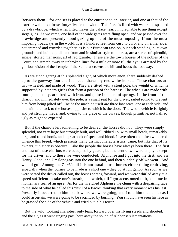Between them – for one set is placed at the entrance to an interior, and one at that of the exterior wall – is a fosse, forty−five feet in width. This fosse is filled with water and spanned by a drawbridge, which when lifted makes the palace nearly impregnable to anything except siege guns. As we came, one half of the wide gates were flung open, and we passed over the drawbridge and presently stood gazing up one of the most imposing, if not the most imposing, roadways in the world. It is a hundred feet from curb to curb, and on either side, not cramped and crowded together, as is our European fashion, but each standing in its own grounds, and built equidistant from and in similar style to the rest, are a series of splendid, single−storied mansions, all of red granite. These are the town houses of the nobles of the Court, and stretch away in unbroken lines for a mile or more till the eye is arrested by the glorious vision of the Temple of the Sun that crowns the hill and heads the roadway.

 As we stood gazing at this splendid sight, of which more anon, there suddenly dashed up to the gateway four chariots, each drawn by two white horses. These chariots are two−wheeled, and made of wood. They are fitted with a stout pole, the weight of which is supported by leathern girths that form a portion of the harness. The wheels are made with four spokes only, are tired with iron, and quite innocent of springs. In the front of the chariot, and immediately over the pole, is a small seat for the driver, railed round to prevent him from being jolted off. Inside the machine itself are three low seats, one at each side, and one with the back to the horses, opposite to which is the door. The whole vehicle is lightly and yet strongly made, and, owing to the grace of the curves, though primitive, not half so ugly as might be expected.

 But if the chariots left something to be desired, the horses did not. They were simply splendid, not very large but strongly built, and well ribbed up, with small heads, remarkably large and round hoofs, and a great look of speed and blood. I have often and often wondered whence this breed, which presents many distinct characteristics, came, but like that of its owners, it history is obscure. Like the people the horses have always been there. The first and last of these chariots were occupied by guards, but the centre two were empty, except for the driver, and to these we were conducted. Alphonse and I got into the first, and Sir Henry, Good, and Umslopogaas into the one behind, and then suddenly off we went. And we did go! Among the Zu−Vendi it is not usual to trot horses either riding or driving, especially when the journey to be made is a short one – they go at full gallop. As soon as we were seated the driver called out, the horses sprang forward, and we were whirled away at a speed sufficient to take one's breath, and which, till I got accustomed to it, kept me in momentary fear of an upset. As for the wretched Alphonse, he clung with a despairing face to the side of what he called this 'devil of a fiacre', thinking that every moment was his last. Presently it occurred to him to ask where we were going, and I told him that, as far as I could ascertain, we were going to be sacrificed by burning. You should have seen his face as he grasped the side of the vehicle and cried out in his terror.

 But the wild−looking charioteer only leant forward over his flying steeds and shouted; and the air, as it went singing past, bore away the sound of Alphonse's lamentations.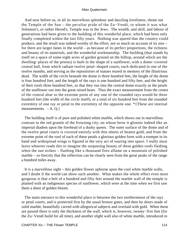And now before us, in all its marvellous splendour and dazzling loveliness, shone out the Temple of the Sun – the peculiar pride of the Zu−Vendi, to whom it was what Solomon's, or rather Herod's, Temple was to the Jews. The wealth, and skill, and labour of generations had been given to the building of this wonderful place, which had been only finally completed within the last fifty years. Nothing was spared that the country could produce, and the result was indeed worthy of the effort, not so much on account of its size – for there are larger fanes in the world – as because of its perfect proportions, the richness and beauty of its materials, and the wonderful workmanship. The building (that stands by itself on a space of some eight acres of garden ground on the hilltop, around which are the dwelling−places of the priests) is built in the shape of a sunflower, with a dome−covered central hall, from which radiate twelve petal−shaped courts, each dedicated to one of the twelve months, and serving as the repositories of statues reared in memory of the illustrious dead. The width of the circle beneath the dome is three hundred feet, the height of the dome is four hundred feet, and the length of the rays is one hundred and fifty feet, and the height of their roofs three hundred feet, so that they run into the central dome exactly as the petals of the sunflower run into the great raised heart. Thus the exact measurement from the centre of the central altar to the extreme point of any one of the rounded rays would be three hundred feet (the width of the circle itself), or a total of six hundred feet from the rounded extremity of one ray or petal to the extremity of the opposite one. \*{These are internal measurements.  $-A$ . Q.}

 The building itself is of pure and polished white marble, which shows out in marvellous contrast to the red granite of the frowning city, on whose brow it glistens indeed like an imperial diadem upon the forehead of a dusky queen. The outer surface of the dome and of the twelve petal courts is covered entirely with thin sheets of beaten gold; and from the extreme point of the roof of each of these petals a glorious golden form with a trumpet in its hand and widespread wings is figured in the very act of soaring into space. I really must leave whoever reads this to imagine the surpassing beauty of these golden roofs flashing when the sun strikes – flashing like a thousand fires aflame on a mountain of polished marble – so fiercely that the reflection can be clearly seen from the great peaks of the range a hundred miles away.

 It is a marvellous sight – this golden flower upborne upon the cool white marble walls, and I doubt if the world can show such another. What makes the whole effect even more gorgeous is that a belt of a hundred and fifty feet around the marble wall of the temple is planted with an indigenous species of sunflower, which were at the time when we first saw them a sheet of golden bloom.

 The main entrance to this wonderful place is between the two northernmost of the rays or petal courts, and is protected first by the usual bronze gates, and then by doors made of solid marble, beautifully carved with allegorical subjects and overlaid with gold. When these are passed there is only the thickness of the wall, which is, however, twenty−five feet (for the Zu−Vendi build for all time), and another slight wall also of white marble, introduced in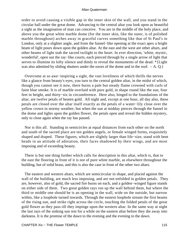order to avoid causing a visible gap in the inner skin of the wall, and you stand in the circular hall under the great dome. Advancing to the central altar you look upon as beautiful a sight as the imagination of man can conceive. You are in the middle of the holy place, and above you the great white marble dome (for the inner skin, like the outer, is of polished marble throughout) arches away in graceful curves something like that of St Paul's in London, only at a slighter angle, and from the funnel−like opening at the exact apex a bright beam of light pours down upon the golden altar. At the east and the west are other altars, and other beams of light stab the sacred twilight to the heart. In ever direction, 'white, mystic, wonderful', open out the ray−like courts, each pierced through by a single arrow of light that serves to illumine its lofty silence and dimly to reveal the monuments of the dead. \*{Light was also admitted by sliding shutters under the eaves of the dome and in the roof.  $-A$ . Q.}

 Overcome at so awe−inspiring a sight, the vast loveliness of which thrills the nerves like a glance from beauty's eyes, you turn to the central golden altar, in the midst of which, though you cannot see it now, there burns a pale but steady flame crowned with curls of faint blue smoke. It is of marble overlaid with pure gold, in shape round like the sun, four feet in height, and thirty−six in circumference. Here also, hinged to the foundations of the altar, are twelve petals of beaten gold. All night and, except at one hour, all day also, these petals are closed over the altar itself exactly as the petals of a water−lily close over the yellow crown in stormy weather; but when the sun at midday pierces through the funnel in the dome and lights upon the golden flower, the petals open and reveal the hidden mystery, only to close again when the ray has passed.

 Nor is this all. Standing in semicircles at equal distances from each other on the north and south of the sacred place are ten golden angels, or female winged forms, exquisitely shaped and draped. These figures, which are slightly larger than life−size, stand with bent heads in an attitude of adoration, their faces shadowed by their wings, and are most imposing and of exceeding beauty.

 There is but one thing further which calls for description in this altar, which is, that to the east the flooring in front of it is not of pure white marble, as elsewhere throughout the building, but of solid brass, and this is also the case in front of the other two altars.

 The eastern and western altars, which are semicircular in shape, and placed against the wall of the building, are much less imposing, and are not enfolded in golden petals. They are, however, also of gold, the sacred fire burns on each, and a golden−winged figure stands on either side of them. Two great golden rays run up the wall behind them, but where the third or middle one should be is an opening in the wall, wide on the outside, but narrow within, like a loophole turned inwards. Through the eastern loophole stream the first beams of the rising sun, and strike right across the circle, touching the folded petals of the great gold flower as they pass till they impinge upon the western altar. In the same way at night the last rays of the sinking sun rest for a while on the eastern altar before they die away into darkness. It is the promise of the dawn to the evening and the evening to the dawn.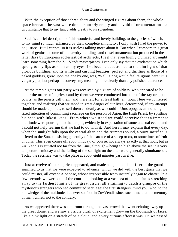With the exception of those three altars and the winged figures about them, the whole space beneath the vast white dome is utterly empty and devoid of ornamentation  $- a$ circumstance that to my fancy adds greatly to its splendour.

 Such is a brief description of this wonderful and lovely building, to the glories of which, to my mind so much enhanced by their complete simplicity, I only wish I had the power to do justice. But I cannot, so it is useless talking more about it. But when I compare this great work of genius to some of the tawdry buildings and tinsel ornamentation produced in these latter days by European ecclesiastical architects, I feel that even highly civilized art might learn something from the Zu−Vendi masterpieces. I can only say that the exclamation which sprang to my lips as soon as my eyes first became accustomed to the dim light of that glorious building, and its white and curving beauties, perfect and thrilling as those of a naked goddess, grew upon me one by one, was, 'Well! a dog would feel religious here.' It is vulgarly put, but perhaps it conveys my meaning more clearly than any polished utterance.

 At the temple gates our party was received by a guard of soldiers, who appeared to be under the orders of a priest; and by them we were conducted into one of the ray or 'petal' courts, as the priests call them, and there left for at least half−an−hour. Here we conferred together, and realizing that we stood in great danger of our lives, determined, if any attempt should be made upon us, to sell them as dearly as we could – Umslopogaas announcing his fixed intention of committing sacrilege on the person of Agon, the High Priest, by splitting his head with Inkosi−kaas. From where we stood we could perceive that an immense multitude were pouring into the temple, evidently in expectation of some unusual event, and I could not help fearing that we had to do with it. And here I may explain that every day, when the sunlight falls upon the central altar, and the trumpets sound, a burnt sacrifice is offered to the Sun, consisting generally of the carcase of a sheep or ox, or sometimes of fruit or corn. This even comes off about midday; of course, not always exactly at that hour, but as Zu−Vendis is situated not far from the Line, although – being so high above the sea it is very temperate – midday and the falling of the sunlight on the altar were generally simultaneous. Today the sacrifice was to take place at about eight minutes past twelve.

 Just at twelve o'clock a priest appeared, and made a sign, and the officer of the guard signified to us that we were expected to advance, which we did with the best grace that we could muster, all except Alphonse, whose irrepressible teeth instantly began to chatter. In a few seconds we were out of the court and looking at a vast sea of human faces stretching away to the farthest limits of the great circle, all straining to catch a glimpse of the mysterious strangers who had committed sacrilege; the first strangers, mind you, who, to the knowledge of the multitude, had ever set foot in Zu−Vendis since such time that the memory of man runneth not to the contrary.

 As we appeared there was a murmur through the vast crowd that went echoing away up the great dome, and we saw a visible blush of excitement grow on the thousands of faces, like a pink light on a stretch of pale cloud, and a very curious effect it was. On we passed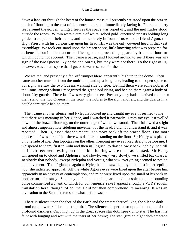down a lane cut through the heart of the human mass, till presently we stood upon the brazen patch of flooring to the east of the central altar, and immediately facing it. For some thirty feet around the golden−winged figures the space was roped off, and the multitudes stood outside the ropes. Within were a circle of white−robed gold−cinctured priests holding long golden trumpets in their hands, and immediately in front of us was our friend Agon, the High Priest, with his curious cap upon his head. His was the only covered head in that vast assemblage. We took our stand upon the brazen space, little knowing what was prepared for us beneath, but I noticed a curious hissing sound proceeding apparently from the floor for which I could not account. Then came a pause, and I looked around to see if there was any sign of the two Queens, Nyleptha and Sorais, but they were not there. To the right of us, however, was a bare space that I guessed was reserved for them.

 We waited, and presently a far−off trumpet blew, apparently high up in the dome. Then came another murmur from the multitude, and up a long lane, leading to the open space to our right, we saw the two Queens walking side by side. Behind them were some nobles of the Court, among whom I recognized the great lord Nasta, and behind them again a body of about fifty guards. These last I was very glad to see. Presently they had all arrived and taken their stand, the two Queens in the front, the nobles to the right and left, and the guards in a double semicircle behind them.

 Then came another silence, and Nyleptha looked up and caught my eye; it seemed to me that there was meaning in her glance, and I watched it narrowly. From my eye it travelled down to the brazen flooring, on the outer edge of which we stood. Then followed a slight and almost imperceptible sidelong movement of the head. I did not understand it, and it was repeated. Then I guessed that she meant us to move back off the brazen floor. One more glance and I was sure of it – there was danger in standing on the floor. Sir Henry was placed on one side of me, Umslopogaas on the other. Keeping my eyes fixed straight before me, I whispered to them, first in Zulu and then in English, to draw slowly back inch by inch till half their feet were resting on the marble flooring where the brass ceased. Sir Henry whispered on to Good and Alphonse, and slowly, very very slowly, we shifted backwards; so slowly that nobody, except Nyleptha and Sorais, who saw everything seemed to notice the movement. Then I glanced again at Nyleptha, and saw that, by an almost imperceptible nod, she indicated approval. All the while Agon's eyes were fixed upon the altar before him apparently in an ecstasy of contemplation, and mine were fixed upon the small of his back in another sort of ecstasy. Suddenly he flung up his long arm, and in a solemn and resounding voice commenced a chant, of which for convenience' sake I append a rough, a VERY rough, translation here, though, of course, I did not then comprehend its meaning. It was an invocation to the Sun, and ran somewhat as follows: –

 There is silence upon the face of the Earth and the waters thereof! Yea, the silence doth brood on the waters like a nesting bird; The silence sleepeth also upon the bosom of the profound darkness, Only high up in the great spaces star doth speak unto star, The Earth is faint with longing and wet with the tears of her desire; The star−girdled night doth embrace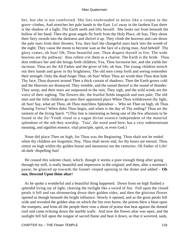her, but she is not comforted. She lies enshrouded in mists like a corpse in the grave−clothes, And stretches her pale hands to the East. Lo! away in the farthest East there is the shadow of a light; The Earth seeth and lifts herself. She looks out from beneath the hollow of her hand. Then thy great angels fly forth from the Holy Place, oh Sun, They shoot their fiery swords into the darkness and shrivel it up. They climb the heavens and cast down the pale stars from their thrones; Yea, they hurl the changeful stars back into the womb of the night; They cause the moon to become wan as the face of a dying man, And behold! Thy glory comes, oh Sun! Oh, Thou beautiful one, Thou drapest thyself in fire. The wide heavens are thy pathway: thou rollest o'er them as a chariot. The Earth is thy bride. Thou dost embrace her and she brings forth children; Yea, Thou favourest her, and she yields her increase. Thou art the All Father and the giver of life, oh Sun. The young children stretch out their hands and grow in thy brightness; The old men creep forth and seeing remember their strength. Only the dead forget Thee, oh Sun! When Thou art wroth then Thou dost hide Thy face; Thou drawest around Thee a thick curtain of shadows. Then the Earth grows cold and the Heavens are dismayed; They tremble, and the sound thereof is the sound of thunder: They weep, and their tears are outpoured in the rain; They sigh, and the wild winds are the voice of their sighing. The flowers die, the fruitful fields languish and turn pale; The old men and the little children go unto their appointed place When Thou withdrawest thy light, oh Sun! Say, what art Thou, oh Thou matchless Splendour – Who set Thee on high, oh Thou flaming Terror? When didst Thou begin, and when is the day of Thy ending? Thou art the raiment of the living Spirit. \*{This line is interesting as being one of the few allusions to be found in the Zu−Vendi ritual to a vague divine essence independent of the material splendour of the orb they worship. 'Taia', the word used here, has a very indeterminate meaning, and signifies essence, vital principle, spirit, or even God.}

 None did place Thee on high, for Thou was the Beginning. Thou shalt not be ended when thy children are forgotten; Nay, Thou shalt never end, for thy hours are eternal. Thou sittest on high within thy golden house and measurest out the centuries. Oh Father of Life! oh dark−dispelling Sun!

 He ceased this solemn chant, which, though it seems a poor enough thing after going through my mill, is really beautiful and impressive in the original; and then, after a moment's pause, he glanced up towards the funnel−sloped opening in the dome and added – **Oh sun, Descend Upon thine altar!**

 As he spoke a wonderful and a beautiful thing happened. Down from on high flashed a splendid living ray of light, cleaving the twilight like a sword of fire. Full upon the closed petals it fell and ran shimmering down their golden sides, and then the glorious flower opened as though beneath the bright influence. Slowly it opened, and as the great petals fell wide and revealed the golden altar on which the fire ever burns, the priests blew a blast upon the trumpets, and from all the people there rose a shout of praise that beat against the domed roof and came echoing down the marble walls. And now the flower altar was open, and the sunlight fell full upon the tongue of sacred flame and beat it down, so that it wavered, sank,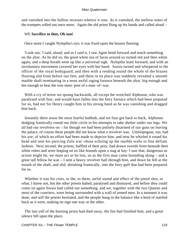and vanished into the hollow recesses whence it rose. As it vanished, the mellow notes of the trumpets rolled out once more. Again the old priest flung up his hands and called aloud –

# WE **Sacrifice to thee, Oh sun!**

Once more I caught Nyleptha's eye; it was fixed upon the brazen flooring.

 'Look out,' I said, aloud; and as I said it, I saw Agon bend forward and touch something on the altar. As he did so, the great white sea of faces around us turned red and then white again, and a deep breath went up like a universal sigh. Nyleptha leant forward, and with an involuntary movement covered her eyes with her hand. Sorais turned and whispered to the officer of the royal bodyguard, and then with a rending sound the whole of the brazen flooring slid from before our feet, and there in its place was suddenly revealed a smooth marble shaft terminating in a most awful raging furnace beneath the altar, big enough and hot enough to heat the iron stern−post of a man−of−war.

 With a cry of terror we sprang backwards, all except the wretched Alphonse, who was paralysed with fear, and would have fallen into the fiery furnace which had been prepared for us, had not Sir Henry caught him in his strong hand as he was vanishing and dragged him back.

 Instantly there arose the most fearful hubbub, and we four got back to back, Alphonse dodging frantically round our little circle in his attempts to take shelter under our legs. We all had our revolvers on – for though we had been politely disarmed of our guns on leaving the palace, of course these people did not know what a revolver was. Umslopogaas, too, had his axe, of which no effort had been made to deprive him, and now he whirled it round his head and sent his piercing Zulu war−shout echoing up the marble walls in fine defiant fashion. Next second, the priests, baffled of their prey, had drawn swords from beneath their white robes and were leaping on us like hounds upon a stag at bay. I saw that, dangerous as action might be, we must act or be lost, so as the first man came bounding along – and a great tall fellow he was – I sent a heavy revolver ball through him, and down he fell at the mouth of the shaft, and slid, shrieking frantically, into the fiery gulf that had been prepared for us.

 Whether it was his cries, or the, to them, awful sound and effect of the pistol shot, or what, I know not, but the other priests halted, paralysed and dismayed, and before they could come on again Sorais had called out something, and we, together with the two Queens and most of the courtiers, were being surrounded with a wall of armed men. In a moment it was done, and still the priests hesitated, and the people hung in the balance like a herd of startled buck as it were, making no sign one way or the other.

 The last yell of the burning priest had died away, the fire had finished him, and a great silence fell upon the place.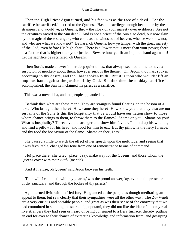Then the High Priest Agon turned, and his face was as the face of a devil. 'Let the sacrifice be sacrificed,' he cried to the Queens. 'Has not sacrilege enough been done by these strangers, and would ye, as Queens, throw the cloak of your majesty over evildoers? Are not the creatures sacred to the Sun dead? And is not a priest of the Sun also dead, but now slain by the magic of these strangers, who come as the winds out of heaven, whence we know not, and who are what we know not? Beware, oh Queens, how ye tamper with the great majesty of the God, even before His high altar! There is a Power that is more than your power; there is a Justice that is higher than your justice. Beware how ye lift an impious hand against it! Let the sacrifice be sacrificed, oh Queens.'

 Then Sorais made answer in her deep quiet tones, that always seemed to me to have a suspicion of mockery about them, however serious the theme: 'Oh, Agon, thou hast spoken according to thy desire, and thou hast spoken truth. But it is thou who wouldst lift an impious hand against the justice of thy God. Bethink thee the midday sacrifice is accomplished; the Sun hath claimed his priest as a sacrifice.'

This was a novel idea, and the people applauded it.

 'Bethink thee what are these men? They are strangers found floating on the bosom of a lake. Who brought them here? How came they here? How know you that they also are not servants of the Sun? Is this the hospitality that ye would have our nation show to those whom chance brings to them, to throw them to the flames? Shame on you! Shame on you! What is hospitality? To receive the stranger and show him favour. To bind up his wounds, and find a pillow for his head, and food for him to eat. But thy pillow is the fiery furnace, and thy food the hot savour of the flame. Shame on thee, I say!'

 She paused a little to watch the effect of her speech upon the multitude, and seeing that it was favourable, changed her tone from one of remonstrance to one of command.

 'Ho! place there,' she cried; 'place, I say; make way for the Queens, and those whom the Queens cover with their «kaf» (mantle).'

'And if I refuse, oh Queen?' said Agon between his teeth.

 'Then will I cut a path with my guards,' was the proud answer; 'ay, even in the presence of thy sanctuary, and through the bodies of thy priests.'

 Agon turned livid with baffled fury. He glanced at the people as though meditating an appeal to them, but saw clearly that their sympathies were all the other way. The Zu−Vendi are a very curious and sociable people, and great as was their sense of the enormity that we had committed in shooting the sacred hippopotami, they did not like the idea of the only real live strangers they had seen or heard of being consigned to a fiery furnace, thereby putting an end for ever to their chance of extracting knowledge and information from, and gossiping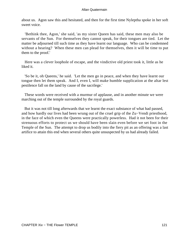about us. Agon saw this and hesitated, and then for the first time Nyleptha spoke in her soft sweet voice.

 'Bethink thee, Agon,' she said, 'as my sister Queen has said, these men may also be servants of the Sun. For themselves they cannot speak, for their tongues are tied. Let the matter be adjourned till such time as they have learnt our language. Who can be condemned without a hearing? When these men can plead for themselves, then it will be time to put them to the proof.'

 Here was a clever loophole of escape, and the vindictive old priest took it, little as he liked it.

 'So be it, oh Queens,' he said. 'Let the men go in peace, and when they have learnt our tongue then let them speak. And I, even I, will make humble supplication at the altar lest pestilence fall on the land by cause of the sacrilege.'

 These words were received with a murmur of applause, and in another minute we were marching out of the temple surrounded by the royal guards.

 But it was not till long afterwards that we learnt the exact substance of what had passed, and how hardly our lives had been wrung out of the cruel grip of the Zu−Vendi priesthood, in the face of which even the Queens were practically powerless. Had it not been for their strenuous efforts to protect us we should have been slain even before we set foot in the Temple of the Sun. The attempt to drop us bodily into the fiery pit as an offering was a last artifice to attain this end when several others quite unsuspected by us had already failed.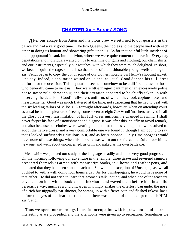# **[CHAPTER Xv − Sorais' SONG](#page-202-0)**

After our escape from Agon and his pious crew we returned to our quarters in the palace and had a very good time. The two Queens, the nobles and the people vied with each other in doing us honour and showering gifts upon us. As for that painful little incident of the hippopotami it sank into oblivion, where we were quite content to leave it. Every day deputations and individuals waited on us to examine our guns and clothing, our chain shirts, and our instruments, especially our watches, with which they were much delighted. In short, we became quite the rage, so much so that some of the fashionable young swells among the Zu−Vendi began to copy the cut of some of our clothes, notably Sir Henry's shooting jacket. One day, indeed, a deputation waited on us and, as usual, Good donned his full−dress uniform for the occasion. This deputation seemed somehow to be a different class to those who generally came to visit us. They were little insignificant men of an excessively polite, not to say servile, demeanour; and their attention appeared to be chiefly taken up with observing the details of Good's full−dress uniform, of which they took copious notes and measurements. Good was much flattered at the time, not suspecting that he had to deal with the six leading tailors of Milosis. A fortnight afterwards, however, when on attending court as usual he had the pleasure of seeing some seven or eight Zu−Vendi 'mashers' arrayed in all the glory of a very fair imitation of his full−dress uniform, he changed his mind. I shall never forget his face of astonishment and disgust. It was after this, chiefly to avoid remark, and also because our clothes were wearing out and had to be saved up, that we resolved to adopt the native dress; and a very comfortable one we found it, though I am bound to say that I looked sufficiently ridiculous in it, and as for Alphonse! Only Umslopogaas would have none of these things; when his moocha was worn out the fierce old Zulu made him a new one, and went about unconcerned, as grim and naked as his own battleaxe.

 Meanwhile we pursued our study of the language steadily and made very good progress. On the morning following our adventure in the temple, three grave and reverend signiors presented themselves armed with manuscript books, ink−horns and feather pens, and indicated that they had been sent to teach us. So, with the exception of Umslopogaas, we all buckled to with a will, doing four hours a day. As for Umslopogaas, he would have none of that either. He did not wish to learn that 'woman's talk', not he; and when one of the teachers advanced on him with a book and an ink−horn and waved them before him in a mild persuasive way, much as a churchwarden invitingly shakes the offertory bag under the nose of a rich but niggardly parishioner, he sprang up with a fierce oath and flashed Inkosi−kaas before the eyes of our learned friend, and there was an end of the attempt to teach HIM Zu−Vendi.

 Thus we spent our mornings in useful occupation which grew more and more interesting as we proceeded, and the afternoons were given up to recreation. Sometimes we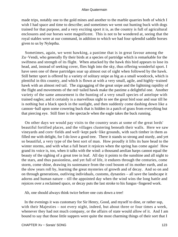made trips, notably one to the gold mines and another to the marble quarries both of which I wish I had space and time to describe; and sometimes we went out hunting buck with dogs trained for that purpose, and a very exciting sport it is, as the country is full of agricultural enclosures and our horses were magnificent. This is not to be wondered at, seeing that the royal stables were at our command, in addition to which we had four splendid saddle horses given to us by Nyleptha.

 Sometimes, again, we went hawking, a pastime that is in great favour among the Zu−Vendi, who generally fly their birds at a species of partridge which is remarkable for the swiftness and strength of its flight. When attacked by the hawk this bird appears to lose its head, and, instead of seeking cover, flies high into the sky, thus offering wonderful sport. I have seen one of these partridges soar up almost out of sight when followed by the hawk. Still better sport is offered by a variety of solitary snipe as big as a small woodcock, which is plentiful in this country, and which is flown at with a very small, agile, and highly−trained hawk with an almost red tail. The zigzagging of the great snipe and the lightning rapidity of the flight and movements of the red−tailed hawk make the pastime a delightful one. Another variety of the same amusement is the hunting of a very small species of antelope with trained eagles; and it certainly is a marvellous sight to see the great bird soar and soar till he is nothing but a black speck in the sunlight, and then suddenly come dashing down like a cannon−ball upon some cowering buck that is hidden in a patch of grass from everything but that piercing eye. Still finer is the spectacle when the eagle takes the buck running.

 On other days we would pay visits to the country seats at some of the great lords' beautiful fortified places, and the villages clustering beneath their walls. Here we saw vineyards and corn−fields and well−kept park−like grounds, with such timber in them as filled me with delight, for I do love a good tree. There it stands so strong and sturdy, and yet so beautiful, a very type of the best sort of man. How proudly it lifts its bare head to the winter storms, and with what a full heart it rejoices when the spring has come again! How grand its voice is, too, when it talks with the wind: a thousand aeolian harps cannot equal the beauty of the sighing of a great tree in leaf. All day it points to the sunshine and all night to the stars, and thus passionless, and yet full of life, it endures through the centuries, come storm, come shine, drawing its sustenance from the cool bosom of its mother earth, and as the slow years roll by, learning the great mysteries of growth and of decay. And so on and on through generations, outliving individuals, customs, dynasties – all save the landscape it adorns and human nature – till the appointed day when the wind wins the long battle and rejoices over a reclaimed space, or decay puts the last stroke to his fungus−fingered work.

Ah, one should always think twice before one cuts down a tree!

 In the evenings it was customary for Sir Henry, Good, and myself to dine, or rather sup, with their Majesties – not every night, indeed, but about three or four times a week, whenever they had not much company, or the affairs of state would allow of it. And I am bound to say that those little suppers were quite the most charming things of their sort that I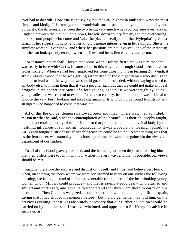ever had to do with. How true is the saying that the very highest in rank are always the most simple and kindly. It is from your half−and−half sort of people that you get pomposity and vulgarity, the difference between the two being very much what you one sees every day in England between the old, out−at−elbows, broken−down county family, and the overbearing, purse−proud people who come and 'take the place'. I really think that Nyleptha's greatest charm is her sweet simplicity, and her kindly genuine interest even in little things. She is the simplest woman I ever knew, and where her passions are not involved, one of the sweetest; but she can look queenly enough when she likes, and be as fierce as any savage too.

 For instance, never shall I forget that scene when I for the first time was sure that she was really in love with Curtis. It came about in this way – all through Good's weakness for ladies' society. When we had been employed for some three months in learning Zu−Vendi, it struck Master Good that he was getting rather tired of the old gentlemen who did us the honour to lead us in the way that we should go, so he proceeded, without saying a word to anybody else, to inform them that it was a peculiar fact, but that we could not make any real progress in the deeper intricacies of a foreign language unless we were taught by ladies – young ladies, he was careful to explain. In his own country, he pointed out, it was habitual to choose the very best−looking and most charming girls who could be found to instruct any strangers who happened to come that way, etc.

 All of this the old gentlemen swallowed open−mouthed. There was, they admitted, reason in what he said, since the contemplation of the beautiful, as their philosophy taught, induced a certain porosity of mind similar to that produced upon the physical body by the healthful influences of sun and air. Consequently it was probable that we might absorb the Zu−Vendi tongue a little faster if suitable teachers could be found. Another thing was that, as the female sex was naturally loquacious, good practice would be gained in the viva voce department of our studies.

 To all of this Good gravely assented, and the learned gentlemen departed, assuring him that their orders were to fall in with our wishes in every way, and that, if possible, our views should be met.

 Imagine, therefore the surprise and disgust of myself, and I trust and believe Sir Henry, when, on entering the room where we were accustomed to carry on our studies the following morning, we found, instead of our usual venerable tutors, three of the best−looking young women whom Milosis could produce – and that is saying a good deal – who blushed and smiled and curtseyed, and gave us to understand that they were there to carry on our instruction. Then Good, as we gazed at one another in bewilderment, thought fit to explain, saying that it had slipped his memory before – but the old gentlemen had told him, on the previous evening, that it was absolutely necessary that our further education should be carried on by the other sex. I was overwhelmed, and appealed to Sir Henry for advice in such a crisis.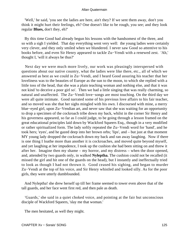'Well,' he said, 'you see the ladies are here, ain't they? If we sent them away, don't you think it might hurt their feelings, eh? One doesn't like to be rough, you see; and they look regular **Blues,** don't they, eh?'

 By this time Good had already begun his lessons with the handsomest of the three, and so with a sigh I yielded. That day everything went very well: the young ladies were certainly very clever, and they only smiled when we blundered. I never saw Good so attentive to his books before, and even Sir Henry appeared to tackle Zu−Vendi with a renewed zest. 'Ah,' thought I, 'will it always be thus?'

 Next day we were much more lively, our work was pleasingly interspersed with questions about our native country, what the ladies were like there, etc., all of which we answered as best as we could in Zu−Vendi, and I heard Good assuring his teacher that her loveliness was to the beauties of Europe as the sun to the moon, to which she replied with a little toss of the head, that she was a plain teaching woman and nothing else, and that it was not kind 'to deceive a poor girl so'. Then we had a little singing that was really charming, so natural and unaffected. The Zu−Vendi love−songs are most touching. On the third day we were all quite intimate. Good narrated some of his previous love affairs to his fair teacher, and so moved was she that her sighs mingled with his own. I discoursed with mine, a merry blue−eyed girl, upon Zu−Vendian art, and never saw that she was waiting for an opportunity to drop a specimen of the cockroach tribe down my back, whilst in the corner Sir Henry and his governess appeared, so far as I could judge, to be going through a lesson framed on the great educational principles laid down by Wackford Squeers Esq., though in a very modified or rather spiritualized form. The lady softly repeated the Zu−Vendi word for 'hand', and he took hers; 'eyes', and he gazed deep into her brown orbs; 'lips', and – but just at that moment MY young lady dropped the cockroach down my back and ran away laughing. Now if there is one thing I loathe more than another it is cockroaches, and moved quite beyond myself, and yet laughing at her impudence, I took up the cushion she had been sitting on and threw it after her. Imagine then my shame – my horror, and my distress – when the door opened, and, attended by two guards only, in walked **Nyleptha.** The cushion could not be recalled (it missed the girl and hit one of the guards on the head), but I instantly and ineffectually tried to look as though I had not thrown it. Good ceased his sighing, and began to murder Zu−Vendi at the top of his voice, and Sir Henry whistled and looked silly. As for the poor girls, they were utterly dumbfounded.

 And Nyleptha! she drew herself up till her frame seemed to tower even above that of the tall guards, and her face went first red, and then pale as death.

 'Guards,' she said in a quiet choked voice, and pointing at the fair but unconscious disciple of Wackford Squeers, 'slay me that woman.'

The men hesitated, as well they might.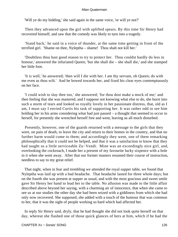'Will ye do my bidding,' she said again in the same voice, 'or will ye not?'

 Then they advanced upon the girl with uplifted spears. By this time Sir Henry had recovered himself, and saw that the comedy was likely to turn into a tragedy.

 'Stand back,' he said in a voice of thunder, at the same time getting in front of the terrified girl. 'Shame on thee, Nyleptha – shame! Thou shalt not kill her.'

 'Doubtless thou hast good reason to try to protect her. Thou couldst hardly do less in honour,' answered the infuriated Queen; 'but she shall die – she shall die,' and she stamped her little foot.

 'It is well,' he answered; 'then will I die with her. I am thy servant, oh Queen; do with me even as thou wilt.' And he bowed towards her, and fixed his clear eyes contemptuously on her face.

 'I could wish to slay thee too,' she answered; 'for thou dost make a mock of me;' and then feeling that she was mastered, and I suppose not knowing what else to do, she burst into such a storm of tears and looked so royally lovely in her passionate distress, that, old as I am, I must say I envied Curtis his task of supporting her. It was rather odd to see him holding her in his arms considering what had just passed – a thought that seemed to occur to herself, for presently she wrenched herself free and went, leaving us all much disturbed.

 Presently, however, one of the guards returned with a message to the girls that they were, on pain of death, to leave the city and return to their homes in the country, and that no further harm would come to them; and accordingly they went, one of them remarking philosophically that it could not be helped, and that it was a satisfaction to know that they had taught us a little serviceable Zu−Vendi. Mine was an exceedingly nice girl, and, overlooking the cockroach, I made her a present of my favourite lucky sixpence with a hole in it when she went away. After that our former masters resumed their course of instruction, needless to say to my great relief.

 That night, when in fear and trembling we attended the royal supper table, we found that Nyleptha was laid up with a bad headache. That headache lasted for three whole days; but on the fourth she was present at supper as usual, and with the most gracious and sweet smile gave Sir Henry her hand to lead her to the table. No allusion was made to the little affair described above beyond her saying, with a charming air of innocence, that when she came to see us at our studies the other day she had been seized with a giddiness from which she had only now recovered. She supposed, she added with a touch of the humour that was common to her, that it was the sight of people working so hard which had affected her.

 In reply Sir Henry said, dryly, that he had thought she did not look quite herself on that day, whereat she flashed one of those quick glances of hers at him, which if he had the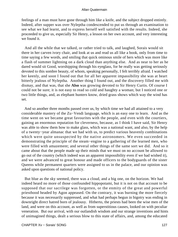feelings of a man must have gone through him like a knife, and the subject dropped entirely. Indeed, after supper was over Nyleptha condescended to put us through an examination to see what we had learnt, and to express herself well satisfied with the results. Indeed, she proceeded to give us, especially Sir Henry, a lesson on her own account, and very interesting we found it.

 And all the while that we talked, or rather tried to talk, and laughed, Sorais would sit there in her carven ivory chair, and look at us and read us all like a book, only from time to time saying a few words, and smiling that quick ominous smile of hers which was more like a flash of summer lightning on a dark cloud than anything else. And as near to her as he dared would sit Good, worshipping through his eyeglass, for he really was getting seriously devoted to this sombre beauty, of whom, speaking personally, I felt terribly afraid. I watched her keenly, and soon I found out that for all her apparent impassibility she was at heart bitterly jealous of Nyleptha. Another thing I found out, and the discovery filled me with dismay, and that was, that she **Also** was growing devoted to Sir Henry Curtis. Of course I could not be sure; it is not easy to read so cold and haughty a woman; but I noticed one or two little things, and, as elephant hunters know, dried grass shows which way the wind has set.

 And so another three months passed over us, by which time we had all attained to a very considerable mastery of the Zu−Vendi language, which is an easy one to learn. And as the time went on we became great favourites with the people, and even with the courtiers, gaining an enormous reputation for cleverness, because, as I think I have said, Sir Henry was able to show them how to make glass, which was a national want, and also, by the help of a twenty−year almanac that we had with us, to predict various heavenly combinations which were quite unsuspected by the native astronomers. We even succeeded in demonstrating the principle of the steam−engine to a gathering of the learned men, who were filled with amazement; and several other things of the same sort we did. And so it came about that the people made up their minds that we must on no account be allowed to go out of the country (which indeed was an apparent impossibility even if we had wished it), and we were advanced to great honour and made officers to the bodyguards of the sister Queens while permanent quarters were assigned to us in the palace, and our opinion was asked upon questions of national policy.

 But blue as the sky seemed, there was a cloud, and a big one, on the horizon. We had indeed heard no more of those confounded hippopotami, but it is not on that account to be supposed that our sacrilege was forgotten, or the enmity of the great and powerful priesthood headed by Agon appeased. On the contrary, it was burning the more fiercely because it was necessarily suppressed, and what had perhaps begun in bigotry was ending in downright direct hatred born of jealousy. Hitherto, the priests had been the wise men of the land, and were on this account, as well as from superstitious causes, looked on with peculiar veneration. But our arrival, with our outlandish wisdom and our strange inventions and hints of unimagined things, dealt a serious blow to this state of affairs, and, among the educated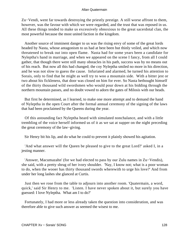Zu−Vendi, went far towards destroying the priestly prestige. A still worse affront to them, however, was the favour with which we were regarded, and the trust that was reposed in us. All these things tended to make us excessively obnoxious to the great sacerdotal clan, the most powerful because the most united faction in the kingdom.

 Another source of imminent danger to us was the rising envy of some of the great lords headed by Nasta, whose antagonism to us had at best been but thinly veiled, and which now threatened to break out into open flame. Nasta had for some years been a candidate for Nyleptha's hand in marriage, and when we appeared on the scene I fancy, from all I could gather, that though there were still many obstacles in his path, success was by no means out of his reach. But now all this had changed; the coy Nyleptha smiled no more in his direction, and he was not slow to guess the cause. Infuriated and alarmed, he turned his attention to Sorais, only to find that he might as well try to woo a mountain side. With a bitter jest or two about his fickleness, that door was closed on him for ever. So Nasta bethought himself of the thirty thousand wild swordsmen who would pour down at his bidding through the northern mountain passes, and no doubt vowed to adorn the gates of Milosis with our heads.

 But first he determined, as I learned, to make one more attempt and to demand the hand of Nyleptha in the open Court after the formal annual ceremony of the signing of the laws that had been proclaimed by the Queens during the year.

 Of this astounding fact Nyleptha heard with simulated nonchalance, and with a little trembling of the voice herself informed us of it as we sat at supper on the night preceding the great ceremony of the law−giving.

Sir Henry bit his lip, and do what he could to prevent it plainly showed his agitation.

 'And what answer will the Queen be pleased to give to the great Lord?' asked I, in a jesting manner.

 'Answer, Macumazahn' (for we had elected to pass by our Zulu names in Zu−Vendis), she said, with a pretty shrug of her ivory shoulder. 'Nay, I know not; what is a poor woman to do, when the wooer has thirty thousand swords wherewith to urge his love?' And from under her long lashes she glanced at Curtis.

 Just then we rose from the table to adjourn into another room. 'Quatermain, a word, quick,' said Sir Henry to me. 'Listen. I have never spoken about it, but surely you have guessed: I love Nyleptha. What am I to do?'

 Fortunately, I had more or less already taken the question into consideration, and was therefore able to give such answer as seemed the wisest to me.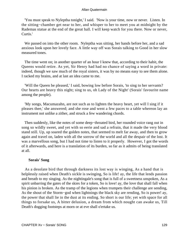'You must speak to Nyleptha tonight,' I said. 'Now is your time, now or never. Listen. In the sitting−chamber get near to her, and whisper to her to meet you at midnight by the Rademas statue at the end of the great hall. I will keep watch for you there. Now or never, Curtis.'

 We passed on into the other room. Nyleptha was sitting, her hands before her, and a sad anxious look upon her lovely face. A little way off was Sorais talking to Good in her slow measured tones.

 The time went on; in another quarter of an hour I knew that, according to their habit, the Queens would retire. As yet, Sir Henry had had no chance of saying a word in private: indeed, though we saw much of the royal sisters, it was by no means easy to see them alone. I racked my brains, and at last an idea came to me.

 'Will the Queen be pleased,' I said, bowing low before Sorais, 'to sing to her servants? Our hearts are heavy this night; sing to us, oh Lady of the Night' (Sorais' favourite name among the people).

 'My songs, Macumazahn, are not such as to lighten the heavy heart, yet will I sing if it pleases thee,' she answered; and she rose and went a few paces to a table whereon lay an instrument not unlike a zither, and struck a few wandering chords.

 Then suddenly, like the notes of some deep−throated bird, her rounded voice rang out in song so wildly sweet, and yet with so eerie and sad a refrain, that it made the very blood stand still. Up, up soared the golden notes, that seemed to melt far away, and then to grow again and travel on, laden with all the sorrow of the world and all the despair of the lost. It was a marvellous song, but I had not time to listen to it properly. However, I got the words of it afterwards, and here is a translation of its burden, so far as it admits of being translated at all.

# **Sorais' Song**

 As a desolate bird that through darkness its lost way is winging, As a hand that is helplessly raised when Death's sickle is swinging, So is life! ay, the life that lends passion and breath to my singing. As the nightingale's song that is full of a sweetness unspoken, As a spirit unbarring the gates of the skies for a token, So is love! ay, the love that shall fall when his pinion is broken. As the tramp of the legions when trumpets their challenge are sending, As the shout of the Storm−god when lightnings the black sky are rending, So is power! ay, the power that shall lie in the dust at its ending. So short is our life; yet with space for all things to forsake us, A bitter delusion, a dream from which nought can awake us, Till Death's dogging footsteps at morn or at eve shall o'ertake us.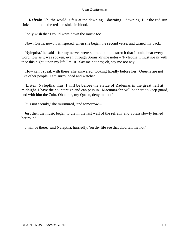**Refrain** Oh, the world is fair at the dawning – dawning – dawning, But the red sun sinks in blood – the red sun sinks in blood.

I only wish that I could write down the music too.

'Now, Curtis, now,' I whispered, when she began the second verse, and turned my back.

 'Nyleptha,' he said – for my nerves were so much on the stretch that I could hear every word, low as it was spoken, even through Sorais' divine notes – 'Nyleptha, I must speak with thee this night, upon my life I must. Say me not nay; oh, say me not nay!'

 'How can I speak with thee?' she answered, looking fixedly before her; 'Queens are not like other people. I am surrounded and watched.'

 'Listen, Nyleptha, thus. I will be before the statue of Rademas in the great hall at midnight. I have the countersign and can pass in. Macumazahn will be there to keep guard, and with him the Zulu. Oh come, my Queen, deny me not.'

'It is not seemly,' she murmured, 'and tomorrow – '

 Just then the music began to die in the last wail of the refrain, and Sorais slowly turned her round.

'I will be there,' said Nyleptha, hurriedly; 'on thy life see that thou fail me not.'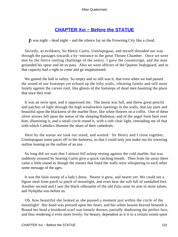# **[CHAPTER Xvi − Before the STATUE](#page-202-0)**

*I*t was night – dead night – and the silence lay on the Frowning City like a cloud.

 Secretly, as evildoers, Sir Henry Curtis, Umslopogaas, and myself threaded our way through the passages towards a by−entrance to the great Throne Chamber. Once we were met by the fierce rattling challenge of the sentry. I gave the countersign, and the man grounded his spear and let us pass. Also we were officers of the Queens' bodyguard, and in that capacity had a right to come and go unquestioned.

 We gained the hall in safety. So empty and so still was it, that even when we had passed the sound of our footsteps yet echoed up the lofty walls, vibrating faintly and still more faintly against the carven roof, like ghosts of the footsteps of dead men haunting the place that once they trod.

 It was an eerie spot, and it oppressed me. The moon was full, and threw great pencils and patches of light through the high windowless openings in the walls, that lay pure and beautiful upon the blackness of the marble floor, like white flowers on a coffin. One of these silver arrows fell upon the statue of the sleeping Rademas, and of the angel form bent over him, illumining it, and a small circle round it, with a soft clear light, reminding me of that with which Catholics illumine the altars of their cathedrals.

 Here by the statue we took our stand, and waited. Sir Henry and I close together, Umslopogaas some paces off in the darkness, so that I could only just make out his towering outline leaning on the outline of an axe.

 So long did we wait that I almost fell asleep resting against the cold marble, but was suddenly aroused by hearing Curtis give a quick catching breath. Then from far away there came a little sound as though the statues that lined the walls were whispering to each other some message of the ages.

 It was the faint sweep of a lady's dress. Nearer it grew, and nearer yet. We could see a figure steal from patch to patch of moonlight, and even hear the soft fall of sandalled feet. Another second and I saw the black silhouette of the old Zulu raise its arm in mute salute, and Nyleptha was before us.

 Oh, how beautiful she looked as she paused a moment just within the circle of the moonlight! Her hand was pressed upon her heart, and her white bosom heaved beneath it. Round her head a broidered scarf was loosely thrown, partially shadowing the perfect face, and thus rendering it even more lovely; for beauty, dependent as it is to a certain extent upon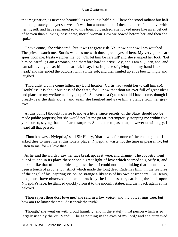the imagination, is never so beautiful as when it is half hid. There she stood radiant but half doubting, stately and yet so sweet. It was but a moment, but I then and there fell in love with her myself, and have remained so to this hour; for, indeed, she looked more like an angel out of heaven than a loving, passionate, mortal woman. Low we bowed before her, and then she spoke.

 'I have come,' she whispered, 'but it was at great risk. Ye know not how I am watched. The priests watch me. Sorais watches me with those great eyes of hers. My very guards are spies upon me. Nasta watches me too. Oh, let him be careful!' and she stamped her foot. 'Let him be careful; I am a woman, and therefore hard to drive. Ay, and I am a Queen, too, and can still avenge. Let him be careful, I say, lest in place of giving him my hand I take his head,' and she ended the outburst with a little sob, and then smiled up at us bewitchingly and laughed.

 'Thou didst bid me come hither, my Lord Incubu' (Curtis had taught her to call him so). 'Doubtless it is about business of the State, for I know that thou art ever full of great ideas and plans for my welfare and my people's. So even as a Queen should I have come, though I greatly fear the dark alone,' and again she laughed and gave him a glance from her grey eyes.

 At this point I thought it wise to move a little, since secrets 'of the State' should not be made public property; but she would not let me go far, peremptorily stopping me within five yards or so, saying that she feared surprise. So it came to pass that, however unwillingly, I heard all that passed.

 'Thou knowest, Nyleptha,' said Sir Henry, 'that it was for none of these things that I asked thee to meet me at this lonely place. Nyleptha, waste not the time in pleasantry, but listen to me, for – I love thee.'

 As he said the words I saw her face break up, as it were, and change. The coquetry went out of it, and in its place there shone a great light of love which seemed to glorify it, and make it like that of the marble angel overhead. I could not help thinking that it must have been a touch of prophetic instinct which made the long dead Rademas limn, in the features of the angel of his inspiring vision, so strange a likeness of his own descendant. Sir Henry, also, must have observed and been struck by the likeness, for, catching the look upon Nyleptha's face, he glanced quickly from it to the moonlit statue, and then back again at his beloved.

 'Thou sayest thou dost love me,' she said in a low voice, 'and thy voice rings true, but how am I to know that thou dost speak the truth?'

 'Though,' she went on with proud humility, and in the stately third person which is so largely used by the Zu−Vendi, 'I be as nothing in the eyes of my lord,' and she curtseyed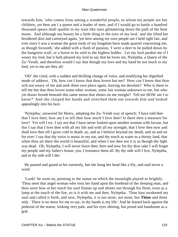towards him, 'who comes from among a wonderful people, to whom my people are but children, yet here am I a queen and a leader of men, and if I would go to battle a hundred thousand spears shall sparkle in my train like stars glimmering down the path of the bent moon. And although my beauty be a little thing in the eyes of my lord,' and she lifted her broidered skirt and curtseyed again, 'yet here among my own people am I held right fair, and ever since I was a woman the great lords of my kingdom have made quarrel concerning me, as though forsooth,' she added with a flash of passion, 'I were a deer to be pulled down by the hungriest wolf, or a horse to be sold to the highest bidder. Let my lord pardon me if I weary my lord, but it hath pleased my lord to say that he loves me, Nyleptha, a Queen of the Zu−Vendi, and therefore would I say that though my love and my hand be not much to my lord, yet to me are they all.'

 'Oh!' she cried, with a sudden and thrilling change of voice, and modifying her dignified mode of address. 'Oh, how can I know that thou lovest but me? How can I know that thou wilt not weary of me and seek thine own place again, leaving me desolate? Who is there to tell me but that thou lovest some other woman, some fair woman unknown to me, but who yet draws breath beneath this same moon that shines on me tonight? Tell me HOW am I to know?' And she clasped her hands and stretched them out towards him and looked appealingly into his face.

 'Nyleptha,' answered Sir Henry, adopting the Zu−Vendi way of speech; 'I have told thee that I love thee; how am I to tell thee how much I love thee? Is there then a measure for love? Yet will I try. I say not that I have never looked upon another woman with favour, but this I say that I love thee with all my life and with all my strength; that I love thee now and shall love thee till I grow cold in death, ay, and as I believe beyond my death, and on and on for ever: I say that thy voice is music to my ear, and thy touch as water to a thirsty land, that when thou art there the world is beautiful, and when I see thee not it is as though the light was dead. Oh, Nyleptha, I will never leave thee; here and now for thy dear sake I will forget my people and my father's house, yea, I renounce them all. By thy side will I live, Nyleptha, and at thy side will I die.'

 He paused and gazed at her earnestly, but she hung her head like a lily, and said never a word.

 'Look!' he went on, pointing to the statue on which the moonlight played so brightly. 'Thou seest that angel woman who rests her hand upon the forehead of the sleeping man, and thou seest how at her touch his soul flames up and shines out through his flesh, even as a lamp at the touch of the fire, so is it with me and thee, Nyleptha. Thou hast awakened my soul and called it forth, and now, Nyleptha, it is not mine, not mine, but **Thine** and thine only. There is no more for me to say; in thy hands is my life.' And he leaned back against the pedestal of the statue, looking very pale, and his eyes shining, but proud and handsome as a god.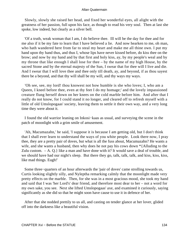Slowly, slowly she raised her head, and fixed her wonderful eyes, all alight with the greatness of her passion, full upon his face, as though to read his very soul. Then at last she spoke, low indeed, but clearly as a silver bell.

 'Of a truth, weak woman that I am, I do believe thee. Ill will be the day for thee and for me also if it be my fate to learn that I have believed a lie. And now hearken to me, oh man, who hath wandered here from far to steal my heart and make me all thine own. I put my hand upon thy hand thus, and thus I, whose lips have never kissed before, do kiss thee on the brow; and now by my hand and by that first and holy kiss, ay, by my people's weal and by my throne that like enough I shall lose for thee – by the name of my high House, by the sacred Stone and by the eternal majesty of the Sun, I swear that for thee will I live and die. And I swear that I will love thee and thee only till death, ay, and beyond, if as thou sayest there be a beyond, and that thy will shall be my will, and thy ways my ways.

 'Oh see, see, my lord! thou knowest not how humble is she who loves; I, who am a Queen, I kneel before thee, even at thy feet I do my homage;' and the lovely impassioned creature flung herself down on her knees on the cold marble before him. And after that I really do not know, for I could stand it no longer, and cleared off to refresh myself with a little of old Umslopogaas' society, leaving them to settle it their own way, and a very long time they were about it.

 I found the old warrior leaning on Inkosi−kaas as usual, and surveying the scene in the patch of moonlight with a grim smile of amusement.

 'Ah, Macumazahn,' he said, 'I suppose it is because I am getting old, but I don't think that I shall ever learn to understand the ways of you white people. Look there now, I pray thee, they are a pretty pair of doves, but what is all the fuss about, Macumazahn? He wants a wife, and she wants a husband, then why does he not pay his cows down \*{Alluding to the Zulu custom. – A. Q.} like a man and have done with it? It would save a deal of trouble, and we should have had our night's sleep. But there they go, talk, talk, talk, and kiss, kiss, kiss, like mad things. Eugh!'

 Some three−quarters of an hour afterwards the 'pair of doves' came strolling towards us, Curtis looking slightly silly, and Nyleptha remarking calmly that the moonlight made very pretty effects on the marble. Then, for she was in a most gracious mood, she took my hand and said that I was 'her Lord's' dear friend, and therefore most dear to her – not a word for my own sake, you see. Next she lifted Umslopogaas' axe, and examined it curiously, saying significantly as she did so that he might soon have cause to use it in defence of her.

 After that she nodded prettily to us all, and casting on tender glance at her lover, glided off into the darkness like a beautiful vision.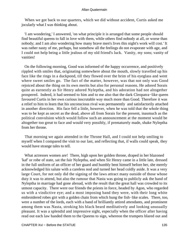When we got back to our quarters, which we did without accident, Curtis asked me jocularly what I was thinking about.

 'I am wondering,' I answered, 'on what principle it is arranged that some people should find beautiful queens to fall in love with them, while others find nobody at all, or worse than nobody; and I am also wondering how many brave men's lives this night's work will cost.' It was rather nasty of me, perhaps, but somehow all the feelings do not evaporate with age, and I could not help being a little jealous of my old friend's luck. Vanity, my sons; vanity of vanities!

 On the following morning, Good was informed of the happy occurrence, and positively rippled with smiles that, originating somewhere about the mouth, slowly travelled up his face like the rings in a duckpond, till they flowed over the brim of his eyeglass and went where sweet smiles go. The fact of the matter, however, was that not only was Good rejoiced about the thing on its own merits but also for personal reasons. He adored Sorais quite as earnestly as Sir Henry adored Nyleptha, and his adoration had not altogether prospered. Indeed, it had seemed to him and to me also that the dark Cleopatra−like queen favoured Curtis in her own curious inscrutable way much more than Good. Therefore it was a relief to him to learn that his unconscious rival was permanently and satisfactorily attached in another direction. His face fell a little, however, when he was told that the whole thing was to be kept as secret as the dead, above all from Sorais for the present, inasmuch as the political convulsion which would follow such an announcement at the moment would be altogether too great to face and would very possibly, if prematurely made, shake Nyleptha from her throne.

 That morning we again attended in the Throne Hall, and I could not help smiling to myself when I compared the visit to our last, and reflecting that, if walls could speak, they would have strange tales to tell.

 What actresses women are! There, high upon her golden throne, draped in her blazoned 'kaf' or robe of state, sat the fair Nyleptha, and when Sir Henry came in a little late, dressed in the full uniform of an officer of her guard and humbly bent himself before her, she merely acknowledged his salute with a careless nod and turned her head coldly aside. It was a very large Court, for not only did the signing of the laws attract many outside of those whose duty it was to attend, but also the rumour that Nasta was going to publicly ask the hand of Nyleptha in marriage had gone abroad, with the result that the great hall was crowded to its utmost capacity. There were our friends the priests in force, headed by Agon, who regarded us with a vindictive eye; and a most imposing band they were, with their long white embroidered robes girt with a golden chain from which hung the fish−like scales. There, too, were a number of the lords, each with a band of brilliantly attired attendants, and prominent among them was Nasta, stroking his black beard meditatively and looking unusually pleasant. It was a splendid and impressive sight, especially when the officer after having read out each law handed them to the Queens to sign, whereon the trumpets blared out and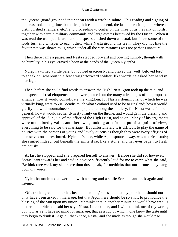the Queens' guard grounded their spears with a crash in salute. This reading and signing of the laws took a long time, but at length it came to an end, the last one reciting that 'whereas distinguished strangers, etc.', and proceeding to confer on the three of us the rank of 'lords', together with certain military commands and large estates bestowed by the Queen. When it was read the trumpets blared and the spears clashed down as usual, but I saw some of the lords turn and whisper to each other, while Nasta ground his teeth. They did not like the favour that was shown to us, which under all the circumstances was not perhaps unnatural.

 Then there came a pause, and Nasta stepped forward and bowing humbly, though with no humility in his eye, craved a boon at the hands of the Queen Nyleptha.

 Nyleptha turned a little pale, but bowed graciously, and prayed the 'well−beloved lord' to speak on, whereon in a few straightforward soldier−like words he asked her hand in marriage.

 Then, before she could find words to answer, the High Priest Agon took up the tale, and in a speech of real eloquence and power pointed out the many advantages of the proposed alliance; how it would consolidate the kingdom, for Nasta's dominions, of which he was virtually king, were to Zu−Vendis much what Scotland used to be to England; how it would gratify the wild mountaineers and be popular among the soldiery, for Nasta was a famous general; how it would set her dynasty firmly on the throne, and would gain the blessing and approval of the 'Sun', i.e. of the office of the High Priest, and so on. Many of his arguments were undoubtedly valid, and there was, looking at it from a political point of view, everything to be said for the marriage. But unfortunately it is difficult to play the game of politics with the persons of young and lovely queens as though they were ivory effigies of themselves on a chessboard. Nyleptha's face, while Agon spouted away, was a perfect study; she smiled indeed, but beneath the smile it set like a stone, and her eyes began to flash ominously.

 At last he stopped, and she prepared herself to answer. Before she did so, however, Sorais leant towards her and said in a voice sufficiently loud for me to catch what she said, 'Bethink thee well, my sister, ere thou dost speak, for methinks that our thrones may hang upon thy words.'

 Nyleptha made no answer, and with a shrug and a smile Sorais leant back again and listened.

 'Of a truth a great honour has been done to me,' she said, 'that my poor hand should not only have been asked in marriage, but that Agon here should be so swift to pronounce the blessing of the Sun upon my union. Methinks that in another minute he would have wed us fast ere the bride had said her say. Nasta, I thank thee, and I will bethink me of thy words, but now as yet I have no mind for marriage, that as a cup of which none know the taste until they begin to drink it. Again I thank thee, Nasta,' and she made as though she would rise.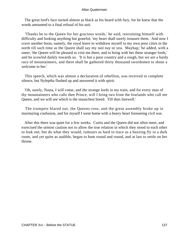The great lord's face turned almost as black as his beard with fury, for he knew that the words amounted to a final refusal of his suit.

 'Thanks be to the Queen for her gracious words,' he said, restraining himself with difficulty and looking anything but grateful, 'my heart shall surely treasure them. And now I crave another boon, namely, the royal leave to withdraw myself to my own poor cities in the north till such time as the Queen shall say my suit nay or yea. Mayhap,' he added, with a sneer, 'the Queen will be pleased to visit me there, and to bring with her these stranger lords,' and he scowled darkly towards us. 'It is but a poor country and a rough, but we are a hardy race of mountaineers, and there shall be gathered thirty thousand swordsmen to shout a welcome to her.'

 This speech, which was almost a declaration of rebellion, was received in complete silence, but Nyleptha flushed up and answered it with spirit.

 'Oh, surely, Nasta, I will come, and the strange lords in my train, and for every man of thy mountaineers who calls thee Prince, will I bring two from the lowlands who call me Queen, and we will see which is the staunchest breed. Till then farewell.'

 The trumpets blared out, the Queens rose, and the great assembly broke up in murmuring confusion, and for myself I went home with a heavy heart foreseeing civil war.

 After this there was quiet for a few weeks. Curtis and the Queen did not often meet, and exercised the utmost caution not to allow the true relation in which they stood to each other to leak out; but do what they would, rumours as hard to trace as a buzzing fly in a dark room, and yet quite as audible, began to hum round and round, and at last to settle on her throne.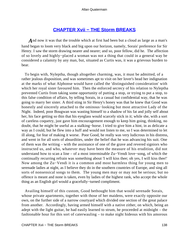# **[CHAPTER Xvii − THE Storm BREAKS](#page-202-0)**

And now it was that the trouble which at first had been but a cloud as large as a man's hand began to loom very black and big upon our horizon, namely, Sorais' preference for Sir Henry. I saw the storm drawing nearer and nearer; and so, poor fellow, did he. The affection of so lovely and highly−placed a woman was not a thing that could in a general way be considered a calamity by any man, but, situated as Curtis was, it was a grievous burden to bear.

 To begin with, Nyleptha, though altogether charming, was, it must be admitted, of a rather jealous disposition, and was sometimes apt to visit on her lover's head her indignation at the marks of what Alphonse would have called the 'distinguished consideration' with which her royal sister favoured him. Then the enforced secrecy of his relation to Nyleptha prevented Curtis from taking some opportunity of putting a stop, or trying to put a stop, to this false condition of affairs, by telling Sorais, in a casual but confidential way, that he was going to marry her sister. A third sting in Sir Henry's honey was that he knew that Good was honestly and sincerely attached to the ominous−looking but most attractive Lady of the Night. Indeed, poor Bougwan was wasting himself to a shadow of his fat and jolly self about her, his face getting so thin that his eyeglass would scarcely stick in it; while she, with a sort of careless coquetry, just gave him encouragement enough to keep him going, thinking, no doubt, that he might be useful as a stalking−horse. I tried to give him a hint, in as delicate a way as I could, but he flew into a huff and would not listen to me, so I was determined to let ill along, for fear of making it worse. Poor Good, he really was very ludicrous in his distress, and went in for all sorts of absurdities, under the belief that he was advancing his suit. One of them was the writing – with the assistance of one of the grave and revered signiors who instructed us, and who, whatever may have been the measure of his erudition, did not understand how to scan a line – of a most interminable Zu−Vendi love−song, of which the continually recurring refrain was something about 'I will kiss thee; oh yes, I will kiss thee!' Now among the Zu−Vendi it is a common and most harmless thing for young men to serenade ladies at night, as I believe they do in the southern countries of Europe, and sing all sorts of nonsensical songs to them. The young men may or may not be serious; but no offence is meant and none is taken, even by ladies of the highest rank, who accept the whole thing as an English girl would a gracefully−turned compliment.

 Availing himself of this custom, Good bethought him that would serenade Sorais, whose private apartments, together with those of her maidens, were exactly opposite our own, on the further side of a narrow courtyard which divided one section of the great palace from another. Accordingly, having armed himself with a native zither, on which, being an adept with the light guitar, he had easily learned to strum, he proceeded at midnight – the fashionable hour for this sort of caterwauling – to make night hideous with his amorous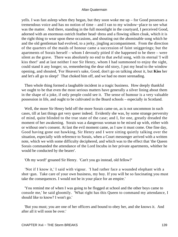yells. I was fast asleep when they began, but they soon woke me up – for Good possesses a tremendous voice and has no notion of time – and I ran to my window−place to see what was the matter. And there, standing in the full moonlight in the courtyard, I perceived Good, adorned with an enormous ostrich feather head−dress and a flowing silken cloak, which it is the right thing to wear upon these occasions, and shouting out the abominable song which he and the old gentleman had evolved, to a jerky, jingling accompaniment. From the direction of the quarters of the maids of honour came a succession of faint sniggerings; but the apartments of Sorais herself – whom I devoutly pitied if she happened to be there – were silent as the grave. There was absolutely no end to that awful song, with its eternal 'I will kiss thee!' and at last neither I nor Sir Henry, whom I had summoned to enjoy the sight, could stand it any longer; so, remembering the dear old story, I put my head to the window opening, and shouted, 'For Heaven's sake, Good, don't go on talking about it, but **Kiss** her and let's all go to sleep!' That choked him off, and we had no more serenading.

 Then whole thing formed a laughable incident in a tragic business. How deeply thankful we ought to be that even the most serious matters have generally a silver lining about them in the shape of a joke, if only people could see it. The sense of humour is a very valuable possession in life, and ought to be cultivated in the Board schools – especially in Scotland.

 Well, the more Sir Henry held off the more Sorais came on, as is not uncommon in such cases, till at last things got very queer indeed. Evidently she was, by some strange perversity of mind, quite blinded to the true state of the case; and I, for one, greatly dreaded the moment of her awakening. Sorais was a dangerous woman to be mixed up with, either with or without one's consent. At last the evil moment came, as I saw it must come. One fine day, Good having gone out hawking, Sir Henry and I were sitting quietly talking over the situation, especially with reference to Sorais, when a Court messenger arrived with a written note, which we with some difficulty deciphered, and which was to the effect that 'the Queen Sorais commanded the attendance of the Lord Incubu in her private apartments, whither he would be conducted by the bearer'.

'Oh my word!' groaned Sir Henry. 'Can't you go instead, old fellow?'

 'Not if I know it,' I said with vigour. 'I had rather face a wounded elephant with a shot−gun. Take care of your own business, my boy. If you will be so fascinating you must take the consequences. I would not be in your place for an empire.'

 'You remind me of when I was going to be flogged at school and the other boys came to console me,' he said gloomily. 'What right has this Queen to command my attendance, I should like to know? I won't go.'

 'But you must; you are one of her officers and bound to obey her, and she knows it. And after all it will soon be over.'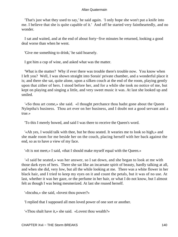'That's just what they used to say,' he said again. 'I only hope she won't put a knife into me. I believe that she is quite capable of it.' And off he started very faintheartedly, and no wonder.

 I sat and waited, and at the end of about forty−five minutes he returned, looking a good deal worse than when he went.

'Give me something to drink,' he said hoarsely.

I got him a cup of wine, and asked what was the matter.

 'What is the matter? Why if ever there was trouble there's trouble now. You know when I left you? Well, I was shown straight into Sorais' private chamber, and a wonderful place it is; and there she sat, quite alone, upon a silken couch at the end of the room, playing gently upon that zither of hers. I stood before her, and for a while she took no notice of me, but kept on playing and singing a little, and very sweet music it was. At last she looked up and smiled.

 '«So thou art come,» she said. «I thought perchance thou hadst gone about the Queen Nyleptha's business. Thou art ever on her business, and I doubt not a good servant and a true.»

'To this I merely bowed, and said I was there to receive the Queen's word.

 '«Ah yes, I would talk with thee, but be thou seated. It wearies me to look so high,» and she made room for me beside her on the couch, placing herself with her back against the end, so as to have a view of my face.

'«It is not meet,» I said, «that I should make myself equal with the Queen.»

 '«I said be seated,» was her answer, so I sat down, and she began to look at me with those dark eyes of hers. There she sat like an incarnate spirit of beauty, hardly talking at all, and when she did, very low, but all the while looking at me. There was a white flower in her black hair, and I tried to keep my eyes on it and count the petals, but it was of no use. At last, whether it was her gaze, or the perfume in her hair, or what I do not know, but I almost felt as though I was being mesmerized. At last she roused herself.

'«Incubu,» she said, «lovest thou power?»

'I replied that I supposed all men loved power of one sort or another.

'«Thou shalt have it,» she said. «Lovest thou wealth?»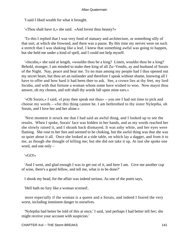'I said I liked wealth for what it brought.

'«Thou shalt have it,» she said. «And lovest thou beauty?»

 'To this I replied that I was very fond of statuary and architecture, or something silly of that sort, at which she frowned, and there was a pause. By this time my nerves were on such a stretch that I was shaking like a leaf. I knew that something awful was going to happen, but she held me under a kind of spell, and I could not help myself.

 '«Incubu,» she said at length, «wouldst thou be a king? Listen, wouldst thou be a king? Behold, stranger, I am minded to make thee king of all Zu−Vendis, ay and husband of Sorais of the Night. Nay, peace and hear me. To no man among my people had I thus opened out my secret heart, but thou art an outlander and therefore I speak without shame, knowing all I have to offer and how hard it had been thee to ask. See, a crown lies at thy feet, my lord Incubu, and with that fortune a woman whom some have wished to woo. Now mayst thou answer, oh my chosen, and soft shall thy words fall upon mine ears.»

 '«Oh Sorais,» I said, «I pray thee speak not thus» – you see I had not time to pick and choose my words – «for this thing cannot be. I am bethrothed to thy sister Nyleptha, oh Sorais, and I love her and her alone.»

 'Next moment it struck me that I had said an awful thing, and I looked up to see the results. When I spoke, Sorais' face was hidden in her hands, and as my words reached her she slowly raised it, and I shrank back dismayed. It was ashy white, and her eyes were flaming. She rose to her feet and seemed to be choking, but the awful thing was that she was so quiet about it all. Once she looked at a side table, on which lay a dagger, and from it to me, as though she thought of killing me; but she did not take it up. At last she spoke one word, and one only –

'«GO!»

 'And I went, and glad enough I was to get out of it, and here I am. Give me another cup of wine, there's a good fellow, and tell me, what is to be done?'

I shook my head, for the affair was indeed serious. As one of the poets says,

'Hell hath no fury like a woman scorned',

 more especially if the woman is a queen and a Sorais, and indeed I feared the very worst, including imminent danger to ourselves.

 'Nyleptha had better be told of this at once,' I said, 'and perhaps I had better tell her; she might receive your account with suspicion.'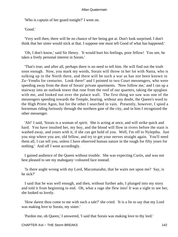'Who is captain of her guard tonight?' I went on.

'Good.'

 'Very well then, there will be no chance of her being got at. Don't look surprised. I don't think that her sister would stick at that. I suppose one must tell Good of what has happened.'

 'Oh, I don't know,' said Sir Henry. 'It would hurt his feelings, poor fellow! You see, he takes a lively personal interest in Sorais.'

 'That's true; and after all, perhaps there is no need to tell him. He will find out the truth soon enough. Now, you mark my words, Sorais will throw in her lot with Nasta, who is sulking up in the North there, and there will be such a war as has not been known in Zu−Vendis for centuries. Look there!' and I pointed to two Court messengers, who were speeding away from the door of Sorais' private apartments. 'Now follow me,' and I ran up a stairway into an outlook tower that rose from the roof of our quarters, taking the spyglass with me, and looked out over the palace wall. The first thing we saw was one of the messengers speeding towards the Temple, bearing, without any doubt, the Queen's word to the High Priest Agon, but for the other I searched in vain. Presently, however, I spied a horseman riding furiously through the northern gate of the city, and in him I recognized the other messenger.

 'Ah!' I said, 'Sorais is a woman of spirit. She is acting at once, and will strike quick and hard. You have insulted her, my boy, and the blood will flow in rivers before the stain is washed away, and yours with it, if she can get hold of you. Well, I'm off to Nyleptha. Just you stop where you are, old fellow, and try to get your nerves straight again. You'll need them all, I can tell you, unless I have observed human nature in the rough for fifty years for nothing.' And off I went accordingly.

 I gained audience of the Queen without trouble. She was expecting Curtis, and was not best pleased to see my mahogany−coloured face instead.

 'Is there aught wrong with my Lord, Macumazahn, that he waits not upon me? Say, is he sick?'

 I said that he was well enough, and then, without further ado, I plunged into my story and told it from beginning to end. Oh, what a rage she flew into! It was a sight to see her, she looked so lovely.

 'How darest thou come to me with such a tale?' she cried. 'It is a lie to say that my Lord was making love to Sorais, my sister.'

'Pardon me, oh Queen,' I answered, 'I said that Sorais was making love to thy lord.'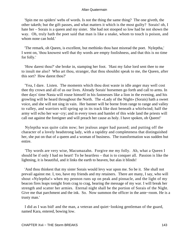'Spin me no spiders' webs of words. Is not the thing the same thing? The one giveth, the other taketh; but the gift passes, and what matters it which is the most guilty? Sorais! oh, I hate her – Sorais is a queen and my sister. She had not stooped so low had he not shown the way. Oh, truly hath the poet said that man is like a snake, whom to touch is poison, and whom none can hold.'

 'The remark, oh Queen, is excellent, but methinks thou hast misread the poet. Nyleptha,' I went on, 'thou knowest well that thy words are empty foolishness, and that this is no time for folly.'

 'How darest thou?' she broke in, stamping her foot. 'Hast my false lord sent thee to me to insult me also? Who art thou, stranger, that thou shouldst speak to me, the Queen, after this sort? How darest thou?'

 'Yea, I dare. Listen. The moments which thou dost waste in idle anger may well cost thee thy crown and all of us our lives. Already Sorais' horsemen go forth and call to arms. In thee days' time Nasta will rouse himself in his fastnesses like a lion in the evening, and his growling will be heard throughout the North. The «Lady of the Night» (Sorais) hath a sweet voice, and she will not sing in vain. Her banner will be borne from range to range and valley to valley, and warriors will spring up in its track like dust beneath a whirlwind; half the army will echo her war−cry; and in every town and hamlet of this wide land the priests will call out against the foreigner and will preach her cause as holy. I have spoken, oh Queen!'

 Nyleptha was quite calm now; her jealous anger had passed; and putting off the character of a lovely headstrong lady, with a rapidity and completeness that distinguished her, she put on that of a queen and a woman of business. The transformation was sudden but entire.

 'Thy words are very wise, Macumazahn. Forgive me my folly. Ah, what a Queen I should be if only I had no heart! To be heartless – that is to conquer all. Passion is like the lightning, it is beautiful, and it links the earth to heaven, but alas it blinds!

 'And thou thinkest that my sister Sorais would levy war upon me. So be it. She shall not prevail against me. I, too, have my friends and my retainers. There are many, I say, who will shout «Nyleptha!» when my pennon runs up on peak and pinnacle, and the light of my beacon fires leaps tonight from crag to crag, bearing the message of my war. I will break her strength and scatter her armies. Eternal night shall be the portion of Sorais of the Night. Give me that parchment and the ink. So. Now summon the officer in the ante−room. He is a trusty man.'

 I did as I was bid! and the man, a veteran and quiet−looking gentleman of the guard, named Kara, entered, bowing low.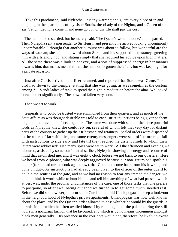'Take this parchment,' said Nyleptha; 'it is thy warrant; and guard every place of in and outgoing in the apartments of my sister Sorais, the «Lady of the Night», and a Queen of the Zu−Vendi. Let none come in and none go out, or thy life shall pay the cost.'

 The man looked startled, but he merely said, 'The Queen's word be done,' and departed. Then Nyleptha sent a messenger to Sir Henry, and presently he arrived looking uncommonly uncomfortable. I thought that another outburst was about to follow, but wonderful are the ways of woman; she said not a word about Sorais and his supposed inconstancy, greeting him with a friendly nod, and stating simply that she required his advice upon high matters. All the same there was a look in her eye, and a sort of suppressed energy in her manner towards him, that makes me think that she had not forgotten the affair, but was keeping it for a private occasion.

 Just after Curtis arrived the officer returned, and reported that Sorais was **Gone.** The bird had flown to the Temple, stating that she was going, as was sometimes the custom among Zu−Vendi ladies of rank, to spend the night in meditation before the altar. We looked at each other significantly. The blow had fallen very soon.

Then we set to work.

 Generals who could be trusted were summoned from their quarters, and as much of the State affairs as was thought desirable was told to each, strict injunctions being given to them to get all their available force together. The same was done with such of the more powerful lords as Nyleptha knew she could rely on, several of whom left that very day for distant parts of the country to gather up their tribesmen and retainers. Sealed orders were dispatched to the rulers of far−off cities, and some twenty messengers were sent off before nightfall with instructions to ride early and late till they reached the distant chiefs to whom their letters were addressed: also many spies were set to work. All the afternoon and evening we laboured, assisted by some confidential scribes, Nyleptha showing an energy and resource of mind that astonished me, and it was eight o'clock before we got back to our quarters. Here we heard from Alphonse, who was deeply aggrieved because our non−return had spoilt his dinner (for he had turned cook again now), that Good had come back from his hawking and gone on duty. As instructions had already been given to the officer of the outer guard to double the sentries at the gate, and as we had no reason to fear any immediate danger, we did not think it worth while to hunt him up and tell him anything of what had passed, which at best was, under the peculiar circumstances of the case, one of those tasks that one prefers to postpone, so after swallowing our food we turned in to get some much−needed rest. Before we did so, however, it occurred to Curtis to tell old Umslopogaas to keep a look−out in the neighbourhood of Nyleptha's private apartments. Umslopogaas was now well known about the place, and by the Queen's order allowed to pass whither he would by the guards, a permission of which he often availed himself by roaming about the palace during the still hours in a nocturnal fashion that he favoured, and which is by no means uncommon amongst black men generally. His presence in the corridors would not, therefore, be likely to excite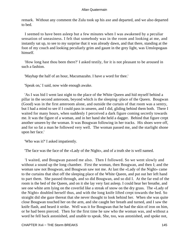remark. Without any comment the Zulu took up his axe and departed, and we also departed to bed.

 I seemed to have been asleep but a few minutes when I was awakened by a peculiar sensation of uneasiness. I felt that somebody was in the room and looking at me, and instantly sat up, to see to my surprise that it was already dawn, and that there, standing at the foot of my couch and looking peculiarly grim and gaunt in the grey light, was Umslopogaas himself.

 'How long hast thou been there?' I asked testily, for it is not pleasant to be aroused in such a fashion.

'Mayhap the half of an hour, Macumazahn. I have a word for thee.'

'Speak on,' I said, now wide enough awake.

 'As I was bid I went last night to the place of the White Queen and hid myself behind a pillar in the second anteroom, beyond which is the sleeping−place of the Queen. Bougwan (Good) was in the first anteroom alone, and outside the curtain of that room was a sentry, but I had a mind to see if I could pass in unseen, and I did, gliding behind them both. There I waited for many hours, when suddenly I perceived a dark figure coming secretly towards me. It was the figure of a woman, and in her hand she held a dagger. Behind that figure crept another unseen by the woman. It was Bougwan following in her tracks. His shoes were off, and for so fat a man he followed very well. The woman passed me, and the starlight shone upon her face.'

'Who was it?' I asked impatiently.

'The face was the face of the «Lady of the Night», and of a truth she is well named.

 'I waited, and Bougwan passed me also. Then I followed. So we went slowly and without a sound up the long chamber. First the woman, then Bougwan, and then I; and the woman saw not Bougwan, and Bougwan saw not me. At last the «Lady of the Night» came to the curtains that shut off the sleeping place of the White Queen, and put out her left hand to part them. She passed through, and so did Bougwan, and so did I. At the far end of the room is the bed of the Queen, and on it she lay very fast asleep. I could hear her breathe, and see one white arm lying on the coverlid like a streak of snow on the dry grass. The «Lady of the Night» doubled herself thus, and with the long knife lifted crept towards the bed. So straight did she gaze thereat that she never thought to look behind her. When she was quite close Bougwan touched her on the arm, and she caught her breath and turned, and I saw the knife flash, and heard it strike. Well was it for Bougwan that he had the skin of iron on him, or he had been pierced. Then for the first time he saw who the woman was, and without a word he fell back astonished, and unable to speak. She, too, was astonished, and spoke not,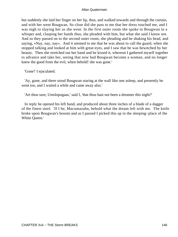but suddenly she laid her finger on her lip, thus, and walked towards and through the curtain, and with her went Bougwan. So close did she pass to me that her dress touched me, and I was nigh to slaying her as she went. In the first outer room she spoke to Bougwan in a whisper and, clasping her hands thus, she pleaded with him, but what she said I know not. And so they passed on to the second outer room, she pleading and he shaking his head, and saying, «Nay, nay, nay». And it seemed to me that he was about to call the guard, when she stopped talking and looked at him with great eyes, and I saw that he was bewitched by her beauty. Then she stretched out her hand and he kissed it, whereon I gathered myself together to advance and take her, seeing that now had Bougwan become a woman, and no longer knew the good from the evil, when behold! she was gone.'

'Gone!' I ejaculated.

 'Ay, gone, and there stood Bougwan staring at the wall like one asleep, and presently he went too, and I waited a while and came away also.'

'Art thou sure, Umslopogaas,' said I, 'that thou hast not been a dreamer this night?'

 In reply he opened his left hand, and produced about three inches of a blade of a dagger of the finest steel. 'If I be, Macumazahn, behold what the dream left with me. The knife broke upon Bougwan's bosom and as I passed I picked this up in the sleeping−place of the White Queen.'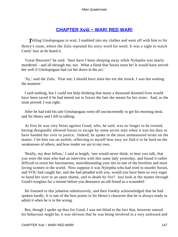# **[CHAPTER Xviii − WAR! RED WAR!](#page-202-0)**

**T**elling Umslopogaas to wait, I tumbled into my clothes and went off with him to Sir Henry's room, where the Zulu repeated his story word for word. It was a sight to watch Curtis' face as he heard it.

 'Great Heavens!' he said: 'here have I been sleeping away while Nyleptha was nearly murdered – and all through me, too. What a fiend that Sorais must be! It would have served her well if Umslopogaas had cut her down in the act.'

 'Ay,' said the Zulu. 'Fear not; I should have slain her ere she struck. I was but waiting the moment.'

 I said nothing, but I could not help thinking that many a thousand doomed lives would have been saved if he had meted out to Sorais the fate she meant for her sister. And, as the issue proved, I was right.

 After he had told his tale Umslopogaas went off unconcernedly to get his morning meal, and Sir Henry and I fell to talking.

 At first he was very bitter against Good, who, he said, was no longer to be trusted, having designedly allowed Sorais to escape by some secret stair when it was his duty to have handed her over to justice. Indeed, he spoke in the most unmeasured terms on the matter. I let him run on awhile, reflecting to myself how easy we find it to be hard on the weaknesses of others, and how tender we are to our own.

 'Really, my dear fellow,' I said at length, 'one would never think, to hear you talk, that you were the man who had an interview with this same lady yesterday, and found it rather difficult to resist her fascinations, notwithstanding your ties to one of the loveliest and most loving women in the world. Now suppose it was Nyleptha who had tried to murder Sorais, and YOU had caught her, and she had pleaded with you, would you have been so very eager to hand her over to an open shame, and to death by fire? Just look at the matter through Good's eyeglass for a minute before you denounce an old friend as a scoundrel.'

 He listened to this jobation submissively, and then frankly acknowledged that he had spoken hardly. It is one of the best points in Sir Henry's character that he is always ready to admit it when he is in the wrong.

 But, though I spoke up thus for Good, I was not blind to the fact that, however natural his behaviour might be, it was obvious that he was being involved in a very awkward and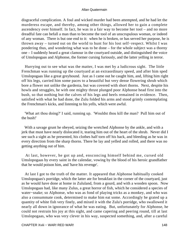disgraceful complication. A foul and wicked murder had been attempted, and he had let the murderess escape, and thereby, among other things, allowed her to gain a complete ascendency over himself. In fact, he was in a fair way to become her tool – and no more dreadful fate can befall a man than to become the tool of an unscrupulous woman, or indeed of any woman. There is but one end to it: when he is broken, or has served her purpose, he is thrown away – turned out on the world to hunt for his lost self−respect. Whilst I was pondering thus, and wondering what was to be done – for the whole subject was a thorny one – I suddenly heard a great clamour in the courtyard outside, and distinguished the voice of Umslopogaas and Alphonse, the former cursing furiously, and the latter yelling in terror.

 Hurrying out to see what was the matter, I was met by a ludicrous sight. The little Frenchman was running up the courtyard at an extraordinary speed, and after him sped Umslopogaas like a great greyhound. Just as I came out he caught him, and, lifting him right off his legs, carried him some paces to a beautiful but very dense flowering shrub which bore a flower not unlike the gardenia, but was covered with short thorns. Next, despite his howls and struggles, he with one mighty thrust plunged poor Alphonse head first into the bush, so that nothing but the calves of his legs and heels remained in evidence. Then, satisfied with what he had done, the Zulu folded his arms and stood grimly contemplating the Frenchman's kicks, and listening to his yells, which were awful.

 'What art thou doing?' I said, running up. 'Wouldst thou kill the man? Pull him out of the bush!'

 With a savage grunt he obeyed, seizing the wretched Alphonse by the ankle, and with a jerk that must have nearly dislocated it, tearing him out of the heart of the shrub. Never did I see such a sight as he presented, his clothes half torn off his back, and bleeding as he was in every direction from the sharp thorns. There he lay and yelled and rolled, and there was no getting anything out of him.

 At last, however, he got up and, ensconcing himself behind me, cursed old Umslopogaas by every saint in the calendar, vowing by the blood of his heroic grandfather that he would poison him, and 'have his revenge'.

 At last I got to the truth of the matter. It appeared that Alphonse habitually cooked Umslopogaas's porridge, which the latter ate for breakfast in the corner of the courtyard, just as he would have done at home in Zululand, from a gourd, and with a wooden spoon. Now Umslopogaas had, like many Zulus, a great horror of fish, which he considered a species of water−snake; so Alphonse, who was as fond of playing tricks as a monkey, and who was also a consummate cook, determined to make him eat some. Accordingly he grated up a quantity of white fish very finely, and mixed it with the Zulu's porridge, who swallowed it nearly all down in ignorance of what he was eating. But, unfortunately for Alphonse, he could not restrain his joy at this sight, and came capering and peering round, till at last Umslopogaas, who was very clever in his way, suspected something, and, after a careful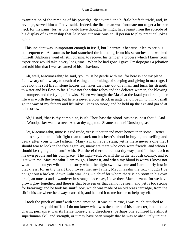examination of the remains of his porridge, discovered 'the buffalo heifer's trick', and, in revenge, served him as I have said. Indeed, the little man was fortunate not to get a broken neck for his pains; for, as one would have thought, he might have learnt from the episode of his display of axemanship that 'le Monsieur noir' was an ill person to play practical jokes upon.

 This incident was unimportant enough in itself, but I narrate it because it led to serious consequences. As soon as he had stanched the bleeding from his scratches and washed himself, Alphonse went off still cursing, to recover his temper, a process which I knew from experience would take a very long time. When he had gone I gave Umslopogaas a jobation and told him that I was ashamed of his behaviour.

 'Ah, well, Macumazahn,' he said, 'you must be gentle with me, for here is not my place. I am weary of it, weary to death of eating and drinking, of sleeping and giving in marriage. I love not this soft life in stone houses that takes the heart out of a man, and turns his strength to water and his flesh to fat. I love not the white robes and the delicate women, the blowing of trumpets and the flying of hawks. When we fought the Masai at the kraal yonder, ah, then life was worth the living, but here is never a blow struck in anger, and I begin to think I shall go the way of my fathers and lift Inkosi−kaas no more,' and he held up the axe and gazed at it in sorrow.

 'Ah,' I said, 'that is thy complaint, is it? Thou hast the blood−sickness, hast thou? And the Woodpecker wants a tree. And at thy age, too. Shame on thee! Umslopogaas.'

 'Ay, Macumazahn, mine is a red trade, yet is it better and more honest than some. Better is it to slay a man in fair fight than to suck out his heart's blood in buying and selling and usury after your white fashion. Many a man have I slain, yet is there never a one that I should fear to look in the face again, ay, many are there who once were friends, and whom I should be right glad to snuff with. But there! there! thou hast thy ways, and I mine: each to his own people and his own place. The high−veldt ox will die in the fat bush country, and so is it with me, Macumazahn. I am rough, I know it, and when my blood is warm I know not what to do, but yet wilt thou be sorry when the night swallows me and I am utterly lost in blackness, for in thy heart thou lovest me, my father, Macumazahn the fox, though I be nought but a broken−down Zulu war−dog – a chief for whom there is no room in his own kraal, an outcast and a wanderer in strange places: ay, I love thee, Macumazahn, for we have grown grey together, and there is that between us that cannot be seen, and yet is too strong for breaking;' and he took his snuff−box, which was made of an old brass cartridge, from the slit in his ear where he always carried it, and handed it to me for me to help myself.

 I took the pinch of snuff with some emotion. It was quite true, I was much attached to the bloodthirsty old ruffian. I do not know what was the charm of his character, but it had a charm; perhaps it was its fierce honesty and directness; perhaps one admired his almost superhuman skill and strength, or it may have been simply that he was so absolutely unique.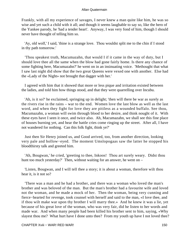Frankly, with all my experience of savages, I never knew a man quite like him, he was so wise and yet such a child with it all; and though it seems laughable to say so, like the hero of the Yankee parody, he 'had a tender heart'. Anyway, I was very fond of him, though I should never have thought of telling him so.

 'Ay, old wolf,' I said, 'thine is a strange love. Thou wouldst split me to the chin if I stood in thy path tomorrow.'

 'Thou speakest truth, Macumazahn, that would I if it came in the way of duty, but I should love thee all the same when the blow had gone fairly home. Is there any chance of some fighting here, Macumazahn?' he went on in an insinuating voice. 'Methought that what I saw last night did show that the two great Queens were vexed one with another. Else had the «Lady of the Night» not brought that dagger with her.'

 I agreed with him that it showed that more or less pique and irritation existed between the ladies, and told him how things stood, and that they were quarrelling over Incubu.

 'Ah, is it so?' he exclaimed, springing up in delight; 'then will there be war as surely as the rivers rise in the rains – war to the end. Women love the last blow as well as the last word, and when they fight for love they are pitiless as a wounded buffalo. See thou, Macumazahn, a woman will swim through blood to her desire, and think nought of it. With these eyes have I seen it once, and twice also. Ah, Macumazahn, we shall see this fine place of houses burning yet, and hear the battle cries come ringing up the street. After all, I have not wandered for nothing. Can this folk fight, think ye?'

 Just then Sir Henry joined us, and Good arrived, too, from another direction, looking very pale and hollow−eyed. The moment Umslopogaas saw the latter he stopped his bloodthirsty talk and greeted him.

 'Ah, Bougwan,' he cried, 'greeting to thee, Inkoos! Thou art surely weary. Didst thou hunt too much yesterday?' Then, without waiting for an answer, he went on –

 'Listen, Bougwan, and I will tell thee a story; it is about a woman, therefore wilt thou hear it, is it not so?

 'There was a man and he had a brother, and there was a woman who loved the man's brother and was beloved of the man. But the man's brother had a favourite wife and loved not the woman, and he made a mock of her. Then the woman, being very cunning and fierce−hearted for revenge, took counsel with herself and said to the man, «I love thee, and if thou wilt make war upon thy brother I will marry thee.» And he knew it was a lie, yet because of his great love of the woman, who was very fair, did he listen to her words and made war. And when many people had been killed his brother sent to him, saying, «Why slayest thou me? What hurt have I done unto thee? From my youth up have I not loved thee?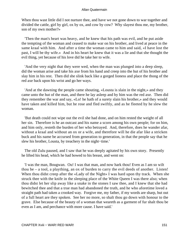When thou wast little did I not nurture thee, and have we not gone down to war together and divided the cattle, girl by girl, ox by ox, and cow by cow? Why slayest thou me, my brother, son of my own mother?»

 'Then the man's heart was heavy, and he knew that his path was evil, and he put aside the tempting of the woman and ceased to make war on his brother, and lived at peace in the same kraal with him. And after a time the woman came to him and said, «I have lost the past, I will be thy wife.» And in his heart he knew that it was a lie and that she thought the evil thing, yet because of his love did he take her to wife.

 'And the very night that they were wed, when the man was plunged into a deep sleep, did the woman arise and take his axe from his hand and creep into the hut of his brother and slay him in his rest. Then did she slink back like a gorged lioness and place the thong of the red axe back upon his wrist and go her ways.

 'And at the dawning the people came shouting, «Lousta is slain in the night,» and they came unto the hut of the man, and there he lay asleep and by him was the red axe. Then did they remember the war and say, «Lo! he hath of a surety slain his brother,» and they would have taken and killed him, but he rose and fled swiftly, and as he fleeted by he slew the woman.

 'But death could not wipe out the evil she had done, and on him rested the weight of all her sin. Therefore is he an outcast and his name a scorn among his own people; for on him, and him only, resteth the burden of her who betrayed. And, therefore, does he wander afar, without a kraal and without an ox or a wife, and therefore will he die afar like a stricken buck and his name be accursed from generation to generation, in that the people say that he slew his brother, Lousta, by treachery in the night−time.'

 The old Zulu paused, and I saw that he was deeply agitated by his own story. Presently he lifted his head, which he had bowed to his breast, and went on:

 'I was the man, Bougwan. Ou! I was that man, and now hark thou! Even as I am so wilt thou be – a tool, a plaything, an ox of burden to carry the evil deeds of another. Listen! When thou didst creep after the «Lady of the Night» I was hard upon thy track. When she struck thee with the knife in the sleeping place of the White Queen I was there also; when thou didst let her slip away like a snake in the stones I saw thee, and I knew that she had bewitched thee and that a true man had abandoned the truth, and he who aforetime loved a straight path had taken a crooked way. Forgive me, my father, if my words are sharp, but out of a full heart are they spoken. See her no more, so shalt thou go down with honour to the grave. Else because of the beauty of a woman that weareth as a garment of fur shalt thou be even as I am, and perchance with more cause. I have said.'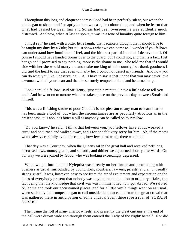Throughout this long and eloquent address Good had been perfectly silent, but when the tale began to shape itself so aptly to his own case, he coloured up, and when he learnt that what had passed between him and Sorais had been overseen he was evidently much distressed. And now, when at last he spoke, it was in a tone of humility quite foreign to him.

 'I must say,' he said, with a bitter little laugh, 'that I scarcely thought that I should live to be taught my duty by a Zulu; but it just shows what we can come to. I wonder if you fellows can understand how humiliated I feel, and the bitterest part of it is that I deserve it all. Of course I should have handed Sorais over to the guard, but I could not, and that is a fact. I let her go and I promised to say nothing, more is the shame to me. She told me that if I would side with her she would marry me and make me king of this country, but thank goodness I did find the heart to say that even to marry her I could not desert my friends. And now you can do what you like, I deserve it all. All I have to say is that I hope that you may never love a woman with all your heart and then be so sorely tempted of her,' and he turned to go.

 'Look here, old fellow,' said Sir Henry, 'just stop a minute. I have a little tale to tell you too.' And he went on to narrate what had taken place on the previous day between Sorais and himself.

 This was a finishing stroke to poor Good. It is not pleasant to any man to learn that he has been made a tool of, but when the circumstances are as peculiarly atrocious as in the present case, it is about as bitter a pill as anybody can be called on to swallow.

 'Do you know,' he said, 'I think that between you, you fellows have about worked a cure,' and he turned and walked away, and I for one felt very sorry for him. Ah, if the moths would always carefully avoid the candle, how few burnt wings there would be!

 That day was a Court day, when the Queens sat in the great hall and received petitions, discussed laws, money grants, and so forth, and thither we adjourned shortly afterwards. On our way we were joined by Good, who was looking exceedingly depressed.

 When we got into the hall Nyleptha was already on her throne and proceeding with business as usual, surrounded by councillors, courtiers, lawyers, priests, and an unusually strong guard. It was, however, easy to see from the air of excitement and expectation on the faces of everybody present that nobody was paying much attention to ordinary affairs, the fact being that the knowledge that civil war was imminent had now got abroad. We saluted Nyleptha and took our accustomed places, and for a little while things went on as usual, when suddenly the trumpets began to call outside the palace, and from the great crowd that was gathered there in anticipation of some unusual event there rose a roar of 'SORAIS! SORAIS!'

 Then came the roll of many chariot wheels, and presently the great curtains at the end of the hall were drawn wide and through them entered the 'Lady of the Night' herself. Nor did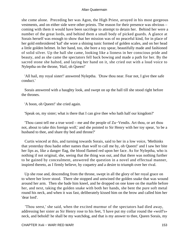she come alone. Preceding her was Agon, the High Priest, arrayed in his most gorgeous vestments, and on either side were other priests. The reason for their presence was obvious – coming with them it would have been sacrilege to attempt to detain her. Behind her were a number of the great lords, and behind them a small body of picked guards. A glance at Sorais herself was enough to show that her mission was of no peaceful kind, for in place of her gold embroidered 'kaf' she wore a shining tunic formed of golden scales, and on her head a little golden helmet. In her hand, too, she bore a toy spear, beautifully made and fashioned of solid silver. Up the hall she came, looking like a lioness in her conscious pride and beauty, and as she came the spectators fell back bowing and made a path for her. By the sacred stone she halted, and laying her hand on it, she cried out with a loud voice to Nyleptha on the throne, 'Hail, oh Queen!'

 'All hail, my royal sister!' answered Nyleptha. 'Draw thou near. Fear not, I give thee safe conduct.'

 Sorais answered with a haughty look, and swept on up the hall till she stood right before the thrones.

'A boon, oh Queen!' she cried again.

'Speak on, my sister; what is there that I can give thee who hath half our kingdom?'

 'Thou canst tell me a true word – me and the people of Zu−Vendis. Art thou, or art thou not, about to take this foreign wolf,' and she pointed to Sir Henry with her toy spear, 'to be a husband to thee, and share thy bed and throne?'

 Curtis winced at this, and turning towards Sorais, said to her in a low voice, 'Methinks that yesterday thou hadst other names than wolf to call me by, oh Queen!' and I saw her bite her lips as, like a danger flag, the blood flamed red upon her face. As for Nyleptha, who is nothing if not original, she, seeing that the thing was out, and that there was nothing further to be gained by concealment, answered the question in a novel and effectual manner, inspired thereto, as I firmly believe, by coquetry and a desire to triumph over her rival.

 Up she rose and, descending from the throne, swept in all the glory of her royal grace on to where her lover stood. There she stopped and untwined the golden snake that was wound around her arm. Then she bade him kneel, and he dropped on one knee on the marble before her, and next, taking the golden snake with both her hands, she bent the pure soft metal round his neck, and when it was fast, deliberately kissed him on the brow and called him her 'dear lord'.

 'Thou seest,' she said, when the excited murmur of the spectators had died away, addressing her sister as Sir Henry rose to his feet, 'I have put my collar round the «wolf's» neck, and behold! he shall be my watchdog, and that is my answer to thee, Queen Sorais, my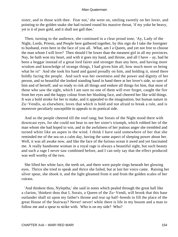sister, and to those with thee. Fear not,' she went on, smiling sweetly on her lover, and pointing to the golden snake she had twined round his massive throat, 'if my yoke be heavy, yet is it of pure gold, and it shall not gall thee.'

 Then, turning to the audience, she continued in a clear proud tone, 'Ay, Lady of the Night, Lords, Priests, and People here gathered together, by this sign do I take the foreigner to husband, even here in the face of you all. What, am I a Queen, and yet not free to choose the man whom I will love? Then should I be lower than the meanest girl in all my provinces. Nay, he hath won my heart, and with it goes my hand, and throne, and all I have – ay, had he been a beggar instead of a great lord fairer and stronger than any here, and having more wisdom and knowledge of strange things, I had given him all, how much more so being what he is!' And she took his hand and gazed proudly on him, and holding it, stood there boldly facing the people. And such was her sweetness and the power and dignity of her person, and so beautiful she looked standing hand in hand there at her lover's side, so sure of him and of herself, and so ready to risk all things and endure all things for him, that most of those who saw the sight, which I am sure no one of them will ever forget, caught the fire from her eyes and the happy colour from her blushing face, and cheered her like wild things. It was a bold stroke for her to make, and it appealed to the imagination; but human nature in Zu−Vendis, as elsewhere, loves that which is bold and not afraid to break a rule, and is moreover peculiarly susceptible to appeals to its poetical side.

 And so the people cheered till the roof rang; but Sorais of the Night stood there with downcast eyes, for she could not bear to see her sister's triumph, which robbed her of the man whom she had hoped to win, and in the awfulness of her jealous anger she trembled and turned white like an aspen in the wind. I think I have said somewhere of her that she reminded me of the sea on a calm day, having the same aspect of sleeping power about her. Well, it was all awake now, and like the face of the furious ocean it awed and yet fascinated me. A really handsome woman in a royal rage is always a beautiful sight, but such beauty and such a rage I never saw combined before, and I can only say that the effect produced was well worthy of the two.

 She lifted her white face, the teeth set, and there were purple rings beneath her glowing eyes. Thrice she tried to speak and thrice she failed, but at last her voice came. Raising her silver spear, she shook it, and the light gleamed from it and from the golden scales of her cuirass.

 'And thinkest thou, Nyleptha,' she said in notes which pealed through the great hall like a clarion, 'thinkest thou that I, Sorais, a Queen of the Zu−Vendi, will brook that this base outlander shall sit upon my father's throne and rear up half−breeds to fill the place of the great House of the Stairway? Never! never! while there is life in my bosom and a man to follow me and a spear to strike with. Who is on my side? Who?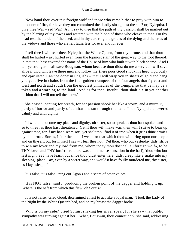'Now hand thou over this foreign wolf and those who came hither to prey with him to the doom of fire, for have they not committed the deadly sin against the sun? or, Nyleptha, I give thee War – red War! Ay, I say to thee that the path of thy passion shall be marked out by the blazing of thy towns and watered with the blood of those who cleave to thee. On thy head rest the burden of the deed, and in thy ears ring the groans of the dying and the cries of the widows and those who are left fatherless for ever and for ever.

 'I tell thee I will tear thee, Nyleptha, the White Queen, from thy throne, and that thou shalt be hurled – ay, hurled even from the topmost stair of the great way to the foot thereof, in that thou hast covered the name of the House of him who built it with black shame. And I tell ye strangers – all save Bougwan, whom because thou didst do me a service I will save alive if thou wilt leave these men and follow me' (here poor Good shook his head vigorously and ejaculated 'Can't be done' in English) – 'that I will wrap you in sheets of gold and hang you yet alive in chains from the four golden trumpets of the four angels that fly east and west and north and south from the giddiest pinnacles of the Temple, so that ye may be a token and a warning to the land. And as for thee, Incubu, thou shalt die in yet another fashion that I will not tell thee now.'

 She ceased, panting for breath, for her passion shook her like a storm, and a murmur, partly of horror and partly of admiration, ran through the hall. Then Nyleptha answered calmly and with dignity:

 'Ill would it become my place and dignity, oh sister, so to speak as thou hast spoken and so to threat as thou hast threatened. Yet if thou wilt make war, then will I strive to bear up against thee, for if my hand seem soft, yet shalt thou find it of iron when it grips thine armies by the throat. Sorais, I fear thee not. I weep for that which thou wilt bring upon our people and on thyself, but for myself I say – I fear thee not. Yet thou, who but yesterday didst strive to win my lover and my lord from me, whom today thou dost call a «foreign wolf», to be THY lover and THY lord' (here there was an immense sensation in the hall), 'thou who but last night, as I have learnt but since thou didst enter here, didst creep like a snake into my sleeping−place – ay, even by a secret way, and wouldst have foully murdered me, thy sister, as I lay asleep – '

'It is false, it is false!' rang out Agon's and a score of other voices.

 'It is NOT false,' said I, producing the broken point of the dagger and holding it up. 'Where is the haft from which this flew, oh Sorais?'

 'It is not false,' cried Good, determined at last to act like a loyal man. 'I took the Lady of the Night by the White Queen's bed, and on my breast the dagger broke.'

 'Who is on my side?' cried Sorais, shaking her silver spear, for she saw that public sympathy was turning against her. 'What, Bougwan, thou comest not?' she said, addressing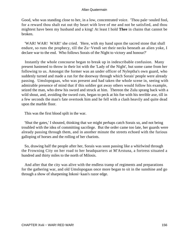Good, who was standing close to her, in a low, concentrated voice. 'Thou pale−souled fool, for a reward thou shalt eat out thy heart with love of me and not be satisfied, and thou mightest have been my husband and a king! At least I hold **Thee** in chains that cannot be broken.

 'WAR! WAR! WAR!' she cried. 'Here, with my hand upon the sacred stone that shall endure, so runs the prophecy, till the Zu−Vendi set their necks beneath an alien yoke, I declare war to the end. Who follows Sorais of the Night to victory and honour?'

 Instantly the whole concourse began to break up in indescribable confusion. Many present hastened to throw in their lot with the 'Lady of the Night', but some came from her following to us. Amongst the former was an under officer of Nyleptha's own guard, who suddenly turned and made a run for the doorway through which Sorais' people were already passing. Umslopogaas, who was present and had taken the whole scene in, seeing with admirable presence of mind that if this soldier got away others would follow his example, seized the man, who drew his sword and struck at him. Thereon the Zulu sprang back with a wild shout, and, avoiding the sword cuts, began to peck at his foe with his terrible axe, till in a few seconds the man's fate overtook him and he fell with a clash heavily and quite dead upon the marble floor.

This was the first blood spilt in the war.

 'Shut the gates,' I shouted, thinking that we might perhaps catch Sorais so, and not being troubled with the idea of committing sacrilege. But the order came too late, her guards were already passing through them, and in another minute the streets echoed with the furious galloping of horses and the rolling of her chariots.

 So, drawing half the people after her, Sorais was soon passing like a whirlwind through the Frowning City on her road to her headquarters at M'Arstuna, a fortress situated a hundred and thirty miles to the north of Milosis.

 And after that the city was alive with the endless tramp of regiments and preparations for the gathering war, and old Umslopogaas once more began to sit in the sunshine and go through a show of sharpening Inkosi−kaas's razor edge.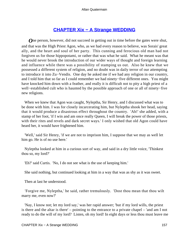## **[CHAPTER Xix − A Strange WEDDING](#page-202-0)**

**O**ne person, however, did not succeed in getting out in time before the gates were shut, and that was the High Priest Agon, who, as we had every reason to believe, was Sorais' great ally, and the heart and soul of her party. This cunning and ferocious old man had not forgiven us for those hippopotami, or rather that was what he said. What he meant was that he would never brook the introduction of our wider ways of thought and foreign learning and influence while there was a possibility of stamping us out. Also he knew that we possessed a different system of religion, and no doubt was in daily terror of our attempting to introduce it into Zu−Vendis. One day he asked me if we had any religion in our country, and I told him that so far as I could remember we had ninety−five different ones. You might have knocked him down with a feather, and really it is difficult not to pity a high priest of a well−established cult who is haunted by the possible approach of one or all of ninety−five new religions.

 When we knew that Agon was caught, Nyleptha, Sir Henry, and I discussed what was to be done with him. I was for closely incarcerating him, but Nyleptha shook her head, saying that it would produce a disastrous effect throughout the country. 'Ah!' she added, with a stamp of her foot, 'if I win and am once really Queen, I will break the power of those priests, with their rites and revels and dark secret ways.' I only wished that old Agon could have heard her, it would have frightened him.

 'Well,' said Sir Henry, 'if we are not to imprison him, I suppose that we may as well let him go. He is of no use here.'

 Nyleptha looked at him in a curious sort of way, and said in a dry little voice, 'Thinkest thou so, my lord?'

'Eh?' said Curtis. 'No, I do not see what is the use of keeping him.'

She said nothing, but continued looking at him in a way that was as shy as it was sweet.

Then at last he understood.

 'Forgive me, Nyleptha,' he said, rather tremulously. 'Dost thou mean that thou wilt marry me, even now?'

 'Nay, I know not; let my lord say,' was her rapid answer; 'but if my lord wills, the priest is there and the altar is there' – pointing to the entrance to a private chapel – 'and am I not ready to do the will of my lord? Listen, oh my lord! In eight days or less thou must leave me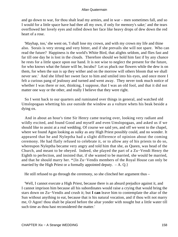and go down to war, for thou shalt lead my armies, and in war – men sometimes fall, and so I would for a little space have had thee all my own, if only for memory's sake;' and the tears overflowed her lovely eyes and rolled down her face like heavy drops of dew down the red heart of a rose.

 'Mayhap, too,' she went on, 'I shall lose my crown, and with my crown my life and thine also. Sorais is very strong and very bitter, and if she prevails she will not spare. Who can read the future? Happiness is the world's White Bird, that alights seldom, and flies fast and far till one day he is lost in the clouds. Therefore should we hold him fast if by any chance he rests for a little space upon our hand. It is not wise to neglect the present for the future, for who knows what the future will be, Incubu? Let us pluck our flowers while the dew is on them, for when the sun is up they wither and on the morrow will others bloom that we shall never see.' And she lifted her sweet face to him and smiled into his eyes, and once more I felt a curious pang of jealousy and turned and went away. They never took much notice of whether I was there or not, thinking, I suppose, that I was an old fool, and that it did not matter one way or the other, and really I believe that they were right.

 So I went back to our quarters and ruminated over things in general, and watched old Umslopogaas whetting his axe outside the window as a vulture whets his beak beside a dying ox.

 And in about an hour's time Sir Henry came tearing over, looking very radiant and wildly excited, and found Good and myself and even Umslopogaas, and asked us if we should like to assist at a real wedding. Of course we said yes, and off we went to the chapel, where we found Agon looking as sulky as any High Priest possibly could, and no wonder. It appeared that he and Nyleptha had a slight difference of opinion about the coming ceremony. He had flatly refused to celebrate it, or to allow any of his priests to do so, whereupon Nyleptha became very angry and told him that she, as Queen, was head of the Church, and meant to be obeyed. Indeed, she played the part of a Zu−Vendi Henry the Eighth to perfection, and insisted that, if she wanted to be married, she would be married, and that he should marry her. \*{In Zu−Vendis members of the Royal House can only be married by the High Priest or a formally appointed deputy.  $-A$ . Q.}

He still refused to go through the ceremony, so she clinched her argument thus –

 'Well, I cannot execute a High Priest, because there is an absurd prejudice against it, and I cannot imprison him because all his subordinates would raise a crying that would bring the stars down on Zu−Vendis and crush it; but **I can** leave him to contemplate the altar of the Sun without anything to eat, because that is his natural vocation, and if thou wilt not marry me, O Agon! thou shalt be placed before the altar yonder with nought but a little water till such time as thou hast reconsidered the matter.'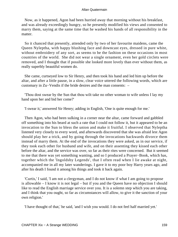Now, as it happened, Agon had been hurried away that morning without his breakfast, and was already exceedingly hungry, so he presently modified his views and consented to marry them, saying at the same time that he washed his hands of all responsibility in the matter.

 So it chanced that presently, attended only by two of her favourite maidens, came the Queen Nyleptha, with happy blushing face and downcast eyes, dressed in pure white, without embroidery of any sort, as seems to be the fashion on these occasions in most countries of the world. She did not wear a single ornament, even her gold circlets were removed, and I thought that if possible she looked more lovely than ever without them, as really superbly beautiful women do.

 She came, curtseyed low to Sir Henry, and then took his hand and led him up before the altar, and after a little pause, in a slow, clear voice uttered the following words, which are customary in Zu−Vendis if the bride desires and the man consents: –

 'Thou dost swear by the Sun that thou wilt take no other woman to wife unless I lay my hand upon her and bid her come?'

'I swear it,' answered Sir Henry; adding in English, 'One is quite enough for me.'

 Then Agon, who had been sulking in a corner near the altar, came forward and gabbled off something into his beard at such a rate that I could not follow it, but it appeared to be an invocation to the Sun to bless the union and make it fruitful. I observed that Nyleptha listened very closely to every word, and afterwards discovered that she was afraid lest Agon should play her a trick, and by going through the invocations backwards divorce them instead of marry them. At the end of the invocations they were asked, as in our service, if they took each other for husband and wife, and on their assenting they kissed each other before the altar, and the service was over, so far as their rites were concerned. But it seemed to me that there was yet something wanting, and so I produced a Prayer−Book, which has, together which the 'Ingoldsby Legends', that I often read when I lie awake at night, accompanied me in all my later wanderings. I gave it to my poor boy Harry years ago, and after his death I found it among his things and took it back again.

 'Curtis,' I said, 'I am not a clergyman, and I do not know if what I am going to propose is allowable – I know it is not legal – but if you and the Queen have no objection I should like to read the English marriage service over you. It is a solemn step which you are taking, and I think that you ought, so far as circumstances will allow, to give it the sanction of your own religion.'

'I have thought of that,' he said, 'and I wish you would. I do not feel half married yet.'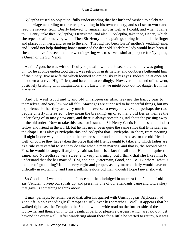Nyleptha raised no objection, fully understanding that her husband wished to celebrate the marriage according to the rites prevailing in his own country, and so I set to work and read the service, from 'Dearly beloved' to 'amazement', as well as I could; and when I came to 'I, Henry, take thee, Nyleptha,' I translated, and also 'I, Nyleptha, take thee, Henry,' which she repeated after me very well. Then Sir Henry took a plain gold ring from his little finger and placed it on hers, and so on to the end. The ring had been Curtis' mother's wedding−ring, and I could not help thinking how astonished the dear old Yorkshire lady would have been if she could have foreseen that her wedding−ring was to serve a similar purpose for Nyleptha, a Queen of the Zu−Vendi.

 As for Agon, he was with difficulty kept calm while this second ceremony was going on, for he at once understood that it was religious in its nature, and doubtless bethought him of the ninety−five new faiths which loomed so ominously in his eyes. Indeed, he at once set me down as a rival High Priest, and hated me accordingly. However, in the end off he went, positively bristling with indignation, and I knew that we might look out for danger from his direction.

 And off went Good and I, and old Umslopogaas also, leaving the happy pair to themselves, and very low we all felt. Marriages are supposed to be cheerful things, but my experience is that they are very much the reverse to everybody, except perhaps the two people chiefly interested. They mean the breaking−up of so many old ties as well as the undertaking of so many new ones, and there is always something sad about the passing away of the old order. Now to take this case for instance: Sir Henry Curtis is the best and kindest fellow and friend in the world, but he has never been quite the same since that little scene in the chapel. It is always Nyleptha this and Nyleptha that – Nyleptha, in short, from morning till night in one way or another, either expressed or understood. And as for the old friends – well, of course they have taken the place that old friends ought to take, and which ladies are as a rule very careful to see they do take when a man marries, and that is, the second place. Yes, he would be angry if anybody said so, but it is a fact for all that. He is not quite the same, and Nyleptha is very sweet and very charming, but I think that she likes him to understand that she has married HIM, and not Quatermain, Good, and Co. But there! what is the use of grumbling? It is all very right and proper, as any married lady would have no difficulty in explaining, and I am a selfish, jealous old man, though I hope I never show it.

 So Good and I went and ate in silence and then indulged in an extra fine flagon of old Zu−Vendian to keep our spirits up, and presently one of our attendants came and told a story that gave us something to think about.

 It may, perhaps, be remembered that, after his quarrel with Umslopogaas, Alphonse had gone off in an exceedingly ill temper to sulk over his scratches. Well, it appears that he walked right past the Temple to the Sun, down the wide road on the further side of the slope it crowns, and thence on into the beautiful park, or pleasure gardens, which are laid out just beyond the outer wall. After wandering about there for a little he started to return, but was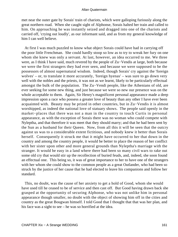met near the outer gate by Sorais' train of chariots, which were galloping furiously along the great northern road. When she caught sight of Alphonse, Sorais halted her train and called to him. On approaching he was instantly seized and dragged into one of the chariots and carried off, 'crying out loudly', as our informant said, and as from my general knowledge of him I can well believe.

 At first I was much puzzled to know what object Sorais could have had in carrying off the poor little Frenchman. She could hardly stoop so low as to try to wreak her fury on one whom she knew was only a servant. At last, however, an idea occurred to me. We three were, as I think I have said, much revered by the people of Zu−Vendis at large, both because we were the first strangers they had ever seen, and because we were supposed to be the possessors of almost supernatural wisdom. Indeed, though Sorais' cry against the 'foreign wolves' – or, to translate it more accurately, 'foreign hyenas' – was sure to go down very well with the nobles and the priests, it was not as we learnt, likely to be particularly effectual amongst the bulk of the population. The Zu−Vendi people, like the Athenians of old, are ever seeking for some new thing, and just because we were so new our presence was on the whole acceptable to them. Again, Sir Henry's magnificent personal appearance made a deep impression upon a race who possess a greater love of beauty than any other I have ever been acquainted with. Beauty may be prized in other countries, but in Zu−Vendis it is almost worshipped, as indeed the national love of statuary shows. The people said openly in the market−places that there was not a man in the country to touch Curtis in personal appearance, as with the exception of Sorais there was no woman who could compete with Nyleptha, and that therefore it was meet that they should marry; and that he had been sent by the Sun as a husband for their Queen. Now, from all this it will be seen that the outcry against us was to a considerable extent fictitious, and nobody knew it better than Sorais herself. Consequently it struck me that it might have occurred to her that down in the country and among the country people, it would be better to place the reason of her conflict with her sister upon other and more general grounds than Nyleptha's marriage with the stranger. It would be easy in a land where there had been so many civil wars to rake out some old cry that would stir up the recollection of buried feuds, and, indeed, she soon found an effectual one. This being so, it was of great importance to her to have one of the strangers with her whom she could show to the common people as a great Outlander, who had been so struck by the justice of her cause that he had elected to leave his companions and follow her standard.

 This, no doubt, was the cause of her anxiety to get a hold of Good, whom she would have used till he ceased to be of service and then cast off. But Good having drawn back she grasped at the opportunity of securing Alphonse, who was not unlike him in personal appearance though smaller, no doubt with the object of showing him off in the cities and country as the great Bougwan himself. I told Good that I thought that that was her plan, and his face was a sight to see – he was so horrified at the idea.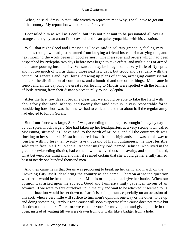'What,' he said, 'dress up that little wretch to represent me? Why, I shall have to get out of the country! My reputation will be ruined for ever.'

 I consoled him as well as I could, but it is not pleasant to be personated all over a strange country by an arrant little coward, and I can quite sympathize with his vexation.

Well, that night Good and I messed as I have said in solitary grandeur, feeling very much as though we had just returned from burying a friend instead of marrying one, and next morning the work began in good earnest. The messages and orders which had been despatched by Nyleptha two days before now began to take effect, and multitudes of armed men came pouring into the city. We saw, as may be imagined, but very little of Nyleptha and not too much of Curtis during those next few days, but Good and I sat daily with the council of generals and loyal lords, drawing up plans of action, arranging commissariat matters, the distribution of commands, and a hundred and one other things. Men came in freely, and all the day long the great roads leading to Milosis were spotted with the banners of lords arriving from their distant places to rally round Nyleptha.

 After the first few days it became clear that we should be able to take the field with about forty thousand infantry and twenty thousand cavalry, a very respectable force considering how short was the time we had to collect it, and that about half the regular army had elected to follow Sorais.

 But if our force was large, Sorais' was, according to the reports brought in day by day by our spies, much larger. She had taken up her headquarters at a very strong town called M'Arstuna, situated, as I have said, to the north of Milosis, and all the countryside was flocking to her standard. Nasta had poured down from his highlands and was on his way to join her with no less than twenty−five thousand of his mountaineers, the most terrible soldiers to face in all Zu−Vendis. Another mighty lord, named Belusha, who lived in the great horse−breeding district, had come in with twelve thousand cavalry, and so on. Indeed, what between one thing and another, it seemed certain that she would gather a fully armed host of nearly one hundred thousand men.

 And then came news that Sorais was proposing to break up her camp and march on the Frowning City itself, desolating the country as she came. Thereon arose the question whether it would be best to meet her at Milosis or to go out and give her battle. When our opinion was asked upon the subject, Good and I unhesitatingly gave it in favour of an advance. If we were to shut ourselves up in the city and wait to be attacked, it seemed to us that our inaction would be set down to fear. It is so important, especially on an occasion of this sort, when a very little will suffice to turn men's opinions one way or the other, to be up and doing something. Ardour for a cause will soon evaporate if the cause does not move but sits down to conquer. Therefore we cast our vote for moving out and giving battle in the open, instead of waiting till we were drawn from our walls like a badger from a hole.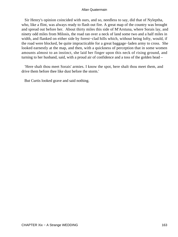Sir Henry's opinion coincided with ours, and so, needless to say, did that of Nyleptha, who, like a flint, was always ready to flash out fire. A great map of the country was brought and spread out before her. About thirty miles this side of M'Arstuna, where Sorais lay, and ninety odd miles from Milosis, the road ran over a neck of land some two and a half miles in width, and flanked on either side by forest−clad hills which, without being lofty, would, if the road were blocked, be quite impracticable for a great baggage−laden army to cross. She looked earnestly at the map, and then, with a quickness of perception that in some women amounts almost to an instinct, she laid her finger upon this neck of rising ground, and turning to her husband, said, with a proud air of confidence and a toss of the golden head –

 'Here shalt thou meet Sorais' armies. I know the spot, here shalt thou meet them, and drive them before thee like dust before the storm.'

But Curtis looked grave and said nothing.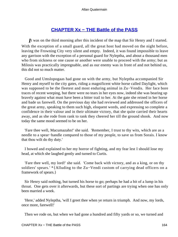## **[CHAPTER Xx − THE Battle of the PASS](#page-203-0)**

*I*t was on the third morning after this incident of the map that Sir Henry and I started. With the exception of a small guard, all the great host had moved on the night before, leaving the Frowning City very silent and empty. Indeed, it was found impossible to leave any garrison with the exception of a personal guard for Nyleptha, and about a thousand men who from sickness or one cause or another were unable to proceed with the army; but as Milosis was practically impregnable, and as our enemy was in front of and not behind us, this did not so much matter.

 Good and Umslopogaas had gone on with the army, but Nyleptha accompanied Sir Henry and myself to the city gates, riding a magnificent white horse called Daylight, which was supposed to be the fleetest and most enduring animal in Zu−Vendis. Her face bore traces of recent weeping, but there were no tears in her eyes now, indeed she was bearing up bravely against what must have been a bitter trail to her. At the gate she reined in her horse and bade us farewell. On the previous day she had reviewed and addressed the officers of the great army, speaking to them such high, eloquent words, and expressing so complete a confidence in their valour and in their ultimate victory, that she quite carried their hearts away, and as she rode from rank to rank they cheered her till the ground shook. And now today the same mood seemed to be on her.

 'Fare thee well, Macumazahn!' she said. 'Remember, I trust to thy wits, which are as a needle to a spear−handle compared to those of my people, to save us from Sorais. I know that thou wilt do thy duty.'

 I bowed and explained to her my horror of fighting, and my fear lest I should lose my head, at which she laughed gently and turned to Curtis.

 'Fare thee well, my lord!' she said. 'Come back with victory, and as a king, or on thy soldiers' spears.' \*{Alluding to the Zu−Vendi custom of carrying dead officers on a framework of spears.}

 Sir Henry said nothing, but turned his horse to go; perhaps he had a bit of a lump in his throat. One gets over it afterwards, but these sort of partings are trying when one has only been married a week.

 'Here,' added Nyleptha, 'will I greet thee when ye return in triumph. And now, my lords, once more, farewell!'

Then we rode on, but when we had gone a hundred and fifty yards or so, we turned and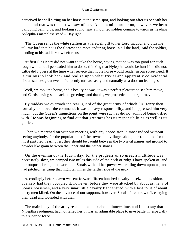perceived her still sitting on her horse at the same spot, and looking out after us beneath her hand, and that was the last we saw of her. About a mile farther on, however, we heard galloping behind us, and looking round, saw a mounted soldier coming towards us, leading Nyleptha's matchless steed – Daylight.

 'The Queen sends the white stallion as a farewell gift to her Lord Incubu, and bids me tell my lord that he is the fleetest and most enduring horse in all the land,' said the soldier, bending to his saddle−bow before us.

 At first Sir Henry did not want to take the horse, saying that he was too good for such rough work, but I persuaded him to do so, thinking that Nyleptha would be hurt if he did not. Little did I guess at the time what service that noble horse would render in our sorest need. It is curious to look back and realize upon what trivial and apparently coincidental circumstances great events frequently turn as easily and naturally as a door on its hinges.

 Well, we took the horse, and a beauty he was, it was a perfect pleasure to see him move, and Curtis having sent back his greetings and thanks, we proceeded on our journey.

 By midday we overtook the rear−guard of the great army of which Sir Henry then formally took over the command. It was a heavy responsibility, and it oppressed him very much, but the Queen's injunctions on the point were such as did not admit of being trifled with. He was beginning to find out that greatness has its responsibilities as well as its glories.

 Then we marched on without meeting with any opposition, almost indeed without seeing anybody, for the populations of the towns and villages along our route had for the most part fled, fearing lest they should be caught between the two rival armies and ground to powder like grain between the upper and the nether stones.

 On the evening of the fourth day, for the progress of so great a multitude was necessarily slow, we camped two miles this side of the neck or ridge I have spoken of, and our outposts brought us word that Sorais with all her power was rolling down upon us, and had pitched her camp that night ten miles the farther side of the neck.

 Accordingly before dawn we sent forward fifteen hundred cavalry to seize the position. Scarcely had they occupied it, however, before they were attacked by about as many of Sorais' horsemen, and a very smart little cavalry fight ensued, with a loss to us of about thirty men killed. On the advance of our supports, however, Sorais' force drew off, carrying their dead and wounded with them.

 The main body of the army reached the neck about dinner−time, and I must say that Nyleptha's judgment had not failed her, it was an admirable place to give battle in, especially to a superior force.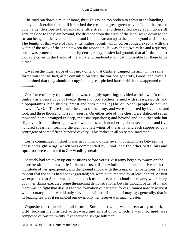The road ran down a mile or more, through ground too broken to admit of the handling of any considerable force, till it reached the crest of a great green wave of land, that rolled down a gentle slope to the banks of a little stream, and then rolled away again up a still gentler slope to the plain beyond, the distance from the crest of the land−wave down to the stream being a little over half a mile, and from the stream up to the plain beyond a trifle less. The length of this wave of land at its highest point, which corresponded exactly with the width of the neck of the land between the wooded hills, was about two miles and a quarter, and it was protected on either side by dense, rocky, bush−clad ground, that afforded a most valuable cover to the flanks of the army and rendered it almost impossible for them to be turned.

 It was on the hither slope of this neck of land that Curtis encamped his army in the same formation that he had, after consultation with the various generals, Good, and myself, determined that they should occupy in the great pitched battle which now appeared to be imminent.

 Our force of sixty thousand men was, roughly speaking, divided as follows. In the centre was a dense body of twenty thousand foot−soldiers, armed with spears, swords, and hippopotamus−hide shields, breast and back plates. \*{The Zu−Vendi people do not use bows. – A. Q.} These formed the chest of the army, and were supported by five thousand foot, and three thousand horse in reserve. On either side of this chest were stationed seven thousand horse arranged in deep, majestic squadrons; and beyond and on either side but slightly in front of them again were two bodies, each numbering about seven thousand five hundred spearmen, forming the right and left wings of the army, and each supported by a contingent of some fifteen hundred cavalry. This makes in all sixty thousand men.

 Curtis commanded in chief, I was in command of the seven thousand horse between the chest and right wing, which was commanded by Good, and the other battalions and squadrons were entrusted to Zu−Vendis generals.

 Scarcely had we taken up our positions before Sorais' vast army began to swarm on the opposite slope about a mile in front of us, till the whole place seemed alive with the multitude of her spearpoints, and the ground shook with the tramp of her battalions. It was evident that the spies had not exaggerated; we were outnumbered by at least a third. At first we expected that Sorais was going to attack us at once, as the clouds of cavalry which hung upon her flanks executed some threatening demonstrations, but she thought better of it, and there was no fight that day. As for the formation of her great forces I cannot now describe it with accuracy, and it would only serve to bewilder if I did, but I may say, generally, that in its leading features it resembled our own, only her reserve was much greater.

 Opposite our right wing, and forming Sorais' left wing, was a great army of dark, wild−looking men, armed with sword and shield only, which, I was informed, was composed of Nasta's twenty−five thousand savage hillsmen.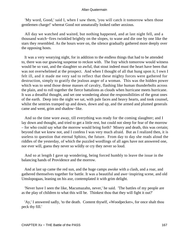'My word, Good,' said I, when I saw them, 'you will catch it tomorrow when those gentlemen charge!' whereat Good not unnaturally looked rather anxious.

 All day we watched and waited, but nothing happened, and at last night fell, and a thousand watch−fires twinkled brightly on the slopes, to wane and die one by one like the stars they resembled. As the hours wore on, the silence gradually gathered more deeply over the opposing hosts.

 It was a very wearying night, for in addition to the endless things that had to be attended to, there was our gnawing suspense to reckon with. The fray which tomorrow would witness would be so vast, and the slaughter so awful, that stout indeed must the heart have been that was not overwhelmed at the prospect. And when I thought of all that hung upon it, I own I felt ill, and it made me very sad to reflect that these mighty forces were gathered for destruction, simply to gratify the jealous anger of a woman. This was the hidden power which was to send those dense masses of cavalry, flashing like human thunderbolts across the plain, and to roll together the fierce battalions as clouds when hurricane meets hurricane. It was a dreadful thought, and set one wondering about the responsibilities of the great ones of the earth. Deep into the night we sat, with pale faces and heavy hearts, and took counsel, whilst the sentries tramped up and down, down and up, and the armed and plumed generals came and went, grim and shadow−like.

 And so the time wore away, till everything was ready for the coming slaughter; and I lay down and thought, and tried to get a little rest, but could not sleep for fear of the morrow – for who could say what the morrow would bring forth? Misery and death, this was certain; beyond that we knew not, and I confess I was very much afraid. But as I realized then, it is useless to question that eternal Sphinx, the future. From day to day she reads aloud the riddles of the yesterday, of which the puzzled wordlings of all ages have not answered one, nor ever will, guess they never so wildly or cry they never so loud.

 And so at length I gave up wondering, being forced humbly to leave the issue in the balancing hands of Providence and the morrow.

 And at last up came the red sun, and the huge camps awoke with a clash, and a roar, and gathered themselves together for battle. It was a beautiful and awe−inspiring scene, and old Umslopogaas, leaning on his axe, contemplated it with grim delight.

 'Never have I seen the like, Macumazahn, never,' he said. 'The battles of my people are as the play of children to what this will be. Thinkest thou that they will fight it out?'

 'Ay,' I answered sadly, 'to the death. Content thyself, «Woodpecker», for once shalt thou peck thy fill.'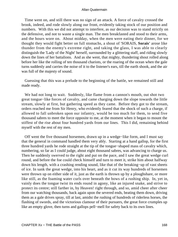Time went on, and still there was no sign of an attack. A force of cavalry crossed the brook, indeed, and rode slowly along our front, evidently taking stock of our position and numbers. With this we did not attempt to interfere, as our decision was to stand strictly on the defensive, and not to waste a single man. The men breakfasted and stood to their arms, and the hours wore on. About midday, when the men were eating their dinner, for we thought they would fight better on full stomachs, a shout of 'SORAIS, **Sorais'** arose like thunder from the enemy's extreme right, and taking the glass, I was able to clearly distinguish the 'Lady of the Night' herself, surrounded by a glittering staff, and riding slowly down the lines of her battalions. And as she went, that mighty, thundering shout rolled along before her like the rolling of ten thousand chariots, or the roaring of the ocean when the gale turns suddenly and carries the noise of it to the listener's ears, till the earth shook, and the air was full of the majesty of sound.

 Guessing that this was a prelude to the beginning of the battle, we remained still and made ready.

We had not long to wait. Suddenly, like flame from a cannon's mouth, out shot two great tongue−like forces of cavalry, and came charging down the slope towards the little stream, slowly at first, but gathering speed as they came. Before they got to the stream, orders reached me from Sir Henry, who evidently feared that the shock of such a charge, if allowed to fall unbroken upon our infantry, would be too much for them, to send five thousand sabres to meet the force opposite to me, at the moment when it began to mount the stiffest of the rise about four hundred yards from our lines. This I did, remaining behind myself with the rest of my men.

 Off went the five thousand horsemen, drawn up in a wedge−like form, and I must say that the general in command handled them very ably. Starting at a hand gallop, for the first three hundred yards he rode straight at the tip of the tongue−shaped mass of cavalry which, numbering, so far as I could judge, about eight thousand sabres, was advancing to charge us. Then he suddenly swerved to the right and put on the pace, and I saw the great wedge curl round, and before the foe could check himself and turn to meet it, strike him about halfway down his length, with a crashing rending sound, like that of the breaking−up of vast sheets of ice. In sank the great wedge, into his heart, and as it cut its way hundreds of horsemen were thrown up on either side of it, just as the earth is thrown up by a ploughshare, or more like still, as the foaming water curls over beneath the bows of a rushing ship. In, yet in, vainly does the tongue twist its ends round in agony, like an injured snake, and strive to protect its centre; still farther in, by Heaven! right through, and so, amid cheer after cheer from our watching thousands, back again upon the severed ends, beating them down, driving them as a gale drives spray, till at last, amidst the rushing of hundreds of riderless horses, the flashing of swords, and the victorious clamour of their pursuers, the great force crumples up like an empty glove, then turns and gallops pell−mell for safety back to its own lines.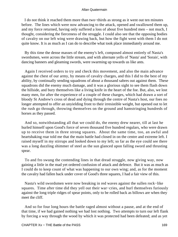I do not think it reached them more than two−thirds as strong as it went out ten minutes before. The lines which were now advancing to the attack, opened and swallowed them up, and my force returned, having only suffered a loss of about five hundred men – not much, I thought, considering the fierceness of the struggle. I could also see that the opposing bodies of cavalry on our left wing were drawing back, but how the fight went with them I do not quite know. It is as much as I can do to describe what took place immediately around me.

 By this time the dense masses of the enemy's left, composed almost entirely of Nasta's swordsmen, were across the little stream, and with alternate yells of 'Nasta' and 'Sorais', with dancing banners and gleaming swords, were swarming up towards us like ants.

 Again I received orders to try and check this movement, and also the main advance against the chest of our army, by means of cavalry charges, and this I did to the best of my ability, by continually sending squadrons of about a thousand sabres out against them. These squadrons did the enemy much damage, and it was a glorious sight to see them flash down the hillside, and bury themselves like a living knife in the heart of the foe. But, also, we lost many men, for after the experience of a couple of these charges, which had drawn a sort of bloody St Andrew's cross of dead and dying through the centre of Nasta's host, our foes no longer attempted to offer an unyielding front to their irresistible weight, but opened out to let the rush go through, throwing themselves on the ground and hamstringing hundreds of horses as they passed.

 And so, notwithstanding all that we could do, the enemy drew nearer, till at last he hurled himself upon Good's force of seven thousand five hundred regulars, who were drawn up to receive them in three strong squares. About the same time, too, an awful and heartshaking roar told me that the main battle had closed in on the centre and extreme left. I raised myself in my stirrups and looked down to my left; so far as the eye could see there was a long dazzling shimmer of steel as the sun glanced upon falling sword and thrusting spear.

 To and fro swung the contending lines in that dread struggle, now giving way, now gaining a little in the mad yet ordered confusion of attack and defence. But it was as much as I could do to keep count of what was happening to our own wing; and, as for the moment the cavalry had fallen back under cover of Good's three squares, I had a fair view of this.

 Nasta's wild swordsmen were now breaking in red waves against the sullen rock−like squares. Time after time did they yell out their war−cries, and hurl themselves furiously against the long triple ridges of spear points, only to be rolled back as billows are when they meet the cliff.

 And so for four long hours the battle raged almost without a pause, and at the end of that time, if we had gained nothing we had lost nothing. Two attempts to turn our left flank by forcing a way through the wood by which it was protected had been defeated; and as yet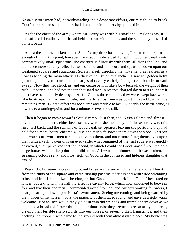Nasta's swordsmen had, notwithstanding their desperate efforts, entirely failed to break Good's three squares, though they had thinned their numbers by quite a third.

 As for the chest of the army where Sir Henry was with his staff and Umslopogaas, it had suffered dreadfully, but it had held its own with honour, and the same may be said of our left battle.

 At last the attacks slackened, and Sorais' army drew back, having, I began to think, had enough of it. On this point, however, I was soon undeceived, for splitting up her cavalry into comparatively small squadrons, she charged us furiously with them, all along the line, and then once more sullenly rolled her tens of thousands of sword and spearmen down upon our weakened squares and squadrons; Sorais herself directing the movement, as fearless as a lioness heading the main attack. On they came like an avalanche – I saw her golden helm gleaming in the van – our counter charges of cavalry entirely failing to check their forward sweep. Now they had struck us, and our centre bent in like a bow beneath the weight of their rush – it parted, and had not the ten thousand men in reserve charged down to its support it must have been utterly destroyed. As for Good's three squares, they were swept backwards like boats upon an incoming tide, and the foremost one was burst into and lost half its remaining men. But the effort was too fierce and terrible to last. Suddenly the battle came, as it were, to a turning−point, and for a minute or two stood still.

 Then it began to move towards Sorais' camp. Just then, too, Nasta's fierce and almost invincible highlanders, either because they were disheartened by their losses or by way of a ruse, fell back, and the remains of Good's gallant squares, leaving the positions they had held for so many hours, cheered wildly, and rashly followed them down the slope, whereon the swarms of swordsmen turned to envelop them, and once more flung themselves upon them with a yell. Taken thus on every side, what remained of the first square was quickly destroyed, and I perceived that the second, in which I could see Good himself mounted on a large horse, was on the point of annihilation. A few more minutes and it was broken, its streaming colours sank, and I lost sight of Good in the confused and hideous slaughter that ensued.

 Presently, however, a cream−coloured horse with a snow−white mane and tail burst from the ruins of the square and came rushing past me riderless and with wide streaming reins, and in it I recognized the charger that Good had been riding. Then I hesitated no longer, but taking with me half my effective cavalry force, which now amounted to between four and five thousand men, I commended myself to God, and, without waiting for orders, I charged straight down upon Nasta's swordsmen. Seeing me coming, and being warned by the thunder of my horses' hoofs, the majority of them faced round, and gave us a right warm welcome. Not an inch would they yield; in vain did we hack and trample them down as we ploughed a broad red furrow through their thousands; they seemed to re−arise by hundreds, driving their terrible sharp swords into our horses, or severing their hamstrings, and then hacking the troopers who came to the ground with them almost into pieces. My horse was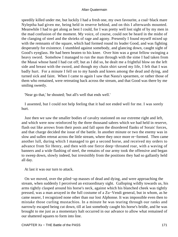speedily killed under me, but luckily I had a fresh one, my own favourite, a coal−black mare Nyleptha had given me, being held in reserve behind, and on this I afterwards mounted. Meanwhile I had to get along as best I could, for I was pretty well lost sight of by my men in the mad confusion of the moment. My voice, of course, could not be heard in the midst of the clanging of steel and the shrieks of rage and agony. Presently I found myself mixed up with the remnants of the square, which had formed round its leader Good, and was fighting desperately for existence. I stumbled against somebody, and glancing down, caught sight of Good's eyeglass. He had been beaten to his knee. Over him was a great fellow swinging a heavy sword. Somehow I managed to run the man through with the sime I had taken from the Masai whose hand I had cut off; but as I did so, he dealt me a frightful blow on the left side and breast with the sword, and though my chain shirt saved my life, I felt that I was badly hurt. For a minute I fell on to my hands and knees among the dead and dying, and turned sick and faint. When I came to again I saw that Nasta's spearmen, or rather those of them who remained, were retreating back across the stream, and that Good was there by me smiling sweetly.

'Near go that,' he shouted; 'but all's well that ends well.'

 I assented, but I could not help feeling that it had not ended well for me. I was sorely hurt.

 Just then we saw the smaller bodies of cavalry stationed on our extreme right and left, and which were now reinforced by the three thousand sabres which we had held in reserve, flash out like arrows from their posts and fall upon the disordered flanks of Sorais' forces, and that charge decided the issue of the battle. In another minute or two the enemy was in slow and sullen retreat across the little stream, where they once more re−formed. Then came another lull, during which I managed to get a second horse, and received my orders to advance from Sir Henry, and then with one fierce deep−throated roar, with a waving of banners and a wide flashing of steel, the remains of our army took the offensive and began to sweep down, slowly indeed, but irresistibly from the positions they had so gallantly held all day.

At last it was our turn to attack.

 On we moved, over the piled−up masses of dead and dying, and were approaching the stream, when suddenly I perceived an extraordinary sight. Galloping wildly towards us, his arms tightly clasped around his horse's neck, against which his blanched cheek was tightly pressed, was a man arrayed in the full costume of a Zu−Vendi general, but in whom, as he came nearer, I recognized none other than our lost Alphonse. It was impossible even then to mistake those curling mustachios. In a minute he was tearing through our ranks and narrowly escaped being cut down, till at last somebody caught his horse's bridle, and he was brought to me just as a momentary halt occurred in our advance to allow what remained of our shattered squares to form into line.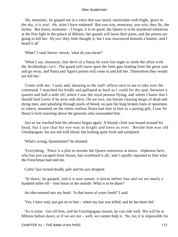'Ah, monsieur,' he gasped out in a voice that was nearly inarticulate with fright, 'grace to the sky, it is you! Ah, what I have endured! But you win, monsieur, you win; they fly, the laches. But listen, monsieur – I forget, it is no good; the Queen is to be murdered tomorrow at the first light in the palace of Milosis; her guards will leave their posts, and the priests are going to kill her. Ah yes! they little thought it, but I was ensconced beneath a banner, and I heard it all.'

'What?' I said, horror−struck; 'what do you mean?'

 'What I say, monsieur; that devil of a Nasta he went last night to settle the affair with the Archbishop [Agon]. The guard will leave open the little gate leading from the great stair and go away, and Nasta and Agon's priests will come in and kill her. Themselves they would not kill her.'

 'Come with me,' I said, and, shouting to the staff−officer next to me to take over the command, I snatched his bridle and galloped as hard as I could for the spot, between a quarter and half a mile off, where I saw the royal pennon flying, and where I knew that I should find Curtis if he were still alive. On we tore, our horses clearing heaps of dead and dying men, and splashing through pools of blood, on past the long broken lines of spearmen to where, mounted on the white stallion Nasta had sent to him as a parting gift, I saw Sir Henry's form towering above the generals who surrounded him.

 Just as we reached him the advance began again. A bloody cloth was bound around his head, but I saw that his eye was as bright and keen as ever. Beside him was old Umslopogaas, his axe red with blood, but looking quite fresh and uninjured.

'What's wrong, Quatermain?' he shouted.

 'Everything. There is a plot to murder the Queen tomorrow at dawn. Alphonse here, who has just escaped from Sorais, has overheard it all,' and I rapidly repeated to him what the Frenchman had told me.

Curtis' face turned deadly pale and his jaw dropped.

 'At dawn,' he gasped, 'and it is now sunset; it dawns before four and we are nearly a hundred miles off – nine hours at the outside. What is to be done?'

An idea entered into my head. 'Is that horse of yours fresh?' I said.

'Yes, I have only just got on to him – when my last was killed, and he has been fed.'

 'So is mine. Get off him, and let Umslopogaas mount; he can ride well. We will be at Milosis before dawn, or if we are not – well, we cannot help it. No, no; it is impossible for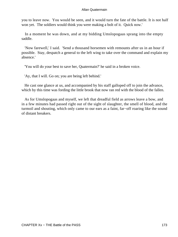you to leave now. You would be seen, and it would turn the fate of the battle. It is not half won yet. The soldiers would think you were making a bolt of it. Quick now.'

 In a moment he was down, and at my bidding Umslopogaas sprang into the empty saddle.

 'Now farewell,' I said. 'Send a thousand horsemen with remounts after us in an hour if possible. Stay, despatch a general to the left wing to take over the command and explain my absence.'

'You will do your best to save her, Quatermain?' he said in a broken voice.

'Ay, that I will. Go on; you are being left behind.'

 He cast one glance at us, and accompanied by his staff galloped off to join the advance, which by this time was fording the little brook that now ran red with the blood of the fallen.

 As for Umslopogaas and myself, we left that dreadful field as arrows leave a bow, and in a few minutes had passed right out of the sight of slaughter, the smell of blood, and the turmoil and shouting, which only came to our ears as a faint, far−off roaring like the sound of distant breakers.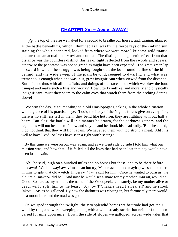## **[CHAPTER Xxi − Away! AWAY!](#page-203-0)**

A t the top of the rise we halted for a second to breathe our horses; and, turning, glanced at the battle beneath us, which, illumined as it was by the fierce rays of the sinking sun staining the whole scene red, looked from where we were more like some wild titanic picture than an actual hand−to−hand combat. The distinguishing scenic effect from that distance was the countless distinct flashes of light reflected from the swords and spears, otherwise the panorama was not so grand as might have been expected. The great green lap of sward in which the struggle was being fought out, the bold round outline of the hills behind, and the wide sweep of the plain beyond, seemed to dwarf it; and what was tremendous enough when one was in it, grew insignificant when viewed from the distance. But is it not thus with all the affairs and doings of our race about which we blow the loud trumpet and make such a fuss and worry? How utterly antlike, and morally and physically insignificant, must they seem to the calm eyes that watch them from the arching depths above!

 'We win the day, Macumazahn,' said old Umslopogaas, taking in the whole situation with a glance of his practised eye. 'Look, the Lady of the Night's forces give on every side, there is no stiffness left in them, they bend like hot iron, they are fighting with but half a heart. But alas! the battle will in a manner be drawn, for the darkness gathers, and the regiments will not be able to follow and slay!' – and he shook his head sadly. 'But,' he added, 'I do not think that they will fight again. We have fed them with too strong a meat. Ah! it is well to have lived! At last I have seen a fight worth seeing.'

 By this time we were on our way again, and as we went side by side I told him what our mission was, and how that, if it failed, all the lives that had been lost that day would have been lost in vain.

 'Ah!' he said, 'nigh on a hundred miles and no horses but these, and to be there before the dawn! Well – away! away! man can but try, Macumazahn; and mayhap we shall be there in time to split that old «witch−finder's» [Agon's] skull for him. Once he wanted to burn us, the old «rain−maker», did he? And now he would set a snare for my mother [Nyleptha], would he? Good! So sure as my name is the name of the Woodpecker, so surely, be my mother alive or dead, will I split him to the beard. Ay, by T'Chaka's head I swear it!' and he shook Inkosi−kaas as he galloped. By now the darkness was closing in, but fortunately there would be a moon later, and the road was good.

 On we sped through the twilight, the two splendid horses we bestrode had got their wind by this, and were sweeping along with a wide steady stride that neither failed nor varied for mile upon mile. Down the side of slopes we galloped, across wide vales that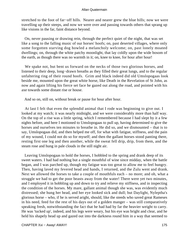stretched to the foot of far−off hills. Nearer and nearer grew the blue hills; now we were travelling up their steeps, and now we were over and passing towards others that sprang up like visions in the far, faint distance beyond.

 On, never pausing or drawing rein, through the perfect quiet of the night, that was set like a song to the falling music of our horses' hoofs; on, past deserted villages, where only some forgotten starving dog howled a melancholy welcome; on, past lonely moated dwellings; on, through the white patchy moonlight, that lay coldly upon the wide bosom of the earth, as though there was no warmth in it; on, knee to knee, for hour after hour!

 We spake not, but bent us forward on the necks of those two glorious horses, and listened to their deep, long−drawn breaths as they filled their great lungs, and to the regular unfaltering ring of their round hoofs. Grim and black indeed did old Umslopogaas look beside me, mounted upon the great white horse, like Death in the Revelation of St John, as now and again lifting his fierce set face he gazed out along the road, and pointed with his axe towards some distant rise or house.

And so on, still on, without break or pause for hour after hour.

 At last I felt that even the splendid animal that I rode was beginning to give out. I looked at my watch; it was nearly midnight, and we were considerably more than half way. On the top of a rise was a little spring, which I remembered because I had slept by it a few nights before, and here I motioned to Umslopogaas to pull up, having determined to give the horses and ourselves ten minutes to breathe in. He did so, and we dismounted – that is to say, Umslopogaas did, and then helped me off, for what with fatigue, stiffness, and the pain of my wound, I could not do so for myself; and then the gallant horses stood panting there, resting first one leg and then another, while the sweat fell drip, drip, from them, and the steam rose and hung in pale clouds in the still night air.

 Leaving Umslopogaas to hold the horses, I hobbled to the spring and drank deep of its sweet waters. I had had nothing but a single mouthful of wine since midday, when the battle began, and I was parched up, though my fatigue was too great to allow me to feel hungry. Then, having laved my fevered head and hands, I returned, and the Zulu went and drank. Next we allowed the horses to take a couple of mouthfuls each – no more; and oh, what a struggle we had to get the poor beasts away from the water! There were yet two minutes, and I employed it in hobbling up and down to try and relieve my stiffness, and in inspecting the condition of the horses. My mare, gallant animal though she was, was evidently much distressed; she hung her head, and her eye looked sick and dull; but Daylight, Nyleptha's glorious horse – who, if he is served aright, should, like the steeds who saved great Rameses in his need, feed for the rest of his days out of a golden manger – was still comparatively speaking fresh, notwithstanding the fact that he had had by far the heavier weight to carry. He was 'tucked up', indeed, and his legs were weary, but his eye was bright and clear, and he held his shapely head up and gazed out into the darkness round him in a way that seemed to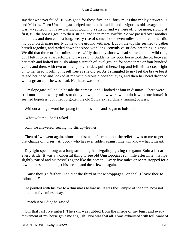say that whoever failed HE was good for those five−and−forty miles that yet lay between us and Milosis. Then Umslopogaas helped me into the saddle and – vigorous old savage that he was! – vaulted into his own without touching a stirrup, and we were off once more, slowly at first, till the horses got into their stride, and then more swiftly. So we passed over another ten miles, and then came a long, weary rise of some six or seven miles, and three times did my poor black mare nearly come to the ground with me. But on the top she seemed to gather herself together, and rattled down the slope with long, convulsive strides, breathing in gasps. We did that three or four miles more swiftly than any since we had started on our wild ride, but I felt it to be a last effort, and I was right. Suddenly my poor horse took the bit between her teeth and bolted furiously along a stretch of level ground for some three or four hundred yards, and then, with two or three jerky strides, pulled herself up and fell with a crash right on to her head, I rolling myself free as she did so. As I struggled to my feet the brave beast raised her head and looked at me with piteous bloodshot eyes, and then her head dropped with a groan and she was dead. Her heart was broken.

 Umslopogaas pulled up beside the carcase, and I looked at him in dismay. There were still more than twenty miles to do by dawn, and how were we to do it with one horse? It seemed hopeless, but I had forgotten the old Zulu's extraordinary running powers.

Without a single word he sprang from the saddle and began to hoist me into it.

'What wilt thou do?' I asked.

'Run,' he answered, seizing my stirrup−leather.

 Then off we went again, almost as fast as before; and oh, the relief it was to me to get that change of horses! Anybody who has ever ridden against time will know what it meant.

 Daylight sped along at a long stretching hand−gallop, giving the gaunt Zulu a lift at every stride. It was a wonderful thing to see old Umslopogaas run mile after mile, his lips slightly parted and his nostrils agape like the horse's. Every five miles or so we stopped for a few minutes to let him get his breath, and then flew on again.

 'Canst thou go farther,' I said at the third of these stoppages, 'or shall I leave thee to follow me?'

 He pointed with his axe to a dim mass before us. It was the Temple of the Sun, now not more than five miles away.

'I reach it or I die,' he gasped.

 Oh, that last five miles! The skin was rubbed from the inside of my legs, and every movement of my horse gave me anguish. Nor was that all. I was exhausted with toil, want of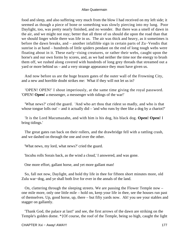food and sleep, and also suffering very much from the blow I had received on my left side; it seemed as though a piece of bone or something was slowly piercing into my lung. Poor Daylight, too, was pretty nearly finished, and no wonder. But there was a smell of dawn in the air, and we might not stay; better that all three of us should die upon the road than that we should linger while there was life in us. The air was thick and heavy, as it sometimes is before the dawn breaks, and – another infallible sign in certain parts of Zu−Vendis that sunrise is at hand – hundreds of little spiders pendant on the end of long tough webs were floating about in it. These early−rising creatures, or rather their webs, caught upon the horse's and our own forms by scores, and, as we had neither the time nor the energy to brush them off, we rushed along covered with hundreds of long grey threads that streamed out a yard or more behind us – and a very strange appearance they must have given us.

 And now before us are the huge brazen gates of the outer wall of the Frowning City, and a new and horrible doubt strikes me: What if they will not let us in?

 'OPEN! OPEN!' I shout imperiously, at the same time giving the royal password. 'OPEN! **Open!** a messenger, a messenger with tidings of the war!'

 'What news?' cried the guard. 'And who art thou that ridest so madly, and who is that whose tongue lolls out' – and it actually  $did - 'and$  who runs by thee like a dog by a chariot?'

 'It is the Lord Macumazahn, and with him is his dog, his black dog. **Open! Open!** I bring tidings.'

 The great gates ran back on their rollers, and the drawbridge fell with a rattling crash, and we dashed on through the one and over the other.

'What news, my lord, what news?' cried the guard.

'Incubu rolls Sorais back, as the wind a cloud,' I answered, and was gone.

One more effort, gallant horse, and yet more gallant man!

 So, fall not now, Daylight, and hold thy life in thee for fifteen short minutes more, old Zulu war−dog, and ye shall both live for ever in the annals of the land.

 On, clattering through the sleeping streets. We are passing the Flower Temple now – one mile more, only one little mile – hold on, keep your life in thee, see the houses run past of themselves. Up, good horse, up, there – but fifty yards now. Ah! you see your stables and stagger on gallantly.

 'Thank God, the palace at last!' and see, the first arrows of the dawn are striking on the Temple's golden dome. \*{Of course, the roof of the Temple, being so high, caught the light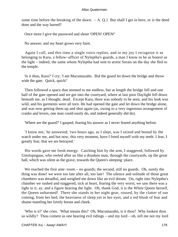some time before the breaking of the dawn.  $-A$ . Q.} But shall I get in here, or is the deed done and the way barred?

Once more I give the password and shout 'OPEN! OPEN!'

No answer, and my heart grows very faint.

 Again I call, and this time a single voice replies, and to my joy I recognize it as belonging to Kara, a fellow−officer of Nyleptha's guards, a man I know to be as honest as the light – indeed, the same whom Nyleptha had sent to arrest Sorais on the day she fled to the temple.

 'Is it thou, Kara?' I cry; 'I am Macumazahn. Bid the guard let down the bridge and throw wide the gate. Quick, quick!'

 Then followed a space that seemed to me endless, but at length the bridge fell and one half of the gate opened and we got into the courtyard, where at last poor Daylight fell down beneath me, as I thought, dead. Except Kara, there was nobody to be seen, and his look was wild, and his garments were all torn. He had opened the gate and let down the bridge alone, and was now getting them up and shut again (as, owing to a very ingenious arrangement of cranks and levers, one man could easily do, and indeed generally did do).

'Where are the guard?' I gasped, fearing his answer as I never feared anything before.

 'I know not,' he answered; 'two hours ago, as I slept, was I seized and bound by the watch under me, and but now, this very moment, have I freed myself with my teeth. I fear, I greatly fear, that we are betrayed.'

 His words gave me fresh energy. Catching him by the arm, I staggered, followed by Umslopogaas, who reeled after us like a drunken man, through the courtyards, up the great hall, which was silent as the grave, towards the Queen's sleeping−place.

 We reached the first ante−room – no guards; the second, still no guards. Oh, surely the thing was done! we were too late after all, too late! The silence and solitude of those great chambers was dreadful, and weighed me down like an evil dream. On, right into Nyleptha's chamber we rushed and staggered, sick at heart, fearing the very worst; we saw there was a light in it, ay, and a figure bearing the light. Oh, thank God, it is the White Queen herself, the Queen unharmed! There she stands in her night gear, roused, by the clatter of our coming, from her bed, the heaviness of sleep yet in her eyes, and a red blush of fear and shame mantling her lovely breast and cheek.

 'Who is it?' she cries. 'What means this? Oh, Macumazahn, is it thou? Why lookest thou so wildly? Thou comest as one bearing evil tidings – and my lord – oh, tell me not my lord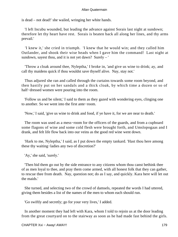is dead – not dead!' she wailed, wringing her white hands.

 'I left Incubu wounded, but leading the advance against Sorais last night at sundown; therefore let thy heart have rest. Sorais is beaten back all along her lines, and thy arms prevail.'

 'I knew it,' she cried in triumph. 'I knew that he would win; and they called him Outlander, and shook their wise heads when I gave him the command! Last night at sundown, sayest thou, and it is not yet dawn? Surely – '

 'Throw a cloak around thee, Nyleptha,' I broke in, 'and give us wine to drink; ay, and call thy maidens quick if thou wouldst save thyself alive. Nay, stay not.'

 Thus adjured she ran and called through the curtains towards some room beyond, and then hastily put on her sandals and a thick cloak, by which time a dozen or so of half−dressed women were pouring into the room.

 'Follow us and be silent,' I said to them as they gazed with wondering eyes, clinging one to another. So we went into the first ante−room.

'Now,' I said, 'give us wine to drink and food, if ye have it, for we are near to death.'

 The room was used as a mess−room for the officers of the guards, and from a cupboard some flagons of wine and some cold flesh were brought forth, and Umslopogaas and I drank, and felt life flow back into our veins as the good red wine went down.

 'Hark to me, Nyleptha,' I said, as I put down the empty tankard. 'Hast thou here among these thy waiting−ladies any two of discretion?'

'Ay,' she said, 'surely.'

 'Then bid them go out by the side entrance to any citizens whom thou canst bethink thee of as men loyal to thee, and pray them come armed, with all honest folk that they can gather, to rescue thee from death. Nay, question not; do as I say, and quickly. Kara here will let out the maids.'

 She turned, and selecting two of the crowd of damsels, repeated the words I had uttered, giving them besides a list of the names of the men to whom each should run.

'Go swiftly and secretly; go for your very lives,' I added.

 In another moment they had left with Kara, whom I told to rejoin us at the door leading from the great courtyard on to the stairway as soon as he had made fast behind the girls.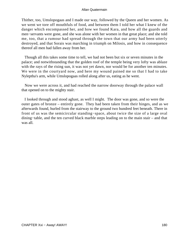Thither, too, Umslopogaas and I made our way, followed by the Queen and her women. As we went we tore off mouthfuls of food, and between them I told her what I knew of the danger which encompassed her, and how we found Kara, and how all the guards and men−servants were gone, and she was alone with her women in that great place; and she told me, too, that a rumour had spread through the town that our army had been utterly destroyed, and that Sorais was marching in triumph on Milosis, and how in consequence thereof all men had fallen away from her.

 Though all this takes some time to tell, we had not been but six or seven minutes in the palace; and notwithstanding that the golden roof of the temple being very lofty was ablaze with the rays of the rising sun, it was not yet dawn, nor would be for another ten minutes. We were in the courtyard now, and here my wound pained me so that I had to take Nyleptha's arm, while Umslopogaas rolled along after us, eating as he went.

 Now we were across it, and had reached the narrow doorway through the palace wall that opened on to the mighty stair.

 I looked through and stood aghast, as well I might. The door was gone, and so were the outer gates of bronze – entirely gone. They had been taken from their hinges, and as we afterwards found, hurled from the stairway to the ground two hundred feet beneath. There in front of us was the semicircular standing−space, about twice the size of a large oval dining−table, and the ten curved black marble steps leading on to the main stair – and that was all.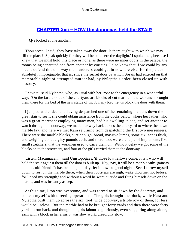# <span id="page-181-0"></span>**[CHAPTER Xxii − HOW Umslopogaas held the STAIR](#page-203-0)**

*W*e looked at one another.

 'Thou seest,' I said, 'they have taken away the door. Is there aught with which we may fill the place? Speak quickly for they will be on us ere the daylight.' I spoke thus, because I knew that we must hold this place or none, as there were no inner doors in the palace, the rooms being separated one from another by curtains. I also knew that if we could by any means defend this doorway the murderers could get in nowhere else; for the palace is absolutely impregnable, that is, since the secret door by which Sorais had entered on that memorable night of attempted murder had, by Nyleptha's order, been closed up with masonry.

 'I have it,' said Nyleptha, who, as usual with her, rose to the emergency in a wonderful way. 'On the farther side of the courtyard are blocks of cut marble – the workmen brought them there for the bed of the new statue of Incubu, my lord; let us block the door with them.'

 I jumped at the idea; and having despatched one of the remaining maidens down the great stair to see if she could obtain assistance from the docks below, where her father, who was a great merchant employing many men, had his dwelling−place, and set another to watch through the doorway, we made our way back across the courtyard to where the hewn marble lay; and here we met Kara returning from despatching the first two messengers. There were the marble blocks, sure enough, broad, massive lumps, some six inches thick, and weighing about eighty pounds each, and there, too, were a couple of implements like small stretchers, that the workmen used to carry them on. Without delay we got some of the blocks on to the stretchers, and four of the girls carried them to the doorway.

 'Listen, Macumazahn,' said Umslopogaas, 'if those low fellows come, it is I who will hold the stair against them till the door is built up. Nay, nay, it will be a man's death: gainsay me not, old friend. It has been a good day, let it now be good night. See, I throw myself down to rest on the marble there; when their footsteps are nigh, wake thou me, not before, for I need my strength,' and without a word he went outside and flung himself down on the marble, and was instantly asleep.

 At this time, I too was overcome, and was forced to sit down by the doorway, and content myself with directing operations. The girls brought the block, while Kara and Nyleptha built them up across the six−foot−wide doorway, a triple row of them, for less would be useless. But the marble had to be brought forty yards and then there were forty yards to run back, and though the girls laboured gloriously, even staggering along alone, each with a block in her arms, it was slow work, dreadfully slow.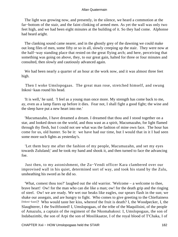The light was growing now, and presently, in the silence, we heard a commotion at the far−bottom of the stair, and the faint clinking of armed men. As yet the wall was only two feet high, and we had been eight minutes at the building of it. So they had come. Alphonse had heard aright.

 The clanking sound came nearer, and in the ghostly grey of the dawning we could make out long files of men, some fifty or so in all, slowly creeping up the stair. They were now at the half−way standing place that rested on the great flying arch; and here, perceiving that something was going on above, they, to our great gain, halted for three or four minutes and consulted, then slowly and cautiously advanced again.

 We had been nearly a quarter of an hour at the work now, and it was almost three feet high.

 Then I woke Umslopogaas. The great man rose, stretched himself, and swung Inkosi−kaas round his head.

 'It is well,' he said. 'I feel as a young man once more. My strength has come back to me, ay, even as a lamp flares up before it dies. Fear not, I shall fight a good fight; the wine and the sleep have put a new heart into me.'

 'Macumazahn, I have dreamed a dream. I dreamed that thou and I stood together on a star, and looked down on the world, and thou wast as a spirit, Macumazahn, for light flamed through thy flesh, but I could not see what was the fashion of mine own face. The hour has come for us, old hunter. So be it: we have had our time, but I would that in it I had seen some more such fights as yesterday's.

 'Let them bury me after the fashion of my people, Macumazahn, and set my eyes towards Zululand;' and he took my hand and shook it, and then turned to face the advancing foe.

 Just then, to my astonishment, the Zu−Vendi officer Kara clambered over our improvised wall in his quiet, determined sort of way, and took his stand by the Zulu, unsheathing his sword as he did so.

 'What, comest thou too?' laughed out the old warrior. 'Welcome – a welcome to thee, brave heart! Ow! for the man who can die like a man; ow! for the death grip and the ringing of steel. Ow! we are ready. We wet our beaks like eagles, our spears flash in the sun; we shake our assegais, and are hungry to fight. Who comes to give greeting to the Chieftainess [Inkosi−kaas]? Who would taste her kiss, whereof the fruit is death? I, the Woodpecker, I, the Slaughterer, I the Swiftfooted! I, Umslopogaas, of the tribe of the Maquilisini, of the people of Amazulu, a captain of the regiment of the Nkomabakosi: I, Umslopogaas, the son of Indabazimbi, the son of Arpi the son of Mosilikaatze, I of the royal blood of T'Chaka, I of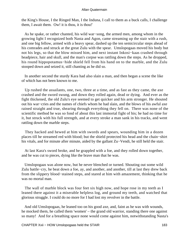the King's House, I the Ringed Man, I the Induna, I call to them as a buck calls, I challenge them, I await them. Ow! it is thou, it is thou!'

 As he spake, or rather chanted, his wild war−song, the armed men, among whom in the growing light I recognized both Nasta and Agon, came streaming up the stair with a rush, and one big fellow, armed with a heavy spear, dashed up the ten semicircular steps ahead of his comrades and struck at the great Zulu with the spear. Umslopogaas moved his body but not his legs, so that the blow missed him, and next instant Inkosi−kaas crashed through headpiece, hair and skull, and the man's corpse was rattling down the steps. As he dropped, his round hippopotamus−hide shield fell from his hand on to the marble, and the Zulu stooped down and seized it, still chanting as he did so.

 In another second the sturdy Kara had also slain a man, and then began a scene the like of which has not been known to me.

 Up rushed the assailants, one, two, three at a time, and as fast as they came, the axe crashed and the sword swung, and down they rolled again, dead or dying. And ever as the fight thickened, the old Zulu's eye seemed to get quicker and his arm stronger. He shouted out his war−cries and the names of chiefs whom he had slain, and the blows of his awful axe rained straight and true, shearing through everything they fell on. There was none of the scientific method he was so fond of about this last immortal fight of his; he had no time for it, but struck with his full strength, and at every stroke a man sank in his tracks, and went rattling down the marble steps.

 They hacked and hewed at him with swords and spears, wounding him in a dozen places till he streamed red with blood; but the shield protected his head and the chain−shirt his vitals, and for minute after minute, aided by the gallant Zu−Vendi, he still held the stair.

 At last Kara's sword broke, and he grappled with a foe, and they rolled down together, and he was cut to pieces, dying like the brave man that he was.

 Umslopogaas was alone now, but he never blenched or turned. Shouting out some wild Zulu battle−cry, he beat down a foe, ay, and another, and another, till at last they drew back from the slippery blood−stained steps, and stared at him with amazement, thinking that he was no mortal man.

 The wall of marble block was four feet six high now, and hope rose in my teeth as I leaned there against it a miserable helpless log, and ground my teeth, and watched that glorious struggle. I could do no more for I had lost my revolver in the battle.

 And old Umslopogaas, he leaned too on his good axe, and, faint as he was with wounds, he mocked them, he called them 'women' – the grand old warrior, standing there one against so many! And for a breathing space none would come against him, notwithstanding Nasta's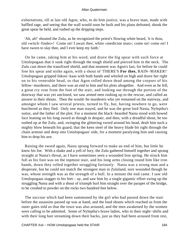exhortations, till at last old Agon, who, to do him justice, was a brave man, made with baffled rage, and seeing that the wall would soon be built and his plans defeated, shook the great spear he held, and rushed up the dripping steps.

 'Ah, ah!' shouted the Zulu, as he recognized the priest's flowing white beard, 'it is thou, old «witch−finder»! Come on! I await thee, white «medicine man»; come on! come on! I have sworn to slay thee, and I ever keep my faith.'

 On he came, taking him at his word, and drave the big spear with such force at Umslopogaas that it sunk right through the tough shield and pierced him in the neck. The Zulu cast down the transfixed shield, and that moment was Agon's last, for before he could free his spear and strike again, with a shout of 'THERE'S **For thee,** RAIN−MAKER!' Umslopogaas gripped Inkosi−kaas with both hands and whirled on high and drave her right on to his venerable head, so that Agon rolled down dead among the corpses of his fellow−murderers, and there was an end to him and his plots altogether. And even as he fell, a great cry rose from the foot of the stair, and looking out through the portion of the doorway that was yet unclosed, we saw armed men rushing up to the rescue, and called an answer to their shouts. Then the would−be murderers who yet remained on the stairway, and amongst whom I saw several priests, turned to fly, but, having nowhere to go, were butchered as they fled. Only one man stayed, and he was the great lord Nasta, Nyleptha's suitor, and the father of the plot. For a moment the black−bearded Nasta stood with bowed face leaning on his long sword as though in despair, and then, with a dreadful shout, he too rushed up at the Zulu, and, swinging the glittering sword around his head, dealt him such a mighty blow beneath his guard, that the keen steel of the heavy blade bit right through the chain armour and deep into Umslopogaas' side, for a moment paralysing him and causing him to drop his axe.

 Raising the sword again, Nasta sprang forward to make an end of him, but little he knew his foe. With a shake and a yell of fury, the Zulu gathered himself together and sprang straight at Nasta's throat, as I have sometimes seen a wounded lion spring. He struck him full as his foot was on the topmost stair, and his long arms closing round him like iron bands, down they rolled together struggling furiously. Nasta was a strong man and a desperate, but he could not match the strongest man in Zululand, sore wounded though he was, whose strength was as the strength of a bull. In a minute the end came. I saw old Umslopogaas stagger to his feet – ay, and saw him by a single gigantic effort swing up the struggling Nasta and with a shout of triumph hurl him straight over the parapet of the bridge, to be crushed to powder on the rocks two hundred feet below.

 The succour which had been summoned by the girl who had passed down the stair before the assassins passed up was at hand, and the loud shouts which reached us from the outer gates told us that the town was also aroused, and the men awakened by the women were calling to be admitted. Some of Nyleptha's brave ladies, who in their night−shifts and with their long hair streaming down their backs, just as they had been aroused from rest,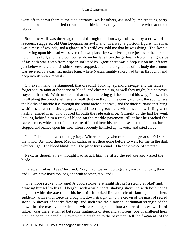went off to admit them at the side entrance, whilst others, assisted by the rescuing party outside, pushed and pulled down the marble blocks they had placed there with so much labour.

 Soon the wall was down again, and through the doorway, followed by a crowd of rescuers, staggered old Umslopogaas, an awful and, in a way, a glorious figure. The man was a mass of wounds, and a glance at his wild eye told me that he was dying. The 'keshla' gum−ring upon his head was severed in two places by sword−cuts, one just over the curious hold in his skull, and the blood poured down his face from the gashes. Also on the right side of his neck was a stab from a spear, inflicted by Agon; there was a deep cut on his left arm just below where the mail shirt−sleeve stopped, and on the right side of his body the armour was severed by a gash six inches long, where Nasta's mighty sword had bitten through it and deep into its wearer's vitals.

 On, axe in hand, he staggered, that dreadful−looking, splendid savage, and the ladies forgot to turn faint at the scene of blood, and cheered him, as well they might, but he never stayed or heeded. With outstretched arms and tottering gait he pursued his way, followed by us all along the broad shell−strewn walk that ran through the courtyard, past the spot where the blocks of marble lay, through the round arched doorway and the thick curtains that hung within it, down the short passage and into the great hall, which was now filling with hastily−armed men, who poured through the side entrance. Straight up the hall he went, leaving behind him a track of blood on the marble pavement, till at last he reached the sacred stone, which stood in the centre of it, and here his strength seemed to fail him, for he stopped and leaned upon his axe. Then suddenly he lifted up his voice and cried aloud –

 'I die, I die – but it was a kingly fray. Where are they who came up the great stair? I see them not. Art thou there, Macumazahn, or art thou gone before to wait for me in the dark whither I go? The blood blinds me – the place turns round – I hear the voice of waters.'

 Next, as though a new thought had struck him, he lifted the red axe and kissed the blade.

 'Farewell, Inkosi−kaas,' he cried. 'Nay, nay, we will go together; we cannot part, thou and I. We have lived too long one with another, thou and I.

'One more stroke, only one! A good stroke! a straight stroke! a strong stroke!' and, drawing himself to his full height, with a wild heart−shaking shout, he with both hands began to whirl the axe round his head till it looked like a circle of flaming steel. Then, suddenly, with awful force he brought it down straight on to the crown of the mass of sacred stone. A shower of sparks flew up, and such was the almost superhuman strength of the blow, that the massive marble split with a rending sound into a score of pieces, whilst of Inkosi−kaas there remained but some fragments of steel and a fibrous rope of shattered horn that had been the handle. Down with a crash on to the pavement fell the fragments of the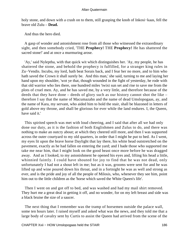holy stone, and down with a crash on to them, still grasping the knob of Inkosi−kaas, fell the brave old Zulu – **Dead.**

And thus the hero died.

 A gasp of wonder and astonishment rose from all those who witnessed the extraordinary sight, and then somebody cried, 'THE **Prophecy!** THE **Prophecy!** He has shattered the sacred stone!' and at once a murmuring arose.

 'Ay,' said Nyleptha, with that quick wit which distinguishes her. 'Ay, my people, he has shattered the stone, and behold the prophecy is fulfilled, for a stranger king rules in Zu−Vendis. Incubu, my lord, hath beat Sorais back, and I fear her no more, and to him who hath saved the Crown it shall surely be. And this man,' she said, turning to me and laying her hand upon my shoulder, 'wot ye that, though wounded in the fight of yesterday, he rode with that old warrior who lies there, one hundred miles 'twixt sun set and rise to save me from the plots of cruel men. Ay, and he has saved me, by a very little, and therefore because of the deeds that they have done – deeds of glory such as our history cannot shot the like – therefore I say that the name of Macumazahn and the name of dead Umslopogaas, ay, and the name of Kara, my servant, who aided him to hold the stair, shall be blazoned in letters of gold above my throne, and shall be glorious for ever while the land endures. I, the Queen, have said it.'

 This spirited speech was met with loud cheering, and I said that after all we had only done our duty, as it is the fashion of both Englishmen and Zulus to do, and there was nothing to make an outcry about; at which they cheered still more, and then I was supported across the outer courtyard to my old quarters, in order that I might be put to bed. As I went, my eyes lit upon the brave horse Daylight that lay there, his white head outstretched on the pavement, exactly as he had fallen on entering the yard; and I bade those who supported me take me near him, that I might look on the good beast once more before he was dragged away. And as I looked, to my astonishment he opened his eyes and, lifting his head a little, whinnied faintly. I could have shouted for joy to find that he was not dead, only unfortunately I had not a shout left in me; but as it was, grooms were sent for and he was lifted up and wine poured down his throat, and in a fortnight he was as well and strong as ever, and is the pride and joy of all the people of Milosis, who, whenever they see him, point him out to the little children as the 'horse which saved the White Queen's life'.

 Then I went on and got off to bed, and was washed and had my mail shirt removed. They hurt me a great deal in getting it off, and no wonder, for on my left breast and side was a black bruise the size of a saucer.

 The next thing that I remember was the tramp of horsemen outside the palace wall, some ten hours later. I raised myself and asked what was the news, and they told me that a large body of cavalry sent by Curtis to assist the Queen had arrived from the scene of the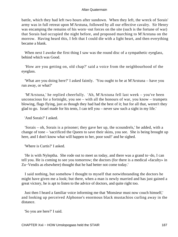battle, which they had left two hours after sundown. When they left, the wreck of Sorais' army was in full retreat upon M'Arstuna, followed by all our effective cavalry. Sir Henry was encamping the remains of his worn−out forces on the site (such is the fortune of war) that Sorais had occupied the night before, and proposed marching to M'Arstuna on the morrow. Having heard this, I felt that I could die with a light heart, and then everything became a blank.

When next I awoke the first thing I saw was the round disc of a sympathetic eyeglass, behind which was Good.

 'How are you getting on, old chap?' said a voice from the neighbourhood of the eyeglass.

 'What are you doing here?' I asked faintly. 'You ought to be at M'Arstuna – have you run away, or what?'

 'M'Arstuna,' he replied cheerfully. 'Ah, M'Arstuna fell last week – you've been unconscious for a fortnight, you see – with all the honours of war, you know – trumpets blowing, flags flying, just as though they had had the best of it; but for all that, weren't they glad to go. Israel made for his tents, I can tell you – never saw such a sight in my life.'

'And Sorais?' I asked.

 'Sorais – oh, Sorais is a prisoner; they gave her up, the scoundrels,' he added, with a change of tone – 'sacrificed the Queen to save their skins, you see. She is being brought up here, and I don't know what will happen to her, poor soul!' and he sighed.

'Where is Curtis?' I asked.

 'He is with Nyleptha. She rode out to meet us today, and there was a grand to−do, I can tell you. He is coming to see you tomorrow; the doctors (for there is a medical «faculty» in Zu−Vendis as elsewhere) thought that he had better not come today.'

 I said nothing, but somehow I thought to myself that notwithstanding the doctors he might have given me a look; but there, when a man is newly married and has just gained a great victory, he is apt to listen to the advice of doctors, and quite right too.

 Just then I heard a familiar voice informing me that 'Monsieur must now couch himself,' and looking up perceived Alphonse's enormous black mustachios curling away in the distance.

'So you are here?' I said.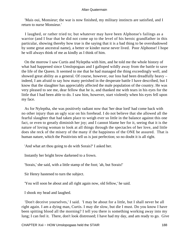'Mais oui, Monsieur; the war is now finished, my military instincts are satisfied, and I return to nurse Monsieur.'

 I laughed, or rather tried to; but whatever may have been Alphonse's failings as a warrior (and I fear that he did not come up to the level of his heroic grandfather in this particular, showing thereby how true is the saying that it is a bad thing to be overshadowed by some great ancestral name), a better or kinder nurse never lived. Poor Alphonse! I hope he will always think of me as kindly as I think of him.

 On the morrow I saw Curtis and Nyleptha with him, and he told me the whole history of what had happened since Umslopogaas and I galloped wildly away from the battle to save the life of the Queen. It seemed to me that he had managed the thing exceedingly well, and showed great ability as a general. Of course, however, our loss had been dreadfully heavy – indeed, I am afraid to say how many perished in the desperate battle I have described, but I know that the slaughter has appreciably affected the male population of the country. He was very pleased to see me, dear fellow that he is, and thanked me with tears in his eyes for the little that I had been able to do. I saw him, however, start violently when his eyes fell upon my face.

 As for Nyleptha, she was positively radiant now that 'her dear lord' had come back with no other injury than an ugly scar on his forehead. I do not believe that she allowed all the fearful slaughter that had taken place to weigh ever so little in the balance against this one fact, or even to greatly diminish her joy; and I cannot blame her for it, seeing that it is the nature of loving woman to look at all things through the spectacles of her love, and little does she reck of the misery of the many if the happiness of the ONE be assured. That is human nature, which the Positivists tell us is just perfection; so no doubt it is all right.

'And what art thou going to do with Sorais?' I asked her.

Instantly her bright brow darkened to a frown.

'Sorais,' she said, with a little stamp of the foot; 'ah, but Sorais!'

Sir Henry hastened to turn the subject.

'You will soon be about and all right again now, old fellow,' he said.

I shook my head and laughed.

 'Don't deceive yourselves,' I said. 'I may be about for a little, but I shall never be all right again. I am a dying man, Curtis. I may die slow, but die I must. Do you know I have been spitting blood all the morning? I tell you there is something working away into my lung; I can feel it. There, don't look distressed; I have had my day, and am ready to go. Give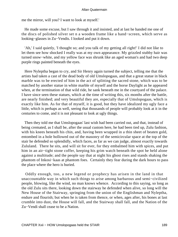me the mirror, will you? I want to look at myself.'

 He made some excuse, but I saw through it and insisted, and at last he handed me one of the discs of polished silver set n a wooden frame like a hand−screen, which serve as looking−glasses in Zu−Vendis. I looked and put it down.

 'Ah,' I said quietly, 'I thought so; and you talk of my getting all right!' I did not like to let them see how shocked I really was at my own appearance. My grizzled stubby hair was turned snow−white, and my yellow face was shrunk like an aged woman's and had two deep purple rings painted beneath the eyes.

 Here Nyleptha began to cry, and Sir Henry again turned the subject, telling me that the artists had taken a cast of the dead body of old Umslopogaas, and that a great statue in black marble was to be erected of him in the act of splitting the sacred stone, which was to be matched by another statue in white marble of myself and the horse Daylight as he appeared when, at the termination of that wild ride, he sank beneath me in the courtyard of the palace. I have since seen these statues, which at the time of writing this, six months after the battle, are nearly finished; and very beautiful they are, especially that of Umslopogaas, which is exactly like him. As for that of myself, it is good, but they have idealized my ugly face a little, which is perhaps as well, seeing that thousands of people will probably look at it in the centuries to come, and it is not pleasant to look at ugly things.

 Then they told me that Umslopogaas' last wish had been carried out, and that, instead of being cremated, as I shall be, after the usual custom here, he had been tied up, Zulu fashion, with his knees beneath his chin, and, having been wrapped in a thin sheet of beaten gold, entombed in a hole hollowed out of the masonry of the semicircular space at the top of the stair he defended so splendidly, which faces, as far as we can judge, almost exactly towards Zululand. There he sits, and will sit for ever, for they embalmed him with spices, and put him in an air−tight stone coffer, keeping his grim watch beneath the spot he held alone against a multitude; and the people say that at night his ghost rises and stands shaking the phantom of Inkosi−kaas at phantom foes. Certainly they fear during the dark hours to pass the place where the hero is buried.

 Oddly enough, too, a new legend or prophecy has arisen in the land in that unaccountable way in which such things to arise among barbarous and semi−civilized people, blowing, like the wind, no man knows whence. According to this saying, so long as the old Zulu sits there, looking down the stairway he defended when alive, so long will the New House of the Stairway, springing from the union of the Englishman and Nyleptha, endure and flourish; but when he is taken from thence, or when, ages after, his bones at last crumble into dust, the House will fall, and the Stairway shall fall, and the Nation of the Zu−Vendi shall cease to be a Nation.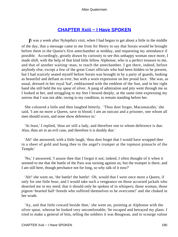# **[CHAPTER Xxiii − I Have SPOKEN](#page-203-0)**

<span id="page-190-0"></span>*I*t was a week after Nyleptha's visit, when I had begun to get about a little in the middle of the day, that a message came to me from Sir Henry to say that Sorais would be brought before them in the Queen's first antechamber at midday, and requesting my attendance if possible. Accordingly, greatly drawn by curiosity to see this unhappy woman once more, I made shift, with the help of that kind little fellow Alphonse, who is a perfect treasure to me, and that of another waiting−man, to reach the antechamber. I got there, indeed, before anybody else, except a few of the great Court officials who had been bidden to be present, but I had scarcely seated myself before Sorais was brought in by a party of guards, looking as beautiful and defiant as ever, but with a worn expression on her proud face. She was, as usual, dressed in her royal 'kaf', emblazoned with the emblem of the Sun, and in her right hand she still held the toy spear of silver. A pang of admiration and pity went through me as I looked at her, and struggling to my feet I bowed deeply, at the same time expressing my sorrow that I was not able, owing to my condition, to remain standing before her.

 She coloured a little and then laughed bitterly. 'Thou dost forget, Macumazahn,' she said, 'I am no more a Queen, save in blood; I am an outcast and a prisoner, one whom all men should scorn, and none show deference to.'

 'At least,' I replied, 'thou art still a lady, and therefore one to whom deference is due. Also, thou art in an evil case, and therefore it is doubly due.'

 'Ah!' she answered, with a little laugh, 'thou dost forget that I would have wrapped thee in a sheet of gold and hung thee to the angel's trumpet at the topmost pinnacle of the Temple.'

 'No,' I answered, 'I assure thee that I forgot it not; indeed, I often thought of it when it seemed to me that the battle of the Pass was turning against us; but the trumpet is there, and I am still here, though perchance not for long, so why talk of it now?'

 'Ah!' she went on, 'the battle! the battle! Oh, would that I were once more a Queen, if only for one little hour, and I would take such a vengeance on those accursed jackals who deserted me in my need; that it should only be spoken of in whispers; those woman, those pigeon−hearted half−breeds who suffered themselves to be overcome!' and she choked in her wrath.

 'Ay, and that little coward beside thee,' she went on, pointing at Alphonse with the silver spear, whereat he looked very uncomfortable; 'he escaped and betrayed my plans. I tried to make a general of him, telling the soldiers it was Bougwan, and to scourge valour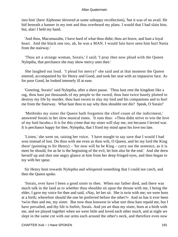into him' (here Alphonse shivered at some unhappy recollection), 'but it was of no avail. He hid beneath a banner in my tent and thus overheard my plans. I would that I had slain him, but, alas! I held my hand.

 'And thou, Macumazahn, I have hard of what thou didst; thou art brave, and hast a loyal heart. And the black one too, ah, he was a MAN. I would fain have seen him hurl Nasta from the stairway.'

 'Thou art a strange woman, Sorais,' I said; 'I pray thee now plead with the Queen Nyleptha, that perchance she may show mercy unto thee.'

 She laughed out loud. 'I plead for mercy!' she said and at that moment the Queen entered, accompanied by Sir Henry and Good, and took her seat with an impassive face. As for poor Good, he looked intensely ill at ease.

 'Greeting, Sorais!' said Nyleptha, after a short pause. 'Thou hast rent the kingdom like a rag, thou hast put thousands of my people to the sword, thou hast twice basely plotted to destroy my life by murder, thou hast sworn to slay my lord and his companions and to hurl me from the Stairway. What hast thou to say why thou shouldst not die? Speak, O Sorais!'

 'Methinks my sister the Queen hath forgotten the chief count of the indictment,' answered Sorais in her slow musical tones. 'It runs thus: «Thou didst strive to win the love of my lord Incubu.» It is for this crime that my sister will slay me, not because I levied war. It is perchance happy for thee, Nyleptha, that I fixed my mind upon his love too late.

 'Listen,' she went on, raising her voice. 'I have nought to say save that I would I had won instead of lost. Do thou with me even as thou wilt, O Queen, and let my lord the King there' (pointing to Sir Henry) – 'for now will he be King – carry out the sentence, as it is meet he should, for as he is the beginning of the evil, let him also be the end.' And she drew herself up and shot one angry glance at him from her deep fringed eyes, and then began to toy with her spear.

 Sir Henry bent towards Nyleptha and whispered something that I could not catch, and then the Queen spoke.

 'Sorais, ever have I been a good sister to thee. When our father died, and there was much talk in the land as to whether thou shouldst sit upon the throne with me, I being the elder, I gave my voice for thee and said, «Nay, let her sit. She is twin with me; we were born at a birth; wherefore should the one be preferred before the other?» And so has it ever been 'twixt thee and me, my sister. But now thou knowest in what sort thou hast repaid me, but I have prevailed, and thy life is forfeit, Sorais. And yet art thou my sister, born at a birth with me, and we played together when we were little and loved each other much, and at night we slept in the same cot with our arms each around the other's neck, and therefore even now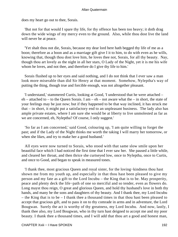does my heart go out to thee, Sorais.

 'But not for that would I spare thy life, for thy offence has been too heavy; it doth drag down the wide wings of my mercy even to the ground. Also, while thou dost live the land will never be at peace.

 'Yet shalt thou not die, Sorais, because my dear lord here hath begged thy life of me as a boon; therefore as a boon and as a marriage gift give I it to him, to do with even as he wills, knowing that, though thou dost love him, he loves thee not, Sorais, for all thy beauty. Nay, though thou art lovely as the night in all her stars, O Lady of the Night, yet it is me his wife whom he loves, and not thee, and therefore do I give thy life to him.'

 Sorais flushed up to her eyes and said nothing, and I do not think that I ever saw a man look more miserable than did Sir Henry at that moment. Somehow, Nyleptha's way of putting the thing, though true and forcible enough, was not altogether pleasant.

 'I understand,' stammered Curtis, looking at Good, 'I understood that he were attached –  $eh$  – attached to – to the Queen Sorais. I am –  $eh$  – not aware what the – in short, the state of your feelings may be just now; but if they happened to be that way inclined, it has struck me that – in short, it might put a satisfactory end to an unpleasant business. The lady also has ample private estates, where I am sure she would be at liberty to live unmolested as far as we are concerned, eh, Nyleptha? Of course, I only suggest.'

 'So far as I am concerned,' said Good, colouring up, 'I am quite willing to forget the past; and if the Lady of the Night thinks me worth the taking I will marry her tomorrow, or when she likes, and try to make her a good husband.'

 All eyes were now turned to Sorais, who stood with that same slow smile upon her beautiful face which I had noticed the first time that I ever saw her. She paused a little while, and cleared her throat, and then thrice she curtseyed low, once to Nyleptha, once to Curtis, and once to Good, and began to speak in measured tones.

 'I thank thee, most gracious Queen and royal sister, for the loving−kindness thou hast shown me from my youth up, and especially in that thou hast been pleased to give my person and my fate as a gift to the Lord Incubu – the King that is to be. May prosperity, peace and plenty deck the life−path of one so merciful and so tender, even as flowers do. Long mayst thou reign, O great and glorious Queen, and hold thy husband's love in both thy hands, and many be the sons and daughters of thy beauty. And I thank thee, my Lord Incubu – the King that is to be – I thank thee a thousand times in that thou hast been pleased to accept that gracious gift, and to pass it on to thy comrade in arms and in adventure, the Lord Bougwan. Surely the act is worthy of thy greatness, my Lord Incubu. And now, lastly, I thank thee also, my Lord Bougwan, who in thy turn hast deigned to accept me and my poor beauty. I thank thee a thousand times, and I will add that thou art a good and honest man,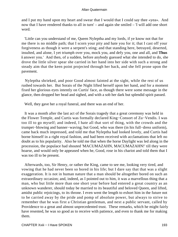and I put my hand upon my heart and swear that I would that I could say thee «yea». And now that I have rendered thanks to all in turn' – and again she smiled – 'I will add one short word.

 'Little can you understand of me, Queen Nyleptha and my lords, if ye know not that for me there is no middle path; that I scorn your pity and hate you for it; that I cast off your forgiveness as though it were a serpent's sting; and that standing here, betrayed, deserted, insulted, and alone, I yet triumph over you, mock you, and defy you, one and all, and **Thus i** answer you.' And then, of a sudden, before anybody guessed what she intended to do, she drove the little silver spear she carried in her hand into her side with such a strong and steady aim that the keen point projected through her back, and she fell prone upon the pavement.

 Nyleptha shrieked, and poor Good almost fainted at the sight, while the rest of us rushed towards her. But Sorais of the Night lifted herself upon her hand, and for a moment fixed her glorious eyes intently on Curtis' face, as though there were some message in the glance, then dropped her head and sighed, and with a sob her dark but splendid spirit passed.

Well, they gave her a royal funeral, and there was an end of her.

 It was a month after the last act of the Sorais tragedy that a great ceremony was held in the Flower Temple, and Curtis was formally declared King−Consort of Zu−Vendis. I was too ill to go myself; and indeed, I hate all that sort of thing, with the crowds and the trumpet−blowing and banner−waving; but Good, who was there (in his full−dress uniform), came back much impressed, and told me that Nyleptha had looked lovely, and Curtis had borne himself in a right royal fashion, and had been received with acclamations that left no doubt as to his popularity. Also he told me that when the horse Daylight was led along in the procession, the populace had shouted 'MACUMAZAHN, MACUMAZAHN!' till they were hoarse, and would only be appeased when he, Good, rose in his chariot and told them that I was too ill to be present.

 Afterwards, too, Sir Henry, or rather the King, came to see me, looking very tired, and vowing that he had never been so bored in his life; but I dare say that that was a slight exaggeration. It is not in human nature that a man should be altogether bored on such an extraordinary occasion; and, indeed, as I pointed out to him, it was a marvellous thing that a man, who but little more than one short year before had entered a great country as an unknown wanderer, should today be married to its beautiful and beloved Queen, and lifted, amidst public rejoicings, to its throne. I even went the length to exhort him in the future not to be carried away by the pride and pomp of absolute power, but always to strive to remember that he was first a Christian gentleman, and next a public servant, called by Providence to a great and almost unprecedented trust. These remarks, which he might fairly have resented, he was so good as to receive with patience, and even to thank me for making them.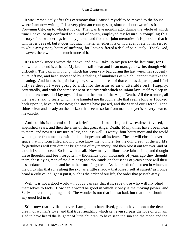It was immediately after this ceremony that I caused myself to be moved to the house where I am now writing. It is a very pleasant country seat, situated about two miles from the Frowning City, on to which it looks. That was five months ago, during the whole of which time I have, being confined to a kind of couch, employed my leisure in compiling this history of our wanderings from my journal and from our joint memories. It is probable that it will never be read, but it does not much matter whether it is or not; at any rate, it has served to while away many hours of suffering, for I have suffered a deal of pain lately. Thank God, however, there will not be much more of it.

 It is a week since I wrote the above, and now I take up my pen for the last time, for I know that the end is at hand. My brain is still clear and I can manage to write, though with difficulty. The pain in my lung, which has been very bad during the last week, has suddenly quite left me, and been succeeded by a feeling of numbness of which I cannot mistake the meaning. And just as the pain has gone, so with it all fear of that end has departed, and I feel only as though I were going to sink into the arms of an unutterable rest. Happily, contentedly, and with the same sense of security with which an infant lays itself to sleep in its mother's arms, do I lay myself down in the arms of the Angel Death. All the tremors, all the heart−shaking fears which have haunted me through a life that seems long as I looked back upon it, have left me now; the storms have passed, and the Star of our Eternal Hope shines clear and steady on the horizon that seems so far from man, and yet is so very near to me tonight.

And so this is the end of it – a brief space of troubling, a few restless, fevered, anguished years, and then the arms of that great Angel Death. Many times have I been near to them, and now it is my turn at last, and it is well. Twenty−four hours more and the world will be gone from me, and with it all its hopes and all its fears. The air will close in over the space that my form filled and my place know me no more; for the dull breath of the world's forgetfulness will first dim the brightness of my memory, and then blot it out for ever, and of a truth I shall be dead. So is it with us all. How many millions have lain as I lie, and thought these thoughts and been forgotten! – thousands upon thousands of years ago they thought them, those dying men of the dim past; and thousands on thousands of years hence will their descendants think them and be in their turn forgotten. 'As the breath of the oxen in winter, as the quick star that runs along the sky, as a little shadow that loses itself at sunset,' as I once heard a Zulu called Ignosi put it, such is the order of our life, the order that passeth away.

Well, it is not a good world – nobody can say that it is, save those who wilfully blind themselves to facts. How can a world be good in which Money is the moving power, and Self−interest the guiding star? The wonder is not that it is so bad, but that there should be any good left in it.

 Still, now that my life is over, I am glad to have lived, glad to have known the dear breath of woman's love, and that true friendship which can even surpass the love of woman, glad to have heard the laughter of little children, to have seen the sun and the moon and the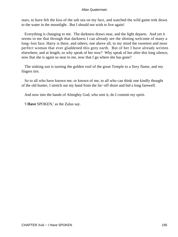stars, to have felt the kiss of the salt sea on my face, and watched the wild game trek down to the water in the moonlight. But I should not wish to live again!

 Everything is changing to me. The darkness draws near, and the light departs. And yet it seems to me that through that darkness I can already see the shining welcome of many a long−lost face. Harry is there, and others; one above all, to my mind the sweetest and most perfect woman that ever gladdened this grey earth. But of her I have already written elsewhere, and at length, so why speak of her now? Why speak of her after this long silence, now that she is again so near to me, now that I go where she has gone?

 The sinking sun is turning the golden roof of the great Temple to a fiery flame, and my fingers tire.

 So to all who have known me, or known of me, to all who can think one kindly thought of the old hunter, I stretch out my hand from the far−off shore and bid a long farewell.

And now into the hands of Almighty God, who sent it, do I commit my spirit.

'I **Have** SPOKEN,' as the Zulus say.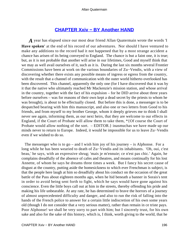# **[CHAPTER Xxiv − BY Another HAND](#page-203-0)**

<span id="page-196-0"></span>*A* year has elapsed since our most dear friend Allan Quatermain wrote the words 'I **Have spoken'** at the end of his record of our adventures. Nor should I have ventured to make any additions to the record had it not happened that by a most strange accident a chance has arisen of its being conveyed to England. The chance is but a faint one, it is true; but, as it is not probable that another will arise in our lifetimes, Good and myself think that we may as well avail ourselves of it, such as it is. During the last six months several Frontier Commissions have been at work on the various boundaries of Zu−Vendis, with a view of discovering whether there exists any possible means of ingress or egress from the country, with the result that a channel of communication with the outer world hitherto overlooked has been discovered. This channel, apparently the only one (for I have discovered that it was by it that the native who ultimately reached Mr Mackenzie's mission station, and whose arrival in the country, together with the fact of his expulsion – for he DID arrive about three years before ourselves – was for reasons of their own kept a dead secret by the priests to whom he was brought), is about to be effectually closed. But before this is done, a messenger is to be despatched bearing with him this manuscript, and also one or two letters from Good to his friends, and from myself to my brother George, whom it deeply grieves me to think I shall never see again, informing them, as our next heirs, that they are welcome to our effects in England, if the Court of Probate will allow them to take them, \*{Of course the Court of Probate would allow nothing of the sort. – EDITOR.} inasmuchas we have made up our minds never to return to Europe. Indeed, it would be impossible for us to leave Zu−Vendis even if we wished to do so.

The messenger who is to go – and I wish him joy of his journey – is Alphonse. For a long while he has been wearied to death of Zu−Vendis and its inhabitants. 'Oh, oui, c'est beau,' he says, with an expressive shrug; 'mais je m'ennuie; ce n'est pas chic.' Again, he complains dreadfully of the absence of cafes and theatres, and moans continually for his lost Annette, of whom he says he dreams three times a week. But I fancy his secret cause of disgust at the country, putting aside the homesickness to which ever Frenchman is subject, is that the people here laugh at him so dreadfully about his conduct on the occasion of the great battle of the Pass about eighteen months ago, when he hid beneath a banner in Sorais's tent in order to avoid being sent forth to fight, which he says would have gone against his conscience. Even the little boys call out at him in the streets, thereby offending his pride and making his life unbearable. At any rate, he has determined to brave the horrors of a journey of almost unprecedented difficulty and danger, and also to run the risk of falling into the hands of the French police to answer for a certain little indiscretion of his own some years old (though I do not consider that a very serious matter), rather than remain in ce triste pays. Poor Alphonse! we shall be very sorry to part with him; but I sincerely trust, for his own sake and also for the sake of this history, which is, I think, worth giving to the world, that he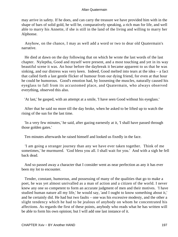may arrive in safety. If he does, and can carry the treasure we have provided him with in the shape of bars of solid gold, he will be, comparatively speaking, a rich man for life, and well able to marry his Annette, if she is still in the land of the living and willing to marry her Alphonse.

 Anyhow, on the chance, I may as well add a word or two to dear old Quatermain's narrative.

 He died at dawn on the day following that on which he wrote the last words of the last chapter. Nyleptha, Good and myself were present, and a most touching and yet in its way beautiful scene it was. An hour before the daybreak it became apparent to us that he was sinking, and our distress was very keen. Indeed, Good melted into tears at the idea – a fact that called forth a last gentle flicker of humour from our dying friend, for even at that hour he could be humorous. Good's emotion had, by loosening the muscles, naturally caused his eyeglass to fall from its accustomed place, and Quatermain, who always observed everything, observed this also.

'At last,' he gasped, with an attempt at a smile, 'I have seen Good without his eyeglass.'

 After that he said no more till the day broke, when he asked to be lifted up to watch the rising of the sun for the last time.

 'In a very few minutes,' he said, after gazing earnestly at it, 'I shall have passed through those golden gates.'

Ten minutes afterwards he raised himself and looked us fixedly in the face.

 'I am going a stranger journey than any we have ever taken together. Think of me sometimes,' he murmured. 'God bless you all. I shall wait for you.' And with a sigh he fell back dead.

 And so passed away a character that I consider went as near perfection as any it has ever been my lot to encounter.

 Tender, constant, humorous, and possessing of many of the qualities that go to make a poet, he was yet almost unrivalled as a man of action and a citizen of the world. I never knew any one so competent to form an accurate judgment of men and their motives. 'I have studied human nature all my life,' he would say, 'and I ought to know something about it,' and he certainly did. He had but two faults – one was his excessive modesty, and the other a slight tendency which he had to be jealous of anybody on whom he concentrated his affections. As regards the first of these points, anybody who reads what he has written will be able to form his own opinion; but I will add one last instance of it.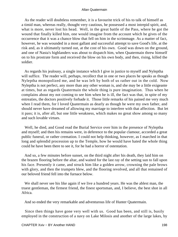As the reader will doubtless remember, it is a favourite trick of his to talk of himself as a timid man, whereas really, thought very cautious, he possessed a most intrepid spirit, and, what is more, never lost his head. Well, in the great battle of the Pass, where he got the wound that finally killed him, one would imagine from the account which he gives of the occurrence that it was a chance blow that fell on him in the scrimmage. As a matter of fact, however, he was wounded in a most gallant and successful attempt to save Good's life, at the risk and, as it ultimately turned out, at the cost of his own. Good was down on the ground, and one of Nasta's highlanders was about to dispatch him, when Quatermain threw himself on to his prostrate form and received the blow on his own body, and then, rising, killed the soldier.

 As regards his jealousy, a single instance which I give in justice to myself and Nyleptha will suffice. The reader will, perhaps, recollect that in one or two places he speaks as though Nyleptha monopolized me, and he was left by both of us rather out in the cold. Now Nyleptha is not perfect, any more than any other woman is, and she may be a little exigeante at times, but as regards Quatermain the whole thing is pure imagination. Thus when he complains about my not coming to see him when he is ill, the fact was that, in spite of my entreaties, the doctors positively forbade it. Those little remarks of his pained me very much when I read them, for I loved Quatermain as dearly as though he were my own father, and should never have dreamed of allowing my marriage to interfere with that affection. But let it pass; it is, after all, but one little weakness, which makes no great show among so many and such lovable virtues.

 Well, he died, and Good read the Burial Service over him in the presence of Nyleptha and myself; and then his remains were, in deference to the popular clamour, accorded a great public funeral, or rather cremation. I could not help thinking, however, as I marched in that long and splendid procession up to the Temple, how he would have hated the whole thing could he have been there to see it, for he had a horror of ostentation.

 And so, a few minutes before sunset, on the third night after his death, they laid him on the brazen flooring before the altar, and waited for the last ray of the setting sun to fall upon his face. Presently it came, and struck him like a golden arrow, crowning the pale brows with glory, and then the trumpets blew, and the flooring revolved, and all that remained of our beloved friend fell into the furnace below.

 We shall never see his like again if we live a hundred years. He was the ablest man, the truest gentleman, the firmest friend, the finest sportsman, and, I believe, the best shot in all Africa.

And so ended the very remarkable and adventurous life of Hunter Quatermain.

 Since then things have gone very well with us. Good has been, and still is, busily employed in the construction of a navy on Lake Milosis and another of the large lakes, by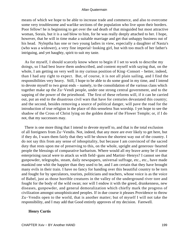means of which we hope to be able to increase trade and commerce, and also to overcome some very troublesome and warlike sections of the population who live upon their borders. Poor fellow! he is beginning to get over the sad death of that misguided but most attractive woman, Sorais, but it is a sad blow to him, for he was really deeply attached to her. I hope, however, that he will in time make a suitable marriage and get that unhappy business out of his head. Nyleptha has one or two young ladies in view, especially a daughter of Nasta's (who was a widower), a very fine imperial−looking girl, but with too much of her father's intriguing, and yet haughty, spirit to suit my taste.

 As for myself, I should scarcely know where to begin if I set to work to describe my doings, so I had best leave them undescribed, and content myself with saying that, on the whole, I am getting on very well in my curious position of King−Consort – better, indeed, than I had any right to expect. But, of course, it is not all plain sailing, and I find the responsibilities very heavy. Still, I hope to be able to do some good in my time, and I intend to devote myself to two great ends – namely, to the consolidation of the various clans which together make up the Zu−Vendi people, under one strong central government, and to the sapping of the power of the priesthood. The first of these reforms will, if it can be carried out, put an end to the disastrous civil wars that have for centuries devastated this country; and the second, besides removing a source of political danger, will pave the road for the introduction of true religion in the place of this senseless Sun worship. I yet hope to see the shadow of the Cross of Christ lying on the golden dome of the Flower Temple; or, if I do not, that my successors may.

 There is one more thing that I intend to devote myself to, and that is the total exclusion of all foreigners from Zu−Vendis. Not, indeed, that any more are ever likely to get here, but if they do, I warn them fairly that they will be shown the shortest way out of the country. I do not say this from any sense of inhospitality, but because I am convinced of the sacred duty that rests upon me of preserving to this, on the whole, upright and generous−hearted people the blessings of comparative barbarism. Where would all my brave army be if some enterprising rascal were to attack us with field−guns and Martini−Henrys? I cannot see that gunpowder, telegraphs, steam, daily newspapers, universal suffrage, etc., etc., have made mankind one whit the happier than they used to be, and I am certain that they have brought many evils in their train. I have no fancy for handing over this beautiful country to be torn and fought for by speculators, tourists, politicians and teachers, whose voice is as the voice of Babel, just as those horrible creatures in the valley of the underground river tore and fought for the body of the wild swan; nor will I endow it with the greed, drunkenness, new diseases, gunpowder, and general demoralization which chiefly mark the progress of civilization amongst unsophisticated peoples. If in due course it pleases Providence to throw Zu−Vendis open to the world, that is another matter; but of myself I will not take the responsibility, and I may add that Good entirely approves of my decision. Farewell.

## **Henry Curtis**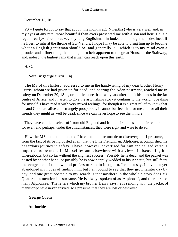## December 15, 18 – .

 PS – I quite forgot to say that about nine months ago Nyleptha (who is very well and, in my eyes at any rate, more beautiful than ever) presented me with a son and heir. He is a regular curly−haired, blue−eyed young Englishman in looks, and, though he is destined, if he lives, to inherit the throne of Zu−Vendis, I hope I may be able to bring him up to become what an English gentleman should be, and generally is – which is to my mind even a prouder and a finer thing than being born heir apparent to the great House of the Stairway, and, indeed, the highest rank that a man can reach upon this earth.

## H. C.

## **Note By george curtis,** Esq.

 The MS of this history, addressed to me in the handwriting of my dear brother Henry Curtis, whom we had given up for dead, and bearing the Aden postmark, reached me in safety on December 20,  $18 -$ , or a little more than two years after it left his hands in the far centre of Africa, and I hasten to give the astonishing story it contains to the world. Speaking for myself, I have read it with very mixed feelings; for though it is a great relief to know that he and Good are alive and strangely prosperous, I cannot but feel that for me and for all their friends they might as well be dead, since we can never hope to see them more.

 They have cut themselves off from old England and from their homes and their relations for ever, and perhaps, under the circumstances, they were right and wise to do so.

 How the MS came to be posted I have been quite unable to discover; but I presume, from the fact of its being posted at all, that the little Frenchman, Alphonse, accomplished his hazardous journey in safety. I have, however, advertised for him and caused various inquiries to be made in Marseilles and elsewhere with a view of discovering his whereabouts, but so far without the slightest success. Possibly he is dead, and the packet was posted by another hand; or possibly he is now happily wedded to his Annette, but still fears the vengeance of the law, and prefers to remain incognito. I cannot say, I have not yet abandoned my hopes of finding him, but I am bound to say that they grow fainter day by day, and one great obstacle to my search is that nowhere in the whole history does Mr Quatermain mention his surname. He is always spoken of as 'Alphonse', and there are so many Alphonses. The letters which my brother Henry says he is sending with the packet of manuscript have never arrived, so I presume that they are lost or destroyed.

## **George Curtis**

## **Authorities**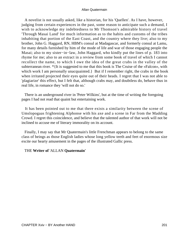A novelist is not usually asked, like a historian, for his 'Quellen'. As I have, however, judging from certain experiences in the past, some reason to anticipate such a demand, I wish to acknowledge my indebtedness to Mr Thomson's admirable history of travel 'Through Masai Land' for much information as to the habits and customs of the tribes inhabiting that portion of the East Coast, and the country where they live; also to my brother, John G. Haggard, RN, HBM's consul at Madagascar, and formerly consul at Lamu, for many details furnished by him of the mode of life and war of those engaging people the Masai; also to my sister−in−law, John Haggard, who kindly put the lines of p. 183 into rhyme for me; also to an extract in a review from some book of travel of which I cannot recollect the name, to which I owe the idea of the great crabs in the valley of the subterranean river. \*{It is suggested to me that this book is The Cruise of the «Falcon», with which work I am personally unacquainted. But if I remember right, the crabs in the book when irritated projected their eyes quite out of their heads. I regret that I was not able to 'plagiarize' this effect, but I felt that, although crabs may, and doubtless do, behave thus in real life, in romance they 'will not do so.'

 There is an underground river in 'Peter Wilkins', but at the time of writing the foregoing pages I had not read that quaint but entertaining work.

 It has been pointed out to me that there exists a similarity between the scene of Umslopogaas frightening Alphonse with his axe and a scene in Far from the Madding Crowd. I regret this coincidence, and believe that the talented author of that work will not be inclined to accuse me of literary immorality on its account.

 Finally, I may say that Mr Quatermain's little Frenchman appears to belong to the same class of beings as those English ladies whose long yellow teeth and feet of enormous size excite our hearty amusement in the pages of the illustrated Gallic press.

## THE **Writer of** 'ALLAN **Quatermain'**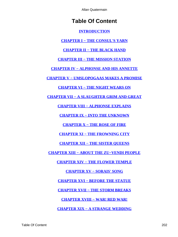# **Table Of Content**

## **[INTRODUCTION](#page-3-0)**

**[CHAPTER I − THE CONSUL'S YARN](#page-8-0)**

## **[CHAPTER II − THE BLACK HAND](#page-17-0)**

**[CHAPTER III − THE MISSION STATION](#page-23-0)**

**[CHAPTER IV − ALPHONSE AND HIS ANNETTE](#page-31-0)**

**[CHAPTER V − UMSLOPOGAAS MAKES A PROMISE](#page-37-0)**

**[CHAPTER VI − THE NIGHT WEARS ON](#page-48-0)**

**[CHAPTER VII − A SLAUGHTER GRIM AND GREAT](#page-54-0)**

**[CHAPTER VIII − ALPHONSE EXPLAINS](#page-62-0)**

**[CHAPTER IX − INTO THE UNKNOWN](#page-69-0)**

**[CHAPTER X − THE ROSE OF FIRE](#page-77-0)**

**[CHAPTER XI − THE FROWNING CITY](#page-86-0)**

**[CHAPTER XII − THE SISTER QUEENS](#page-95-0)**

**[CHAPTER XIII − ABOUT THE ZU−VENDI PEOPLE](#page-105-0)**

**[CHAPTER XIV − THE FLOWER TEMPLE](#page-112-0)**

**[CHAPTER XV − SORAIS' SONG](#page-122-0)**

**[CHAPTER XVI − BEFORE THE STATUE](#page-131-0)**

**[CHAPTER XVII − THE STORM BREAKS](#page-138-0)**

**[CHAPTER XVIII − WAR! RED WAR!](#page-147-0)**

**[CHAPTER XIX − A STRANGE WEDDING](#page-157-0)**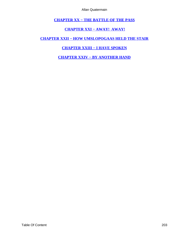**[CHAPTER XX − THE BATTLE OF THE PASS](#page-164-0)**

**[CHAPTER XXI − AWAY! AWAY!](#page-174-0)**

<span id="page-203-0"></span>**[CHAPTER XXII − HOW UMSLOPOGAAS HELD THE STAIR](#page-181-0)**

## **[CHAPTER XXIII − I HAVE SPOKEN](#page-190-0)**

**[CHAPTER XXIV − BY ANOTHER HAND](#page-196-0)**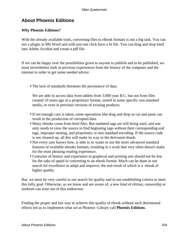# **About Phoenix Editions**

## **Why Phoenix Editions?**

With the already available tools, converting files to eBook formats is not a big task. You can use a plugin in MS Word and with just one click have a lit file. You can drag and drop html into Adobe Acrobat and create a pdf file.

If we can be happy over the possibilities given to anyone to publish and to be published, we must nevertheless look at previous experiences from the history of the computer and the internet in order to get some needed advice:

• The lack of standards threatens the persistance of data.

We are able to access data from tablets from 3.000 year B.C. but not from files created 10 years ago in a proprietary format, stored in some specific non standard media, or even in previous versions of existing products.

- If not enough care is taken, some operations like drag and drop or cut and paste can result in the production of corrupted data.
- Many ebooks come from html files. But outdated tags are still being used, and one only needs to view the source to find beginning tags without their corresponding end tags, improper nesting, and proprietary or non standard encoding. If the source code is not cleaned up, all this will make its way to the derivated ebook.
- Not every user knows how, is able to or wants to use the more advanced standard features of available ebooks formats, resulting in a work that very often doesn't make for the most pleasing reading experience.
- Centuries of history and experience in graphical and printing arts should not be lost for the sake of speed in converting to an ebook format. Much can be done in our search for excellence to adapt and improve, the end result of which is a ebook of higher quality.

But, we must be very careful in our search for quality and in our establishing criteria to meet this lofty goal. Otherwise, as we know and are aware of, a new kind of elitism, censorship or snobism can arise out of this endeavour.

Finding the proper and fair way to achieve this quality of ebook without such detrimental effects led us to implement what we at Phoenix−Library call **Phoenix Editions**.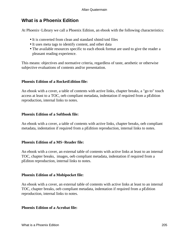# **What is a Phoenix Edition**

At Phoenix−Library we call a Phoenix Edition, an ebook with the following characteristics:

- It is converted from clean and standard xhtml/xml files
- It uses meta tags to identify content, and other data
- The available resources specific to each ebook format are used to give the reader a pleasant reading experience.

This means: objectives and normative criteria, regardless of taste, aesthetic or otherwise subjective evaluations of contents and/or presentation.

## **Phoenix Edition of a RocketEdition file:**

An ebook with a cover, a table of contents with active links, chapter breaks, a "go to" touch access at least to a TOC, oeb compliant metadata, indentation if required from a pEdition reproduction, internal links to notes.

## **Phoenix Edition of a Softbook file:**

An ebook with a cover, a table of contents with active links, chapter breaks, oeb compliant metadata, indentation if required from a pEdition reproduction, internal links to notes.

## **Phoenix Edition of a MS−Reader file:**

An ebook with a cover, an external table of contents with active links at least to an internal TOC, chapter breaks, images, oeb compliant metadata, indentation if required from a pEditon reproduction, internal links to notes.

## **Phoenix Edition of a Mobipocket file:**

An ebook with a cover, an external table of contents with active links at least to an internal TOC, chapter breaks, oeb compliant metadata, indentation if required from a pEdition reproduction, internal links to notes.

## **Phoenix Edition of a Acrobat file:**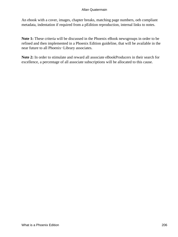An ebook with a cover, images, chapter breaks, matching page numbers, oeb compliant metadata, indentation if required from a pEdition reproduction, internal links to notes.

**Note 1:** These criteria will be discussed in the Phoenix eBook newsgroups in order to be refined and then implemented in a Phoenix Edition guideline, that will be available in the near future to all Phoenix−Library associates.

**Note 2:** In order to stimulate and reward all associate eBookProducers in their search for excellence, a percentage of all associate subscriptions will be allocated to this cause.